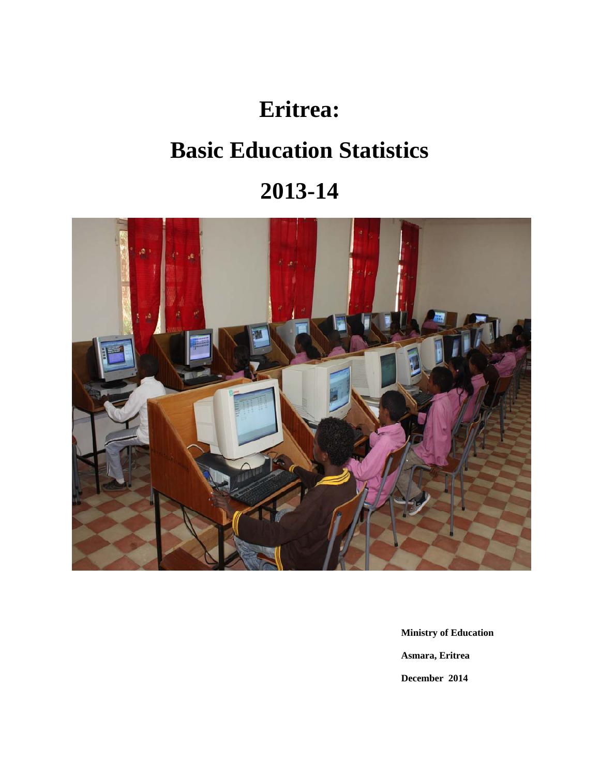# **Eritrea:**

# **Basic Education Statistics**

# **2013-14**



 **Ministry of Education Asmara, Eritrea December 2014**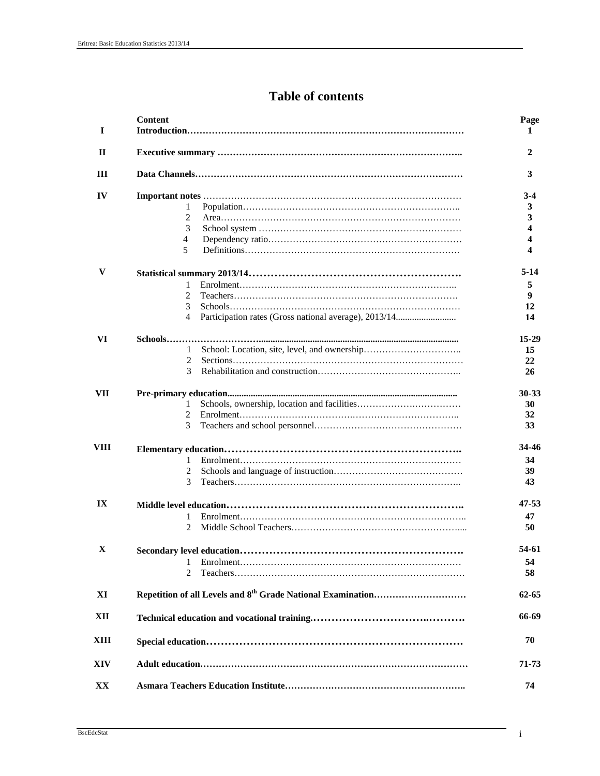# **Table of contents**

| 1          | <b>Content</b>            | Page<br>1 |
|------------|---------------------------|-----------|
| П          |                           | 2         |
| Ш          |                           | 3         |
| IV         |                           | $3-4$     |
|            | 1                         | 3         |
|            | 2                         | 3         |
|            | 3                         | 4         |
|            | 4                         | 4         |
|            | 5                         | 4         |
| V          |                           | $5-14$    |
|            | 1                         | 5         |
|            | 2                         | 9         |
|            | 3                         | 12        |
|            | 4                         | 14        |
| VI         |                           | $15-29$   |
|            | 1                         | 15        |
|            | 2                         | 22        |
|            | 3                         | 26        |
| <b>VII</b> |                           | 30-33     |
|            | 1                         | 30        |
|            | $\mathfrak{D}$            | 32        |
|            | 3                         | 33        |
| VIII       |                           | 34-46     |
|            | 1                         | 34        |
|            | 2                         | 39        |
|            | 3                         | 43        |
| IX         |                           | 47-53     |
|            | 1                         | 47        |
|            | 2                         | 50        |
| X          | Secondary level education | 54-61     |
|            | 1                         | 54        |
|            | $\mathfrak{D}$            | 58        |
| XI         |                           | 62-65     |
| XII        |                           | 66-69     |
| XШ         |                           | 70        |
| XIV        |                           | 71-73     |
| XX         |                           | 74        |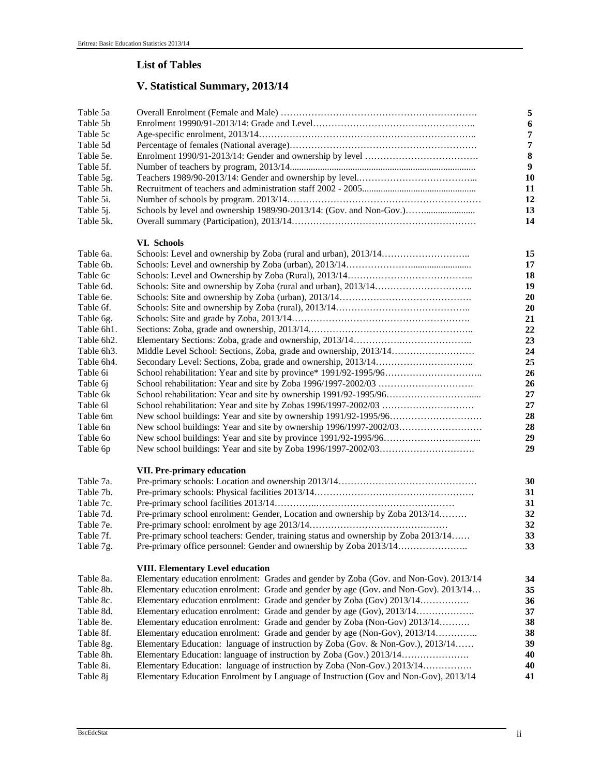# **List of Tables**

# **V. Statistical Summary, 2013/14**

| Table 5a   |                                                                                       | $\sqrt{5}$     |
|------------|---------------------------------------------------------------------------------------|----------------|
| Table 5b   |                                                                                       | 6              |
| Table 5c   |                                                                                       | 7              |
| Table 5d   |                                                                                       | $\overline{7}$ |
| Table 5e.  |                                                                                       | $\bf 8$        |
| Table 5f.  |                                                                                       | 9              |
| Table 5g.  |                                                                                       | 10             |
| Table 5h.  |                                                                                       | 11             |
| Table 5i.  |                                                                                       | 12             |
| Table 5j.  | Schools by level and ownership 1989/90-2013/14: (Gov. and Non-Gov.)                   | 13             |
| Table 5k.  |                                                                                       | 14             |
|            | VI. Schools                                                                           |                |
| Table 6a.  |                                                                                       | 15             |
| Table 6b.  |                                                                                       | 17             |
| Table 6c   |                                                                                       | 18             |
| Table 6d.  |                                                                                       | 19             |
| Table 6e.  |                                                                                       | 20             |
| Table 6f.  |                                                                                       | 20             |
| Table 6g.  |                                                                                       | 21             |
| Table 6h1. |                                                                                       | 22             |
| Table 6h2. |                                                                                       | 23             |
| Table 6h3. |                                                                                       | 24             |
| Table 6h4. |                                                                                       | 25             |
| Table 6i   |                                                                                       | 26             |
| Table 6j   |                                                                                       | 26             |
| Table 6k   |                                                                                       | 27             |
| Table 61   |                                                                                       | 27             |
| Table 6m   |                                                                                       | 28             |
| Table 6n   |                                                                                       | 28             |
| Table 60   |                                                                                       | 29             |
| Table 6p   |                                                                                       | 29             |
|            | <b>VII. Pre-primary education</b>                                                     |                |
| Table 7a.  |                                                                                       | 30             |
| Table 7b.  |                                                                                       | 31             |
| Table 7c.  |                                                                                       | 31             |
| Table 7d.  | Pre-primary school enrolment: Gender, Location and ownership by Zoba 2013/14          | 32             |
| Table 7e.  |                                                                                       | 32             |
| Table 7f.  | Pre-primary school teachers: Gender, training status and ownership by Zoba 2013/14    | 33             |
| Table 7g.  | Pre-primary office personnel: Gender and ownership by Zoba 2013/14                    | 33             |
|            | <b>VIII. Elementary Level education</b>                                               |                |
| Table 8a.  | Elementary education enrolment: Grades and gender by Zoba (Gov. and Non-Gov). 2013/14 | 34             |
| Table 8b.  | Elementary education enrolment: Grade and gender by age (Gov. and Non-Gov). 2013/14   | 35             |
| Table 8c.  | Elementary education enrolment: Grade and gender by Zoba (Gov) 2013/14                | 36             |
| Table 8d.  |                                                                                       | 37             |
| Table 8e.  | Elementary education enrolment: Grade and gender by Zoba (Non-Gov) 2013/14            | 38             |
| Table 8f.  | Elementary education enrolment: Grade and gender by age (Non-Gov), 2013/14            | 38             |
| Table 8g.  | Elementary Education: language of instruction by Zoba (Gov. & Non-Gov.), 2013/14      | 39             |
| Table 8h.  |                                                                                       | 40             |
| Table 8i.  |                                                                                       | 40             |
| Table 8j   | Elementary Education Enrolment by Language of Instruction (Gov and Non-Gov), 2013/14  | 41             |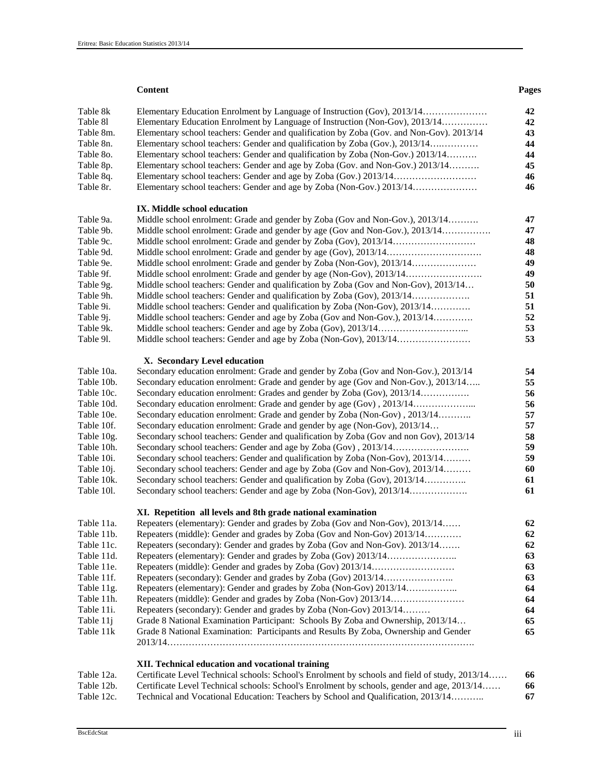#### **Content Pages**  $\blacksquare$

| Table 8k<br>Table 81<br>Table 8m.<br>Table 8n.<br>Table 80.<br>Table 8p.<br>Table 8q. | Elementary Education Enrolment by Language of Instruction (Non-Gov), 2013/14<br>Elementary school teachers: Gender and qualification by Zoba (Gov. and Non-Gov). 2013/14<br>Elementary school teachers: Gender and qualification by Zoba (Gov.), 2013/14<br>Elementary school teachers: Gender and qualification by Zoba (Non-Gov.) 2013/14<br>Elementary school teachers: Gender and age by Zoba (Gov. and Non-Gov.) 2013/14 | 42<br>42<br>43<br>44<br>44<br>45<br>46 |
|---------------------------------------------------------------------------------------|-------------------------------------------------------------------------------------------------------------------------------------------------------------------------------------------------------------------------------------------------------------------------------------------------------------------------------------------------------------------------------------------------------------------------------|----------------------------------------|
| Table 8r.                                                                             |                                                                                                                                                                                                                                                                                                                                                                                                                               | 46                                     |
|                                                                                       |                                                                                                                                                                                                                                                                                                                                                                                                                               |                                        |
| Table 9a.                                                                             | IX. Middle school education<br>Middle school enrolment: Grade and gender by Zoba (Gov and Non-Gov.), 2013/14                                                                                                                                                                                                                                                                                                                  | 47                                     |
| Table 9b.                                                                             | Middle school enrolment: Grade and gender by age (Gov and Non-Gov.), 2013/14                                                                                                                                                                                                                                                                                                                                                  | 47                                     |
| Table 9c.                                                                             |                                                                                                                                                                                                                                                                                                                                                                                                                               | 48                                     |
| Table 9d.                                                                             |                                                                                                                                                                                                                                                                                                                                                                                                                               | 48                                     |
| Table 9e.                                                                             |                                                                                                                                                                                                                                                                                                                                                                                                                               | 49                                     |
| Table 9f.                                                                             |                                                                                                                                                                                                                                                                                                                                                                                                                               | 49                                     |
| Table 9g.                                                                             | Middle school teachers: Gender and qualification by Zoba (Gov and Non-Gov), 2013/14                                                                                                                                                                                                                                                                                                                                           | 50                                     |
| Table 9h.                                                                             |                                                                                                                                                                                                                                                                                                                                                                                                                               | 51                                     |
| Table 9i.                                                                             | Middle school teachers: Gender and qualification by Zoba (Non-Gov), 2013/14                                                                                                                                                                                                                                                                                                                                                   | 51                                     |
| Table 9 <i>j</i> .                                                                    | Middle school teachers: Gender and age by Zoba (Gov and Non-Gov.), 2013/14                                                                                                                                                                                                                                                                                                                                                    | 52                                     |
| Table 9k.                                                                             |                                                                                                                                                                                                                                                                                                                                                                                                                               | 53                                     |
| Table 91.                                                                             |                                                                                                                                                                                                                                                                                                                                                                                                                               | 53                                     |
|                                                                                       | X. Secondary Level education                                                                                                                                                                                                                                                                                                                                                                                                  |                                        |
| Table 10a.                                                                            | Secondary education enrolment: Grade and gender by Zoba (Gov and Non-Gov.), 2013/14                                                                                                                                                                                                                                                                                                                                           | 54                                     |
| Table 10b.                                                                            | Secondary education enrolment: Grade and gender by age (Gov and Non-Gov.), 2013/14                                                                                                                                                                                                                                                                                                                                            | 55                                     |
| Table 10c.                                                                            | Secondary education enrolment: Grades and gender by Zoba (Gov), 2013/14                                                                                                                                                                                                                                                                                                                                                       | 56                                     |
| Table 10d.                                                                            | Secondary education enrolment: Grade and gender by age (Gov), 2013/14                                                                                                                                                                                                                                                                                                                                                         | 56                                     |
| Table 10e.                                                                            | Secondary education enrolment: Grade and gender by Zoba (Non-Gov), 2013/14                                                                                                                                                                                                                                                                                                                                                    | 57                                     |
| Table 10f.                                                                            | Secondary education enrolment: Grade and gender by age (Non-Gov), 2013/14                                                                                                                                                                                                                                                                                                                                                     | 57                                     |
| Table 10g.                                                                            | Secondary school teachers: Gender and qualification by Zoba (Gov and non Gov), 2013/14                                                                                                                                                                                                                                                                                                                                        | 58                                     |
| Table 10h.                                                                            |                                                                                                                                                                                                                                                                                                                                                                                                                               | 59                                     |
| Table 10i.                                                                            | Secondary school teachers: Gender and qualification by Zoba (Non-Gov), 2013/14                                                                                                                                                                                                                                                                                                                                                | 59                                     |
| Table 10 <i>j</i> .                                                                   | Secondary school teachers: Gender and age by Zoba (Gov and Non-Gov), 2013/14                                                                                                                                                                                                                                                                                                                                                  | 60                                     |
| Table 10k.                                                                            | Secondary school teachers: Gender and qualification by Zoba (Gov), 2013/14                                                                                                                                                                                                                                                                                                                                                    | 61                                     |
| Table 101.                                                                            | Secondary school teachers: Gender and age by Zoba (Non-Gov), 2013/14                                                                                                                                                                                                                                                                                                                                                          | 61                                     |
|                                                                                       | XI. Repetition all levels and 8th grade national examination                                                                                                                                                                                                                                                                                                                                                                  |                                        |
| Table 11a.                                                                            | Repeaters (elementary): Gender and grades by Zoba (Gov and Non-Gov), 2013/14                                                                                                                                                                                                                                                                                                                                                  | 62                                     |
| Table 11b.                                                                            | Repeaters (middle): Gender and grades by Zoba (Gov and Non-Gov) 2013/14                                                                                                                                                                                                                                                                                                                                                       | 62                                     |
| Table 11c.                                                                            | Repeaters (secondary): Gender and grades by Zoba (Gov and Non-Gov). 2013/14                                                                                                                                                                                                                                                                                                                                                   | 62                                     |
| Table 11d.                                                                            |                                                                                                                                                                                                                                                                                                                                                                                                                               | 63                                     |
| Table 11e.                                                                            |                                                                                                                                                                                                                                                                                                                                                                                                                               | 63                                     |
| Table 11f.                                                                            |                                                                                                                                                                                                                                                                                                                                                                                                                               | 63                                     |
| Table 11g.                                                                            | Repeaters (elementary): Gender and grades by Zoba (Non-Gov) 2013/14                                                                                                                                                                                                                                                                                                                                                           | 64                                     |
| Table 11h.                                                                            |                                                                                                                                                                                                                                                                                                                                                                                                                               | 64                                     |
| Table 11i.                                                                            | Repeaters (secondary): Gender and grades by Zoba (Non-Gov) 2013/14                                                                                                                                                                                                                                                                                                                                                            | 64                                     |
| Table 11j                                                                             | Grade 8 National Examination Participant: Schools By Zoba and Ownership, 2013/14                                                                                                                                                                                                                                                                                                                                              | 65                                     |
| Table 11k                                                                             | Grade 8 National Examination: Participants and Results By Zoba, Ownership and Gender                                                                                                                                                                                                                                                                                                                                          | 65                                     |
|                                                                                       | XII. Technical education and vocational training                                                                                                                                                                                                                                                                                                                                                                              |                                        |
| Table 12a.                                                                            | Certificate Level Technical schools: School's Enrolment by schools and field of study, 2013/14                                                                                                                                                                                                                                                                                                                                | 66                                     |
| Table 12b.                                                                            | Certificate Level Technical schools: School's Enrolment by schools, gender and age, 2013/14                                                                                                                                                                                                                                                                                                                                   | 66                                     |

Table 12c. Technical and Vocational Education: Teachers by School and Qualification, 2013/14……….. **67**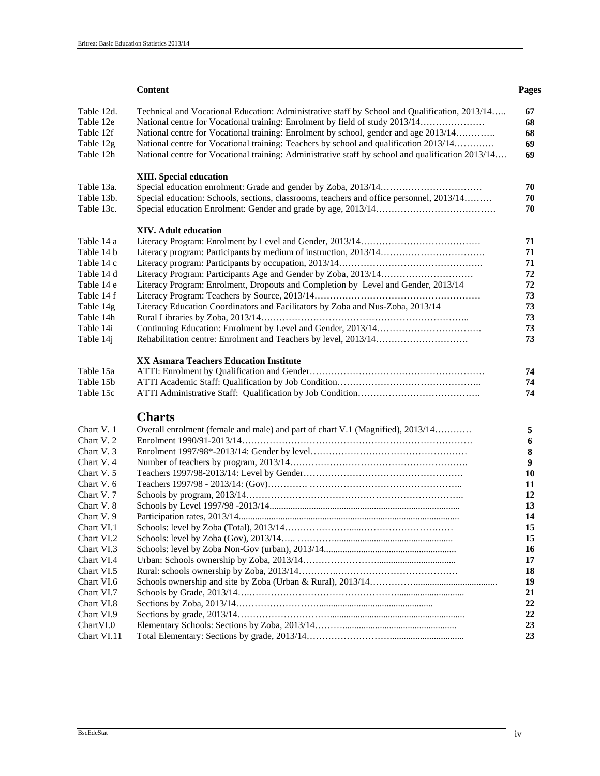#### **Content Pages**  $\blacksquare$

| Table 12d.<br>Table 12e | Technical and Vocational Education: Administrative staff by School and Qualification, 2013/14<br>National centre for Vocational training: Enrolment by field of study 2013/14 | 67<br>68  |
|-------------------------|-------------------------------------------------------------------------------------------------------------------------------------------------------------------------------|-----------|
| Table 12f               | National centre for Vocational training: Enrolment by school, gender and age 2013/14                                                                                          | 68        |
| Table 12g               | National centre for Vocational training: Teachers by school and qualification 2013/14                                                                                         | 69        |
| Table 12h               | National centre for Vocational training: Administrative staff by school and qualification 2013/14                                                                             | 69        |
|                         | <b>XIII.</b> Special education                                                                                                                                                |           |
| Table 13a.              |                                                                                                                                                                               | 70        |
| Table 13b.              | Special education: Schools, sections, classrooms, teachers and office personnel, 2013/14                                                                                      | 70        |
| Table 13c.              |                                                                                                                                                                               | 70        |
|                         |                                                                                                                                                                               |           |
|                         | <b>XIV.</b> Adult education                                                                                                                                                   |           |
| Table 14 a              |                                                                                                                                                                               | 71        |
| Table 14 b              |                                                                                                                                                                               | 71        |
| Table 14 c              |                                                                                                                                                                               | 71        |
| Table 14 d              |                                                                                                                                                                               | 72        |
| Table 14 e              | Literacy Program: Enrolment, Dropouts and Completion by Level and Gender, 2013/14                                                                                             | 72        |
| Table 14 f              |                                                                                                                                                                               | 73        |
| Table 14g               | Literacy Education Coordinators and Facilitators by Zoba and Nus-Zoba, 2013/14                                                                                                | 73        |
| Table 14h               |                                                                                                                                                                               | 73        |
| Table 14i               |                                                                                                                                                                               | 73        |
| Table 14j               |                                                                                                                                                                               | 73        |
|                         |                                                                                                                                                                               |           |
|                         | <b>XX Asmara Teachers Education Institute</b>                                                                                                                                 |           |
| Table 15a               |                                                                                                                                                                               | 74        |
| Table 15b               |                                                                                                                                                                               | 74        |
| Table 15c               |                                                                                                                                                                               | 74        |
|                         | <b>Charts</b>                                                                                                                                                                 |           |
| Chart V. 1              | Overall enrolment (female and male) and part of chart V.1 (Magnified), 2013/14                                                                                                | 5         |
| Chart V. 2              |                                                                                                                                                                               | 6         |
| Chart V. 3              |                                                                                                                                                                               | ${\bf 8}$ |
| Chart V.4               |                                                                                                                                                                               | 9         |
| Chart V. 5              |                                                                                                                                                                               | 10        |
| Chart V. 6              |                                                                                                                                                                               | 11        |
| Chart V.7               |                                                                                                                                                                               | 12        |
| Chart V. 8              |                                                                                                                                                                               | 13        |
| Chart V. 9              |                                                                                                                                                                               | 14        |
| Chart VI.1              |                                                                                                                                                                               | 15        |
| Chart VI.2              |                                                                                                                                                                               | 15        |
| Chart VI.3              |                                                                                                                                                                               | 16        |
| Chart VI.4              |                                                                                                                                                                               | 17        |
| Chart VI.5              |                                                                                                                                                                               | 18        |
| Chart VI.6              |                                                                                                                                                                               | 19        |
| Chart VI.7              |                                                                                                                                                                               | 21        |
| Chart VI.8              |                                                                                                                                                                               | 22        |
| Chart VI.9              |                                                                                                                                                                               | 22        |
| Chart VI.0              |                                                                                                                                                                               | 23        |
| Chart VI.11             |                                                                                                                                                                               | 23        |
|                         |                                                                                                                                                                               |           |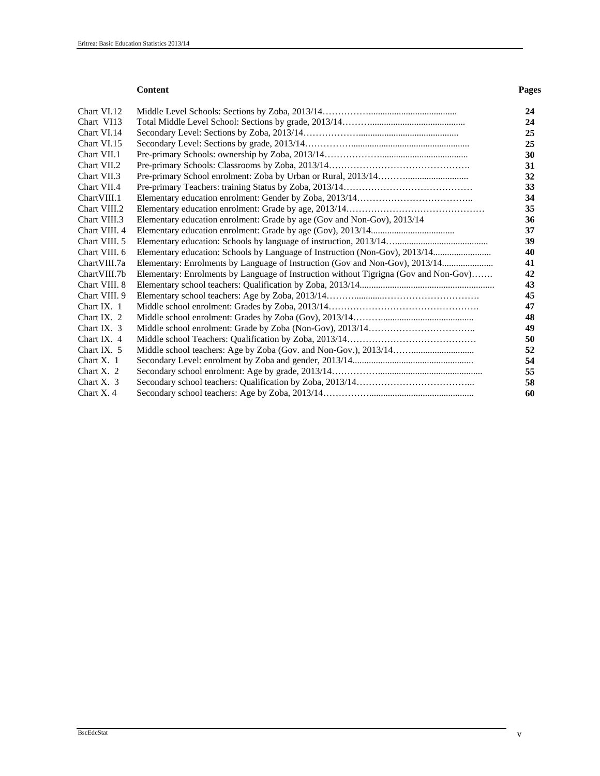#### **Content Pages**  $\blacksquare$

| Chart VI.12   |                                                                                      |  |
|---------------|--------------------------------------------------------------------------------------|--|
| Chart VI13    |                                                                                      |  |
| Chart VI.14   |                                                                                      |  |
| Chart VI.15   |                                                                                      |  |
| Chart VII.1   |                                                                                      |  |
| Chart VII.2   |                                                                                      |  |
| Chart VII.3   |                                                                                      |  |
| Chart VII.4   |                                                                                      |  |
| ChartVIII.1   |                                                                                      |  |
| Chart VIII.2  |                                                                                      |  |
| Chart VIII.3  | Elementary education enrolment: Grade by age (Gov and Non-Gov), 2013/14              |  |
| Chart VIII. 4 |                                                                                      |  |
| Chart VIII. 5 |                                                                                      |  |
| Chart VIII. 6 |                                                                                      |  |
| Chart VIII.7a | Elementary: Enrolments by Language of Instruction (Gov and Non-Gov), 2013/14         |  |
| Chart VIII.7b | Elementary: Enrolments by Language of Instruction without Tigrigna (Gov and Non-Gov) |  |
| Chart VIII. 8 |                                                                                      |  |
| Chart VIII. 9 |                                                                                      |  |
| Chart IX. $1$ |                                                                                      |  |
| Chart IX. 2   |                                                                                      |  |
| Chart IX. 3   |                                                                                      |  |
| Chart IX. 4   |                                                                                      |  |
| Chart IX. $5$ |                                                                                      |  |
| Chart $X$ . 1 |                                                                                      |  |
| Chart X. $2$  |                                                                                      |  |
| Chart X. $3$  |                                                                                      |  |
| Chart X, 4    |                                                                                      |  |
|               |                                                                                      |  |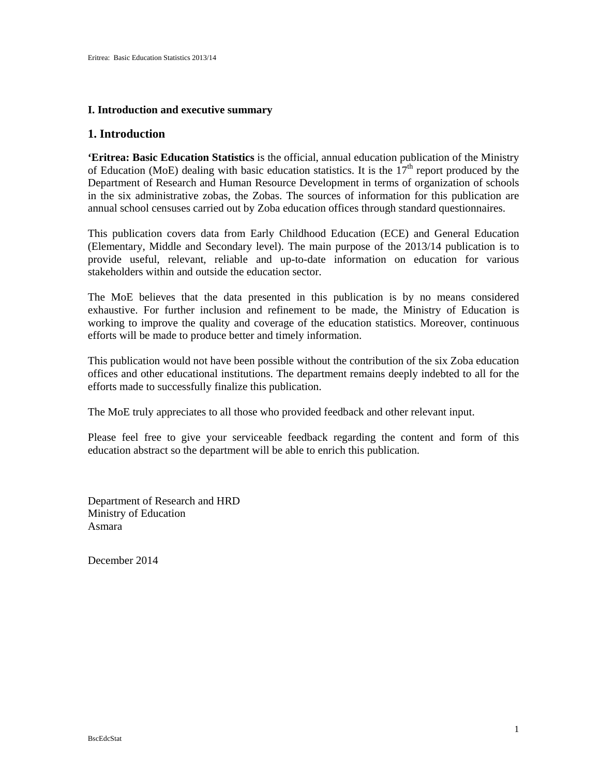#### **I. Introduction and executive summary**

#### **1. Introduction**

**'Eritrea: Basic Education Statistics** is the official, annual education publication of the Ministry of Education (MoE) dealing with basic education statistics. It is the  $17<sup>th</sup>$  report produced by the Department of Research and Human Resource Development in terms of organization of schools in the six administrative zobas, the Zobas. The sources of information for this publication are annual school censuses carried out by Zoba education offices through standard questionnaires.

This publication covers data from Early Childhood Education (ECE) and General Education (Elementary, Middle and Secondary level). The main purpose of the 2013/14 publication is to provide useful, relevant, reliable and up-to-date information on education for various stakeholders within and outside the education sector.

The MoE believes that the data presented in this publication is by no means considered exhaustive. For further inclusion and refinement to be made, the Ministry of Education is working to improve the quality and coverage of the education statistics. Moreover, continuous efforts will be made to produce better and timely information.

This publication would not have been possible without the contribution of the six Zoba education offices and other educational institutions. The department remains deeply indebted to all for the efforts made to successfully finalize this publication.

The MoE truly appreciates to all those who provided feedback and other relevant input.

Please feel free to give your serviceable feedback regarding the content and form of this education abstract so the department will be able to enrich this publication.

Department of Research and HRD Ministry of Education Asmara

December 2014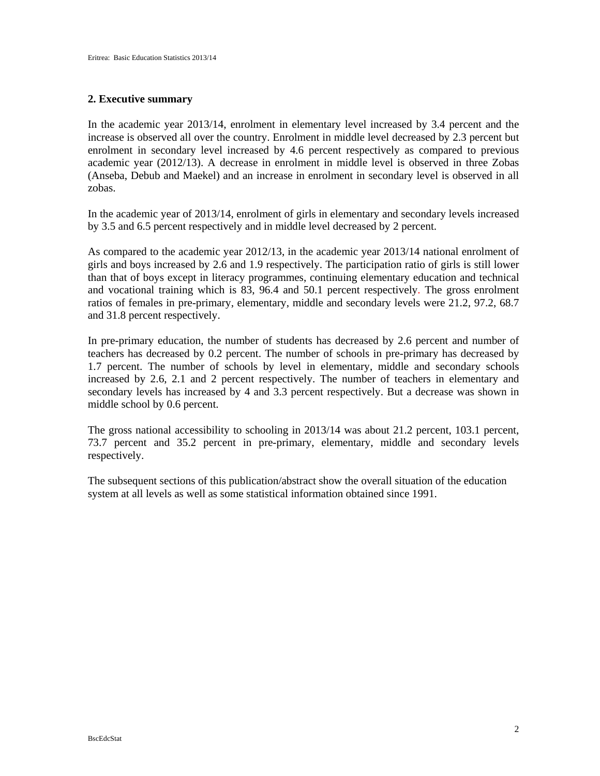#### **2. Executive summary**

In the academic year 2013/14, enrolment in elementary level increased by 3.4 percent and the increase is observed all over the country. Enrolment in middle level decreased by 2.3 percent but enrolment in secondary level increased by 4.6 percent respectively as compared to previous academic year (2012/13). A decrease in enrolment in middle level is observed in three Zobas (Anseba, Debub and Maekel) and an increase in enrolment in secondary level is observed in all zobas.

In the academic year of 2013/14, enrolment of girls in elementary and secondary levels increased by 3.5 and 6.5 percent respectively and in middle level decreased by 2 percent.

As compared to the academic year 2012/13, in the academic year 2013/14 national enrolment of girls and boys increased by 2.6 and 1.9 respectively. The participation ratio of girls is still lower than that of boys except in literacy programmes, continuing elementary education and technical and vocational training which is 83, 96.4 and 50.1 percent respectively. The gross enrolment ratios of females in pre-primary, elementary, middle and secondary levels were 21.2, 97.2, 68.7 and 31.8 percent respectively.

In pre-primary education, the number of students has decreased by 2.6 percent and number of teachers has decreased by 0.2 percent. The number of schools in pre-primary has decreased by 1.7 percent. The number of schools by level in elementary, middle and secondary schools increased by 2.6, 2.1 and 2 percent respectively. The number of teachers in elementary and secondary levels has increased by 4 and 3.3 percent respectively. But a decrease was shown in middle school by 0.6 percent.

The gross national accessibility to schooling in 2013/14 was about 21.2 percent, 103.1 percent, 73.7 percent and 35.2 percent in pre-primary, elementary, middle and secondary levels respectively.

The subsequent sections of this publication/abstract show the overall situation of the education system at all levels as well as some statistical information obtained since 1991.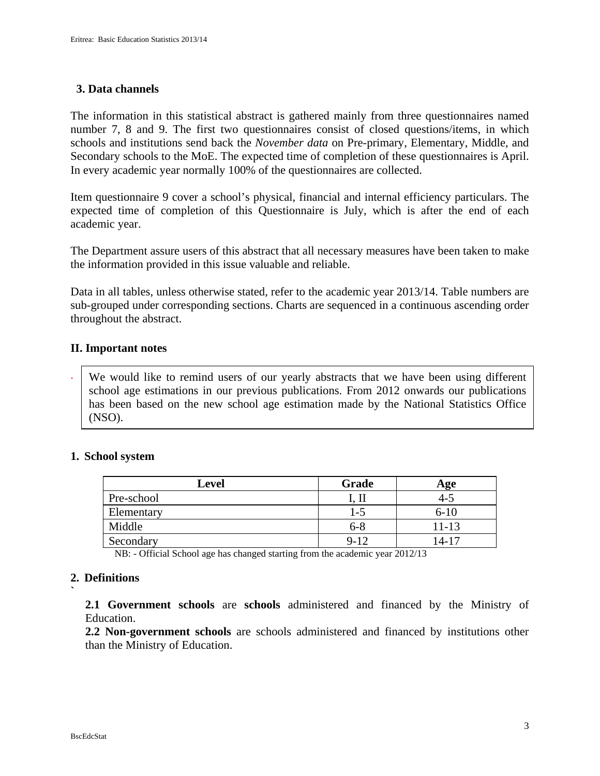# **3. Data channels**

The information in this statistical abstract is gathered mainly from three questionnaires named number 7, 8 and 9. The first two questionnaires consist of closed questions/items, in which schools and institutions send back the *November data* on Pre-primary, Elementary, Middle, and Secondary schools to the MoE. The expected time of completion of these questionnaires is April. In every academic year normally 100% of the questionnaires are collected.

Item questionnaire 9 cover a school's physical, financial and internal efficiency particulars. The expected time of completion of this Questionnaire is July, which is after the end of each academic year.

The Department assure users of this abstract that all necessary measures have been taken to make the information provided in this issue valuable and reliable.

Data in all tables, unless otherwise stated, refer to the academic year 2013/14. Table numbers are sub-grouped under corresponding sections. Charts are sequenced in a continuous ascending order throughout the abstract.

### **II. Important notes**

. We would like to remind users of our yearly abstracts that we have been using different school age estimations in our previous publications. From 2012 onwards our publications has been based on the new school age estimation made by the National Statistics Office (NSO).

#### **1. School system**

| <b>Level</b> | Grade    | Age     |
|--------------|----------|---------|
| Pre-school   |          | $4 - 5$ |
| Elementary   | $1-5$    | $6-10$  |
| Middle       | $6 - 8$  | 11-13   |
| Secondary    | $9 - 12$ | 14-17   |

NB: - Official School age has changed starting from the academic year 2012/13

# **2. Definitions**

**`** 

**2.1 Government schools** are **schools** administered and financed by the Ministry of Education.

**2.2 Non-government schools** are schools administered and financed by institutions other than the Ministry of Education.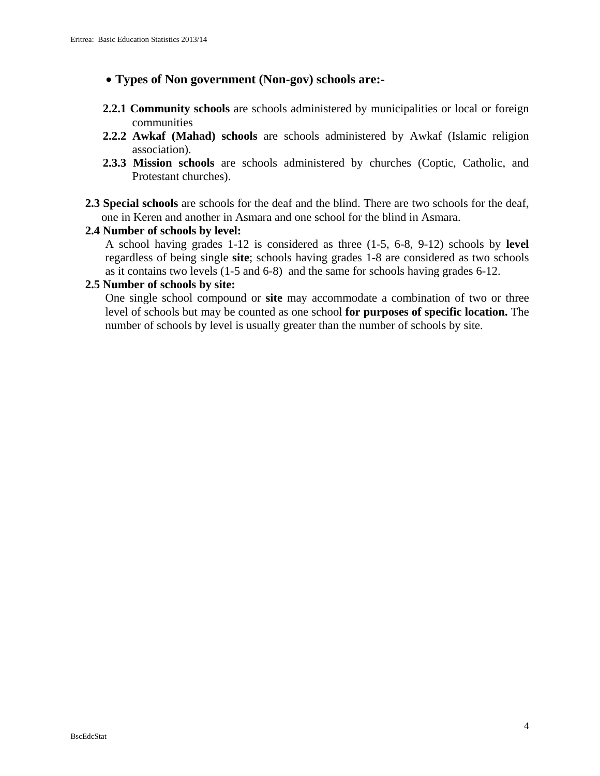- • **Types of Non government (Non-gov) schools are:-**
- **2.2.1 Community schools** are schools administered by municipalities or local or foreign communities
- **2.2.2 Awkaf (Mahad) schools** are schools administered by Awkaf (Islamic religion association).
- **2.3.3 Mission schools** are schools administered by churches (Coptic, Catholic, and Protestant churches).
- **2.3 Special schools** are schools for the deaf and the blind. There are two schools for the deaf, one in Keren and another in Asmara and one school for the blind in Asmara.

# **2.4 Number of schools by level:**

A school having grades 1-12 is considered as three (1-5, 6-8, 9-12) schools by **level** regardless of being single **site**; schools having grades 1-8 are considered as two schools as it contains two levels (1-5 and 6-8) and the same for schools having grades 6-12.

# **2.5 Number of schools by site:**

One single school compound or **site** may accommodate a combination of two or three level of schools but may be counted as one school **for purposes of specific location.** The number of schools by level is usually greater than the number of schools by site.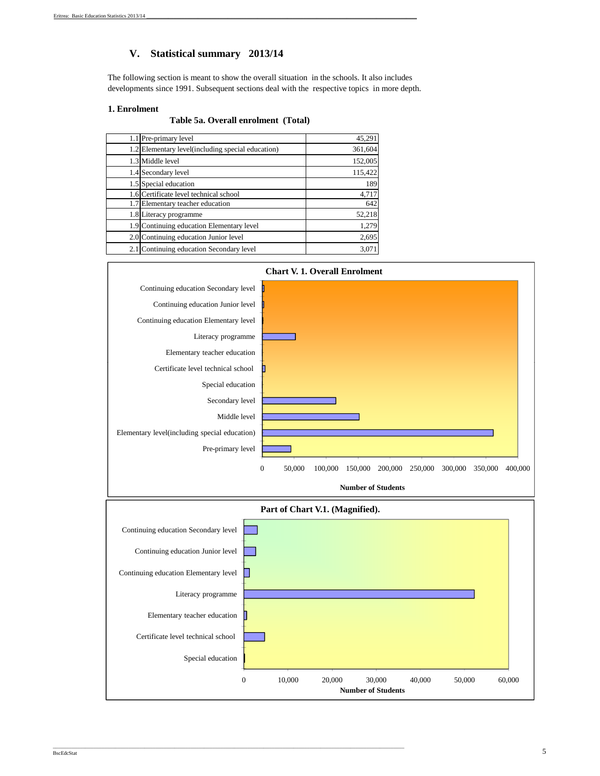### **V. Statistical summary 2013/14**

The following section is meant to show the overall situation in the schools. It also includes developments since 1991. Subsequent sections deal with the respective topics in more depth.

#### **1. Enrolment**

**Table 5a. Overall enrolment (Total)** 

| 1.1 Pre-primary level                             | 45,291  |
|---------------------------------------------------|---------|
| 1.2 Elementary level(including special education) | 361,604 |
| 1.3 Middle level                                  | 152,005 |
| 1.4 Secondary level                               | 115,422 |
| 1.5 Special education                             | 189     |
| 1.6 Certificate level technical school            | 4,717   |
| 1.7 Elementary teacher education                  | 642     |
| 1.8 Literacy programme                            | 52,218  |
| 1.9 Continuing education Elementary level         | 1,279   |
| 2.0 Continuing education Junior level             | 2,695   |
| 2.1 Continuing education Secondary level          | 3,071   |



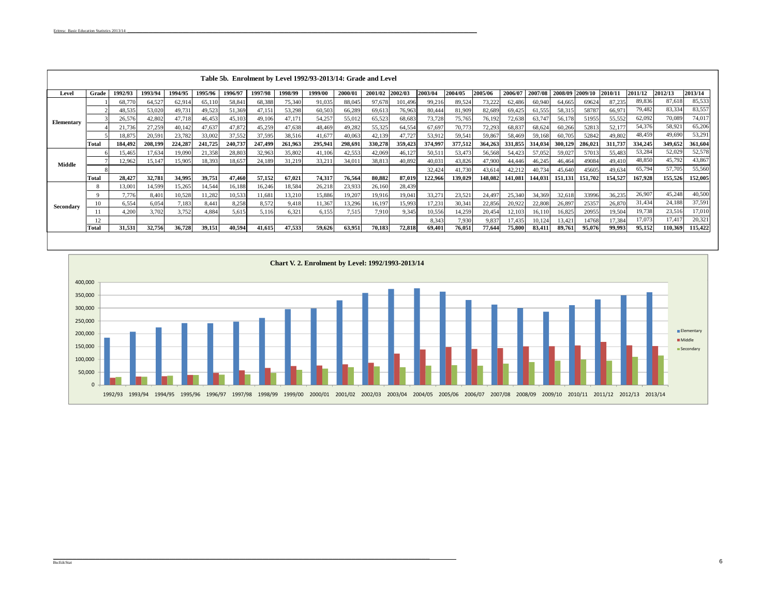|            | Table 5b. Enrolment by Level 1992/93-2013/14: Grade and Level |         |         |         |         |         |         |         |         |         |         |         |         |         |         |         |         |         |         |         |         |         |         |
|------------|---------------------------------------------------------------|---------|---------|---------|---------|---------|---------|---------|---------|---------|---------|---------|---------|---------|---------|---------|---------|---------|---------|---------|---------|---------|---------|
| Level      | Grade                                                         | 1992/93 | 1993/94 | 1994/95 | 1995/96 | 1996/97 | 1997/98 | 1998/99 | 1999/00 | 2000/01 | 2001/02 | 2002/03 | 2003/04 | 2004/05 | 2005/06 | 2006/07 | 2007/08 | 2008/09 | 2009/1  | 2010/1  | 2011/12 | 2012/13 | 2013/14 |
|            |                                                               | 68,770  | 64,527  | 62,91   | 65,110  | 58,84   | 68,388  | 75,340  | 91,035  | 88,045  | 97,678  | 101,496 | 99,216  | 89,524  | 73,22   | 62,486  | 60,940  | 64,665  | 69624   | 87,235  | 89,836  | 87,618  | 85,533  |
|            |                                                               | 48,535  | 53,020  | 49,731  | 49,523  | 51,369  | 47,151  | 53,298  | 60,503  | 66,289  | 69,613  | 76,963  | 80,444  | 81,909  | 82,689  | 69,425  | 61,555  | 58,315  | 58787   | 66,971  | 79,482  | 83,334  | 83,557  |
| Elementary |                                                               | 26,576  | 42,802  | 47,718  | 46,453  | 45,103  | 49,106  | 47,171  | 54,257  | 55,012  | 65,523  | 68,683  | 73,728  | 75,765  | 76,192  | 72,638  | 63,747  | 56,178  | 51955   | 55,552  | 62,092  | 70,089  | 74,017  |
|            |                                                               | 21.736  | 27,259  | 40,142  | 47,637  | 47,872  | 45,259  | 47,638  | 48.469  | 49,282  | 55,325  | 64,554  | 67,697  | 70,773  | 72,293  | 68,837  | 68,624  | 60,266  | 52813   | 52,177  | 54.376  | 58,921  | 65,206  |
|            |                                                               | 18.875  | 20.59   | 23,782  | 33,002  | 37,552  | 37,595  | 38,516  | 41.677  | 40,063  | 42,139  | 47,727  | 53,912  | 59,541  | 59,867  | 58,469  | 59,168  | 60,705  | 52842   | 49,802  | 48.459  | 49,690  | 53,291  |
|            | Total                                                         | 184.492 | 208.199 | 224,287 | 241,725 | 240,737 | 247,499 | 261,963 | 295.941 | 298.691 | 330,278 | 359.423 | 374,997 | 377,512 | 364,263 | 331,855 | 314,034 | 300,129 | 286,021 | 311,737 | 334,245 | 349,652 | 361,604 |
|            |                                                               | 15.465  | 17,634  | 19,090  | 21,358  | 28,803  | 32,963  | 35,802  | 41.106  | 42,553  | 42,069  | 46,127  | 50,511  | 53,473  | 56,568  | 54,423  | 57,052  | 59,027  | 57013   | 55,483  | 53,284  | 52,029  | 52,578  |
| Middle     |                                                               | 12.962  | 15.147  | 15,905  | 18,393  | 18,657  | 24,189  | 31,219  | 33.211  | 34,011  | 38,813  | 40,892  | 40,031  | 43,826  | 47,900  | 44,446  | 46,245  | 46,464  | 49084   | 49,410  | 48,850  | 45,792  | 43,867  |
|            |                                                               |         |         |         |         |         |         |         |         |         |         |         | 32,424  | 41,730  | 43,614  | 42,212  | 40,734  | 45,640  | 45605   | 49,634  | 65,794  | 57,705  | 55,560  |
|            | Total                                                         | 28.427  | 32,781  | 34,995  | 39,751  | 47,460  | 57,152  | 67,021  | 74.317  | 76,564  | 80,882  | 87,019  | 122,966 | 139,029 | 148.082 | 141.081 | 144.031 | 151,131 | 151,702 | 154.527 | 167,928 | 155.526 | 152,005 |
|            |                                                               | 13,001  | 14,599  | 15,265  | 14,544  | 16,188  | 16,246  | 18,584  | 26,218  | 23,933  | 26,160  | 28,439  |         |         |         |         |         |         |         |         |         |         |         |
|            |                                                               | 7,776   | 8,40    | 10,528  | 11,282  | 10,533  | 11,681  | 13,210  | 15,886  | 19,207  | 19,916  | 19,041  | 33,27   | 23,52   | 24,49   | 25,340  | 34,369  | 32,618  | 33996   | 36,235  | 26,907  | 45,248  | 40,500  |
| Secondary  |                                                               | 6.554   | 6,054   | 7.183   | 8.441   | 8,258   | 8,572   | 9.418   | 11.367  | 13,296  | 16,197  | 15,993  | 17,231  | 30,341  | 22,856  | 20,922  | 22,808  | 26,897  | 25357   | 26,870  | 31,434  | 24,188  | 37,591  |
|            |                                                               | 4.200   | 3.702   | 3.752   | 4.884   | 5.615   | 5.116   | 6.321   | 6.155   | 7,515   | 7.910   | 9.345   | 10,556  | 14,259  | 20,454  | 12,103  | 16,110  | 16,825  | 20955   | 19,504  | 19,738  | 23,51   | 17,010  |
|            |                                                               |         |         |         |         |         |         |         |         |         |         |         | 8,343   | 7.930   | 9,83    | 17,435  | 10,124  | 13,421  | 14768   | 17,384  | 17,073  | 17,41   | 20,321  |
|            | Total                                                         | 31.531  | 32,756  | 36,728  | 39.151  | 40,594  | 41.615  | 47,533  | 59.626  | 63.951  | 70,183  | 72,818  | 69,401  | 76.051  | 77,644  | 75,800  | 83.411  | 89.761  | 95,076  | 99,993  | 95.152  | 110,369 | 115,422 |

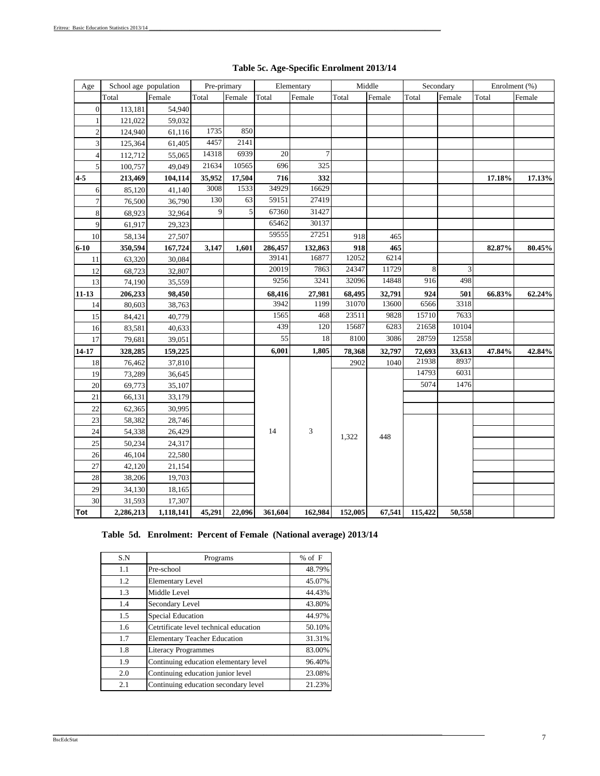| Age            | School age population |           | Pre-primary |        |         | Elementary |         | Middle |         | Secondary |        | Enrolment (%) |
|----------------|-----------------------|-----------|-------------|--------|---------|------------|---------|--------|---------|-----------|--------|---------------|
|                | Total                 | Female    | Total       | Female | Total   | Female     | Total   | Female | Total   | Female    | Total  | Female        |
| $\overline{0}$ | 113,181               | 54,940    |             |        |         |            |         |        |         |           |        |               |
| $\mathbf{1}$   | 121,022               | 59,032    |             |        |         |            |         |        |         |           |        |               |
| $\overline{c}$ | 124,940               | 61,116    | 1735        | 850    |         |            |         |        |         |           |        |               |
| 3              | 125,364               | 61,405    | 4457        | 2141   |         |            |         |        |         |           |        |               |
| 4              | 112,712               | 55,065    | 14318       | 6939   | 20      | $\tau$     |         |        |         |           |        |               |
| 5              | 100,757               | 49,049    | 21634       | 10565  | 696     | 325        |         |        |         |           |        |               |
| $4-5$          | 213,469               | 104,114   | 35,952      | 17,504 | 716     | 332        |         |        |         |           | 17.18% | 17.13%        |
| 6              | 85,120                | 41,140    | 3008        | 1533   | 34929   | 16629      |         |        |         |           |        |               |
| $\overline{7}$ | 76,500                | 36,790    | 130         | 63     | 59151   | 27419      |         |        |         |           |        |               |
| $\,8\,$        | 68,923                | 32,964    | 9           | 5      | 67360   | 31427      |         |        |         |           |        |               |
| 9              | 61,917                | 29,323    |             |        | 65462   | 30137      |         |        |         |           |        |               |
| 10             | 58,134                | 27,507    |             |        | 59555   | 27251      | 918     | 465    |         |           |        |               |
| $6 - 10$       | 350,594               | 167,724   | 3,147       | 1,601  | 286,457 | 132,863    | 918     | 465    |         |           | 82.87% | 80.45%        |
| 11             | 63,320                | 30,084    |             |        | 39141   | 16877      | 12052   | 6214   |         |           |        |               |
| 12             | 68,723                | 32,807    |             |        | 20019   | 7863       | 24347   | 11729  | 8       | 3         |        |               |
| 13             | 74,190                | 35,559    |             |        | 9256    | 3241       | 32096   | 14848  | 916     | 498       |        |               |
| $11 - 13$      | 206,233               | 98,450    |             |        | 68,416  | 27,981     | 68,495  | 32,791 | 924     | 501       | 66.83% | 62.24%        |
| 14             | 80,603                | 38,763    |             |        | 3942    | 1199       | 31070   | 13600  | 6566    | 3318      |        |               |
| 15             | 84,421                | 40,779    |             |        | 1565    | 468        | 23511   | 9828   | 15710   | 7633      |        |               |
| 16             | 83,581                | 40,633    |             |        | 439     | 120        | 15687   | 6283   | 21658   | 10104     |        |               |
| 17             | 79,681                | 39,051    |             |        | 55      | 18         | 8100    | 3086   | 28759   | 12558     |        |               |
| $14 - 17$      | 328,285               | 159,225   |             |        | 6,001   | 1,805      | 78,368  | 32,797 | 72,693  | 33,613    | 47.84% | 42.84%        |
| 18             | 76,462                | 37,810    |             |        |         |            | 2902    | 1040   | 21938   | 8937      |        |               |
| 19             | 73,289                | 36,645    |             |        |         |            |         |        | 14793   | 6031      |        |               |
| $20\,$         | 69,773                | 35,107    |             |        |         |            |         |        | 5074    | 1476      |        |               |
| 21             | 66,131                | 33,179    |             |        |         |            |         |        |         |           |        |               |
| 22             | 62,365                | 30,995    |             |        |         |            |         |        |         |           |        |               |
| 23             | 58,382                | 28,746    |             |        |         |            |         |        |         |           |        |               |
| 24             | 54,338                | 26,429    |             |        | 14      | 3          | 1,322   | 448    |         |           |        |               |
| 25             | 50,234                | 24,317    |             |        |         |            |         |        |         |           |        |               |
| 26             | 46,104                | 22,580    |             |        |         |            |         |        |         |           |        |               |
| 27             | 42,120                | 21,154    |             |        |         |            |         |        |         |           |        |               |
| 28             | 38,206                | 19,703    |             |        |         |            |         |        |         |           |        |               |
| 29             | 34,130                | 18,165    |             |        |         |            |         |        |         |           |        |               |
| 30             | 31,593                | 17,307    |             |        |         |            |         |        |         |           |        |               |
| Tot            | 2,286,213             | 1,118,141 | 45,291      | 22,096 | 361,604 | 162,984    | 152,005 | 67,541 | 115,422 | 50,558    |        |               |

# **Table 5c. Age-Specific Enrolment 2013/14**

#### **Table 5d. Enrolment: Percent of Female (National average) 2013/14**

 $\mathcal{L}_\mathcal{L} = \mathcal{L}_\mathcal{L} = \mathcal{L}_\mathcal{L} = \mathcal{L}_\mathcal{L} = \mathcal{L}_\mathcal{L} = \mathcal{L}_\mathcal{L} = \mathcal{L}_\mathcal{L} = \mathcal{L}_\mathcal{L} = \mathcal{L}_\mathcal{L} = \mathcal{L}_\mathcal{L} = \mathcal{L}_\mathcal{L} = \mathcal{L}_\mathcal{L} = \mathcal{L}_\mathcal{L} = \mathcal{L}_\mathcal{L} = \mathcal{L}_\mathcal{L} = \mathcal{L}_\mathcal{L} = \mathcal{L}_\mathcal{L}$ 

| S.N | Programs                               | $%$ of $F$ |
|-----|----------------------------------------|------------|
| 1.1 | Pre-school                             | 48.79%     |
| 1.2 | <b>Elementary Level</b>                | 45.07%     |
| 1.3 | Middle Level                           | 44.43%     |
| 1.4 | Secondary Level                        | 43.80%     |
| 1.5 | <b>Special Education</b>               | 44.97%     |
| 1.6 | Cetrtificate level technical education | 50.10%     |
| 1.7 | <b>Elementary Teacher Education</b>    | 31.31%     |
| 1.8 | <b>Literacy Programmes</b>             | 83.00%     |
| 1.9 | Continuing education elementary level  | 96.40%     |
| 2.0 | Continuing education junior level      | 23.08%     |
| 2.1 | Continuing education secondary level   | 21.23%     |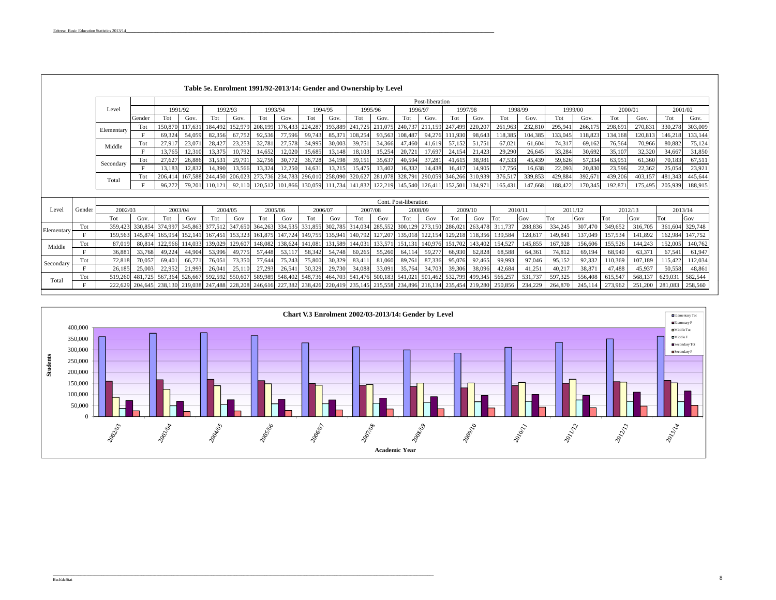|            | Table 5e. Enrolment 1991/92-2013/14: Gender and Ownership by Level |            |                 |                 |                 |                 |         |         |         |                         |         |                 |         |                       |         |                 |                 |         |         |         |         |         |         |         |         |
|------------|--------------------------------------------------------------------|------------|-----------------|-----------------|-----------------|-----------------|---------|---------|---------|-------------------------|---------|-----------------|---------|-----------------------|---------|-----------------|-----------------|---------|---------|---------|---------|---------|---------|---------|---------|
|            |                                                                    |            |                 | Post-liberation |                 |                 |         |         |         |                         |         |                 |         |                       |         |                 |                 |         |         |         |         |         |         |         |         |
|            |                                                                    | Level      |                 | 1991/92         |                 | 1992/93         |         | 1993/94 |         | 1994/95                 |         | 1995/96         |         | 1996/97               |         | 1997/98         |                 | 1998/99 |         | 1999/00 |         | 2000/01 |         | 2001/02 |         |
|            |                                                                    |            | Gender          | Tot             | Gov.            | Tot             | Gov.    | Tot     | Gov.    | Tot                     | Gov.    | Tot             | Gov.    | Tot                   | Gov.    | Tot             | Gov             | Tot     | Gov.    | Tot     | Gov.    | Tot     | Gov.    | Tot     | Gov.    |
|            |                                                                    | Elementary | Tot             | 150,870         | 117,631         | 184,492         | 152.97  | 208,199 |         | 176,433 224,287         | 193.889 | 241,725         | 211,075 | 240,737               | 211,159 | 247,499         | 220.20          | 261,963 | 232,810 | 295,941 | 266,175 | 298,691 | 270,831 | 330,278 | 303,009 |
|            |                                                                    |            | E               | 69,324          | 54,059          | 82,356          | 67,752  | 92,536  | 77,596  | 99,743                  | 85,371  | 108,254         | 93,563  | 108,487               | 94,276  | 111,930         | 98,643          | 118,385 | 104,385 | 133,045 | 118,823 | 134,168 | 120,813 | 146,218 | 133,144 |
|            |                                                                    | Middle     | Tot             | 27,917          | 23,071          | 28,427          | 23,253  | 32,781  | 27,578  | 34,995                  | 30,003  | 39,751          | 34,366  | 47,460                | 41,619  | 57,152          | 51,751          | 67,021  | 61,604  | 74,317  | 69,162  | 76,564  | 70,966  | 80,882  | 75,124  |
|            |                                                                    |            | E               | 13,765          | 12,310          | 13,375          | 10,792  | 14,652  | 12,020  | 15,685                  | 13,148  | 18,103          | 15,254  | 20,721                | 17,697  | 24,154          | 21,423          | 29,290  | 26,645  | 33,284  | 30,692  | 35,107  | 32,320  | 34,667  | 31,850  |
|            |                                                                    | Secondary  | Tot             | 27,627          | 26,886          | 31,531          | 29,791  | 32,756  | 30,772  | 36,728                  | 34,198  | 39,151          | 35,637  | 40,594                | 37,281  | 41,615          | 38,981          | 47,533  | 45,439  | 59,626  | 57,334  | 63,951  | 61,360  | 70,183  | 67,511  |
|            |                                                                    |            | F               | 13.183          | 12,832          | 14.390          | 13,566  | 13.324  | 12,250  | 14,631                  | 13,215  | 15,475          | 13,402  | 16.332                | 14,438  | 16,417          | 14.905          | 17,756  | 16,638  | 22,093  | 20,830  | 23,596  | 22.362  | 25,054  | 23,921  |
|            |                                                                    | Total      | Tot             | 206,414         | 167,588         | 244,450         | 206,023 | 273,736 | 234,783 | 296,010                 | 258,090 | 320,627         | 281,078 | 328,791               | 290,059 |                 | 346,266 310,939 | 376,517 | 339,853 | 429,884 | 392,671 | 439,206 | 403,157 | 481,343 | 445,644 |
|            |                                                                    |            | E               | 96.272          | 79.201          | 110.121         | 92.110  | 120.512 |         | 101.866 130.059 111.734 |         | 141.832         |         | 122,219 145,540       | 126,411 | 152,501 134,971 |                 | 165,431 | 147,668 | 188.422 | 170,345 | 192,871 | 175,495 | 205,939 | 188,915 |
|            |                                                                    |            |                 |                 |                 |                 |         |         |         |                         |         |                 |         | Cont. Post-liberation |         |                 |                 |         |         |         |         |         |         |         |         |
| Level      | Gender                                                             | 2002/03    |                 | 2003/04         |                 | 2004/05         |         | 2005/06 |         |                         | 2006/07 |                 | 2007/08 |                       | 2008/09 |                 | 2009/10         |         | 2010/11 | 2011/12 |         | 2012/13 |         | 2013/14 |         |
|            |                                                                    | Tot        | Gov.            | Tot             | Gov             | Tot             | Gov     | Tot     | Gov     | Tot                     | Gov     | Tot             | Gov     | Tot                   | Gov     | Tot             | Gov             | Tot     | Gov     | Tot     | Gov     | Tot     | Gov     | Tot     | Gov     |
| Elementary | Tot                                                                | 359,423    | 330,854         | 374,997         | 345,863         | 377,512         | 347,650 | 364,263 | 334,535 | 331,855                 | 302,785 | 314,034         | 285,552 | 300,129               | 273,150 | 286,021         | 263,478         | 311,737 | 288,836 | 334,245 | 307,470 | 349,652 | 316,705 | 361,604 | 329,748 |
|            |                                                                    | 159,563    | 145,874         | 165,954         | 152,141         | 167,451         | 153,323 | 161,875 | 147,724 | 149,755                 | 135,941 | 140,792         | 127,207 | 135,01                | 122,154 | 129,218         | 118,356         | 139,584 | 128,61  | 149,841 | 137,049 | 157,534 | 141,892 | 162,984 | 147,752 |
| Middle     | Tot                                                                | 87,019     | 80,814          | 122,966         | 114,033         | 139,029         | 129,607 | 148,082 | 138,624 | 141,081                 | 131,589 | 144,031         | 133,571 | 151,13                | 140,97  | 151,702         | 143,40          | 154,527 | 145,855 | 167,928 | 156,606 | 155,526 | 144,243 | 152,005 | 140,762 |
|            | E.                                                                 | 36.881     | 33,768          | 49,224          | 44,904          | 53,996          | 49,775  | 57,448  | 53,117  | 58,342                  | 54,748  | 60,265          | 55,260  | 64,114                | 59,277  | 66,930          | 62,828          | 68,588  | 64,361  | 74,812  | 69.194  | 68,940  | 63,371  | 67,541  | 61,947  |
| Secondary  | Tot                                                                | 72.818     | 70.057          | 69,401          | 66,771          | 76,051          | 73,350  | 77,644  | 75,243  | 75,800                  | 30,329  | 83,411          | 81,060  | 89,761                | 87,336  | 95,076          | 92,465          | 99,993  | 97,046  | 95.152  | 92.332  | 110,369 | 107.189 | 115,422 | 112,034 |
|            | F                                                                  | 26.185     | 25,003          | 22,952          | 21,993          | 26,041          | 25,110  | 27,293  | 26,541  | 30,329                  | 29,730  | 34,088          | 33,091  | 35,764                | 34,703  | 39,306          | 38,096          | 42,684  | 41,251  | 40,217  | 38,871  | 47,488  | 45,937  | 50,558  | 48,861  |
| Total      | Tot                                                                | 519,260    | 481.725         | 567,364 526,667 |                 | 592.592 550.607 |         | 589,989 |         | 548,402 548,736         |         | 464,703 541,476 |         | 500,183 541,021       | 501,462 | 532,799         | 499,345         | 566,257 | 531,737 | 597,325 | 556,408 | 615,547 | 568,137 | 629,031 | 582,544 |
|            |                                                                    |            | 222.629 204.645 |                 | 238,130 219,038 | 247,488         | 228,208 | 246,616 |         | 227,382 238,426         |         | 220,419 235,145 |         | 215,558 234,896       | 216.134 | 235,454 219,280 |                 | 250,856 | 234.229 | 264,870 | 245,114 | 273.962 | 251,200 | 281.083 | 258,560 |



 $\frac{8}{3}$ 

#### BscEdcStat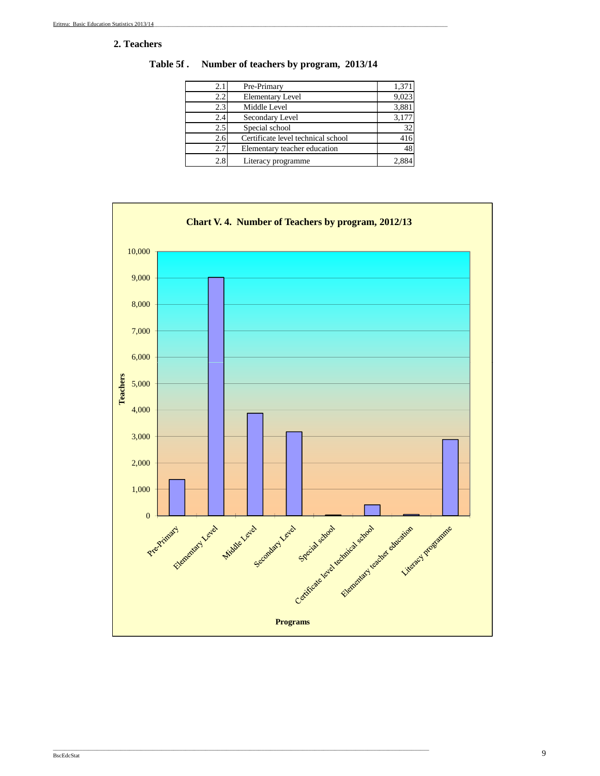#### **2. Teachers**

| 1,371 |
|-------|
| 9,023 |
| 3,881 |
| 3,177 |
| 32    |
|       |
| 48    |
|       |
|       |

**Table 5f . Number of teachers by program, 2013/14**

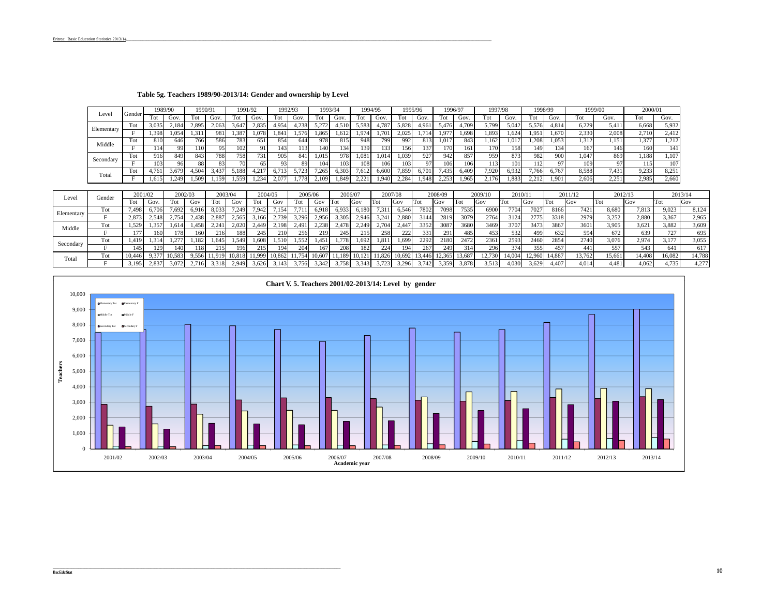|            |        | 1989/90 |                   | 1990/91 |                | 1991/92             |       | 992/93 |       | 1993/94 |       |       | 1994/95 | 1995/96 |       | 1996/97          |       | 1997/98 |       | 1998/99 |       | 1999/00 |       | 2000/01    |       |
|------------|--------|---------|-------------------|---------|----------------|---------------------|-------|--------|-------|---------|-------|-------|---------|---------|-------|------------------|-------|---------|-------|---------|-------|---------|-------|------------|-------|
| Level      | Gender | Tot     | Gov.              | Tot     | Gov.           | Tot                 | Gov   |        | Gov.  |         | Gov.  | Tot   | Gov.    | Fot     | Gov.  | Tot              | Gov.  | Tot     | Gov.  | Tot     | Gov.  | Tot     | Gov.  |            | Gov.  |
| Elementary | Tot    | 3,035   | 2.184             | 2,895   | 2.063          | $3,64$ <sup>-</sup> | 2,835 | 4.954  | 4,238 | 5.272   | .510  | 5.583 |         | 5,828   | 1.961 | 5,476            | .709  | 5,799   | 5.042 | 5.576   | 4.814 | 6,229   | 5.411 | 6.668      | 5.932 |
|            |        | 1.398   | 1.054             | 1.31    | 981            | 1.387               | .078  | 1.84'  | 1,576 | .865    | 1.612 | 1,974 |         | 2.025   |       | 1,977            | 1.698 | 1,893   | 624   | 1.951   | 1,670 | 2,330   | 2,008 | 2.710      | 2,412 |
| Middle     |        | 810     | 646               | 766     | 586            | 783                 | 651   | 854    | 644   | 978     | 815   | 948   | 7991    | 992     | 813   | 1,017            | 843   | .162    | .017  | .208    | 1,053 | 1,312   | 1.151 | $1.37^{2}$ | 1.212 |
|            |        | 114     |                   | l 10    | 95             | 102                 | 91    | 143    | 113   | 140.    | 134   | 139   | 1331    | 156     | 137   | 170 <sub>1</sub> | 161   | 170     | 158   | 149     | 134   | 167     | 146   | 160        |       |
| Secondary  | Tot    | 916     | 849               | 843     | 788.           | 7581                | 731   | 905    | 841   | 1.015   | 978.  | 1.081 | 1,014   | 1,039   | 927   | 942              | 857   | 959     | 873   | 982     | 900   | 1,047   | 869   | 1.188      | 1.107 |
|            |        | 103     |                   |         | 83             | 70                  | 65    | 93.    | 89    | 104     | 103   | 108   | 06ء     | 103     | 97    | 106              | 106   | 113     | 101   | 112     |       | 109     |       |            | 107   |
| Total      | Tot    | . 761   | 3,679             | .504    | $3.43^{\circ}$ | 5,188               | .217  |        | 5.723 | .265    | 6.303 | 1.612 | 6.600   | '.859   | .701  | 7,435            | 6.409 | 7,920   | 6.932 | .766    | 0,767 | 8,588   | 7.431 | 9.233      | 8.251 |
|            |        | 1.615   | 1.24 <sup>c</sup> | .509    | 1.159          | . 559               | .234  | 2.077  | 1.778 | .109    | . 849 | 2,221 | 1.940   | 2,284   | 948   | 2,253            | 1,965 | 176.    | .883  | 2.212   | 1.901 | 2,606   | 2.251 | 2.985      | 2,660 |

#### **Table 5g. Teachers 1989/90-2013/14: Gender and ownership by Level**

|            | Gender |        | 2001/02        | 2002/03 |       | 2003/04 |       | 2004/05 |                                                         | 2005/0 |       |       | 2006/07    | 2007/08 |               |       | 2008/09 |        | 2009/10 | 2010/11 |        |        | 2011/12    | 2012/13 |        |        | 2013/14 |
|------------|--------|--------|----------------|---------|-------|---------|-------|---------|---------------------------------------------------------|--------|-------|-------|------------|---------|---------------|-------|---------|--------|---------|---------|--------|--------|------------|---------|--------|--------|---------|
| Level      |        |        | Gov            |         | Gov   | Tot     | GOV   | Tot     | Gov                                                     |        | GOV   |       | <b>Gov</b> | Tot     | Gov           | Tot   | Gov     | Tot    | Gov     | Tot     | Gov    | Tot    | <b>Gov</b> | l'I`ot  | Gov    | Tot    | Gov     |
| Elementary | Tot    | .498   | 6.706          | 1.692   | 6.916 | 8,033   | /,249 | 7.942   | 7,154                                                   |        | 0.918 | 6.933 | 6.180      | 7,311   | 6,546         | 7802  | 7098    | 7535   | 6900    | 7704    |        | 8166   | 7421       | 8,680   | 1.813  | 9.023  | 8,124   |
|            |        | 2.873  | 2.548          | 2.754   | 2,438 | 2,887   | 2.565 | 3,166   | 2.739                                                   | 3.296  | 2.956 | 3.305 | 2.946      | 3,241   | 2,880         | 3144  | 2819    | 3079   | 2764    | 3124    | 2775   | 3318   | 2979       | 3,252   | 2.880  | 3,367  | 2,965   |
| Middle     | Tot    | .529   | . 357          |         | 458   |         | 2.020 | 2,449   | 2.198                                                   | 2,491  | 2.238 |       | 2,249      | 2.704   | 2,447         | 3352  | 3087    | 3680   | 3469    | 3707    | 3473   | 3867   | 3601       | 3.905   | 3.621  | 3.882  | 3,609   |
|            |        | 177    | 1601           | l 78    | 160   | 216     | 188   | 245     | 210                                                     | 256    | 219   | 245   | 215        | 258     | 222           | 331   | 291     | 485    | 453     | 532     | 4991   | 632    | 594        | 672     | 639    | 727    | 695     |
| Secondary  | Tot    |        | 1,314          |         | 1.182 | 1,645   | 1.549 | 1,608   | 1.510                                                   | 1,552  | . 451 | .778  | .692       | 1,811   | 1,699         | 2292  | 2180    | 2472   | 2361    | 2593    | 2460   | 2854   | 2740       | 3,076   | 2.974  | 3,177  | 3,055   |
|            |        | 145    | 129            | 140     | 118   | 215     | 196   | 215     | 194                                                     | 204    | 167   | 208   | 182        | 224     | 194           | 267   | 249     |        | 296     | 374     | 355    | 457    | 441        | 557     | 543    | 641    | 617     |
| Total      | Tot    | 10.446 | $9.37^{\circ}$ | 10.583  | 9.556 | 1.919   |       |         | 10,818 11,999 10,862 11,754 10,607 11,189 10,121 11,826 |        |       |       |            |         | 10,692 13,446 |       | 12,365  | 13,687 | 12.730  | 14,004  | 12.960 | 14.887 | 3,762      | 15,661  | 14.408 | 16,082 | 14,788  |
|            |        | 3.195  | 2.837          | 3.072   | 2.716 | 3,318   | 2.949 | 3,626   | 3,143                                                   | 3.756  | 3.342 | 3.758 | 3,343      | 3.723   | 3.296         | 3.742 | 3,359   | 3.878  | 3.513   | 4.030   | 3.629  | $+407$ | 4.014      | 4.481   | 4.062  | 4,735  | 4,277   |

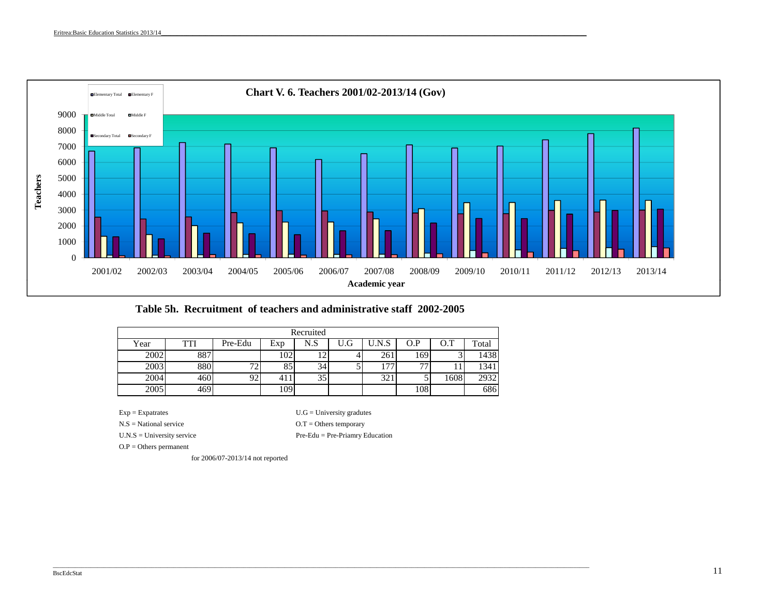

**Table 5h. Recruitment of teachers and administrative staff 2002-2005**

|      |      |         |                | Recruited |     |     |     |      |       |
|------|------|---------|----------------|-----------|-----|-----|-----|------|-------|
| Year | TTI  | Pre-Edu | Exp            | N.S       | U.G | N.S | O.P |      | Total |
| 2002 | 887  |         | 102            |           |     | 261 | 169 |      | 1438  |
| 2003 | 880  | 70      | 85             | 34        |     | ר ו | 77  |      | 1341  |
| 2004 | 460  | 92.     | 4 <sub>1</sub> | 35        |     | 321 |     | 1608 | 2932  |
| 2005 | 469' |         | 109            |           |     |     | 108 |      | 686   |

 $Exp = Expatrates$  U.G = University gradutes

\_\_\_\_\_\_\_\_\_\_\_\_\_\_\_\_\_\_\_\_\_\_\_\_\_\_\_\_\_\_\_\_\_\_\_\_\_\_\_\_\_\_\_\_\_\_\_\_\_\_\_\_\_\_\_\_\_\_\_\_\_\_\_\_\_\_\_\_\_\_\_\_\_\_\_\_\_\_\_\_\_\_\_\_\_\_\_\_\_\_\_\_\_\_\_\_\_\_\_\_\_\_\_\_\_\_\_\_\_\_\_\_\_\_\_\_\_\_\_\_\_\_\_\_\_\_\_\_\_\_\_\_\_\_\_\_\_\_\_\_\_\_\_\_\_\_\_\_\_\_\_\_\_\_\_\_\_\_\_\_\_\_\_\_\_\_\_\_\_

U.N.S = University service

N.S = National service  $O.T = O$  there temporary Pre-Edu = Pre-Priamry Education

O.P = Others permanent

for 2006/07-2013/14 not reported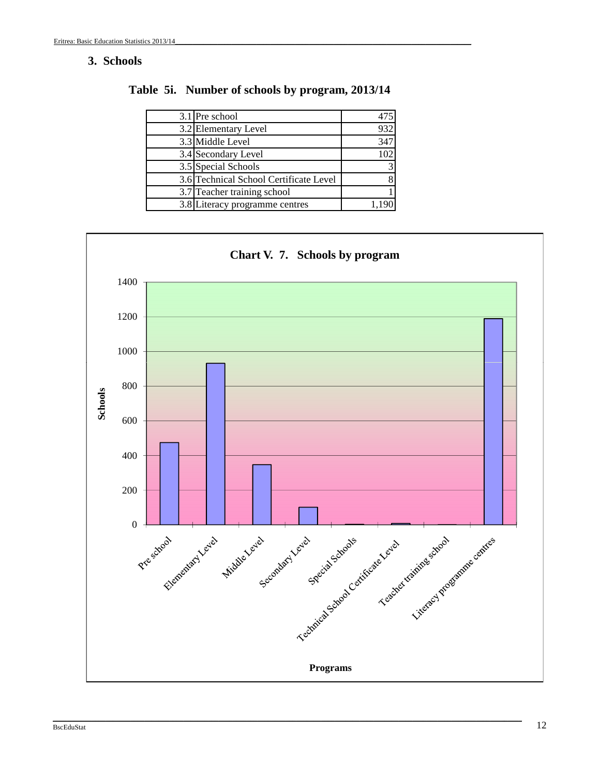# **3. Schools**

| 3.1 Pre school                         |     |
|----------------------------------------|-----|
| 3.2 Elementary Level                   | 932 |
| 3.3 Middle Level                       | 347 |
| 3.4 Secondary Level                    |     |
| 3.5 Special Schools                    |     |
| 3.6 Technical School Certificate Level |     |
| 3.7 Teacher training school            |     |
| 3.8 Literacy programme centres         |     |

**Table 5i. Number of schools by program, 2013/14**

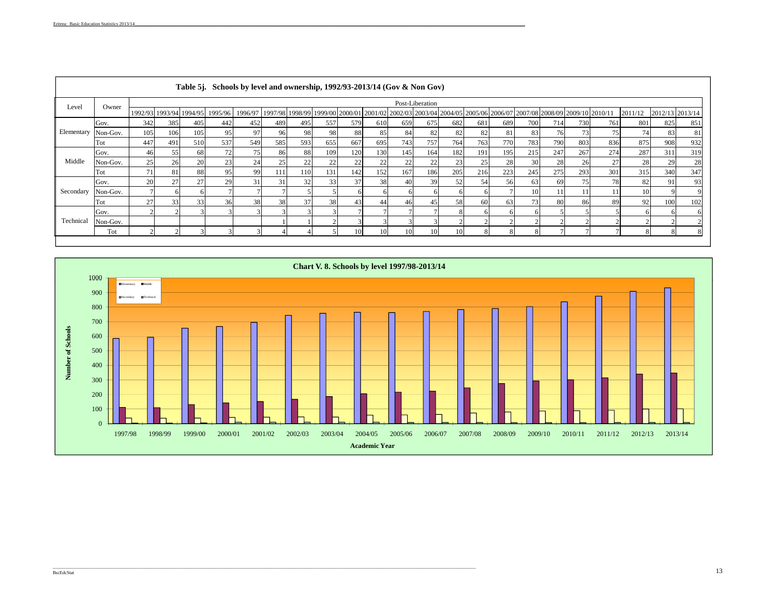| Level      | Owner    |     |                         |     |                                                                                                                                                                                                                                                                                                                                                                                                                                                                                                                                                                                                                                                                                                                                                                                                                                                                                                                                                                                                                                                                      |     |     |     |     |     |     |     |     |     |    |     |     |     |     |     |     |
|------------|----------|-----|-------------------------|-----|----------------------------------------------------------------------------------------------------------------------------------------------------------------------------------------------------------------------------------------------------------------------------------------------------------------------------------------------------------------------------------------------------------------------------------------------------------------------------------------------------------------------------------------------------------------------------------------------------------------------------------------------------------------------------------------------------------------------------------------------------------------------------------------------------------------------------------------------------------------------------------------------------------------------------------------------------------------------------------------------------------------------------------------------------------------------|-----|-----|-----|-----|-----|-----|-----|-----|-----|----|-----|-----|-----|-----|-----|-----|
|            |          |     | 1992/93 1993/94 1994/95 |     |                                                                                                                                                                                                                                                                                                                                                                                                                                                                                                                                                                                                                                                                                                                                                                                                                                                                                                                                                                                                                                                                      |     |     |     |     |     |     |     |     |     |    |     |     |     |     |     |     |
|            | Gov.     | 342 | 385                     | 405 | 442                                                                                                                                                                                                                                                                                                                                                                                                                                                                                                                                                                                                                                                                                                                                                                                                                                                                                                                                                                                                                                                                  | 452 |     | 495 | 557 | 579 |     | 659 | 682 | 681 |    | 700 | 730 |     | 801 | 825 | 851 |
| Elementary | Non-Gov. | 105 | 106                     | 105 |                                                                                                                                                                                                                                                                                                                                                                                                                                                                                                                                                                                                                                                                                                                                                                                                                                                                                                                                                                                                                                                                      | 97  |     | 98  |     | 88  | 85  | 84  | 82  | 82  | 81 | 83  | 73  | 75  |     | 83  | 81  |
|            | Tot      | 447 | 49                      | 510 | 537                                                                                                                                                                                                                                                                                                                                                                                                                                                                                                                                                                                                                                                                                                                                                                                                                                                                                                                                                                                                                                                                  | 549 | 585 | 593 | 655 | 667 | 695 |     | 764 | 763 |    | 783 | 803 | 836 |     | 908 | 932 |
|            | Gov.     | 46  | 55                      | 68  | Table 5j. Schools by level and ownership, 1992/93-2013/14 (Gov & Non Gov)<br>Post-Liberation<br>2012/13 2013/14<br>1997/98 1998/99 1999/00 2000/01 2001/02 2002/03 2003/04 2004/05 2005/06 2006/07 2007/08 2008/09 2009/10 2010/11<br>1995/96<br>1996/97<br>2011/12<br>761<br>675<br>714<br>489<br>610<br>689<br>82<br>76<br>74<br>96<br>-98<br>95<br>743<br>757<br>770<br>790<br>875<br>319<br>75<br>182<br>274<br>287<br>72<br>86<br>120<br>130<br>145<br>164<br>215<br>247<br>267<br>311<br>109<br>191<br>195<br>88<br>25<br>28<br>24<br>22<br>22<br>22<br>28<br>27<br>28<br>29<br>23<br>221<br>22<br>23<br>25<br>30<br>28<br>22<br>26<br>347<br>167<br>301<br>152<br>186<br>205<br>216<br>223<br>245<br>275<br>293<br>315<br>340<br>131<br>99<br>111<br>142<br>95<br>110<br>93<br>31<br>31<br>39<br>52<br>78<br>29<br>33<br>37<br>38<br>56<br>63<br>75<br>82<br>91<br>32<br>40<br>54<br>69<br>10<br>10<br>102<br>38<br>73.<br>38<br>38<br>58<br>63<br>80<br>92<br>100<br>36<br>37<br>45<br>86<br>89<br>46<br>44<br>60<br>43<br>10 <sup>1</sup><br>10<br>10<br>10 |     |     |     |     |     |     |     |     |     |    |     |     |     |     |     |     |
| Middle     | Non-Gov. | 25  | 26                      | 20  |                                                                                                                                                                                                                                                                                                                                                                                                                                                                                                                                                                                                                                                                                                                                                                                                                                                                                                                                                                                                                                                                      |     |     |     |     |     |     |     |     |     |    |     |     |     |     |     |     |
|            | Tot      | 71  | 81                      | 88  |                                                                                                                                                                                                                                                                                                                                                                                                                                                                                                                                                                                                                                                                                                                                                                                                                                                                                                                                                                                                                                                                      |     |     |     |     |     |     |     |     |     |    |     |     |     |     |     |     |
|            | Gov.     | 20  | 27                      | 27  |                                                                                                                                                                                                                                                                                                                                                                                                                                                                                                                                                                                                                                                                                                                                                                                                                                                                                                                                                                                                                                                                      |     |     |     |     |     |     |     |     |     |    |     |     |     |     |     |     |
| Secondary  | Non-Gov. |     |                         |     |                                                                                                                                                                                                                                                                                                                                                                                                                                                                                                                                                                                                                                                                                                                                                                                                                                                                                                                                                                                                                                                                      |     |     |     |     |     |     |     |     |     |    |     |     |     |     |     |     |
|            | Tot      | 27  | 33 <sub>1</sub>         | 33  |                                                                                                                                                                                                                                                                                                                                                                                                                                                                                                                                                                                                                                                                                                                                                                                                                                                                                                                                                                                                                                                                      |     |     |     |     |     |     |     |     |     |    |     |     |     |     |     |     |
|            | Gov.     |     |                         |     |                                                                                                                                                                                                                                                                                                                                                                                                                                                                                                                                                                                                                                                                                                                                                                                                                                                                                                                                                                                                                                                                      |     |     |     |     |     |     |     |     |     |    |     |     |     |     |     |     |
| Technical  | Non-Gov. |     |                         |     |                                                                                                                                                                                                                                                                                                                                                                                                                                                                                                                                                                                                                                                                                                                                                                                                                                                                                                                                                                                                                                                                      |     |     |     |     |     |     |     |     |     |    |     |     |     |     |     |     |
|            | Tot      |     |                         |     |                                                                                                                                                                                                                                                                                                                                                                                                                                                                                                                                                                                                                                                                                                                                                                                                                                                                                                                                                                                                                                                                      |     |     |     |     |     |     |     |     |     |    |     |     |     |     |     |     |

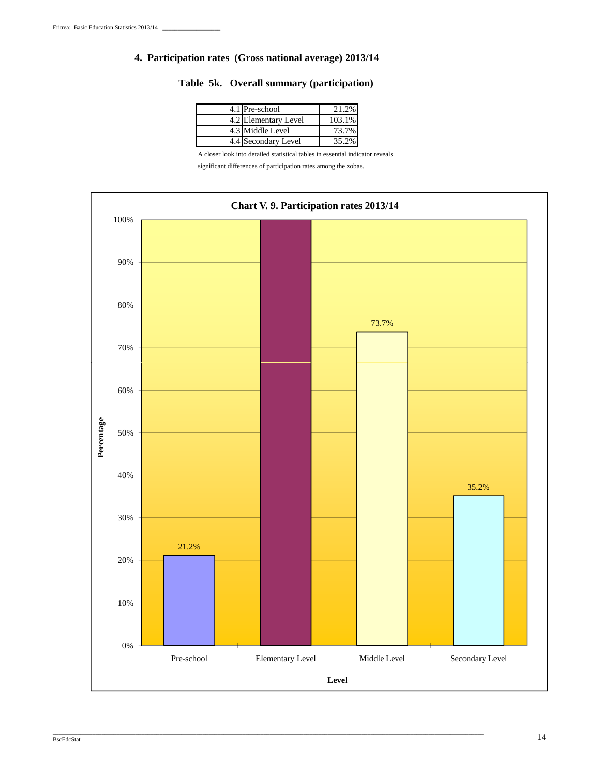#### **4. Participation rates (Gross national average) 2013/14**

|  |  |  |  | Table 5k. Overall summary (participation) |
|--|--|--|--|-------------------------------------------|
|--|--|--|--|-------------------------------------------|

| 4.1 Pre-school       | 21.2%     |
|----------------------|-----------|
| 4.2 Elementary Level | $103.1\%$ |
| 4.3 Middle Level     | 73.7%     |
| 4.4 Secondary Level  | 35.2%     |

A closer look into detailed statistical tables in essential indicator reveals

significant differences of participation rates among the zobas.

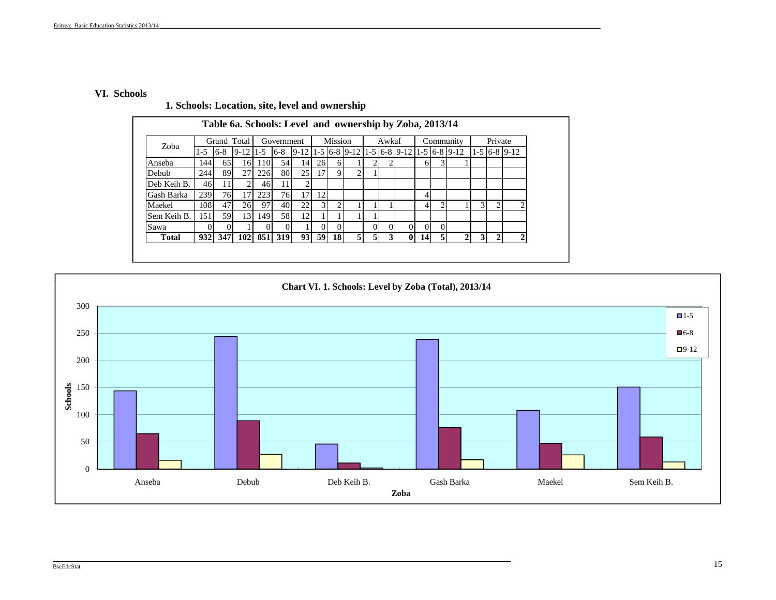#### **VI. Schools**

Sem Keih B.

 $0$  0

Sawa

| 1. Denotis. Location, site, it we and owner simp |       |       |                                                         |     |            |                 |     |         |  |       |    |                                                                 |         |                |
|--------------------------------------------------|-------|-------|---------------------------------------------------------|-----|------------|-----------------|-----|---------|--|-------|----|-----------------------------------------------------------------|---------|----------------|
|                                                  |       |       | Table 6a. Schools: Level and ownership by Zoba, 2013/14 |     |            |                 |     |         |  |       |    |                                                                 |         |                |
| Zoba                                             |       |       | Grand Total                                             |     | Government |                 |     | Mission |  | Awkaf |    | Community                                                       | Private |                |
|                                                  | $1-5$ | $6-8$ | $9-12$   1-5                                            |     | $6 - 8$    |                 |     |         |  |       |    | $9-12$ 1 - 5 6 - 8 9 - 12 1 - 5 6 - 8 9 - 12 1 - 5 6 - 8 9 - 12 |         | $1-5$ 6-8 9-12 |
| Anseba                                           | 144   | 65    | 161                                                     | 110 | 54         | 14              | 26I | 6       |  |       | 61 |                                                                 |         |                |
| Debub                                            | 244   | 89    | 27                                                      | 226 | 80         | 25 <sup>I</sup> |     | 9       |  |       |    |                                                                 |         |                |
| Deb Keih B.                                      | 461   |       |                                                         | 46  | 11         |                 |     |         |  |       |    |                                                                 |         |                |
| Gash Barka                                       | 239   | 76    | 17                                                      | 223 | 761        |                 |     |         |  |       | 4  |                                                                 |         |                |
| Maekel                                           | 108   | 47    | 261                                                     | 97  | 40         |                 |     |         |  |       |    |                                                                 |         |                |

1 0 0 1 0 0 1 0 0 0 0 0 Total | 932 | 347 | 102 | 851 | 319 | 93 | 59 | 18 | 5 | 5 | 3 | 0 | 14 | 5 | 2 | 3 | 2

#### **1. Schools: Location, site, level and ownership**

151 59 13 149 58 12 1 1 1 1

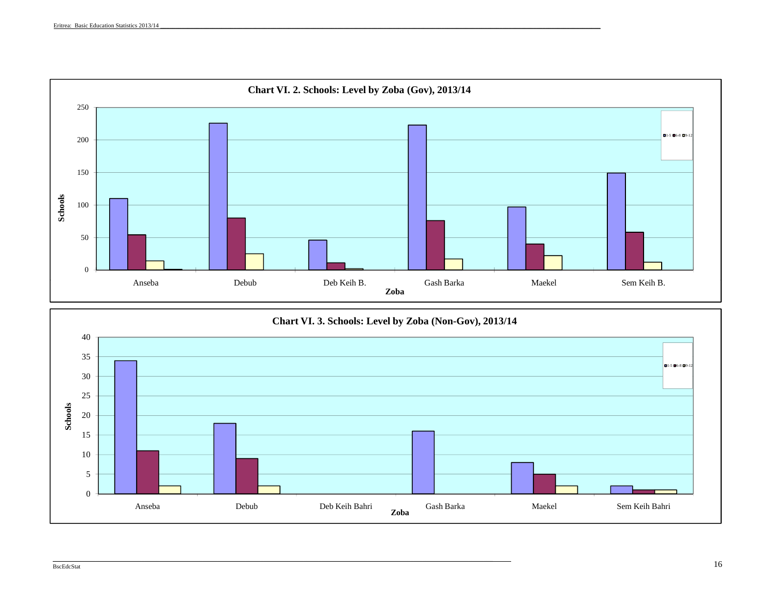

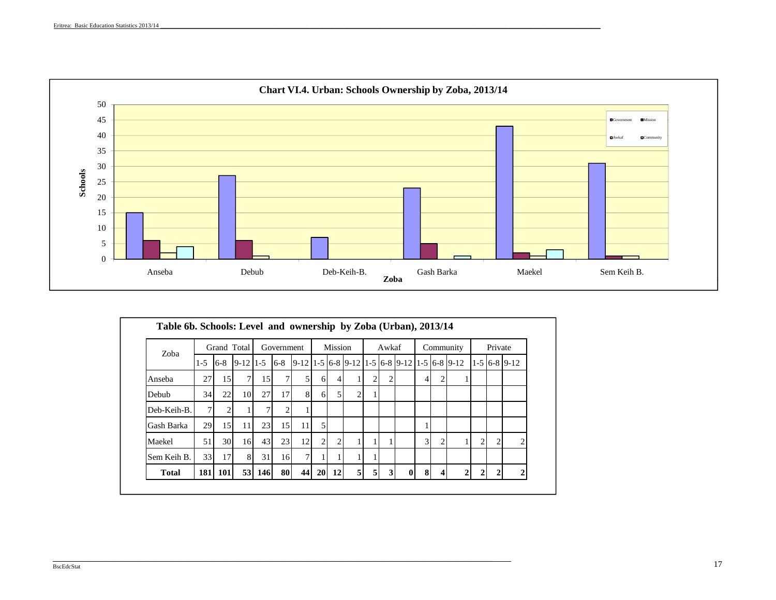

|              |                  |                 | Grand Total    |                 | Government |    |              | <b>Mission</b> |                                                                                                                                                                             |                | Awkaf          |                |   | Community |                | Private        |                |
|--------------|------------------|-----------------|----------------|-----------------|------------|----|--------------|----------------|-----------------------------------------------------------------------------------------------------------------------------------------------------------------------------|----------------|----------------|----------------|---|-----------|----------------|----------------|----------------|
| Zoba         | $1 - 5$          | $6 - 8$         |                |                 |            |    |              |                | $\left  9 - 12 \right  1 - 5$ $\left  6 - 8 \right $ $\left  9 - 12 \right  1 - 5$ $\left  6 - 8 \right  9 - 12$ $\left  1 - 5 \right  6 - 8$ $\left  9 - 12 \right  1 - 5$ |                |                |                |   |           |                |                | $1-5$ 6-8 9-12 |
| Anseba       | 27               | 15              | $\overline{7}$ | 15 <sup>1</sup> |            | 51 | 6            | $\overline{4}$ |                                                                                                                                                                             | $\overline{2}$ | 2              | $\overline{4}$ | 2 |           |                |                |                |
| Debub        | 34               | 22              | 10             | 27              | 17         | 81 | 6            |                | $\overline{2}$                                                                                                                                                              |                |                |                |   |           |                |                |                |
| Deb-Keih-B.  | $\tau$           | 2               |                | 7 <sub>1</sub>  | 2          |    |              |                |                                                                                                                                                                             |                |                |                |   |           |                |                |                |
| Gash Barka   | 29               | 15              | 11             | 23              | 15         | 11 | 5            |                |                                                                                                                                                                             |                |                |                |   |           |                |                |                |
| Maekel       | 51               | 30 <sup>l</sup> | 16             | 43              | 23         | 12 | $\mathbf{2}$ | $\overline{2}$ |                                                                                                                                                                             |                |                | $\overline{3}$ |   |           | $\overline{2}$ | $\overline{2}$ | $\overline{2}$ |
| Sem Keih B.  | 33               | 17              | 8              | 31              | 16         | 7  |              |                |                                                                                                                                                                             |                |                |                |   |           |                |                |                |
| <b>Total</b> | 181 <sup> </sup> | <b>101</b>      |                | 53 146          | 80         | 44 |              | 20 12          | 5 <sub>l</sub>                                                                                                                                                              | $\overline{5}$ | 3 <sup>1</sup> | $\bf{8}$       |   |           | 2              |                |                |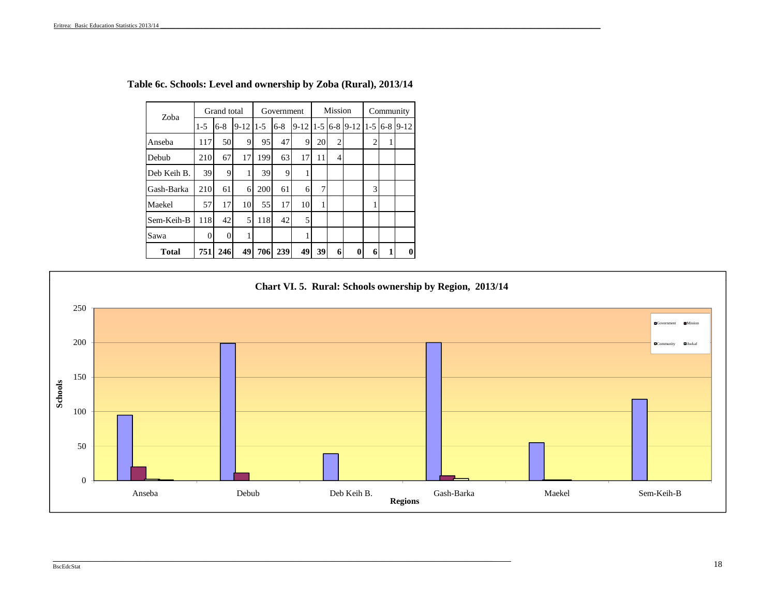| Zoba         |       | Grand total    |          |       | Government |          |         | <b>Mission</b> |          |                | Community |          |
|--------------|-------|----------------|----------|-------|------------|----------|---------|----------------|----------|----------------|-----------|----------|
|              | $1-5$ | $6 - 8$        | $9 - 12$ | $1-5$ | $6 - 8$    | $9 - 12$ | $1 - 5$ | $6 - 8$        | $9 - 12$ | $1 - 5$        | $6 - 8$   | $9 - 12$ |
| Anseba       | 117   | 50             | 9        | 95    | 47         | 9        | 20      | $\overline{2}$ |          | $\overline{2}$ | 1         |          |
| Debub        | 210   | 67             | 17       | 199   | 63         | 17       | 11      | 4              |          |                |           |          |
| Deb Keih B.  | 39    | 9              | 1        | 39    | 9          |          |         |                |          |                |           |          |
| Gash-Barka   | 210   | 61             | 6        | 200   | 61         | 6        | $\tau$  |                |          | 3              |           |          |
| Maekel       | 57    | 17             | 10       | 55    | 17         | 10       |         |                |          | 1              |           |          |
| Sem-Keih-B   | 118   | 42             | 5        | 118   | 42         | 5        |         |                |          |                |           |          |
| Sawa         | 0     | $\overline{0}$ | 1        |       |            | 1        |         |                |          |                |           |          |
| <b>Total</b> | 751   | 246            | 49       | 706   | 239        | 49       | 39      | 6              | 0        | 6              | 1         | $\bf{0}$ |

**Table 6c. Schools: Level and ownership by Zoba (Rural), 2013/14**

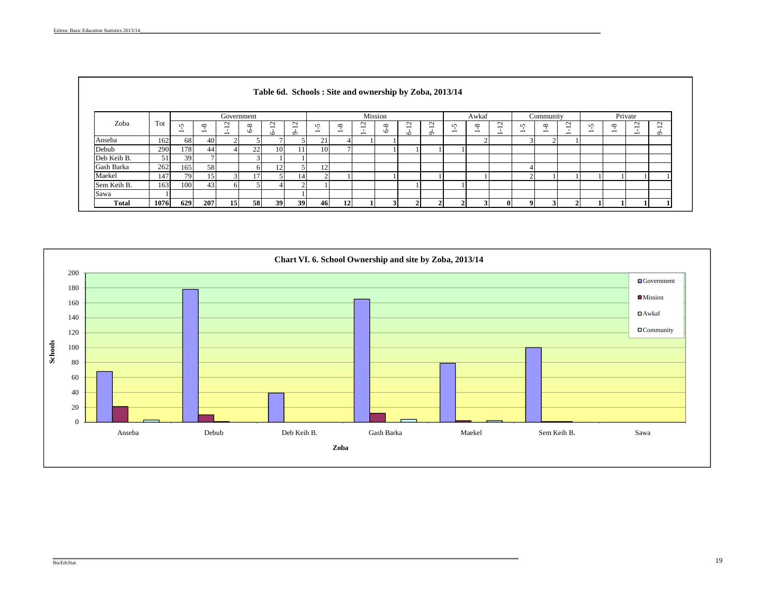|             |      |                 |                                      |                                                      |                 | Table 6d. Schools: Site and ownership by Zoba, 2013/14 |                                               |                               |                                      |                                         |                     |                  |                    |        |                                      |             |                               |                                      |                                             |        |                                          |                                                                |                   |
|-------------|------|-----------------|--------------------------------------|------------------------------------------------------|-----------------|--------------------------------------------------------|-----------------------------------------------|-------------------------------|--------------------------------------|-----------------------------------------|---------------------|------------------|--------------------|--------|--------------------------------------|-------------|-------------------------------|--------------------------------------|---------------------------------------------|--------|------------------------------------------|----------------------------------------------------------------|-------------------|
|             |      |                 |                                      | Government                                           |                 |                                                        |                                               |                               |                                      |                                         | Mission             |                  |                    |        | Awkaf                                |             |                               | Community                            |                                             |        |                                          | Private                                                        |                   |
| Zoba        | Tot  | $\sqrt{2}$<br>- | $\infty$<br>$\overline{\phantom{0}}$ | $\overline{\phantom{0}}$<br>$\overline{\phantom{a}}$ | $\infty$<br>۱Ò  | $\sim$<br>$\circ$                                      | $\mathbf{C}$<br>$\overline{\phantom{0}}$<br>ഗ | n<br>$\overline{\phantom{0}}$ | $\infty$<br>$\overline{\phantom{0}}$ | $\sim$<br>$\overline{\phantom{0}}$<br>- | $\infty$<br>$\circ$ | $\sim$<br>-<br>∾ | $\sim$<br>$\sigma$ | n<br>- | $\infty$<br>$\overline{\phantom{0}}$ | $\sim$<br>- | r<br>$\overline{\phantom{0}}$ | $\infty$<br>$\overline{\phantom{0}}$ | $\mathbf{\sim}$<br>$\overline{\phantom{a}}$ | n<br>- | ${}^{\circ}$<br>$\overline{\phantom{0}}$ | $\sim$<br>$\overline{\phantom{0}}$<br>$\overline{\phantom{0}}$ | $\sim$<br>$\circ$ |
| Anseba      | 162  | 68              | 40                                   |                                                      |                 |                                                        |                                               | 21                            |                                      |                                         |                     |                  |                    |        | $\sim$                               |             |                               |                                      |                                             |        |                                          |                                                                |                   |
| Debub       | 290  | 178             | 44                                   |                                                      | 22              | 10                                                     |                                               | <b>10</b>                     |                                      |                                         |                     |                  |                    |        |                                      |             |                               |                                      |                                             |        |                                          |                                                                |                   |
| Deb Keih B. | 51   | 39              |                                      |                                                      | $\mathbf{z}$    |                                                        |                                               |                               |                                      |                                         |                     |                  |                    |        |                                      |             |                               |                                      |                                             |        |                                          |                                                                |                   |
| Gash Barka  | 262  | 165             | 58                                   |                                                      | 61              |                                                        |                                               | 12                            |                                      |                                         |                     |                  |                    |        |                                      |             |                               |                                      |                                             |        |                                          |                                                                |                   |
| Maekel      | 147  | 79              |                                      |                                                      | 17 <sub>1</sub> |                                                        | 14                                            |                               |                                      |                                         |                     |                  |                    |        |                                      |             |                               |                                      |                                             |        |                                          |                                                                |                   |
| Sem Keih B. | 163  | 100             | 43                                   |                                                      |                 |                                                        | $\sim$                                        |                               |                                      |                                         |                     |                  |                    |        |                                      |             |                               |                                      |                                             |        |                                          |                                                                |                   |
| Sawa        |      |                 |                                      |                                                      |                 |                                                        |                                               |                               |                                      |                                         |                     |                  |                    |        |                                      |             |                               |                                      |                                             |        |                                          |                                                                |                   |
| Total       | 1076 | 629             | 207                                  | 15                                                   | 58              | 39                                                     | 39                                            | 46                            | 12                                   |                                         |                     |                  |                    |        | 2                                    |             |                               |                                      |                                             |        |                                          |                                                                |                   |



#### BscEdcStat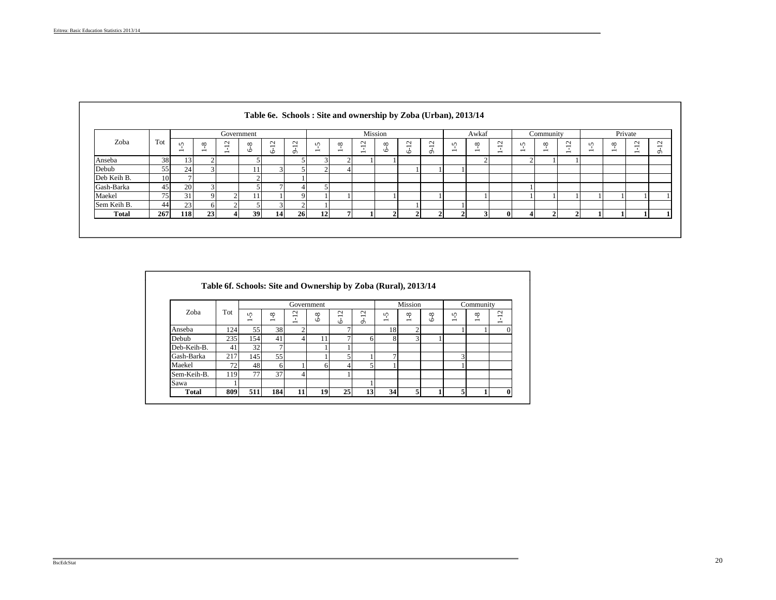|              |     |                                    |                               | Government                                                     |                       |                                         |                    |                 |                               |                                    | Mission             |             |                   |                                          | Awkaf                         |                                            |                               | Community                              |                                    |        |                               | Private                            |                                                |
|--------------|-----|------------------------------------|-------------------------------|----------------------------------------------------------------|-----------------------|-----------------------------------------|--------------------|-----------------|-------------------------------|------------------------------------|---------------------|-------------|-------------------|------------------------------------------|-------------------------------|--------------------------------------------|-------------------------------|----------------------------------------|------------------------------------|--------|-------------------------------|------------------------------------|------------------------------------------------|
| Zoba         | Tot | $\sim$<br>$\overline{\phantom{0}}$ | ∾<br>$\overline{\phantom{0}}$ | $\sim$<br>$\overline{\phantom{0}}$<br>$\overline{\phantom{0}}$ | $^{\circ}$<br>$\circ$ | $\sim$<br>$\overline{\phantom{0}}$<br>۰ | $\sim$<br>$\sigma$ | $\sqrt{2}$<br>- | ∞<br>$\overline{\phantom{0}}$ | $\sim$<br>$\overline{\phantom{0}}$ | $\infty$<br>$\circ$ | $\sim$<br>۰ | $\sim$<br>$\circ$ | $\mathbf{v}$<br>$\overline{\phantom{0}}$ | ∞<br>$\overline{\phantom{0}}$ | $\overline{c}$<br>$\overline{\phantom{0}}$ | n<br>$\overline{\phantom{0}}$ | $^{\circ}$<br>$\overline{\phantom{0}}$ | $\sim$<br>$\overline{\phantom{0}}$ | n<br>- | ∾<br>$\overline{\phantom{0}}$ | $\sim$<br>$\overline{\phantom{0}}$ | $\sim$<br>$\overline{\phantom{0}}$<br>$\sigma$ |
| Anseba       | 38  | 13                                 | $\sim$                        |                                                                |                       |                                         |                    |                 |                               |                                    |                     |             |                   |                                          |                               |                                            | $\sim$                        |                                        |                                    |        |                               |                                    |                                                |
| Debub        | 55  | 24                                 |                               |                                                                |                       | 3.                                      |                    |                 |                               |                                    |                     |             |                   |                                          |                               |                                            |                               |                                        |                                    |        |                               |                                    |                                                |
| Deb Keih B.  | 10  |                                    |                               |                                                                | $\sim$                |                                         |                    |                 |                               |                                    |                     |             |                   |                                          |                               |                                            |                               |                                        |                                    |        |                               |                                    |                                                |
| Gash-Barka   | 45  | 20                                 |                               |                                                                |                       |                                         |                    |                 |                               |                                    |                     |             |                   |                                          |                               |                                            |                               |                                        |                                    |        |                               |                                    |                                                |
| Maekel       | 75  | 31                                 | $\Omega$                      |                                                                |                       |                                         |                    |                 |                               |                                    |                     |             |                   |                                          |                               |                                            |                               |                                        |                                    |        |                               |                                    |                                                |
| Sem Keih B.  | 44  | 23                                 | 6                             |                                                                |                       | 3                                       |                    |                 |                               |                                    |                     |             |                   |                                          |                               |                                            |                               |                                        |                                    |        |                               |                                    |                                                |
| <b>Total</b> | 267 | <b>118</b>                         | 23                            | 41                                                             | 39                    | 14                                      | 26                 | 12              |                               |                                    |                     |             |                   |                                          | 3.                            |                                            | $\Delta$                      |                                        |                                    |        |                               |                                    |                                                |

#### **Table 6e. Schools : Site and ownership by Zoba (Urban), 2013/14**

|              |     |                 |                                      | Government                                                              |                |                                                   |                                                         |               | Mission                              |                |                                      | Community                                              |                                                                                         |
|--------------|-----|-----------------|--------------------------------------|-------------------------------------------------------------------------|----------------|---------------------------------------------------|---------------------------------------------------------|---------------|--------------------------------------|----------------|--------------------------------------|--------------------------------------------------------|-----------------------------------------------------------------------------------------|
| Zoba         | Tot | $\sqrt{2}$<br>- | $\infty$<br>$\overline{\phantom{0}}$ | $\mathbf{\sim}$<br>$\overline{\phantom{0}}$<br>$\overline{\phantom{0}}$ | $\infty$<br>۱Ò | $\mathbf{\sim}$<br>$\overline{\phantom{0}}$<br>۱Ò | $\mathbf{\sim}$<br>$\overline{\phantom{0}}$<br>$\sigma$ | $\Omega$<br>- | $\infty$<br>$\overline{\phantom{0}}$ | $\infty$<br>۱Ò | $\Omega$<br>$\overline{\phantom{0}}$ | $\infty$<br>$\blacksquare$<br>$\overline{\phantom{0}}$ | $\mathbf{\sim}$<br>$\overline{\phantom{0}}$<br>$\mathbf{I}$<br>$\overline{\phantom{0}}$ |
| Anseba       | 124 | 55              | 38                                   | 2                                                                       |                | ۰                                                 |                                                         | 18            | n                                    |                |                                      |                                                        | 0                                                                                       |
| Debub        | 235 | 154             | 41                                   | 4                                                                       | 11             |                                                   | 6                                                       | 8             | 3                                    |                |                                      |                                                        |                                                                                         |
| Deb-Keih-B.  | 41  | 32              | ⇁                                    |                                                                         |                |                                                   |                                                         |               |                                      |                |                                      |                                                        |                                                                                         |
| Gash-Barka   | 217 | 145             | 55                                   |                                                                         |                |                                                   |                                                         | ⇁             |                                      |                | 3                                    |                                                        |                                                                                         |
| Maekel       | 72  | 48              | 6                                    |                                                                         | 6              |                                                   |                                                         |               |                                      |                |                                      |                                                        |                                                                                         |
| Sem-Keih-B.  | 119 | 77              | 37                                   | 4                                                                       |                |                                                   |                                                         |               |                                      |                |                                      |                                                        |                                                                                         |
| Sawa         |     |                 |                                      |                                                                         |                |                                                   |                                                         |               |                                      |                |                                      |                                                        |                                                                                         |
| <b>Total</b> | 809 | 511             | 184                                  | 11                                                                      | 19             | 25                                                | 13                                                      | 34            | 5                                    |                |                                      |                                                        | $\mathbf{0}$                                                                            |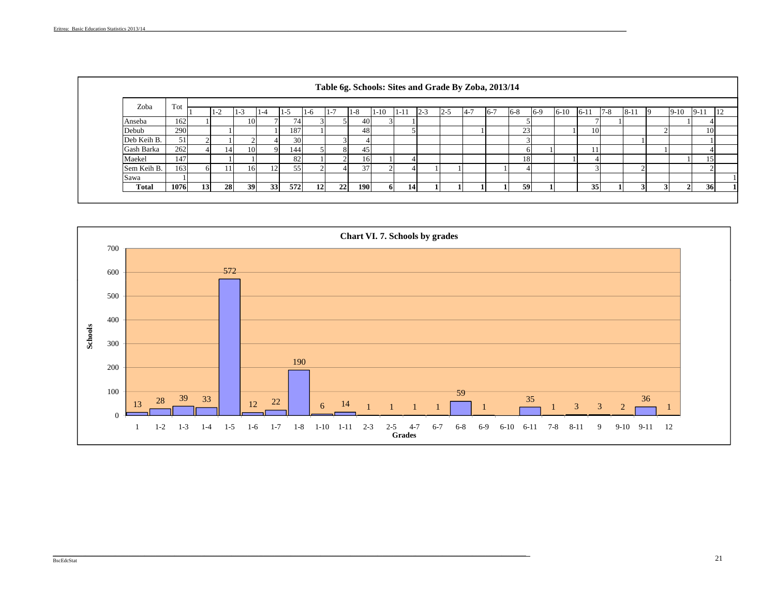| Zoba         | Tot  |           | $1 - 2$ | $\sim$<br>$1 - 3$ | $1 - 4$ | -7              | 1-6 | -<br>$1 -$ | $1 - 8$ | $1 - 10$ | $1-1$ | $2 - 3$ | $2 - 5$ | $-4 - 7$ | $6 - 7$ | $6-8$ | $6-9$ | $6 - 10$ | $6-1$  | $7 - 8$ | $8-1$ | ю | $9-10$        | $9-11$ |
|--------------|------|-----------|---------|-------------------|---------|-----------------|-----|------------|---------|----------|-------|---------|---------|----------|---------|-------|-------|----------|--------|---------|-------|---|---------------|--------|
| Anseba       | 162  |           |         | 10                |         | 74 <sub>1</sub> |     |            | 40      |          |       |         |         |          |         |       |       |          |        |         |       |   |               |        |
| Debub        | 290  |           |         |                   |         | 187             |     |            | 48      |          |       |         |         |          |         | 23    |       |          | 10     |         |       |   |               |        |
| Deb Keih B.  | 51   |           |         |                   |         | 30              |     |            |         |          |       |         |         |          |         |       |       |          |        |         |       |   |               |        |
| Gash Barka   | 262  |           | 14      | 10                |         | 144             |     |            | 45      |          |       |         |         |          |         |       |       |          |        |         |       |   |               |        |
| Maekel       | 147  |           |         |                   |         | 82              |     |            | 16      |          |       |         |         |          |         | 18    |       |          |        |         |       |   |               |        |
| Sem Keih B.  | 163  |           |         | 16                |         | 55              |     |            | 37      |          |       |         |         |          |         |       |       |          | $\sim$ |         |       |   |               |        |
| Sawa         |      |           |         |                   |         |                 |     |            |         |          |       |         |         |          |         |       |       |          |        |         |       |   |               |        |
| <b>Total</b> | 1076 | <b>13</b> | 28      | 39                | 33      | 572             | 12  | 22         | 190     |          | 14    |         |         |          |         | 59    |       |          | 35     |         |       |   | $\mathcal{L}$ |        |

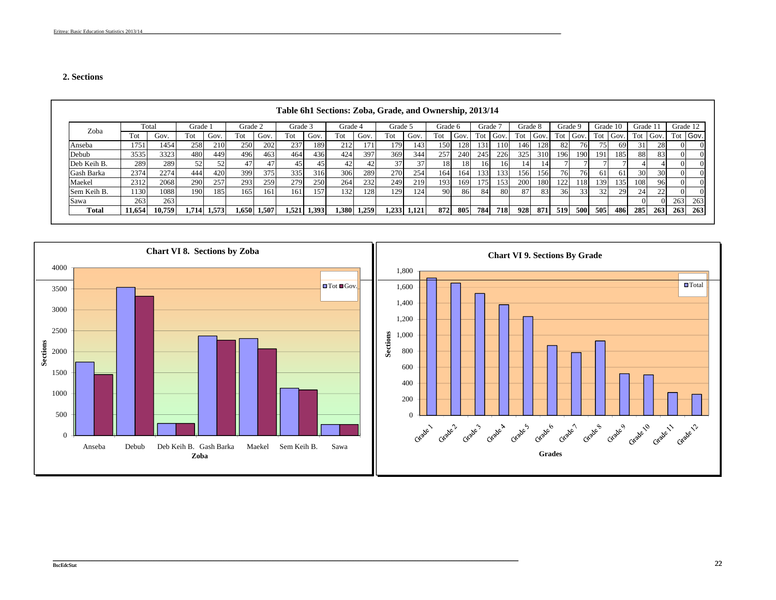#### **2. Sections**

|              |        |        |         |             |         |       |         |             |         |       |         |             |         |      | Grade 7 |      |         |      |         |      | Grade 10 |                 |                 |          |          |        |
|--------------|--------|--------|---------|-------------|---------|-------|---------|-------------|---------|-------|---------|-------------|---------|------|---------|------|---------|------|---------|------|----------|-----------------|-----------------|----------|----------|--------|
| Zoba         |        | Total  | Grade : |             | Grade 2 |       | Grade 3 |             | Grade 4 |       | Grade 5 |             | Grade 6 |      |         |      | Grade 8 |      | Grade 9 |      |          |                 | Grade 1         |          | Grade 12 |        |
|              | Tot    | Gov.   | Tot     | Gov.        | Tot     | Gov.  | Tot     | Gov.        | Tot     | Gov.  | Tot     | Gov.        | Tot     | Gov. | Tot     | Gov. | Tot     | Gov. | Tot     | Gov. | Tot      | Gov.            | Tot             | Gov.     | Tot      | I Gov. |
| Anseba       | 1751   | 1454   | 258     | 210         | 250     | 202   | 2371    | 189         | 212     | 1711  | 1791    | 143         | 150     | 128  | 131     | 110  | 146     | 128  | 82      | 76   | 75       | 69              |                 | 28       |          |        |
| Debub        | 3535   | 3323   | 480     | 449         | 496     | 463   | 464     | 436         | 424     | 397   | 369     | 344         | 257     | 240  | 245     | 226  | 325     | 310  | 196     | 190  | 191      | 185             | 88              | 83       |          |        |
| Deb Keih B.  | 289    | 289    |         |             | 47      | 47    | 45      | 45          |         |       | 37      |             | 18      | 18   | 16      | 16   | 14      | 14   |         |      |          |                 |                 |          |          |        |
| Gash Barka   | 2374   | 2274   | 444     | 420         | 399     | 375   | 335     | 316         | 306     | 289   | 270     | 254         | 164     | 164  | 133     | 133  | 156     | 156  | 76      | 76   | 61       | 61              | 30 <sup>-</sup> | 30       |          |        |
| Maekel       | 2312   | 2068   | 290     | 257         | 293     | 259   | 279     | 250         | 264     | 232   | 249     | 219         | 193     | 169  | 1751    | 153  | 200     | 180  | 122     | l 18 | 139      | 135             | 108             | 96       |          |        |
| Sem Keih B.  | 1130   | 1088   | 190     | 185         | 165     | 161   | 161     | 157         | 132     | 1281  | 1291    | 124         | -90.    | 86   | 84      | 80   | 87      | 83   | 36      | 33   | 32       | 29 <sup>1</sup> | 24 <sub>1</sub> | 22       |          |        |
| Sawa         | 263    | 263    |         |             |         |       |         |             |         |       |         |             |         |      |         |      |         |      |         |      |          |                 |                 | $\Omega$ | 263      | 263    |
| <b>Total</b> | 11,654 | 10,759 |         | 1,714 1,573 | 1,650   | 1,507 |         | 1,521 1,393 | 1,380   | 1,259 |         | 1,233 1,121 | 872     | 805  | 784     | 718  | 928     | 871  | 519     | 500  | 505      | 486             | 285             | 263      | 263      | 263    |

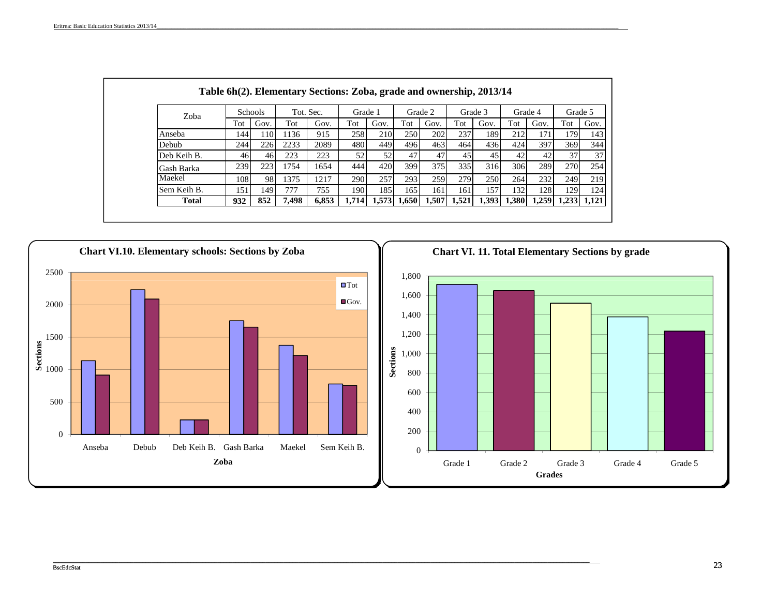| Zoba         |       | <b>Schools</b> |       | Tot. Sec. | Grade 1 |      |               | Grade 2 |               | Grade 3 |             | Grade 4 | Grade 5     |      |
|--------------|-------|----------------|-------|-----------|---------|------|---------------|---------|---------------|---------|-------------|---------|-------------|------|
|              | Tot   | Gov.           | Tot   | Gov.      | Tot     | Gov. | Tot           | Gov.    | Tot           | Gov.    | Tot         | Gov.    | Tot         | Gov. |
| Anseba       | 1441  | 110            | 1136  | 915       | 258     | 210  | 250           | 202     | 237           | 189     | 212         | 171     | 179         | 143  |
| Debub        | 244 I | 226            | 2233  | 2089      | 480     | 4491 | 496           | 463     | 464           | 436     | 424         | 397     | 369         | 344  |
| Deb Keih B.  | 46    | 46             | 223   | 223       | 52      | 52   | 47            | 47      | 45            | 45      | 42          | 42      | 37          | 37   |
| Gash Barka   | 239   | 223            | 1754  | 1654      | 444     | 420  | 3991          | 375     | 335           | 316     | 306         | 289     | 270         | 254  |
| Maekel       | 108   | 98             | 1375  | 1217      | 290     | 257  | 293           | 259     | 279           | 250     | 264         | 232     | 249         | 219  |
| Sem Keih B.  | 1511  | 149            | 777   | 755       | 190     | 185  | 1651          | 161     | 161           | 157     | 32          | 1281    | 1291        | 124  |
| <b>Total</b> | 932   | 852            | 7,498 | 6,853     | 1,714   |      | $1,573$ 1,650 |         | $1,507$ 1,521 |         | 1,393 1,380 | 1,259   | 1,233 1,121 |      |

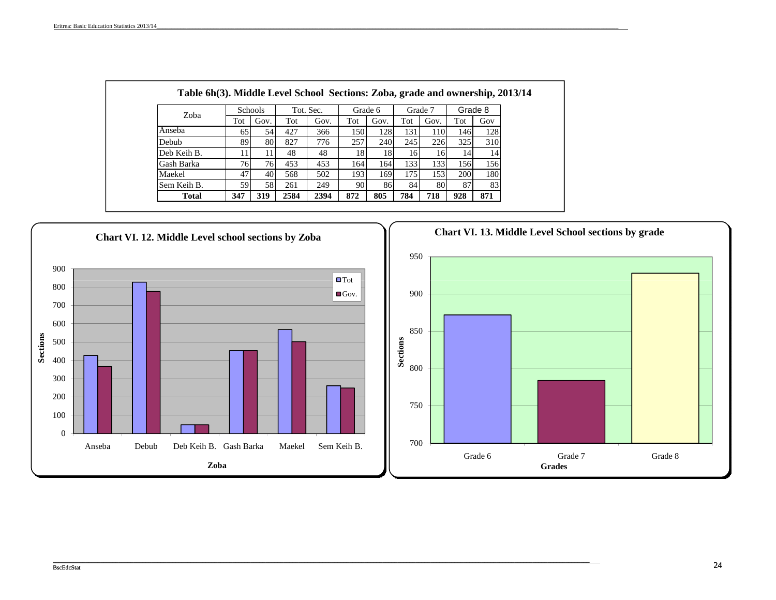| Zoba         |     | <b>Schools</b> |      | Tot. Sec. |     | Grade 6 |     | Grade 7 | Grade 8 |     |
|--------------|-----|----------------|------|-----------|-----|---------|-----|---------|---------|-----|
|              | Tot | Gov.           | Tot  | Gov.      | Tot | Gov.    | Tot | Gov.    | Tot     | Gov |
| Anseba       | 65  | 54             | 427  | 366       | 150 | 128     | 131 | 110     | 146     | 128 |
| Debub        | 891 | 801            | 827  | 776       | 257 | 240     | 245 | 226     | 325     | 310 |
| Deb Keih B.  |     |                | 48   | 48        | 18  | 18      | 16  | 16      | 14      | 14  |
| Gash Barka   | 76  | 76             | 453  | 453       | 164 | 164     | 133 | 133     | 156     | 156 |
| Maekel       | 47  | 40             | 568  | 502       | 193 | 169     | 175 | 153     | 200     | 180 |
| Sem Keih B.  | 591 | 58             | 261  | 249       | 90  | 86      | 84  | 801     | 87      | 83  |
| <b>Total</b> | 347 | 319            | 2584 | 2394      | 872 | 805     | 784 | 718     | 928     | 871 |

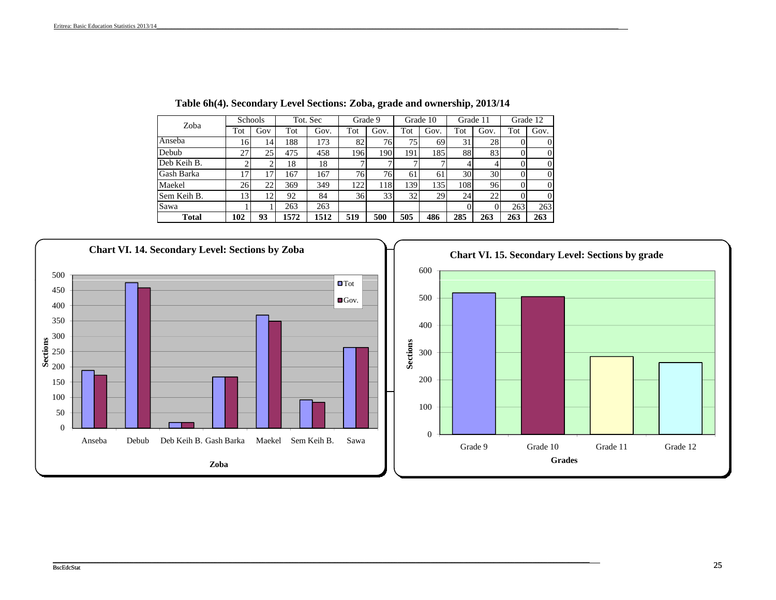| Zoba         |     | <b>Schools</b> |      | Tot. Sec |     | Grade 9 |     | Grade 10 |     | Grade 11 |     | Grade 12 |
|--------------|-----|----------------|------|----------|-----|---------|-----|----------|-----|----------|-----|----------|
|              | Tot | Gov            | Tot  | Gov.     | Tot | Gov.    | Tot | Gov.     | Tot | Gov.     | Tot | Gov.     |
| Anseba       | 16  | 14             | 188  | 173      | 82  | 76      | 75  | 69       | 31  | 28       |     |          |
| Debub        | 27  | 25             | 475  | 458      | 196 | 190     | 191 | 1851     | 88  | 83       |     |          |
| Deb Keih B.  |     |                | 18   | 18       |     |         |     |          |     | 4        |     |          |
| Gash Barka   | 17  |                | 167  | 167      | 76  | 76      | 61  | 61       | 30  | 30       |     |          |
| Maekel       | 26  | 22             | 369  | 349      | 122 | 118     | 139 | 1351     | 108 | 96       |     |          |
| Sem Keih B.  | 13  | 12             | 92   | 84       | 36  | 33      | 32  | 29       | 24  | 22       |     |          |
| Sawa         |     |                | 263  | 263      |     |         |     |          |     |          | 263 | 263      |
| <b>Total</b> | 102 | 93             | 1572 | 1512     | 519 | 500     | 505 | 486      | 285 | 263      | 263 | 263      |

**Table 6h(4). Secondary Level Sections: Zoba, grade and ownership, 2013/14**

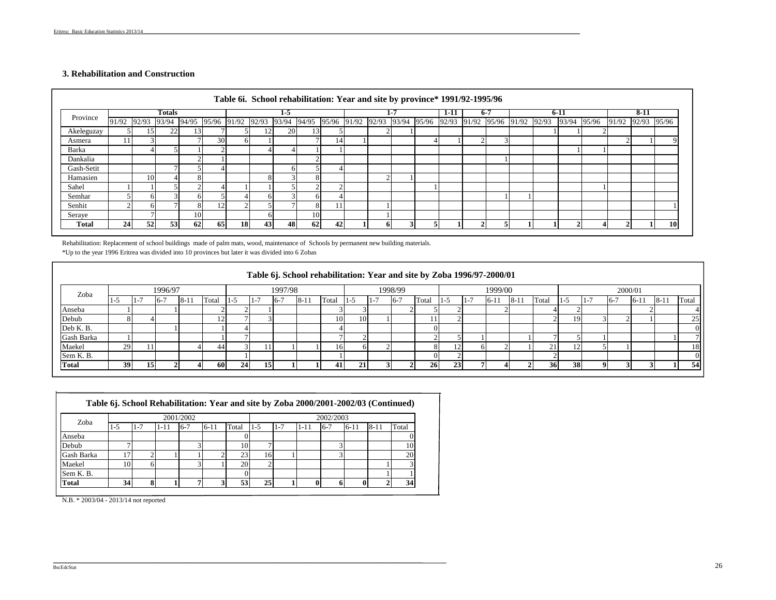#### **3. Rehabilitation and Construction**

|              |    |    | Totals |    |                                                 |           |    | $1 - 5$ |        |                               |    | 1-7 | 1-11                          | $6 - 7$ |  | $6 - 11$    |                   | $8-11$ |    |
|--------------|----|----|--------|----|-------------------------------------------------|-----------|----|---------|--------|-------------------------------|----|-----|-------------------------------|---------|--|-------------|-------------------|--------|----|
| Province     |    |    |        |    | 91/92 92/93 93/94 94/95 95/96 91/92 92/93 93/94 |           |    |         | 94/95  | 95/96 91/92 92/93 93/94 95/96 |    |     | 92/93 91/92 95/96 91/92 92/93 |         |  | 93/94 95/96 | 91/92 92/93 95/96 |        |    |
| Akeleguzay   |    | 15 | 22     | 15 |                                                 |           | 12 | 20      | $13 -$ |                               |    |     |                               |         |  |             |                   |        |    |
| Asmera       | 11 |    |        |    | 30                                              | 6         |    |         |        | 14                            |    |     |                               |         |  |             |                   |        |    |
| Barka        |    |    |        |    |                                                 |           |    |         |        |                               |    |     |                               |         |  |             |                   |        |    |
| Dankalia     |    |    |        |    |                                                 |           |    |         |        |                               |    |     |                               |         |  |             |                   |        |    |
| Gash-Setit   |    |    |        |    |                                                 |           |    |         |        |                               |    |     |                               |         |  |             |                   |        |    |
| Hamasien     |    | 10 |        |    |                                                 |           |    |         |        |                               |    |     |                               |         |  |             |                   |        |    |
| Sahel        |    |    |        |    |                                                 |           |    |         |        |                               |    |     |                               |         |  |             |                   |        |    |
| Semhar       |    |    |        |    |                                                 |           | 61 |         |        |                               |    |     |                               |         |  |             |                   |        |    |
| Senhit       |    |    |        |    | 12                                              |           |    |         |        |                               |    |     |                               |         |  |             |                   |        |    |
| Seraye       |    |    |        | 10 |                                                 |           |    |         | 10     |                               |    |     |                               |         |  |             |                   |        |    |
| <b>Total</b> | 24 | 52 | 53     | 62 | 65                                              | <b>18</b> | 43 | 48      | 62     | 42                            | n. |     |                               |         |  |             |                   |        | 10 |

Rehabilitation: Replacement of school buildings made of palm mats, wood, maintenance of Schools by permanent new building materials.

\*Up to the year 1996 Eritrea was divided into 10 provinces but later it was divided into 6 Zobas

|              |     |     |         |        |       |       |         |         |        |                 |           |                  |         |                 |    | Table 6j. School rehabilitation: Year and site by Zoba 1996/97-2000/01 |         |         |       |      |         |         |         |          |       |
|--------------|-----|-----|---------|--------|-------|-------|---------|---------|--------|-----------------|-----------|------------------|---------|-----------------|----|------------------------------------------------------------------------|---------|---------|-------|------|---------|---------|---------|----------|-------|
| Zoba         |     |     | 1996/97 |        |       |       |         | 1997/98 |        |                 |           |                  | 1998/99 |                 |    |                                                                        | 1999/00 |         |       |      |         | 2000/01 |         |          |       |
|              | l-J | l – | $6 - i$ | $8-11$ | Total | $1-5$ | $1 - i$ | $16-7$  | $8-1.$ | Total           | I-D       | $\mathbf{I}$ – . | $16-7$  | Total           | -1 |                                                                        | $6-1$   | $-8-11$ | Total | -1-5 | $1 - i$ | $16-7$  | $-6-11$ | $8 - 11$ | Total |
| Anseba       |     |     |         |        |       |       |         |         |        |                 |           |                  |         |                 |    |                                                                        |         |         |       |      |         |         |         |          |       |
| Debub        |     |     |         |        |       |       |         |         |        | 10 <sup>1</sup> | <b>10</b> |                  |         |                 |    |                                                                        |         |         |       | 19   |         |         |         |          | ر ے   |
| Deb K. B.    |     |     |         |        |       |       |         |         |        |                 |           |                  |         |                 |    |                                                                        |         |         |       |      |         |         |         |          |       |
| Gash Barka   |     |     |         |        |       |       |         |         |        |                 |           |                  |         |                 |    |                                                                        |         |         |       |      |         |         |         |          |       |
| Maekel       | 29  |     |         |        | 44    |       |         |         |        | 161             |           |                  |         |                 |    |                                                                        |         |         |       | - 1  |         |         |         |          | 18    |
| Sem K. B.    |     |     |         |        |       |       |         |         |        |                 |           |                  |         |                 |    |                                                                        |         |         |       |      |         |         |         |          |       |
| <b>Total</b> | 39  | 15  |         |        | 60    | 24    | 15      |         |        | 41              | 21        |                  |         | 26 <sub>1</sub> | 23 |                                                                        |         |         |       | 38   |         |         |         |          | 54    |

|  |  | Table 6j. School Rehabilitation: Year and site by Zoba 2000/2001-2002/03 (Continued) |  |
|--|--|--------------------------------------------------------------------------------------|--|
|  |  |                                                                                      |  |

| Zoba         |       |         |      | 2001/2002 |        |       |       |         |      | 2002/2003 |        |          |       |
|--------------|-------|---------|------|-----------|--------|-------|-------|---------|------|-----------|--------|----------|-------|
|              | $1-5$ | $1 - 7$ | 1-11 | $6 - 7$   | $6-11$ | Total | $1-5$ | $1 - 7$ | 1-11 | $-6 - 7$  | $6-11$ | $8 - 11$ | Total |
| Anseba       |       |         |      |           |        |       |       |         |      |           |        |          |       |
| Debub        |       |         |      |           |        | 10    |       |         |      |           |        |          | 10    |
| Gash Barka   | 17    |         |      |           |        | 23    | 16    |         |      |           |        |          | 20    |
| Maekel       | 10    |         |      |           |        | 20    |       |         |      |           |        |          |       |
| Sem K. B.    |       |         |      |           |        |       |       |         |      |           |        |          |       |
| <b>Total</b> | 34    |         |      |           |        | 53    | 25    |         |      | υ         |        |          | 34    |

 $-$  . The contribution of the contribution of the contribution of the contribution of the contribution of the contribution of the contribution of the contribution of the contribution of the contribution of the contributio

N.B. \* 2003/04 - 2013/14 not reported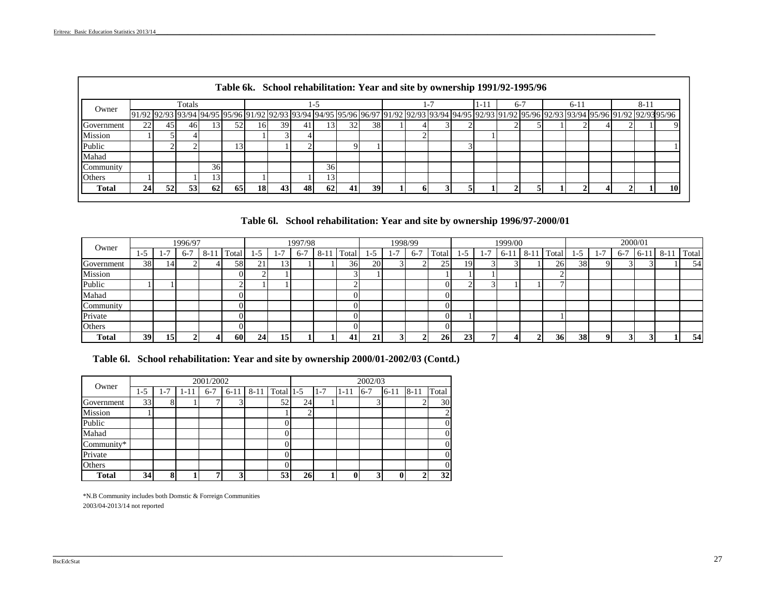|               |                                                                                                                                                                                                                                 |     |        |    |    | Table 6k. School rehabilitation: Year and site by ownership 1991/92-1995/96 |     |    |                 |    |    |  |  |      |       |  |       |  |     |    |
|---------------|---------------------------------------------------------------------------------------------------------------------------------------------------------------------------------------------------------------------------------|-----|--------|----|----|-----------------------------------------------------------------------------|-----|----|-----------------|----|----|--|--|------|-------|--|-------|--|-----|----|
|               |                                                                                                                                                                                                                                 |     | Totals |    |    |                                                                             |     |    |                 |    |    |  |  | 1-11 | $6-7$ |  | $6-1$ |  | 8-1 |    |
| Owner         | 91/92 92/93 93/94 95/96 91/92 92/93 95/96 91/92 92/93 93/94 94/95 95/96 96/97 91/92 92/93 93/94 94/95 92/93 91/92 95/96 92/93 93/94 95/96 92/93 93/94 95/96 92/93 93/94 95/96 92/93 93/94 95/96 92/93 93/94 95/96 92/93 93/94 9 |     |        |    |    |                                                                             |     |    |                 |    |    |  |  |      |       |  |       |  |     |    |
| Government    | 22                                                                                                                                                                                                                              | 45  | 46 I   |    | 52 | 101                                                                         | 391 |    |                 | 32 | 38 |  |  |      |       |  |       |  |     |    |
| Mission       |                                                                                                                                                                                                                                 |     |        |    |    |                                                                             |     |    |                 |    |    |  |  |      |       |  |       |  |     |    |
| Public        |                                                                                                                                                                                                                                 |     |        |    |    |                                                                             |     |    |                 |    |    |  |  |      |       |  |       |  |     |    |
| Mahad         |                                                                                                                                                                                                                                 |     |        |    |    |                                                                             |     |    |                 |    |    |  |  |      |       |  |       |  |     |    |
| Community     |                                                                                                                                                                                                                                 |     |        | 36 |    |                                                                             |     |    | 36 <sup>I</sup> |    |    |  |  |      |       |  |       |  |     |    |
| <b>Others</b> |                                                                                                                                                                                                                                 |     |        | 3  |    |                                                                             |     |    |                 |    |    |  |  |      |       |  |       |  |     |    |
| Total         | 24                                                                                                                                                                                                                              | 52. | 53     | 62 | 65 | 18                                                                          | 43  | 48 | 62 <sup>1</sup> |    | 39 |  |  |      |       |  |       |  |     | 10 |

**Table 6l. School rehabilitation: Year and site by ownership 1996/97-2000/01**

| Owner        |     |       | 1996/97 |       |                 |              |       | 1997/98 |       |      |           |                | 1998/99 |           |     |       | 1999/00 |      |        |     |     | 2000/01 |         |      |       |
|--------------|-----|-------|---------|-------|-----------------|--------------|-------|---------|-------|------|-----------|----------------|---------|-----------|-----|-------|---------|------|--------|-----|-----|---------|---------|------|-------|
|              | -15 | $1 -$ | $6 - 7$ | $8-1$ | m<br>Total      | -15          | l - 7 | $6 -$   | $8-1$ | otal | .-5       | $\overline{a}$ | $6-7$   | `otal     | د-. | $1 -$ | 6-11    | 8-11 | Total. | ت−' | 1-7 | $6-7$   | $6 - 1$ | 8-11 | Total |
| Government   | 38  | 14'   |         |       | 58 <sup>1</sup> | $\sim$<br>∠⊥ |       |         |       | 36   | <b>20</b> |                |         | 25        | 19  |       |         |      | 26     | 38  |     |         |         |      | 54    |
| Mission      |     |       |         |       |                 |              |       |         |       |      |           |                |         |           |     |       |         |      |        |     |     |         |         |      |       |
| Public       |     |       |         |       |                 |              |       |         |       |      |           |                |         | $\Omega$  |     |       |         |      |        |     |     |         |         |      |       |
| Mahad        |     |       |         |       |                 |              |       |         |       |      |           |                |         | $\Omega$  |     |       |         |      |        |     |     |         |         |      |       |
| .'ommunity   |     |       |         |       |                 |              |       |         |       |      |           |                |         | $\Omega$  |     |       |         |      |        |     |     |         |         |      |       |
| Private      |     |       |         |       |                 |              |       |         |       | 0    |           |                |         | ΩI        |     |       |         |      |        |     |     |         |         |      |       |
| Others       |     |       |         |       |                 |              |       |         |       |      |           |                |         | $\Omega$  |     |       |         |      |        |     |     |         |         |      |       |
| <b>Total</b> | 39  | 15    |         |       | 60              | 24           | 15    |         |       | 41   |           |                |         | <b>26</b> | 23  |       |         |      | 36     | 38  |     |         |         |      | 54    |

| Table 6l. School rehabilitation: Year and site by ownership 2000/01-2002/03 (Contd.) |  |  |
|--------------------------------------------------------------------------------------|--|--|
|                                                                                      |  |  |

| Owner          |         |         |          | 2001/2002 |          |                |                |         |          | 2002/03 |          |          |          |
|----------------|---------|---------|----------|-----------|----------|----------------|----------------|---------|----------|---------|----------|----------|----------|
|                | $1 - 5$ | $1 - 7$ | $1 - 11$ | $6 - 7$   | $6 - 11$ | 8-11 Total 1-5 |                | $1 - 7$ | $1 - 11$ | $6 - 7$ | $6 - 11$ | $8 - 11$ | Total    |
| Government     | 33      | 8       |          |           | 3        | 52             | 24             |         |          |         |          |          | 30       |
| <b>Mission</b> |         |         |          |           |          |                | $\overline{c}$ |         |          |         |          |          | 2        |
| Public         |         |         |          |           |          |                |                |         |          |         |          |          | $\theta$ |
| Mahad          |         |         |          |           |          |                |                |         |          |         |          |          | $\theta$ |
| Community*     |         |         |          |           |          |                |                |         |          |         |          |          | $\theta$ |
| Private        |         |         |          |           |          |                |                |         |          |         |          |          | $\theta$ |
| Others         |         |         |          |           |          |                |                |         |          |         |          |          | $\Omega$ |
| <b>Total</b>   | 34      | 8       |          |           | 3        | 53             | 26             |         |          | ◠       |          |          | 32       |

 $\mathcal{L}_\mathcal{L} = \mathcal{L}_\mathcal{L} = \mathcal{L}_\mathcal{L} = \mathcal{L}_\mathcal{L} = \mathcal{L}_\mathcal{L} = \mathcal{L}_\mathcal{L} = \mathcal{L}_\mathcal{L} = \mathcal{L}_\mathcal{L} = \mathcal{L}_\mathcal{L} = \mathcal{L}_\mathcal{L} = \mathcal{L}_\mathcal{L} = \mathcal{L}_\mathcal{L} = \mathcal{L}_\mathcal{L} = \mathcal{L}_\mathcal{L} = \mathcal{L}_\mathcal{L} = \mathcal{L}_\mathcal{L} = \mathcal{L}_\mathcal{L}$ 

\*N.B Community includes both Domstic & Forreign Communities 2003/04-2013/14 not reported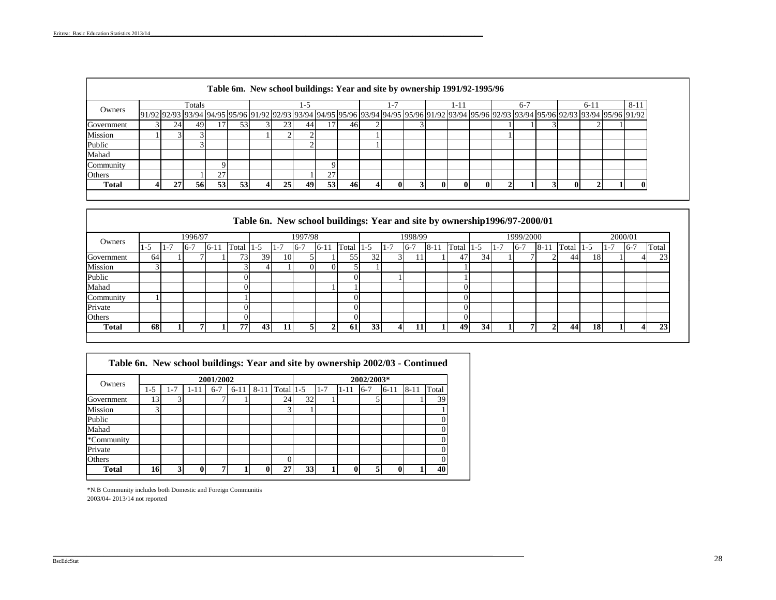|              | Table 6m. New school buildings: Year and site by ownership 1991/92-1995/96 |                                                                                                                                                                                                                                 |        |    |    |  |     |    |     |     |  |  |  |  |      |  |  |       |          |
|--------------|----------------------------------------------------------------------------|---------------------------------------------------------------------------------------------------------------------------------------------------------------------------------------------------------------------------------|--------|----|----|--|-----|----|-----|-----|--|--|--|--|------|--|--|-------|----------|
| Owners       |                                                                            |                                                                                                                                                                                                                                 | Totals |    |    |  |     | -7 |     |     |  |  |  |  | $-1$ |  |  | $6-1$ | $8 - 11$ |
|              |                                                                            | 91/92 92/93 93/94 94/95 95/96 91/92 92/93 93/94 94/95 95/96 93/94 94/95 95/96 91/92 93/94 95/96 92/93 93/94 95/96 92/93 93/94 95/96 92/93 93/94 95/96 92/93 93/94 95/96 92/93 93/94 95/96 92/93 93/94 95/96 92/93 93/94 95/96 9 |        |    |    |  |     |    |     |     |  |  |  |  |      |  |  |       |          |
| Government   |                                                                            | 24                                                                                                                                                                                                                              | 49     |    | 53 |  | 25. | 44 |     | 461 |  |  |  |  |      |  |  |       |          |
| Mission      |                                                                            |                                                                                                                                                                                                                                 |        |    |    |  |     |    |     |     |  |  |  |  |      |  |  |       |          |
| Public       |                                                                            |                                                                                                                                                                                                                                 |        |    |    |  |     |    |     |     |  |  |  |  |      |  |  |       |          |
| Mahad        |                                                                            |                                                                                                                                                                                                                                 |        |    |    |  |     |    |     |     |  |  |  |  |      |  |  |       |          |
| Community    |                                                                            |                                                                                                                                                                                                                                 |        |    |    |  |     |    |     |     |  |  |  |  |      |  |  |       |          |
| Others       |                                                                            |                                                                                                                                                                                                                                 |        | 27 |    |  |     |    |     |     |  |  |  |  |      |  |  |       |          |
| <b>Total</b> |                                                                            |                                                                                                                                                                                                                                 | 561    | 53 | 53 |  | 25  | 49 | 531 | 46  |  |  |  |  |      |  |  |       |          |

# **Table 6n. New school buildings: Year and site by ownership1996/97-2000/01**

| Owners       | 1996/97 |       |      |         |        | 1997/98         |                   |         |               |       |     |         | 1998/99 |          |       |                 |         | 1999/2000                |      |       |     |                         | 2000/01                |       |
|--------------|---------|-------|------|---------|--------|-----------------|-------------------|---------|---------------|-------|-----|---------|---------|----------|-------|-----------------|---------|--------------------------|------|-------|-----|-------------------------|------------------------|-------|
|              | -1      | $1 -$ | $6-$ | $-6-11$ | Total  | 1-5             | -<br>$1 - \prime$ | $6 - 7$ | $6 - 11$      | Total | 1-D | $1 - 7$ | $6 - 7$ | $8 - 11$ | Total | 1-5             | $1 - 7$ | $\overline{ }$<br>$6 - $ | 8-11 | Total | נ-ו | $\overline{ }$<br>1 - 1 | $\overline{ }$<br>$-6$ | Total |
| Government   | 64      |       |      |         | 73.    | 39 I            | 10                |         |               | 55    | 32  |         |         |          | 47    | 34              |         |                          |      | 44    | 18  |                         |                        | 23    |
| Mission      |         |       |      |         | $\sim$ |                 |                   |         |               |       |     |         |         |          |       |                 |         |                          |      |       |     |                         |                        |       |
| Public       |         |       |      |         |        |                 |                   |         |               |       |     |         |         |          |       |                 |         |                          |      |       |     |                         |                        |       |
| Mahad        |         |       |      |         |        |                 |                   |         |               |       |     |         |         |          |       |                 |         |                          |      |       |     |                         |                        |       |
| Community    |         |       |      |         |        |                 |                   |         |               |       |     |         |         |          |       |                 |         |                          |      |       |     |                         |                        |       |
| Private      |         |       |      |         |        |                 |                   |         |               |       |     |         |         |          |       |                 |         |                          |      |       |     |                         |                        |       |
| Others       |         |       |      |         |        |                 |                   |         |               |       |     |         |         |          |       |                 |         |                          |      |       |     |                         |                        |       |
| <b>Total</b> | 68      |       |      |         | 77     | 43 <sub>1</sub> | 11                |         | $\rightarrow$ | -61   | 33  |         | 11      |          | 49    | 34 <sup>1</sup> |         |                          |      | 44    | 18  |                         | 4                      | 23    |
|              |         |       |      |         |        |                 |                   |         |               |       |     |         |         |          |       |                 |         |                          |      |       |     |                         |                        |       |

| Owners       |     |         |          | 2001/2002 |          |          |             |    |         |       | 2002/2003* |          |          |       |
|--------------|-----|---------|----------|-----------|----------|----------|-------------|----|---------|-------|------------|----------|----------|-------|
|              | 1-5 | $1 - 7$ | $1 - 11$ | $6-7$     | $6 - 11$ | $8 - 11$ | Total $1-5$ |    | $1 - 7$ | 11-11 | $6 - 7$    | $6 - 11$ | $8 - 11$ | Total |
| Government   | 13. |         |          |           |          |          | 24          | 32 |         |       |            |          |          | 39    |
| Mission      | 3   |         |          |           |          |          |             |    |         |       |            |          |          |       |
| Public       |     |         |          |           |          |          |             |    |         |       |            |          |          |       |
| Mahad        |     |         |          |           |          |          |             |    |         |       |            |          |          |       |
| *Community   |     |         |          |           |          |          |             |    |         |       |            |          |          |       |
| Private      |     |         |          |           |          |          |             |    |         |       |            |          |          |       |
| Others       |     |         |          |           |          |          |             |    |         |       |            |          |          |       |
| <b>Total</b> | 16  | 3       |          | ,         |          | 0        | 27          | 33 |         | 0     | 5          |          |          | 40    |

\_\_\_\_\_\_\_\_\_\_\_\_\_\_\_\_\_\_\_\_\_\_\_\_\_\_\_\_\_\_\_\_\_\_\_\_\_\_\_\_\_\_\_\_\_\_\_\_\_\_\_\_\_\_\_\_\_\_\_\_\_\_\_\_\_\_\_\_\_\_\_\_\_\_\_\_\_\_\_\_\_\_\_\_\_\_\_\_\_\_\_\_\_\_\_\_\_\_\_\_\_\_\_\_\_\_\_\_\_\_\_\_\_\_\_\_\_\_\_\_\_\_\_\_\_\_\_\_\_\_\_\_\_\_\_\_\_\_\_\_\_\_\_\_\_\_\_\_\_\_\_\_\_\_\_\_

2003/04- 2013/14 not reported \*N.B Community includes both Domestic and Foreign Communitis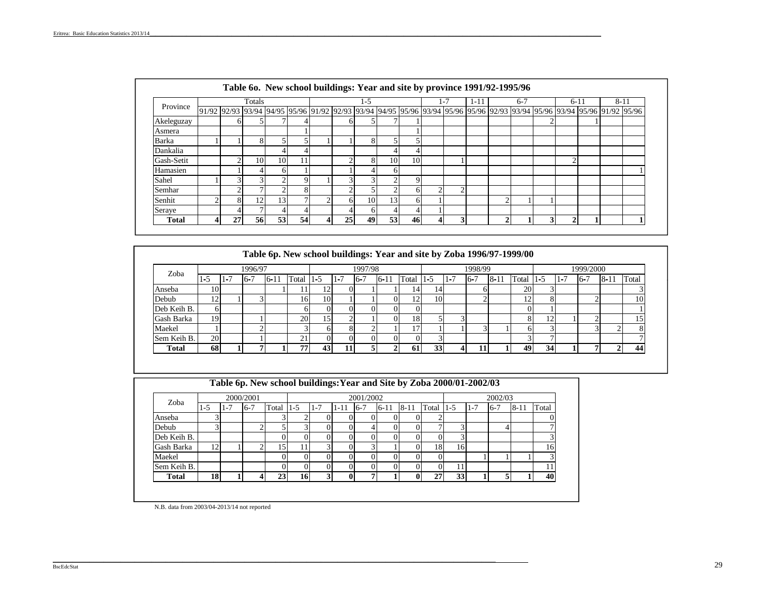|              |   |    | Totals   |        |    |   |        | 1-5 |        |    |   | $t - 1$ | 1-11 |                | $6 - 7$ |   | $6-11$       |                                                                                                                         | $8 - 11$ |
|--------------|---|----|----------|--------|----|---|--------|-----|--------|----|---|---------|------|----------------|---------|---|--------------|-------------------------------------------------------------------------------------------------------------------------|----------|
| Province     |   |    |          |        |    |   |        |     |        |    |   |         |      |                |         |   |              | 91/92 92/93 93/94 94/95 95/96 91/92 92/93 93/94 94/95 95/96 93/94 95/96 95/96 92/93 93/94 95/96 93/94 95/96 91/92 95/96 |          |
| Akeleguzay   |   | h  |          |        |    |   | hl     |     |        |    |   |         |      |                |         |   |              |                                                                                                                         |          |
| Asmera       |   |    |          |        |    |   |        |     |        |    |   |         |      |                |         |   |              |                                                                                                                         |          |
| Barka        |   |    | $\Omega$ |        |    |   |        | 8   |        |    |   |         |      |                |         |   |              |                                                                                                                         |          |
| Dankalia     |   |    |          |        |    |   |        |     | 4      |    |   |         |      |                |         |   |              |                                                                                                                         |          |
| Gash-Setit   |   |    | 10       | 10     |    |   |        | 8   | 10     | 10 |   |         |      |                |         |   | $\sim$       |                                                                                                                         |          |
| Hamasien     |   |    |          | 61     |    |   |        |     | 6      |    |   |         |      |                |         |   |              |                                                                                                                         |          |
| Sahel        |   |    | ⌒        | c      |    |   | ⌒      |     | $\sim$ |    |   |         |      |                |         |   |              |                                                                                                                         |          |
| Semhar       |   |    |          | $\sim$ |    |   | $\sim$ |     | $\sim$ | h. |   | Δ       |      |                |         |   |              |                                                                                                                         |          |
| Senhit       |   |    | 12       | 13     |    |   | 'nΙ    | 10  | 13     | h. |   |         |      | ↑              |         |   |              |                                                                                                                         |          |
| Seraye       |   |    |          |        |    |   |        |     | 4      |    |   |         |      |                |         |   |              |                                                                                                                         |          |
| <b>Total</b> | 4 | 27 | 56       | 53     | 54 | 4 | 25     | 49  | 53     | 46 | Δ | 3       |      | $\overline{c}$ |         | 3 | $\mathbf{2}$ |                                                                                                                         |          |

| Zoba         |           |         | 1996/97 |          |       |       |         | 1997/98 |          |       |         |         | 1998/99 |          |                         |         |         | 1999/2000 |          |       |
|--------------|-----------|---------|---------|----------|-------|-------|---------|---------|----------|-------|---------|---------|---------|----------|-------------------------|---------|---------|-----------|----------|-------|
|              | 1-5       | $1 - l$ | $16-7$  | $6 - 11$ | Total | $1-5$ | $1 - 7$ | $16-7$  | $6 - 11$ | Total | $1 - 5$ | $1 - 7$ | $16-7$  | $8 - 11$ | Total                   | $1 - 5$ | $1 - 7$ | $6 - 7$   | $8 - 11$ | Total |
| Anseba       | 10        |         |         |          | 1 I I | 12    |         |         |          | 14    | 14      |         |         |          | 20                      |         |         |           |          |       |
| Debub        | 12        |         |         |          | 16    | 10    |         |         |          | 12    | 10      |         |         |          | $\mathbf{1} \mathbf{1}$ |         |         |           |          | 10    |
| Deb Keih B.  | 6         |         |         |          |       |       |         |         |          |       |         |         |         |          |                         |         |         |           |          |       |
| Gash Barka   | 19        |         |         |          | 20    | 15    |         |         |          | 18    |         |         |         |          |                         |         |         |           |          |       |
| Maekel       |           |         |         |          |       |       |         |         |          |       |         |         |         |          |                         |         |         |           |          |       |
| Sem Keih B.  | <b>20</b> |         |         |          | 21    |       |         |         |          |       |         |         |         |          |                         |         |         |           |          |       |
| <b>Total</b> | 68        |         |         |          | 77.   | 43    |         |         |          | 61    | 33      |         |         |          | 49                      | 34      |         |           |          | 44    |

| Table 6p. New school buildings: Year and Site by Zoba 2000/01-2002/03 |
|-----------------------------------------------------------------------|
|                                                                       |

| Zoba         |                        |     | 2000/2001 |       |         |         |              | 2001/2002  |          |          |       |     |         | 2002/03 |          |       |
|--------------|------------------------|-----|-----------|-------|---------|---------|--------------|------------|----------|----------|-------|-----|---------|---------|----------|-------|
|              | $1 - 5$                | 1-7 | $6 - 7$   | Total | $1-5$   | $1 - 7$ | $1 - 11$     | $16-7$     | $6 - 11$ | $8 - 11$ | Total | 1-5 | $1 - 7$ | $6 - 7$ | $8 - 11$ | Total |
| Anseba       | ◠                      |     |           |       |         |         |              |            |          |          |       |     |         |         |          |       |
| Debub        | $\mathbf{\Omega}$<br>J |     |           | ٠     | ◠<br>لى |         | 0            |            |          |          | ⇁     |     |         |         |          |       |
| Deb Keih B.  |                        |     |           |       |         |         |              |            |          |          |       |     |         |         |          |       |
| Gash Barka   | 12                     |     |           | 15    | 11      | ⌒       | 0            | $\sqrt{2}$ |          |          | 18    | 16  |         |         |          | 16    |
| Maekel       |                        |     |           |       |         |         |              |            |          |          |       |     |         |         |          |       |
| Sem Keih B.  |                        |     |           |       |         |         |              |            |          |          |       |     |         |         |          |       |
| <b>Total</b> | 18                     |     | 4         | 23    | 16      | σ<br>J  | $\mathbf{0}$ | −          |          |          | 27    | 33  |         |         |          | 40    |
|              |                        |     |           |       |         |         |              |            |          |          |       |     |         |         |          |       |

N.B. data from 2003/04-2013/14 not reported

 $\mathcal{L}_\text{max} = \mathcal{L}_\text{max} = \mathcal{L}_\text{max} = \mathcal{L}_\text{max} = \mathcal{L}_\text{max} = \mathcal{L}_\text{max} = \mathcal{L}_\text{max} = \mathcal{L}_\text{max} = \mathcal{L}_\text{max} = \mathcal{L}_\text{max} = \mathcal{L}_\text{max} = \mathcal{L}_\text{max} = \mathcal{L}_\text{max} = \mathcal{L}_\text{max} = \mathcal{L}_\text{max} = \mathcal{L}_\text{max} = \mathcal{L}_\text{max} = \mathcal{L}_\text{max} = \mathcal{$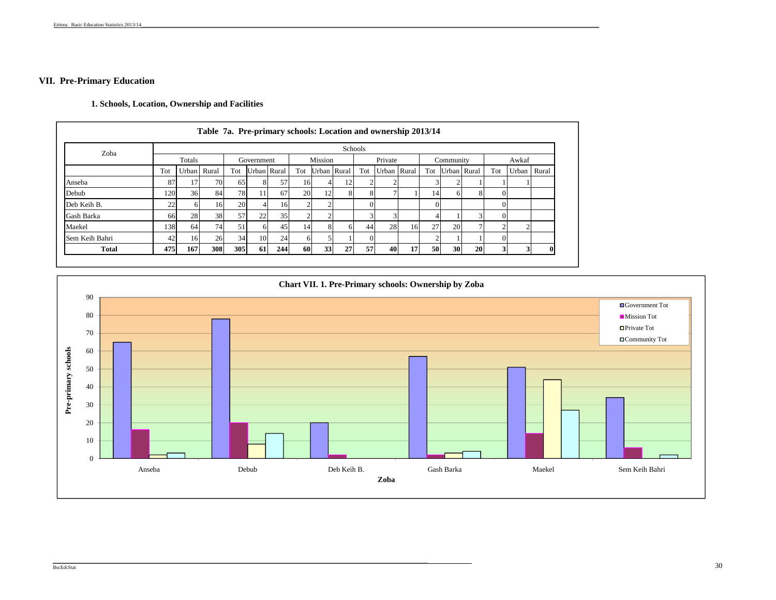# **VII. Pre-Primary Education**

# **1. Schools, Location, Ownership and Facilities**

|                |     |             | Table 7a. Pre-primary schools: Location and ownership 2013/14 |           |             |     |           |             |    |         |             |    |           |           |             |     |             |  |
|----------------|-----|-------------|---------------------------------------------------------------|-----------|-------------|-----|-----------|-------------|----|---------|-------------|----|-----------|-----------|-------------|-----|-------------|--|
| Zoba           |     |             |                                                               |           |             |     |           |             |    | Schools |             |    |           |           |             |     |             |  |
|                |     | Totals      |                                                               |           | Government  |     |           | Mission     |    |         | Private     |    |           | Community |             |     | Awkaf       |  |
|                | Tot | Urban Rural |                                                               | Tot       | Urban Rural |     | Tot       | Urban Rural |    | Tot     | Urban Rural |    | Tot       |           | Urban Rural | Tot | Urban Rural |  |
| Anseba         | 87  |             | 70                                                            | 65        | 81          | 57  | 16        |             | 12 |         |             |    |           |           |             |     |             |  |
| Debub          | 120 | 36          | 84                                                            | 78        | 11          | 67  | <b>20</b> | 12          | 8  |         |             |    | 14        |           | 8           |     |             |  |
| Deb Keih B.    | 22  |             | 16                                                            | <b>20</b> |             | 16  |           |             |    |         |             |    |           |           |             |     |             |  |
| Gash Barka     | 66  | 28          | 38                                                            | 57        | 22          | 35  |           |             |    |         | 3           |    |           |           |             |     |             |  |
| Maekel         | 138 | 64          | 74 <sub>1</sub>                                               | 51        | 61          | 45  | 14        |             | 6  | 44      | 28          | 16 | 27        | <b>20</b> |             |     |             |  |
| Sem Keih Bahri | 42  | 16          | 26                                                            | 34        | 10          | 24  | 6         |             |    |         |             |    |           |           |             |     |             |  |
| <b>Total</b>   | 475 | 167         | 308                                                           | 305       | <b>61</b>   | 244 | 60        | 33          | 27 | 57      | 40          | 17 | <b>50</b> | 30        | 20          |     |             |  |

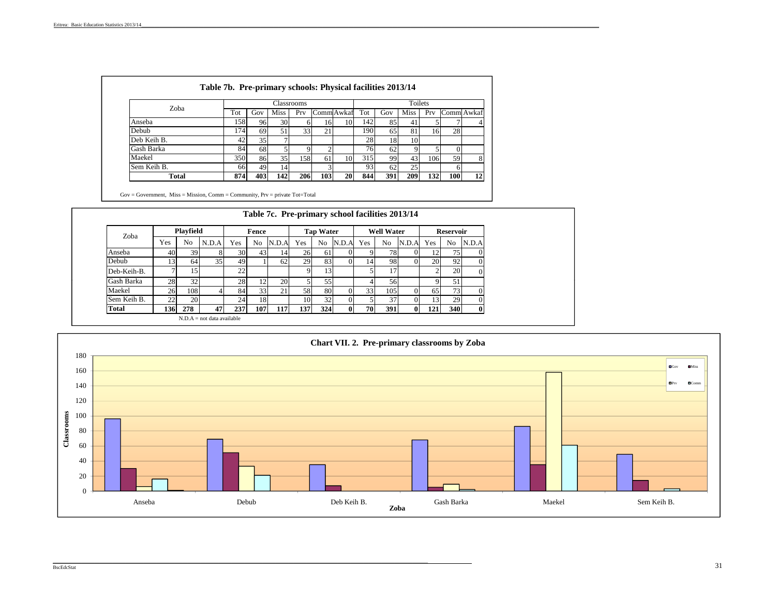| Zoba         |      |     |      | Classrooms      |     |                   |     |     | Toilets        |      |     |            |
|--------------|------|-----|------|-----------------|-----|-------------------|-----|-----|----------------|------|-----|------------|
|              | Tot  | Gov | Miss | Prv             |     | <b>Comm</b> Awkaf | Tot | Gov | Miss           | Prv  |     | Comm Awkaf |
| Anseba       | 1581 | 96  | 30   |                 | 16  | 10                | 142 | 85  | $\overline{4}$ |      |     | 4          |
| Debub        | 174  | 69  | 51   | 33 <sub>1</sub> | 21  |                   | 190 | 65  | 81             | 161  | 28  |            |
| Deb Keih B.  | 42   | 35  |      |                 |     |                   | 28  | 18  | 10             |      |     |            |
| Gash Barka   | 84   | 68  |      | Ω               |     |                   | 76  | 62  |                |      |     |            |
| Maekel       | 350  | 86  | 35   | 158             | 61  | 10                | 315 | 99  | 43             | 1061 | 59  | 8          |
| Sem Keih B.  | 66   | 49  | 14   |                 |     |                   | 93  | 62  | 25             |      | h   |            |
| <b>Total</b> | 874  | 403 | 142  | 206             | 103 | 20                | 844 | 391 | 209            | 132  | 100 | 12         |

Gov = Government, Miss = Mission, Comm = Community, Prv = private Tot=Total

| Zoba         |     | <b>Playfield</b> |       |     | Fence           |                 |     | <b>Tap Water</b> |          |           | <b>Well Water</b> |          |     | <b>Reservoir</b> |          |
|--------------|-----|------------------|-------|-----|-----------------|-----------------|-----|------------------|----------|-----------|-------------------|----------|-----|------------------|----------|
|              | Yes | No               | N.D.A | Yes | No              | N.D.A           | Yes | No               | N.D.A    | Yes       | No                | N.D.A    | Yes | No               | N.D.A    |
| Anseba       | 40  | 39               |       | 30  | 43              | 14 <sup>1</sup> | 26  | 61               |          |           | 78                |          | 12  | 75               |          |
| Debub        | 13  | 64               | 351   | 49  |                 | 62              | 29  | 83               |          | 14        | 98                |          | 20  | 92 <sub>1</sub>  |          |
| Deb-Keih-B.  |     | 15               |       | 22  |                 |                 | 9   | 13 <sub>1</sub>  |          |           | 17                |          |     | <b>20</b>        |          |
| Gash Barka   | 28  | 32               |       | 28  | 12 <sub>1</sub> | <b>20</b>       | 5.  | 55               |          |           | 56                |          | Q   | 51               |          |
| Maekel       | 26  | 108              |       | 84  | 33              | 21              | 58  | 80               |          | 33        | 105               | 0        | 65  | 73               |          |
| Sem Keih B.  | 22  | <b>20</b>        |       | 24  | 18              |                 | 10  | 32               |          |           | 37                | 0        | 13  | 29               | $\Omega$ |
| <b>Total</b> | 136 | 278              | 47    | 237 | 107             | 117             | 137 | 324              | $\bf{0}$ | <b>70</b> | 391               | $\bf{0}$ | 121 | 340              | $\bf{0}$ |

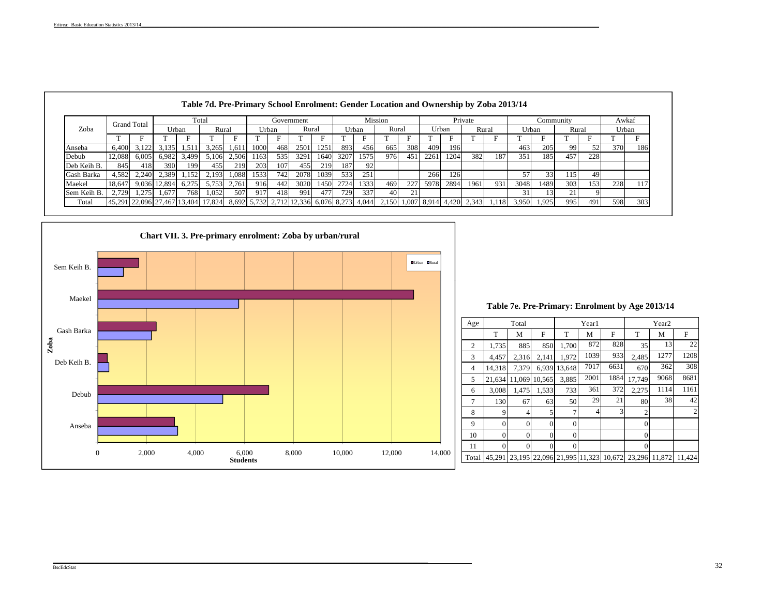|             |                             | <b>Grand Total</b> |              |       | Total |       |       |     | Government |      |      |       | <b>Mission</b>                                                                  |     |      |       | Private |       |       | Community       |       |     | Awkaf |     |
|-------------|-----------------------------|--------------------|--------------|-------|-------|-------|-------|-----|------------|------|------|-------|---------------------------------------------------------------------------------|-----|------|-------|---------|-------|-------|-----------------|-------|-----|-------|-----|
| Zoba        |                             |                    |              | Urban | Rural |       | Urban |     | Rural      |      |      | Urban | Rural                                                                           |     |      | Urban | Rural   |       | Urban |                 | Rural |     | Urban |     |
|             |                             |                    |              |       |       |       |       |     |            |      |      |       |                                                                                 |     |      |       |         |       |       |                 |       |     |       |     |
| Anseba      | 6.400                       | 3.122              | 3,135        | 1.511 | 3.265 | 1.611 | 1000  | 468 | 2501       | 1251 | 893  | 456   | 665                                                                             | 308 | 409  | 196   |         |       | 463   | 205             | -99   | 52  | 370   | 186 |
| Debub       | 12.088                      | 6,005              | 6.982        | 3.499 | 5.106 | 2.506 | 1163  | 535 | 3291       | 1640 | 3207 | 1575  | 9761                                                                            | 451 | 2261 | 1204  | 382     | 187   | 351   | 185             | 457   | 228 |       |     |
| Deb Keih B. | 845                         | 418                | 390          | 199   | 455   | 219   | 203   | 107 | 455        | 219  | 187  | 92    |                                                                                 |     |      |       |         |       |       |                 |       |     |       |     |
| Gash Barka  | 4,582                       | 2.240              | 2,389        | .152  | 2.193 | 1,088 | 1533  | 742 | 2078       | 1039 | 533  | 251   |                                                                                 |     | 266  | 126   |         |       | 57    | 33 <sup>1</sup> | 115   | 49  |       |     |
| Maekel      | 18.647                      |                    | 9,036 12,894 | 6.275 | 5.753 | 2.761 | 916   | 442 | 3020       | 1450 | 2724 | 1333  | 469                                                                             | 227 | 5978 | 2894  | 1961    | 931   | 3048  | 1489            | 303   | 153 | 228   | 117 |
| Sem Keih B. | 2.729                       | 1.275              | 1.677        | 768   | 1.052 | 507   | 917   | 418 | 991        | 477  | 729  | 337   | 40                                                                              | 21  |      |       |         |       |       |                 | 21    |     |       |     |
| Total       | 45,291 22,096 27,467 13,404 |                    |              |       |       |       |       |     |            |      |      |       | 17,824 8,692 5,732 2,712 12,336 6,076 8,273 4,044 2,150 1,007 8,914 4,420 2,343 |     |      |       |         | 1.118 | 3,950 | 1,925           | 995   | 491 | 598   | 303 |



 **Table 7e. Pre-Primary: Enrolment by Age 2013/14** 

| Age   |                | Total          |        |          | Year1          |        |                | Year <sub>2</sub> |                |
|-------|----------------|----------------|--------|----------|----------------|--------|----------------|-------------------|----------------|
|       |                |                |        |          |                |        |                |                   |                |
|       | T              | М              | F      | T        | М              | F      | T              | M                 | F              |
| 2     | 1,735          | 885            | 850    | 1,700    | 872            | 828    | 35             | 13                | 22             |
| 3     | 4.457          | 2,316          | 2.141  | 1,972    | 1039           | 933    | 2,485          | 1277              | 1208           |
| 4     | 14.318         | 7.379          | 6,939  | 13.648   | 7017           | 6631   | 670            | 362               | 308            |
| 5     | 21,634         | 11.069         | 10.565 | 3,885    | 2001           | 1884   | 17,749         | 9068              | 8681           |
| 6     | 3,008          | 1,475          | 1,533  | 733      | 361            | 372    | 2,275          | 1114              | 1161           |
| 7     | 130            | 67             | 63     | 50       | 29             | 21     | 80             | 38                | 42             |
| 8     | 9              | $\overline{4}$ | 5      | 7        | $\overline{4}$ | 3      | $\mathfrak{2}$ |                   | $\overline{2}$ |
| 9     | $\overline{0}$ | $\mathbf{0}$   | 0      | $\theta$ |                |        | $\theta$       |                   |                |
| 10    | $\theta$       | $\Omega$       | 0      | $\Omega$ |                |        | $\Omega$       |                   |                |
| 11    | $\mathbf{0}$   | $\mathbf{0}$   | 0      | 0        |                |        | $\Omega$       |                   |                |
| Total | 45.291         | 23.195         | 22.096 | 21,995   | 11.323         | 10.672 | 23.296         | 11.872            | 11.424         |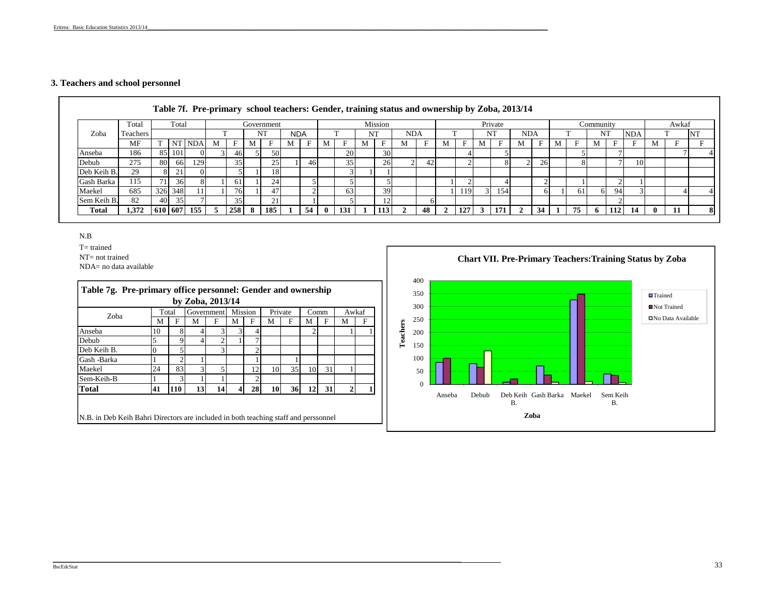## **3. Teachers and school personnel**

|             |          |         |         |        |   |                 |   |              |            |    |              |           |    |         | Table 7f. Pre-primary school teachers: Gender, training status and ownership by Zoba, 2013/14 |    |              |     |   |         |            |    |   |    |           |       |            |   |       |    |
|-------------|----------|---------|---------|--------|---|-----------------|---|--------------|------------|----|--------------|-----------|----|---------|-----------------------------------------------------------------------------------------------|----|--------------|-----|---|---------|------------|----|---|----|-----------|-------|------------|---|-------|----|
|             | Total    |         | Total   |        |   |                 |   | Government   |            |    |              |           |    | Mission |                                                                                               |    |              |     |   | Private |            |    |   |    | Community |       |            |   | Awkaf |    |
| Zoba        | Teachers |         |         |        |   |                 |   | NT           | <b>NDA</b> |    |              |           | NT |         | <b>NDA</b>                                                                                    |    |              |     |   | NT      | <b>NDA</b> |    |   |    | NT        |       | <b>NDA</b> |   |       | NT |
|             | MF       |         |         | NT NDA | М |                 | M |              | M          |    | M            |           |    |         | M                                                                                             |    | М            | Е   | M |         | M          | E  | M | Е  | м         |       |            | M |       |    |
| Anseba      | 186      |         | 85 101  |        |   | 461             |   | 50           |            |    |              | <b>20</b> |    | 30      |                                                                                               |    |              |     |   |         |            |    |   |    |           |       |            |   |       |    |
| Debub       | 275      | 80      | 66 I    | 129    |   | 35 <sup>1</sup> |   | 25           |            | 46 |              | 351       |    | 26      |                                                                                               | 42 |              |     |   | 8       |            | 26 |   |    |           |       | 10         |   |       |    |
| Deb Keih B. | 29       | 81      |         |        |   |                 |   | 18           |            |    |              |           |    |         |                                                                                               |    |              |     |   |         |            |    |   |    |           |       |            |   |       |    |
| Gash Barka  | 115      | 71      | 36      |        |   | 61              |   | 24           |            |    |              |           |    |         |                                                                                               |    |              |     |   |         |            |    |   |    |           |       |            |   |       |    |
| Maekel      | 685      |         | 326 348 |        |   | 76              |   | 47           |            |    |              | 631       |    | 39      |                                                                                               |    |              | 119 |   | 154     |            |    |   | 61 | 61        | 94    |            |   |       |    |
| Sem Keih B. | 82       | 40      | 35      |        |   | 35              |   | $\mathbf{C}$ |            |    |              |           |    |         |                                                                                               |    |              |     |   |         |            |    |   |    |           |       |            |   |       |    |
| Total       | 1.372    | 610 607 |         | 155    | 5 | 258             | 8 | 185          |            | 54 | $\mathbf{0}$ | 131       |    | 113     |                                                                                               | 48 | $\mathbf{2}$ | 127 | 3 | 171     |            | 34 |   | 75 | 6         | 112 I | -14        |   | 11    | 8  |

### N.B

T= trained

NT= not trained

NDA= no data available



 $\mathcal{L}_\text{max} = \mathcal{L}_\text{max} = \mathcal{L}_\text{max} = \mathcal{L}_\text{max} = \mathcal{L}_\text{max} = \mathcal{L}_\text{max} = \mathcal{L}_\text{max} = \mathcal{L}_\text{max} = \mathcal{L}_\text{max} = \mathcal{L}_\text{max} = \mathcal{L}_\text{max} = \mathcal{L}_\text{max} = \mathcal{L}_\text{max} = \mathcal{L}_\text{max} = \mathcal{L}_\text{max} = \mathcal{L}_\text{max} = \mathcal{L}_\text{max} = \mathcal{L}_\text{max} = \mathcal{$ 

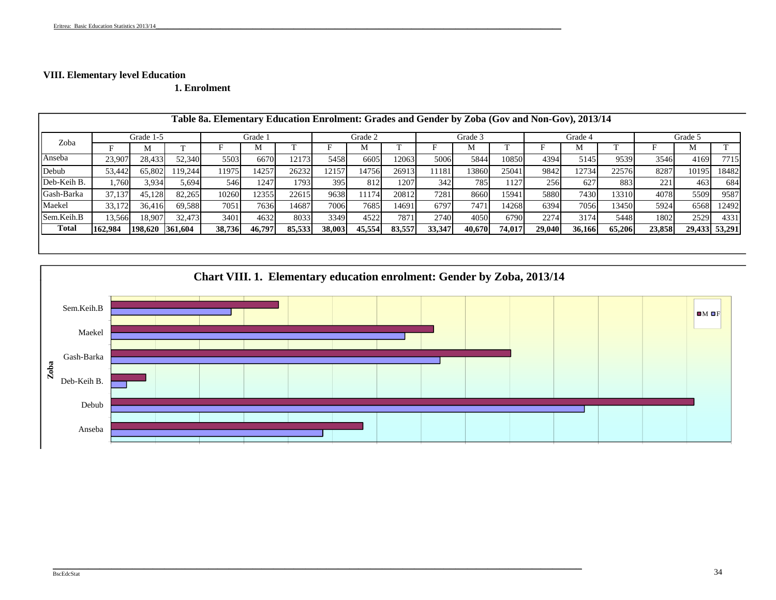# **VIII. Elementary level Education**

**1. Enrolment**

|              |         |                 |         | Table 8a. Elementary Education Enrolment: Grades and Gender by Zoba (Gov and Non-Gov), 2013/14 |         |        |        |         |        |        |         |        |        |         |        |        |         |               |
|--------------|---------|-----------------|---------|------------------------------------------------------------------------------------------------|---------|--------|--------|---------|--------|--------|---------|--------|--------|---------|--------|--------|---------|---------------|
|              |         | Grade 1-5       |         |                                                                                                | Grade 1 |        |        | Grade 2 |        |        | Grade 3 |        |        | Grade 4 |        |        | Grade 5 |               |
| Zoba         |         | M               |         |                                                                                                | M       |        |        | М       |        |        |         |        |        | М       |        |        |         |               |
| Anseba       | 23,907  | 28,433          | 52,340  | 5503                                                                                           | 6670    | 12173  | 5458   | 6605    | 12063  | 5006   | 5844    | 10850  | 4394   | 5145    | 9539   | 3546   | 4169    | 7715          |
| Debub        | 53,442  | 65,802          | 119.244 | 11975                                                                                          | 14257   | 26232  | 12157  | 14756   | 26913  | 11181  | 3860    | 25041  | 9842   | 12734   | 22576  | 8287   | 10195   | 18482         |
| Deb-Keih B.  | .760    | 3,934           | 5.694   | 546                                                                                            | 1247    | 1793   | 395    | 812     | 1207   | 342    | 785     | 1127   | 256    | 627     | 883    | 221    | 463     | 684           |
| Gash-Barka   | 37,137  | 45,128          | 82,265  | 10260                                                                                          | 12355   | 22615  | 9638   | 11174   | 20812  | 7281   | 8660    | 15941  | 5880   | 7430    | 13310  | 4078   | 5509    | 9587          |
| Maekel       | 33,172  | 36.416          | 69,588  | 7051                                                                                           | 7636    | 14687  | 7006   | 7685    | 14691  | 6797   | 747     | 4268   | 6394   | 7056    | 13450  | 5924   | 6568    | 12492         |
| Sem.Keih.B   | 13,566  | 18,907          | 32,473  | 3401                                                                                           | 4632    | 8033   | 3349   | 4522    | 7871   | 2740   | 4050    | 6790   | 2274   | 3174    | 5448   | 1802   | 2529    | 4331          |
| <b>Total</b> | 162,984 | 198,620 361,604 |         | 38,736                                                                                         | 46,797  | 85,533 | 38,003 | 45,554  | 83,557 | 33,347 | 40.670  | 74,017 | 29,040 | 36,166  | 65,206 | 23,858 |         | 29,433 53,291 |
|              |         |                 |         |                                                                                                |         |        |        |         |        |        |         |        |        |         |        |        |         |               |

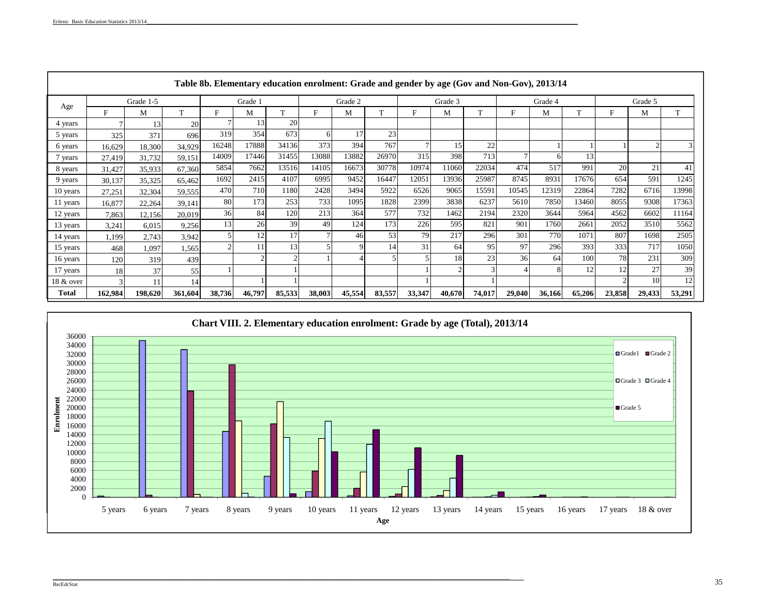|           |         |           |         |        |         |                |        |         |        |        |         |          |        | Table 8b. Elementary education enrolment: Grade and gender by age (Gov and Non-Gov), 2013/14 |        |        |         |        |
|-----------|---------|-----------|---------|--------|---------|----------------|--------|---------|--------|--------|---------|----------|--------|----------------------------------------------------------------------------------------------|--------|--------|---------|--------|
|           |         | Grade 1-5 |         |        | Grade 1 |                |        | Grade 2 |        |        | Grade 3 |          |        | Grade 4                                                                                      |        |        | Grade 5 |        |
| Age       | F       | М         | T       | F      | M       | T.             | F      | M       | T      | F      | M       | <b>T</b> | F      | М                                                                                            | m      | E      | М       | T      |
| 4 years   | 7       | 13        | 20      |        | 13      | 20             |        |         |        |        |         |          |        |                                                                                              |        |        |         |        |
| 5 years   | 325     | 371       | 696     | 319    | 354     | 673            | 61     | 17      | 23     |        |         |          |        |                                                                                              |        |        |         |        |
| 6 years   | 16,629  | 18,300    | 34,929  | 16248  | 17888   | 34136          | 373    | 394     | 767    |        | 15      | 22       |        |                                                                                              |        |        |         |        |
| 7 years   | 27,419  | 31,732    | 59,151  | 14009  | 17446   | 31455          | 13088  | 13882   | 26970  | 315    | 398     | 713      |        |                                                                                              | 13     |        |         |        |
| 8 years   | 31,427  | 35,933    | 67,360  | 5854   | 7662    | 13516          | 14105  | 16673   | 30778  | 10974  | 11060   | 22034    | 474    | 517                                                                                          | 991    | 20     | 21      | 41     |
| 9 years   | 30,137  | 35,325    | 65,462  | 1692   | 2415    | 4107           | 6995   | 9452    | 16447  | 12051  | 13936   | 25987    | 8745   | 8931                                                                                         | 17676  | 654    | 591     | 1245   |
| 10 years  | 27,251  | 32,304    | 59,555  | 470    | 710     | 1180           | 2428   | 3494    | 5922   | 6526   | 9065    | 15591    | 10545  | 12319                                                                                        | 22864  | 7282   | 6716    | 13998  |
| 11 years  | 16,877  | 22,264    | 39,141  | 80     | 173     | 253            | 733    | 1095    | 1828   | 2399   | 3838    | 6237     | 5610   | 7850                                                                                         | 13460  | 8055   | 9308    | 17363  |
| 12 years  | 7,863   | 12,156    | 20,019  | 36     | 84      | 120            | 213    | 364     | 577    | 732    | 1462    | 2194     | 2320   | 3644                                                                                         | 5964   | 4562   | 6602    | 11164  |
| 13 years  | 3,241   | 6,015     | 9,256   | 13     | 26      | 39             | 49     | 124     | 173    | 226    | 595     | 821      | 901    | 1760                                                                                         | 2661   | 2052   | 3510    | 5562   |
| 14 years  | 1,199   | 2,743     | 3,942   |        | 12      | 17             |        | 46      | 53     | 79     | 217     | 296      | 301    | 770                                                                                          | 1071   | 807    | 1698    | 2505   |
| 15 years  | 468     | 1,097     | 1,565   |        | 11      | 13             |        | 9       | 14     | 31     | 64      | 95       | 97     | 296                                                                                          | 393    | 333    | 717     | 1050   |
| 16 years  | 120     | 319       | 439     |        |         | $\overline{c}$ |        |         |        | 5      | 18      | 23       | 36     | 64                                                                                           | 100    | 78     | 231     | 309    |
| 17 years  | 18      | 37        | 55      |        |         |                |        |         |        |        |         |          |        |                                                                                              | 12     | 12     | 27      | 39     |
| 18 & over | 3       |           | 14      |        |         |                |        |         |        |        |         |          |        |                                                                                              |        |        | 10      | 12     |
| Total     | 162.984 | 198,620   | 361,604 | 38,736 | 46,797  | 85,533         | 38,003 | 45,554  | 83,557 | 33,347 | 40.670  | 74,017   | 29,040 | 36,166                                                                                       | 65,206 | 23,858 | 29,433  | 53,291 |

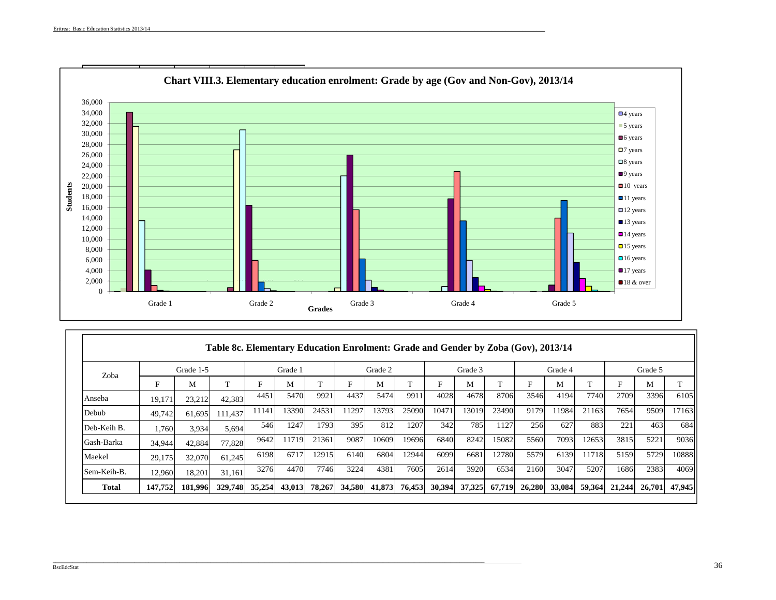

|             |         |           | Table 8c. Elementary Education Enrolment: Grade and Gender by Zoba (Gov), 2013/14 |        |         |        |        |         |        |        |         |        |        |         |        |        |         |        |
|-------------|---------|-----------|-----------------------------------------------------------------------------------|--------|---------|--------|--------|---------|--------|--------|---------|--------|--------|---------|--------|--------|---------|--------|
| Zoba        |         | Grade 1-5 |                                                                                   |        | Grade 1 |        |        | Grade 2 |        |        | Grade 3 |        |        | Grade 4 |        |        | Grade 5 |        |
|             | F       | M         | $\mathbf{T}$                                                                      | F      | М       |        | F      | M       | T      | F      | M       |        | F      | M       | m      | Е      | М       | T      |
| Anseba      | 19,171  | 23,212    | 42,383                                                                            | 4451   | 5470    | 9921   | 4437   | 5474    | 9911   | 4028   | 4678    | 8706   | 3546   | 4194    | 7740   | 2709   | 3396    | 6105   |
| Debub       | 49,742  | 61.695    | 111.437                                                                           | 11141  | 13390   | 24531  | 1297   | 13793   | 25090  | 10471  | 13019   | 23490  | 9179   | 1984    | 21163  | 7654   | 9509    | 17163  |
| Deb-Keih B. | 1,760   | 3.934     | 5,694                                                                             | 546    | 1247    | 1793   | 395    | 812     | 1207   | 342    | 785     | 1127   | 256    | 627     | 883    | 221    | 463     | 684    |
| Gash-Barka  | 34,944  | 42,884    | 77.828                                                                            | 9642   | 11719   | 21361  | 9087   | 10609   | 19696  | 6840   | 8242    | 15082  | 5560   | 7093    | 12653  | 3815   | 5221    | 9036   |
| Maekel      | 29,175  | 32,070    | 61.245                                                                            | 6198   | 6717    | 12915  | 6140   | 6804    | 12944  | 6099   | 6681    | 12780  | 5579   | 6139    | 11718  | 5159   | 5729    | 10888  |
| Sem-Keih-B. | 12.960  | 18.201    | 31.161                                                                            | 3276   | 4470    | 7746   | 3224   | 4381    | 7605   | 2614   | 3920    | 6534   | 2160   | 3047    | 5207   | 1686   | 2383    | 4069   |
| Total       | 147,752 | 181,996   | 329,748                                                                           | 35,254 | 43,013  | 78,267 | 34,580 | 41,873  | 76,453 | 30,394 | 37,325  | 67,719 | 26,280 | 33,084  | 59,364 | 21,244 | 26,701  | 47,945 |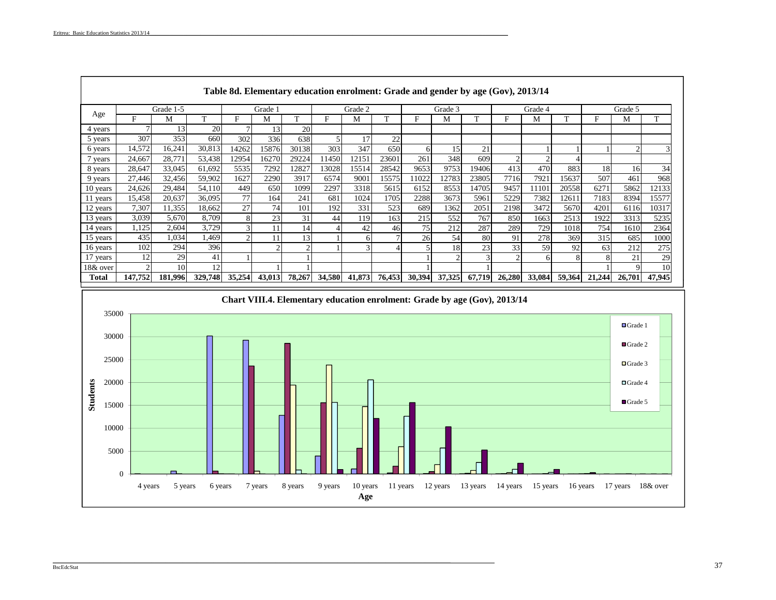Г

|          |                |           |         | Table 8d. Elementary education enrolment: Grade and gender by age (Gov), 2013/14 |           |           |                |         |        |        |         |               |                |         |        |           |         |        |
|----------|----------------|-----------|---------|----------------------------------------------------------------------------------|-----------|-----------|----------------|---------|--------|--------|---------|---------------|----------------|---------|--------|-----------|---------|--------|
|          |                | Grade 1-5 |         |                                                                                  | Grade 1   |           |                | Grade 2 |        |        | Grade 3 |               |                | Grade 4 |        |           | Grade 5 |        |
| Age      | F              | М         | m       | F                                                                                | М         | m         | Е              | М       | T      | F      | M       | T             | F              | М       |        | F         | м       | T      |
| 4 years  |                | 13        | 20      |                                                                                  | 13        | <b>20</b> |                |         |        |        |         |               |                |         |        |           |         |        |
| 5 years  | 307            | 353       | 660     | 302                                                                              | 336       | 638       | $\overline{5}$ | 17      | 22     |        |         |               |                |         |        |           |         |        |
| 6 years  | 14,572         | 16,241    | 30,813  | 14262                                                                            | 15876     | 30138     | 303            | 347     | 650    | 61     | 15      | 21            |                |         |        |           |         |        |
| vears    | 24,667         | 28,771    | 53,438  | 12954                                                                            | 16270     | 29224     | 1450           | 12151   | 23601  | 261    | 348     | 609           | $\overline{c}$ | ◠       |        |           |         |        |
| 8 years  | 28,647         | 33,045    | 61,692  | 5535                                                                             | 7292      | 12827     | 13028          | 15514   | 28542  | 9653   | 9753    | 19406         | 413            | 470     | 883    | <b>18</b> | 16      | 34     |
| 9 years  | 27,446         | 32,456    | 59,902  | 1627                                                                             | 2290      | 3917      | 6574           | 9001    | 15575  | 11022  | 12783   | 23805         | 7716           | 7921    | 15637  | 507       | 461     | 968    |
| 10 years | 24,626         | 29.484    | 54,110  | 449                                                                              | 650       | 1099      | 2297           | 3318    | 5615   | 6152   | 8553    | 14705         | 9457           | 11101   | 20558  | 6271      | 5862    | 12133  |
| 11 years | 15,458         | 20,637    | 36,095  | 77                                                                               | 164       | 241       | 681            | 1024    | 1705   | 2288   | 3673    | 5961          | 5229           | 7382    | 12611  | 7183      | 8394    | 15577  |
| 12 years | 7,307          | 1.355     | 18,662  | 27                                                                               | 74        | 101       | 192            | 331     | 523    | 689    | 1362    | 2051          | 2198           | 3472    | 5670   | 4201      | 6116    | 10317  |
| 13 years | 3,039          | 5,670     | 8,709   | 8                                                                                | 23        | 31        | 44             | 119     | 163    | 215    | 552     | 767           | 850            | 1663    | 2513   | 1922      | 3313    | 5235   |
| 14 years | 1,125          | 2.604     | 3.729   | 3                                                                                | 11        | 14        |                | 42      | 46     | 75     | 212     | 287           | 289            | 729     | 1018   | 754       | 1610    | 2364   |
| 15 years | 435            | 1,034     | .469    |                                                                                  | 11        | 13        |                |         |        | 26     | 54      | 80            | 91             | 278     | 369    | 315       | 685     | 1000   |
| 16 years | 102            | 294       | 396     |                                                                                  | $\bigcap$ | $\sim$    |                |         | 4      |        | 18      | 23            | 33             | 59      | 92     | 63        | 212     | 275    |
| 17 years | 12             | 29        | 41      |                                                                                  |           |           |                |         |        |        | 2       | $\mathcal{R}$ | $\overline{c}$ | 6       | 8      | 8         | 21      | 29     |
| 18& over | $\overline{c}$ | 10        | 12      |                                                                                  |           |           |                |         |        |        |         |               |                |         |        |           |         | 10     |
| Total    | 147,752        | 181,996   | 329,748 | 35,254                                                                           | 43,013    | 78,267    | 34,580         | 41,873  | 76,453 | 30,394 | 37,325  | 67,719        | 26,280         | 33,084  | 59,364 | 21,244    | 26,701  | 47,945 |



\_\_\_\_\_\_\_\_\_\_\_\_\_\_\_\_\_\_\_\_\_\_\_\_\_\_\_\_\_\_\_\_\_\_\_\_\_\_\_\_\_\_\_\_\_\_\_\_\_\_\_\_\_\_\_\_\_\_\_\_\_\_\_\_\_\_\_\_\_\_\_\_\_\_\_\_\_\_\_\_\_\_\_\_\_\_\_\_\_\_\_\_\_\_\_\_\_\_\_\_\_\_\_\_\_\_\_\_\_\_\_\_\_\_\_\_\_\_\_\_\_\_\_\_\_\_\_\_\_\_\_\_\_\_\_\_\_\_\_\_\_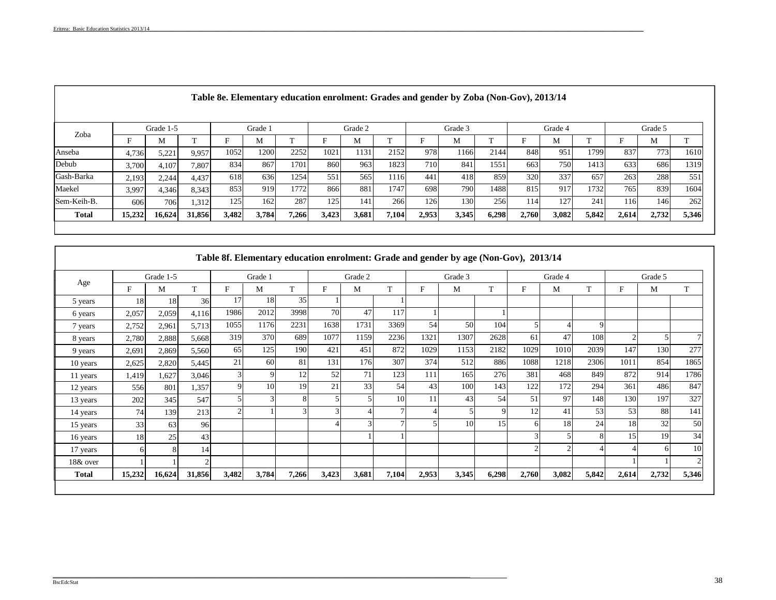|              |        | Grade 1-5 |        |       | Grade 1 |       |       | Grade 2 |              |       | Grade 3 |              |       | Grade 4 |       |       | Grade 5 |              |
|--------------|--------|-----------|--------|-------|---------|-------|-------|---------|--------------|-------|---------|--------------|-------|---------|-------|-------|---------|--------------|
| Zoba         |        | М         | --     |       | M       |       |       | M       | $\mathbf{r}$ |       | М       | $\mathbf{r}$ |       | М       |       |       | M       | $\mathbf{r}$ |
| Anseba       | 4,736  | 5,221     | 9,957  | 1052  | 1200    | 2252  | 1021  | 1131    | 2152         | 978   | 1166    | 2144         | 848   | 951     | 1799  | 837   | 7731    | 1610         |
| Debub        | 3,700  | 4,107     | 7,807  | 834   | 867     | 1701  | 860   | 963     | 1823         | 710   | 841     | 155          | 663   | 750     | 1413  | 633   | 686     | 1319         |
| Gash-Barka   | 2,193  | 2,244     | 4,437  | 618   | 636     | 1254  | 551   | 565     | 116          | 441   | 418     | 859          | 320   | 337     | 657   | 263   | 288     | 551          |
| Maekel       | 3,997  | 4,346     | 8,343  | 853   | 919     | 1772  | 866   | 881     | 1747         | 698   | 7901    | 1488         | 815   | 917     | 1732  | 765   | 839     | 1604         |
| Sem-Keih-B.  | 606    | 706       | 1,312  | 125   | 162     | 287   | 125   | 141     | 266          | 126   | 130     | 256          | 114   | 127     | 241   | 116   | 146     | 262          |
| <b>Total</b> | 15,232 | 16,624    | 31,856 | 3,482 | 3,784   | 7,266 | 3,423 | 3,681   | 7,104        | 2,953 | 3,345   | 6,298        | 2,760 | 3,082   | 5,842 | 2,614 | 2,732   | 5,346        |

# **Table 8e. Elementary education enrolment: Grades and gender by Zoba (Non-Gov), 2013/14**

|              |        | Grade 1-5 |        |             | Grade 1 |       |       | Grade 2 |                |       | Grade 3 |       |       | Grade 4        |       |                | Grade 5 |       |
|--------------|--------|-----------|--------|-------------|---------|-------|-------|---------|----------------|-------|---------|-------|-------|----------------|-------|----------------|---------|-------|
| Age          | F      | M         | T      | F           | M       | T     | F     | M       | T              | F     | М       | T     | F     | M              | T     | F              | М       | T     |
| 5 years      | 18     | 18        | 36     | 17          | 18      | 35    |       |         |                |       |         |       |       |                |       |                |         |       |
| 6 years      | 2,057  | 2,059     | 4,116  | 1986        | 2012    | 3998  | 70    | 47      | 117            |       |         |       |       |                |       |                |         |       |
| 7 years      | 2,752  | 2,961     | 5,713  | 1055        | 1176    | 2231  | 1638  | 1731    | 3369           | 54    | 50      | 104   |       | 4              | 9     |                |         |       |
| 8 years      | 2,780  | 2,888     | 5,668  | 319         | 370     | 689   | 1077  | 1159    | 2236           | 1321  | 1307    | 2628  | 61    | 47             | 108   | $\overline{2}$ |         |       |
| 9 years      | 2,691  | 2,869     | 5,560  | 65          | 125     | 190   | 421   | 451     | 872            | 1029  | 1153    | 2182  | 1029  | 1010           | 2039  | 147            | 130     | 277   |
| 10 years     | 2,625  | 2,820     | 5,445  | 21          | 60      | 81    | 131   | 176     | 307            | 374   | 512     | 886   | 1088  | 1218           | 2306  | 1011           | 854     | 1865  |
| 11 years     | 1,419  | 1,627     | 3,046  | 3           |         | 12    | 52    | 71      | 123            | 111   | 165     | 276   | 381   | 468            | 849   | 872            | 914     | 1786  |
| 12 years     | 556    | 801       | 1,357  | $\mathbf Q$ | 10      | 19    | 21    | 33      | 54             | 43    | 100     | 143   | 122   | 172            | 294   | 361            | 486     | 847   |
| 13 years     | 202    | 345       | 547    |             |         | 8     |       |         | 10             |       | 43      | 54    | 51    | 97             | 148   | 130            | 197     | 327   |
| 14 years     | 74     | 139       | 213    |             |         | 3     | 3     |         |                |       |         | 9     | 12    | 41             | 53    | 53             | 88      | 141   |
| 15 years     | 33     | 63        | 96     |             |         |       |       | 3       | $\overline{ }$ |       | 10      | 15    |       | 18             | 24    | 18             | 32      | 50    |
| 16 years     | 18     | 25        | 43     |             |         |       |       |         |                |       |         |       |       | $\mathfrak{S}$ | 8     | 15             | 19      | 34    |
| 17 years     | 6      |           | 14     |             |         |       |       |         |                |       |         |       |       | $\overline{2}$ | 4     |                | 6       | 10    |
| 18& over     |        |           | っ      |             |         |       |       |         |                |       |         |       |       |                |       |                |         |       |
| <b>Total</b> | 15,232 | 16,624    | 31,856 | 3,482       | 3,784   | 7,266 | 3,423 | 3,681   | 7,104          | 2,953 | 3,345   | 6,298 | 2,760 | 3,082          | 5,842 | 2,614          | 2,732   | 5,346 |

 $\mathcal{L}_\mathcal{L} = \mathcal{L}_\mathcal{L} = \mathcal{L}_\mathcal{L} = \mathcal{L}_\mathcal{L} = \mathcal{L}_\mathcal{L} = \mathcal{L}_\mathcal{L} = \mathcal{L}_\mathcal{L} = \mathcal{L}_\mathcal{L} = \mathcal{L}_\mathcal{L} = \mathcal{L}_\mathcal{L} = \mathcal{L}_\mathcal{L} = \mathcal{L}_\mathcal{L} = \mathcal{L}_\mathcal{L} = \mathcal{L}_\mathcal{L} = \mathcal{L}_\mathcal{L} = \mathcal{L}_\mathcal{L} = \mathcal{L}_\mathcal{L}$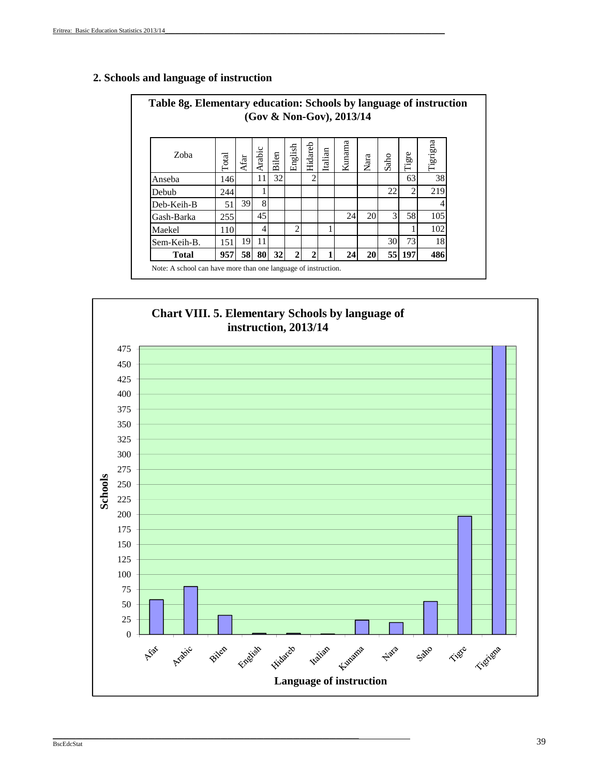| Table 8g. Elementary education: Schools by language of instruction |       |      |        |       |                |                             |         | (Gov & Non-Gov), 2013/14 |      |               |                |          |
|--------------------------------------------------------------------|-------|------|--------|-------|----------------|-----------------------------|---------|--------------------------|------|---------------|----------------|----------|
| Zoba                                                               | Total | Afar | Arabic | Bilen | English        | Hidareb                     | Italian | Kunama                   | Nara | Saho          | Tigre          | Tigrigna |
| Anseba                                                             | 146   |      | 11     | 32    |                |                             |         |                          |      |               | 63             | 38       |
| Debub                                                              | 244   |      |        |       |                |                             |         |                          |      | 22            | $\overline{2}$ | 219      |
| Deb-Keih-B                                                         | 51    | 39   | 8      |       |                |                             |         |                          |      |               |                |          |
| Gash-Barka                                                         | 255   |      | 45     |       |                |                             |         | 24                       | 20   | $\mathcal{F}$ | 58             | 105      |
| Maekel                                                             | 110   |      | 4      |       | $\overline{c}$ |                             |         |                          |      |               |                | 102      |
| Sem-Keih-B.                                                        | 151   | 19   | 11     |       |                |                             |         |                          |      | 30            | 73             | 18       |
| <b>Total</b>                                                       | 957   | 58   | 80     | 32    | $\mathbf{c}$   | $\mathcal{D}_{\mathcal{L}}$ |         | 24                       | 20   | 55            | 197            | 486      |

# **2. Schools and language of instruction**



\_\_\_\_\_\_\_\_\_\_\_\_\_\_\_\_\_\_\_\_\_\_\_\_\_\_\_\_\_\_\_\_\_\_\_\_\_\_\_\_\_\_\_\_\_\_\_\_\_\_\_\_\_\_\_\_\_\_\_\_\_\_\_\_\_\_\_\_\_\_\_\_\_\_\_\_\_\_\_\_\_\_\_\_\_\_\_\_\_\_\_\_\_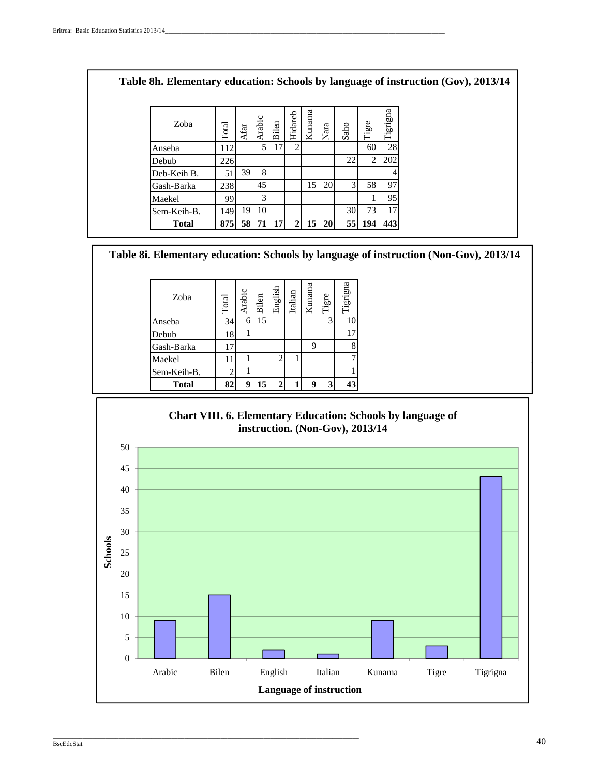| Zoba         | Total      | Afar | Arabic | Bilen           | Hidareb        | Kunama    | Nara      | Saho | Tigre          | Tigrigna |  |
|--------------|------------|------|--------|-----------------|----------------|-----------|-----------|------|----------------|----------|--|
| Anseba       | <b>112</b> |      | 5      | 17              | $\overline{2}$ |           |           |      | 60             | 28       |  |
| Debub        | 226        |      |        |                 |                |           |           | 22   | $\overline{c}$ | 202      |  |
| Deb-Keih B.  | 51         | 39   | 8      |                 |                |           |           |      |                |          |  |
| Gash-Barka   | 238        |      | 45     |                 |                | 15        | 20        | 3    | 58             | 97       |  |
| Maekel       | 99         |      | 3      |                 |                |           |           |      |                | 95       |  |
| Sem-Keih-B.  | 149        | 19   | 10     |                 |                |           |           | 30   | 73             | 17       |  |
| <b>Total</b> | 875        | 58   | 71     | 17 <sup>1</sup> | 2 <sub>1</sub> | <b>15</b> | <b>20</b> | 55   | 194            | 443      |  |

**Table 8i. Elementary education: Schools by language of instruction (Non-Gov), 2013/14**

| Zoba         | <b>Total</b> | Arabic | Bilen | English        | Italian | Kunama | Tigre | Tigrigna |
|--------------|--------------|--------|-------|----------------|---------|--------|-------|----------|
| Anseba       | 34           | 6      | 15    |                |         |        | 3     | 10       |
| Debub        | 18           |        |       |                |         |        |       | 17       |
| Gash-Barka   | 17           |        |       |                |         | 9      |       | 8        |
| Maekel       | 11           |        |       | $\overline{c}$ |         |        |       |          |
| Sem-Keih-B.  |              |        |       |                |         |        |       |          |
| <b>Total</b> | 82           |        | 15    | $\mathbf{2}$   |         | 9      | 3     | 43       |

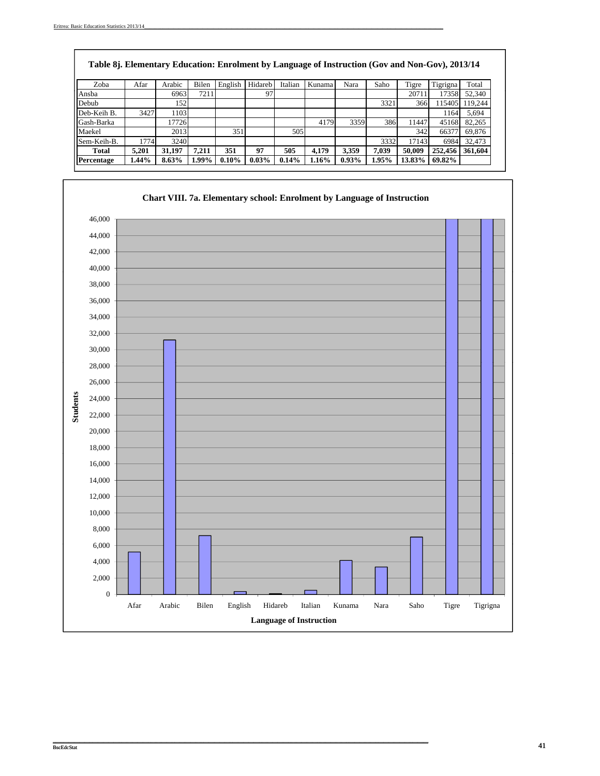$\sqrt{ }$ 

| Table 8j. Elementary Education: Enrolment by Language of Instruction (Gov and Non-Gov), 2013/14 |       |        |       |          |          |         |        |          |       |        |          |         |
|-------------------------------------------------------------------------------------------------|-------|--------|-------|----------|----------|---------|--------|----------|-------|--------|----------|---------|
| Zoba                                                                                            | Afar  | Arabic | Bilen | English  | Hidareb  | Italian | Kunama | Nara     | Saho  | Tigre  | Tigrigna | Total   |
| Ansba                                                                                           |       | 6963   | 7211  |          | 97       |         |        |          |       | 20711  | 17358    | 52,340  |
| Debub                                                                                           |       | 152    |       |          |          |         |        |          | 3321  | 366    | 115405   | 119.244 |
| Deb-Keih B.                                                                                     | 3427  | 1103   |       |          |          |         |        |          |       |        | 1164     | 5,694   |
| Gash-Barka                                                                                      |       | 17726  |       |          |          |         | 4179   | 3359     | 386   | 11447  | 45168    | 82,265  |
| Maekel                                                                                          |       | 2013   |       | 351      |          | 505     |        |          |       | 342    | 66377    | 69.876  |
| Sem-Keih-B.                                                                                     | 1774  | 3240   |       |          |          |         |        |          | 3332  | 17143  | 6984     | 32.473  |
| Total                                                                                           | 5.201 | 31.197 | 7.211 | 351      | 97       | 505     | 4.179  | 3.359    | 7.039 | 50,009 | 252,456  | 361,604 |
| Percentage                                                                                      | 1.44% | 8.63%  | 1.99% | $0.10\%$ | $0.03\%$ | 0.14%   | 1.16%  | $0.93\%$ | 1.95% | 13.83% | 69.82%   |         |

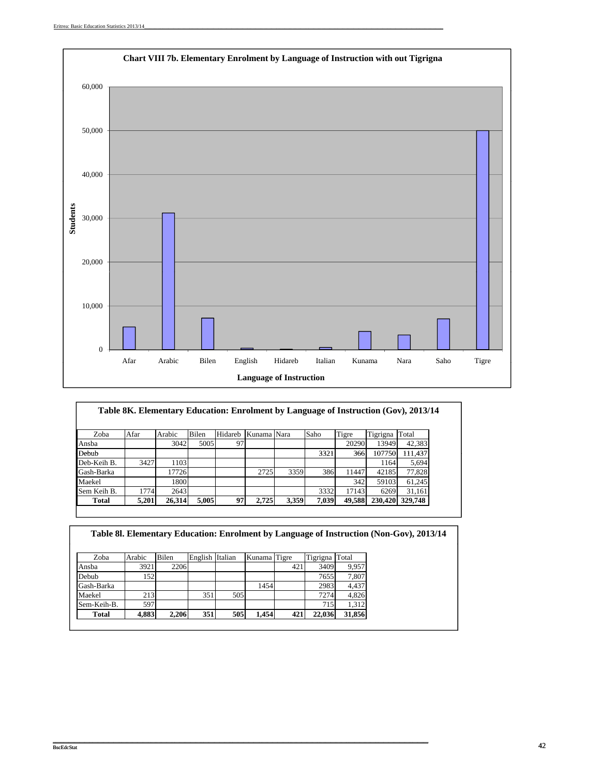

| Zoba         | Afar  | Arabic | Bilen | Hidareb | Kunama Nara |       | Saho  | Tigre  | Tigrigna | Total   |
|--------------|-------|--------|-------|---------|-------------|-------|-------|--------|----------|---------|
| Ansba        |       | 3042   | 5005  | 97      |             |       |       | 20290  | 13949    | 42,383  |
| Debub        |       |        |       |         |             |       | 3321  | 366    | 107750   | 111.437 |
| Deb-Keih B.  | 3427  | 1103   |       |         |             |       |       |        | 1164     | 5,694   |
| Gash-Barka   |       | 17726  |       |         | 2725        | 3359  | 386   | 11447  | 42185    | 77,828  |
| Maekel       |       | 1800   |       |         |             |       |       | 342    | 59103    | 61,245  |
| Sem Keih B.  | 1774  | 2643   |       |         |             |       | 3332  | 17143  | 6269     | 31,161  |
| <b>Total</b> | 5,201 | 26,314 | 5.005 | 97      | 2.725       | 3,359 | 7,039 | 49,588 | 230,420  | 329,748 |

| Table 81. Elementary Education: Enrolment by Language of Instruction (Non-Gov), 2013/14 |        |       |                 |     |              |     |          |        |
|-----------------------------------------------------------------------------------------|--------|-------|-----------------|-----|--------------|-----|----------|--------|
|                                                                                         |        |       |                 |     |              |     |          |        |
| Zoba                                                                                    | Arabic | Bilen | English Italian |     | Kunama Tigre |     | Tigrigna | Total  |
| Ansba                                                                                   | 3921   | 2206  |                 |     |              | 421 | 3409     | 9.957  |
| Debub                                                                                   | 1521   |       |                 |     |              |     | 7655     | 7,807  |
| Gash-Barka                                                                              |        |       |                 |     | 1454         |     | 2983     | 4.437  |
| Maekel                                                                                  | 213    |       | 351             | 505 |              |     | 7274     | 4,826  |
| Sem-Keih-B.                                                                             | 597    |       |                 |     |              |     | 715      | 1.312  |
| Total                                                                                   | 4,883  | 2.206 | 351             | 505 | 1.454        | 421 | 22,036   | 31,856 |

\_\_\_\_\_\_\_\_\_\_\_\_\_\_\_\_\_\_\_\_\_\_\_\_\_\_\_\_\_\_\_\_\_\_\_\_\_\_\_\_\_\_\_\_\_\_\_\_\_\_\_\_\_\_\_\_\_\_\_\_\_\_\_\_\_\_\_\_\_\_\_\_\_\_\_\_\_\_\_\_\_\_\_\_\_\_\_\_\_\_\_\_\_\_\_\_\_\_\_\_\_\_\_\_\_\_\_\_\_\_\_\_\_\_\_\_\_\_\_\_\_\_\_\_\_\_\_\_\_\_\_\_\_\_\_\_\_\_\_\_\_\_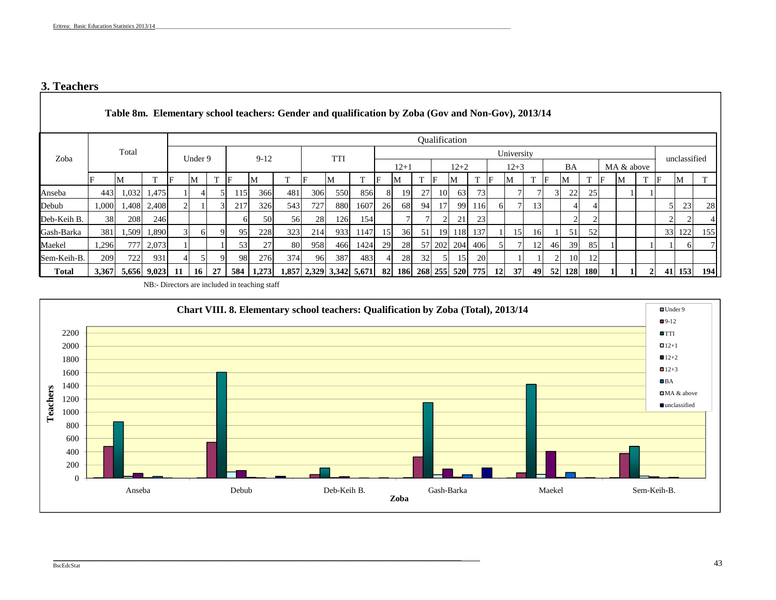# **3. Teachers**

|              |       |                   |             |     |                 |    |     |           | Table 8m. Elementary school teachers: Gender and qualification by Zoba (Gov and Non-Gov), 2013/14 |            |                         |      |                 |                        |    |    |               |           |           |                 |                 |    |        |            |    |            |                |    |              |     |
|--------------|-------|-------------------|-------------|-----|-----------------|----|-----|-----------|---------------------------------------------------------------------------------------------------|------------|-------------------------|------|-----------------|------------------------|----|----|---------------|-----------|-----------|-----------------|-----------------|----|--------|------------|----|------------|----------------|----|--------------|-----|
|              |       |                   |             |     |                 |    |     |           |                                                                                                   |            |                         |      |                 |                        |    |    | Qualification |           |           |                 |                 |    |        |            |    |            |                |    |              |     |
| Zoba         |       | Total             |             |     | Under 9         |    |     | $9-12$    |                                                                                                   |            | TTI                     |      |                 |                        |    |    |               |           |           | University      |                 |    |        |            |    |            |                |    | unclassified |     |
|              |       |                   |             |     |                 |    |     |           |                                                                                                   |            |                         |      |                 | $12+1$                 |    |    | $12+2$        |           |           | $12 + 3$        |                 |    | BA     |            |    | MA & above |                |    |              |     |
|              |       | M                 | ПT.         | F   | М               |    | IF  | M         | m.                                                                                                |            | М                       |      | IF              | IM                     |    |    | М             | T         | IF        | М               |                 |    | M      |            | IF | IМ         |                | IF | M            |     |
| Anseba       | 4431  |                   | 1,032 1,475 |     |                 |    | 115 | 366       | 481                                                                                               | 306        | 550                     | 856  | 81              | <b>19</b>              | 27 | 10 | 63            | 73        |           |                 |                 |    | 22     | 25         |    |            |                |    |              |     |
| Debub        |       | 1,000 1,408 2,408 |             |     |                 |    | 217 | 326       | 543                                                                                               | 727        | 880                     | 1607 | 26 <sup>1</sup> | 68                     | 94 | 17 | 99 <b>I</b>   | 116       |           |                 | 13 <sup>1</sup> |    |        |            |    |            |                | 51 | 23           | 28  |
| Deb-Keih B.  | 38    | 208               | 246         |     |                 |    | 61  | 50        | 56                                                                                                | 28         | 126                     | 154  |                 |                        |    |    | 21            | 23        |           |                 |                 |    |        |            |    |            |                |    |              |     |
| Gash-Barka   | 381   | 1,509             | 1,890       |     | 6I              |    | 95  | 228       | 323                                                                                               | <b>214</b> | 933                     | 1147 | -15 <b>1</b>    | 36                     | 51 |    | 19 118 137    |           |           | 15 <sup>1</sup> | 16              |    | 51     | 52         |    |            |                |    | 33 122       | 155 |
| Maekel       | 1,296 |                   | 777 2,073   |     |                 |    | 53  | 27        | 80                                                                                                | 958        | 466                     | 1424 | 29 <sup>1</sup> | 28                     |    |    | 57 202 204    | 406       |           |                 | 12              | 46 | 39     | 85         |    |            |                |    | ωI           |     |
| Sem-Keih-B.  | 209   | 722               | 931         |     |                 |    | 98  | 276       | 374                                                                                               | 96         | 387                     | 483  |                 | 28                     | 32 |    | 15            | <b>20</b> |           |                 |                 |    | 10     | 12         |    |            |                |    |              |     |
| <b>Total</b> | 3,367 | 5,656 9,023       |             | -11 | 16 <sup>1</sup> | 27 |     | 584 1,273 |                                                                                                   |            | 1,857 2,329 3,342 5,671 |      |                 | 82 186 268 255 520 775 |    |    |               |           | <b>12</b> | 37              | 491             |    | 52 128 | <b>180</b> |    |            | $\overline{2}$ |    | 41 153       | 194 |

NB:- Directors are included in teaching staff

\_\_\_\_\_\_\_\_\_\_\_\_\_\_\_\_\_\_\_\_\_\_\_\_\_\_\_\_\_\_\_\_\_\_\_\_\_\_\_\_\_\_\_\_\_\_\_\_\_\_\_\_\_\_\_\_\_\_\_\_\_\_\_\_\_\_\_\_\_\_\_\_\_\_\_\_\_\_\_\_\_\_\_\_\_\_\_\_\_\_\_\_\_\_\_\_\_\_\_\_\_\_\_\_\_\_\_\_\_\_\_\_\_\_\_\_\_\_\_\_\_\_\_\_\_\_\_\_\_\_\_\_\_\_\_\_\_\_\_

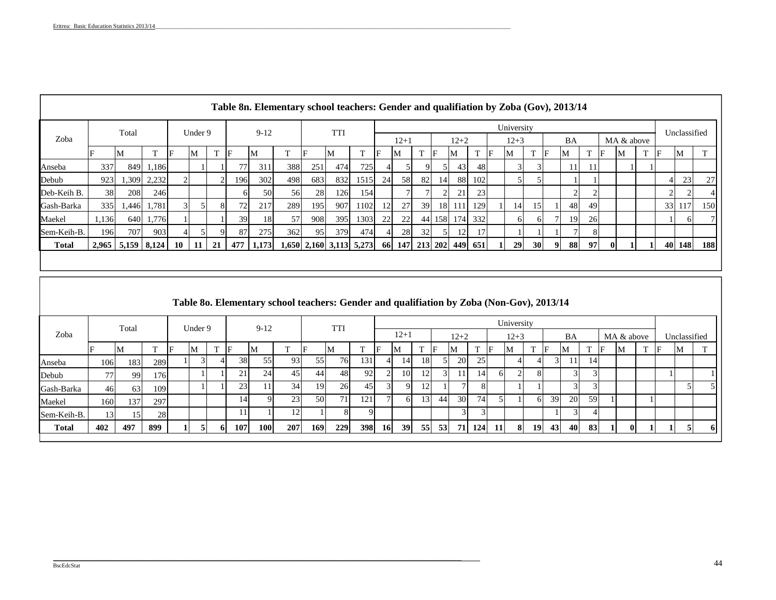|     |                                     |                                                                 |                                      |                                 |         |     |                                                                                                                                             |                        |                  |                                                  |                   | $12+1$                      |                 |          |    |    |                                                              |                |  |            | BA        |     |                                                                                                         |                |              |            |    |                                             |
|-----|-------------------------------------|-----------------------------------------------------------------|--------------------------------------|---------------------------------|---------|-----|---------------------------------------------------------------------------------------------------------------------------------------------|------------------------|------------------|--------------------------------------------------|-------------------|-----------------------------|-----------------|----------|----|----|--------------------------------------------------------------|----------------|--|------------|-----------|-----|---------------------------------------------------------------------------------------------------------|----------------|--------------|------------|----|---------------------------------------------|
|     | T                                   |                                                                 |                                      | T                               |         |     | $12 + 2$<br>$12 + 3$<br>IF<br>M<br>-lF<br>M<br>IF<br><sup>M</sup><br>IF<br>IF<br>M<br>M<br>IM<br>IΕ<br>388<br>251<br>474<br>725<br>43<br>48 |                        |                  |                                                  |                   |                             |                 |          |    |    |                                                              |                |  |            |           |     |                                                                                                         |                |              |            |    |                                             |
| 337 |                                     |                                                                 |                                      |                                 |         | 311 |                                                                                                                                             |                        | <b>TTI</b>       |                                                  |                   |                             |                 |          |    |    |                                                              |                |  |            |           |     |                                                                                                         |                |              |            |    |                                             |
| 923 |                                     |                                                                 |                                      |                                 |         | 302 | 498                                                                                                                                         |                        | 832              | 102<br>58<br>82<br>88<br>1515<br><b>24</b><br>14 |                   |                             |                 |          |    |    |                                                              |                |  |            |           |     |                                                                                                         |                |              |            | 23 | 27                                          |
|     |                                     |                                                                 |                                      |                                 |         |     |                                                                                                                                             |                        |                  |                                                  |                   |                             |                 |          | 21 | 23 |                                                              |                |  |            |           |     |                                                                                                         |                |              |            |    |                                             |
| 335 |                                     |                                                                 |                                      |                                 |         | 217 |                                                                                                                                             |                        | 907              |                                                  |                   | 27                          |                 |          |    |    |                                                              |                |  |            |           |     |                                                                                                         |                |              |            |    | 150                                         |
|     |                                     |                                                                 |                                      |                                 |         | 18  | 57                                                                                                                                          |                        |                  |                                                  |                   | 22                          |                 |          |    |    |                                                              |                |  |            |           |     |                                                                                                         |                |              |            |    |                                             |
|     |                                     |                                                                 |                                      |                                 |         |     |                                                                                                                                             |                        |                  |                                                  |                   |                             |                 |          | 12 |    |                                                              |                |  |            |           | 8   |                                                                                                         |                |              |            |    |                                             |
|     |                                     |                                                                 | -11                                  | 21                              |         |     |                                                                                                                                             |                        |                  |                                                  |                   |                             |                 |          |    |    |                                                              | <b>29</b>      |  |            |           |     |                                                                                                         |                |              |            |    | 188                                         |
|     | Total<br>-IVI<br>38<br>1,136<br>196 | 1,309 2,232<br>208<br>1,446 1,781<br>707<br>$2,965$ 5,159 8,124 | 849 1,186<br>246<br>640 1,776<br>903 | $\mathbf{M}$<br>10 <sup>1</sup> | Under 9 | IF  | $9-12$<br>M<br>77<br>196<br>72<br>39<br>87                                                                                                  | 50<br>275<br>477 1.173 | 56<br>289<br>362 | 683<br>28<br>195<br>908<br>95                    | 126<br>395<br>379 | 154I<br>1102<br>1303<br>474 | 12<br><b>22</b> | 28<br>32 | 39 |    | 18 111 129<br>1,650 2,160 3,113 5,273 66 147 213 202 449 651 | 44 158 174 332 |  | University | <b>30</b> | -91 | Table 8n. Elementary school teachers: Gender and qualifiation by Zoba (Gov), 2013/14<br>481<br>19<br>88 | 49<br>26<br>97 | $\mathbf{0}$ | MA & above | IF | Unclassified<br>M<br>41<br>33 117<br>40 148 |

|              |                 |            |                                                                                                                                                                                                                                                                                               |                                                                |  |  |     |            | Table 80. Elementary school teachers: Gender and qualifiation by Zoba (Non-Gov), 2013/14 |            |     |            |           |    |    |    |    |              |    |           |     |    |    |              |  |   |           |
|--------------|-----------------|------------|-----------------------------------------------------------------------------------------------------------------------------------------------------------------------------------------------------------------------------------------------------------------------------------------------|----------------------------------------------------------------|--|--|-----|------------|------------------------------------------------------------------------------------------|------------|-----|------------|-----------|----|----|----|----|--------------|----|-----------|-----|----|----|--------------|--|---|-----------|
|              |                 | Total      | University<br>$9 - 12$<br><b>TTI</b><br>Under 9<br>$12 + 1$<br>BA<br>$12+2$<br>MA & above<br>$12 + 3$<br><b>CONTINUES</b><br>IF<br>IF<br>M<br>IF<br>М<br>ıE.<br>M<br>$\mathbf{M}$<br>M<br>IF<br>M<br>M<br>IМ<br>76<br>93<br>131<br>38<br>55<br>25<br><b>20</b><br>18<br>55<br>14<br>14<br>289 |                                                                |  |  |     |            |                                                                                          |            |     |            |           |    |    |    |    |              |    |           |     |    |    |              |  |   |           |
| Zoba         |                 |            |                                                                                                                                                                                                                                                                                               | 45<br>44<br>92<br>21<br>24<br>48<br>10<br>12<br>11<br>14<br>61 |  |  |     |            |                                                                                          |            |     |            |           |    |    |    |    | Unclassified |    |           |     |    |    |              |  |   |           |
|              |                 | <b>IVI</b> |                                                                                                                                                                                                                                                                                               |                                                                |  |  |     |            |                                                                                          |            |     |            |           |    |    |    |    |              |    |           |     |    |    |              |  | M |           |
| Anseba       | 106             | 183        |                                                                                                                                                                                                                                                                                               |                                                                |  |  |     |            |                                                                                          |            |     |            |           |    |    |    |    |              |    |           |     |    |    |              |  |   |           |
| Debub        | 77              | 99         | 176                                                                                                                                                                                                                                                                                           |                                                                |  |  |     |            |                                                                                          |            |     |            |           |    |    |    |    |              |    |           |     |    |    |              |  |   |           |
| Gash-Barka   | 46              | 63         | 109                                                                                                                                                                                                                                                                                           |                                                                |  |  | 23  |            | 34                                                                                       | 19         | 26  | 45         |           | 9  | 12 |    |    |              |    |           |     |    |    |              |  |   |           |
| Maekel       | 160             | 137        | 297                                                                                                                                                                                                                                                                                           |                                                                |  |  | 141 |            | 23                                                                                       | 50         | 71  | 121        |           | 61 | 13 | 44 | 30 | 74           |    | 61        | 39  | 20 | 59 |              |  |   |           |
| Sem-Keih-B.  | $\vert 3 \vert$ |            | 28                                                                                                                                                                                                                                                                                            |                                                                |  |  |     |            |                                                                                          |            |     |            |           |    |    |    |    |              |    |           |     |    |    |              |  |   |           |
| <b>Total</b> | 402             | 497        | 899                                                                                                                                                                                                                                                                                           |                                                                |  |  | 107 | <b>100</b> | 207                                                                                      | <b>169</b> | 229 | <b>398</b> | <b>16</b> | 39 | 55 | 53 | 71 | 124          | 11 | <b>19</b> | 43I | 40 | 83 | $\mathbf{0}$ |  |   | <b>61</b> |

\_\_\_\_\_\_\_\_\_\_\_\_\_\_\_\_\_\_\_\_\_\_\_\_\_\_\_\_\_\_\_\_\_\_\_\_\_\_\_\_\_\_\_\_\_\_\_\_\_\_\_\_\_\_\_\_\_\_\_\_\_\_\_\_\_\_\_\_\_\_\_\_\_\_\_\_\_\_\_\_\_\_\_\_\_\_\_\_\_\_\_\_\_\_\_\_\_\_\_\_\_\_\_\_\_\_\_\_\_\_\_\_\_\_\_\_\_\_\_\_\_\_\_\_\_\_\_\_\_\_\_\_\_\_\_\_\_\_\_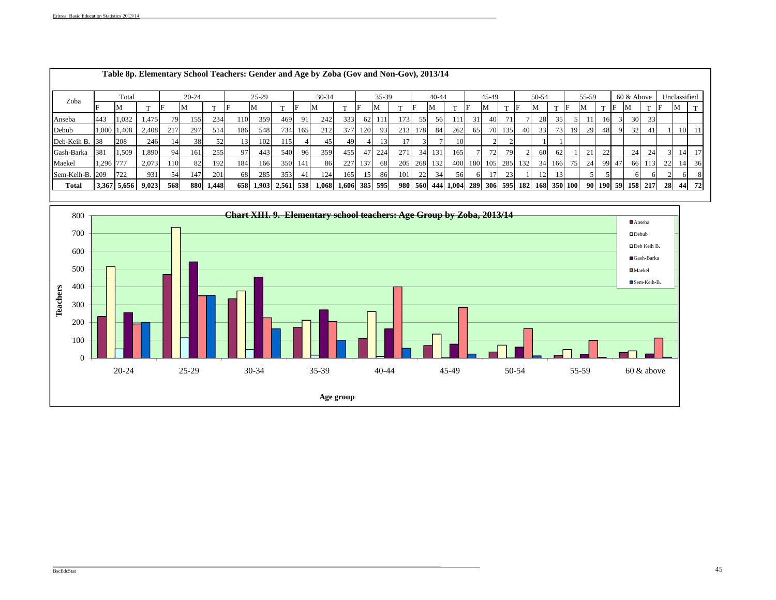| Zoba            |       | Total       |       |     | $20 - 24$ |           |     | $25-29$             |     |                                                                                                                                                                                                                                                                                                                                                                                                                                                     |     |                     |    | 45-49 |     |    | 50-54 |                                   |    | 55-59           |        |     | 60 & Above      |      |    | Unclassified |    |       |    |                |    |    |    |
|-----------------|-------|-------------|-------|-----|-----------|-----------|-----|---------------------|-----|-----------------------------------------------------------------------------------------------------------------------------------------------------------------------------------------------------------------------------------------------------------------------------------------------------------------------------------------------------------------------------------------------------------------------------------------------------|-----|---------------------|----|-------|-----|----|-------|-----------------------------------|----|-----------------|--------|-----|-----------------|------|----|--------------|----|-------|----|----------------|----|----|----|
|                 |       | <b>IVI</b>  |       |     | M         |           | IF  | м                   |     | Table 8p. Elementary School Teachers: Gender and Age by Zoba (Gov and Non-Gov), 2013/14<br>$30 - 34$<br>$35-39$<br>$40 - 44$<br>M<br>IF<br>M<br>М<br>173<br>469<br>242<br>333<br>55<br>56<br>62<br>91<br>212<br>377<br>213<br>178<br>262<br>734 165<br>120<br>931<br>84<br>10<br>115 I<br>491<br>13 I<br>45<br>17'<br>359<br>271<br>540<br>455<br>34 131<br>165<br>47<br>224<br>-961<br>86<br>400<br>350 141<br>227<br>68I<br>205<br>268 132<br>137 |     |                     |    |       |     | M  |       |                                   | M  |                 | -IF    | M   |                 | - IF | M  |              |    | M     |    |                |    |    |    |
| Anseba          | 443   | 1,032       | 1.475 | 79  | 155       | 234       | 110 | 359                 |     |                                                                                                                                                                                                                                                                                                                                                                                                                                                     |     |                     |    |       |     |    |       |                                   | 31 | 401             | 71     |     | 28              | 351  |    |              | 16 |       | 30 | 33             |    |    |    |
| Debub           | 1,000 | 1,408       | 2,408 | 217 | 297       | 514       | 186 | 548                 |     |                                                                                                                                                                                                                                                                                                                                                                                                                                                     |     |                     |    |       |     |    |       |                                   | 65 |                 | 70 135 | 40  | 33 <sup>1</sup> | 73   | 19 | 29           | 48 | 9     | 32 | 41             |    | 10 |    |
| Deb-Keih B. 38  |       | 208         | 246   | 14  | 38        |           | 13  | 102                 |     |                                                                                                                                                                                                                                                                                                                                                                                                                                                     |     |                     |    |       |     |    |       |                                   |    |                 |        |     |                 |      |    |              |    |       |    |                |    |    |    |
| Gash-Barka      | 381   | 1,509       | 1,890 | 94  | 161       | 255       | 97  | 443                 |     |                                                                                                                                                                                                                                                                                                                                                                                                                                                     |     |                     |    |       |     |    |       |                                   |    | 72              | 79     |     | 60              | 62   |    | 21           | 22 |       | 24 | 24             |    | 14 |    |
| Maekel          | 1,296 | 777         | 2,073 | 110 | 82        | 192       | 184 | 166                 |     |                                                                                                                                                                                                                                                                                                                                                                                                                                                     |     |                     |    |       |     |    |       |                                   |    | 180 105 285     |        | 132 | 34              | 166  | 75 | 24           |    | 99 47 | 66 | 113            | 22 | 14 | 36 |
| Sem-Keih-B. 209 |       | 722         | 931   | 54  | 147       | 201       | 68  | 285                 | 353 | -41                                                                                                                                                                                                                                                                                                                                                                                                                                                 | 124 | 165                 | 15 | 86    | 101 | 22 | 34    | 56                                |    | 17 <sup>1</sup> | 23     |     | 12              | 3    |    |              |    |       |    |                |    |    |    |
| Total           |       | 3,367 5,656 | 9,023 | 568 |           | 880 1,448 |     | 658 1,903 2,561 538 |     |                                                                                                                                                                                                                                                                                                                                                                                                                                                     |     | 1,068 1,606 385 595 |    |       |     |    |       | 980 560 444 1,004 289 306 595 182 |    |                 |        |     | 168 350 100     |      |    | -90 l        |    |       |    | 190 59 158 217 | 28 | 44 | 72 |

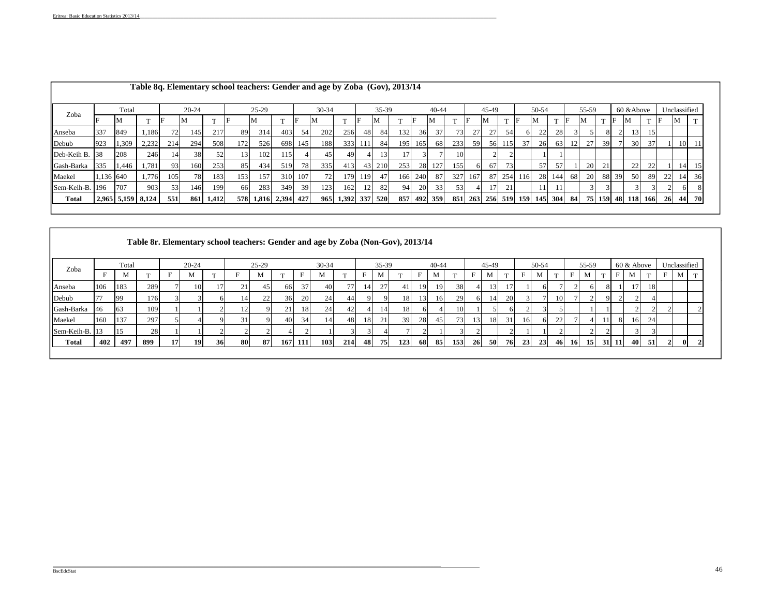|                 |           |                         |       |     |           |           | Table 8q. Elementary school teachers: Gender and age by Zoba (Gov), 2013/14 |                     |     |     |       |                   |      |           |     |         |           |     |     |       |     |                                   |       |        |     |       |     |    |                   |     |              |                 |              |
|-----------------|-----------|-------------------------|-------|-----|-----------|-----------|-----------------------------------------------------------------------------|---------------------|-----|-----|-------|-------------------|------|-----------|-----|---------|-----------|-----|-----|-------|-----|-----------------------------------|-------|--------|-----|-------|-----|----|-------------------|-----|--------------|-----------------|--------------|
| Zoba            |           | Total                   |       |     | $20 - 24$ |           |                                                                             | $25-29$             |     |     | 30-34 |                   |      | 35-39     |     |         | $40 - 44$ |     |     | 45-49 |     |                                   | 50-54 |        |     | 55-59 |     |    | 60 & Above        |     | Unclassified |                 |              |
|                 |           | M                       |       |     |           |           |                                                                             |                     |     |     | M     |                   |      | <b>NI</b> |     |         |           |     |     |       |     |                                   | -M    |        | IF  | M     |     |    | ΙM                |     | F            | M               | $\mathbf{T}$ |
| Anseba          | 337       | 849                     | 1,186 | 72  | 145       | 217       | 89                                                                          | 314                 | 403 | 54  | 202   | 256               | 48   | 84        | 132 | 36      |           | 73. | 27  | 27    | 54  | 6                                 | 22    | 28     |     |       |     |    | 13                | 15  |              |                 |              |
| Debub           | 923       | 1,309                   | 2,232 | 214 | 294       | 508       | 172                                                                         | 526                 | 698 | 145 | 188   | 333               | -111 | 84        | 195 | 165     | 68        | 233 | 59  | -561  | 115 | 37                                | 26    | 63     | 12  | 27    | 39  |    | 30                | 37  |              | 10              |              |
| Deb-Keih B. 38  |           | 208                     | 246   | 14  | 38        | 52        |                                                                             | 102                 | 115 |     | 45    | 49                |      |           | 17. |         |           | 10  |     |       |     |                                   |       |        |     |       |     |    |                   |     |              |                 |              |
| Gash-Barka      | 335       | 1,446                   | 1,781 | 931 | 160       | 253       | 85                                                                          | 434                 | 519 | 78  | 335   | 413               |      | 43 210    | 253 | 28      | 127       | 155 | 61  | 67    | 73  |                                   | 57    | 57     |     | 20    | 21  |    | 22                | 22  |              | 14 <sup>1</sup> |              |
| Maekel          | 1,136 640 |                         | 1,776 | 105 | 78        | 183       | 153                                                                         | 157                 | 310 | 107 | 72    | 179               | 119  | 47        |     | 166 240 | 87        | 327 | 167 | -871  | 254 | 116                               |       | 28 144 | 68  | 20    | 881 | 39 | 50                | -89 | 22           | 14              | 36           |
| Sem-Keih-B. 196 |           | 707                     | 903   | 53  | 146       | 199       | 66                                                                          | 283                 | 349 | 39  | 123   | 162               | 12   | 82        | 941 | 20      | 331       | 53  |     |       | 21  |                                   |       |        |     |       |     |    |                   |     |              |                 |              |
| Total           |           | $ 2,965 $ 5,159   8,124 |       | 551 |           | 861 1,412 |                                                                             | 578 1,816 2,394 427 |     |     |       | 965 1,392 337 520 |      |           | 857 |         | 492 359   | 851 |     |       |     | 263   256   519   159   145   304 |       |        | 841 |       |     |    | 75 159 48 118 166 |     | 26           | 44 70           |              |

|                | Table 8r. Elementary school teachers: Gender and age by Zoba (Non-Gov), 2013/14<br>35-39<br>Total<br>$20 - 24$<br>$25-29$<br>30-34<br>$40 - 44$<br>F<br>М<br>M<br>M<br>M<br>183<br>37<br>38<br>289<br>77<br>10<br>21 <sub>1</sub><br>40 <sup>1</sup><br>27<br>41<br>19<br>66<br>451<br>14I<br>20<br>29<br>36<br>24<br>22<br>18<br><b>99</b><br>176<br>44<br>-161<br>63<br>10<br>109<br>21<br>24<br>18<br>18<br>42<br>14 |           |  |  |           |      |    |    |  |     |               |     |    |    |    |     |      |            |                 |                       |                    |           |           |             |          |    |             |     |       |                    |   |                              |
|----------------|-------------------------------------------------------------------------------------------------------------------------------------------------------------------------------------------------------------------------------------------------------------------------------------------------------------------------------------------------------------------------------------------------------------------------|-----------|--|--|-----------|------|----|----|--|-----|---------------|-----|----|----|----|-----|------|------------|-----------------|-----------------------|--------------------|-----------|-----------|-------------|----------|----|-------------|-----|-------|--------------------|---|------------------------------|
|                |                                                                                                                                                                                                                                                                                                                                                                                                                         |           |  |  |           |      |    |    |  |     |               |     |    |    |    |     |      |            | M               | <b>T</b>              | Е                  | M         |           | F           | M        |    | F           | M   |       |                    | М | m                            |
| 106            |                                                                                                                                                                                                                                                                                                                                                                                                                         |           |  |  |           |      |    |    |  |     |               |     |    |    |    |     |      |            | 13              | 17                    |                    | 61        |           |             |          | 8  |             | 17' | 18    |                    |   |                              |
|                |                                                                                                                                                                                                                                                                                                                                                                                                                         |           |  |  |           |      |    |    |  |     |               |     |    |    |    |     |      |            | 14 <sup>1</sup> | <b>20</b>             |                    |           |           |             |          |    |             |     |       |                    |   |                              |
| 46             |                                                                                                                                                                                                                                                                                                                                                                                                                         |           |  |  |           |      |    |    |  |     |               |     |    |    |    |     |      |            |                 |                       |                    |           |           |             |          |    |             |     |       |                    |   |                              |
| 160            |                                                                                                                                                                                                                                                                                                                                                                                                                         | 297       |  |  |           | 31   |    | 40 |  | 14  | 48            | 18  | 21 | 39 | 28 |     |      |            |                 | 31                    | 16                 |           | 22        |             |          |    |             | 16  | 24    |                    |   |                              |
| Sem-Keih-B. 13 |                                                                                                                                                                                                                                                                                                                                                                                                                         | 28        |  |  |           |      |    |    |  |     |               |     |    |    |    |     |      |            |                 |                       |                    |           |           |             |          |    |             |     |       |                    |   |                              |
| 402            | 497                                                                                                                                                                                                                                                                                                                                                                                                                     | 899       |  |  | 36        |      | 87 |    |  | 103 |               |     | 75 |    |    |     |      |            |                 |                       |                    |           |           |             |          |    |             |     | -51   |                    |   |                              |
|                |                                                                                                                                                                                                                                                                                                                                                                                                                         | 137<br>15 |  |  | <b>17</b> | 19 I |    | 80 |  |     | 34<br>167 111 | 214 | 48 |    |    | 123 | 68 I | 45<br>-851 | 731<br>153      | 61<br>18<br><b>26</b> | 45-49<br><b>50</b> | <b>76</b> | <b>23</b> | 50-54<br>23 | 10<br>46 | 16 | 55-59<br>15 |     | 31 11 | 60 & Above<br>40 I |   | Unclassified<br>$\mathbf{0}$ |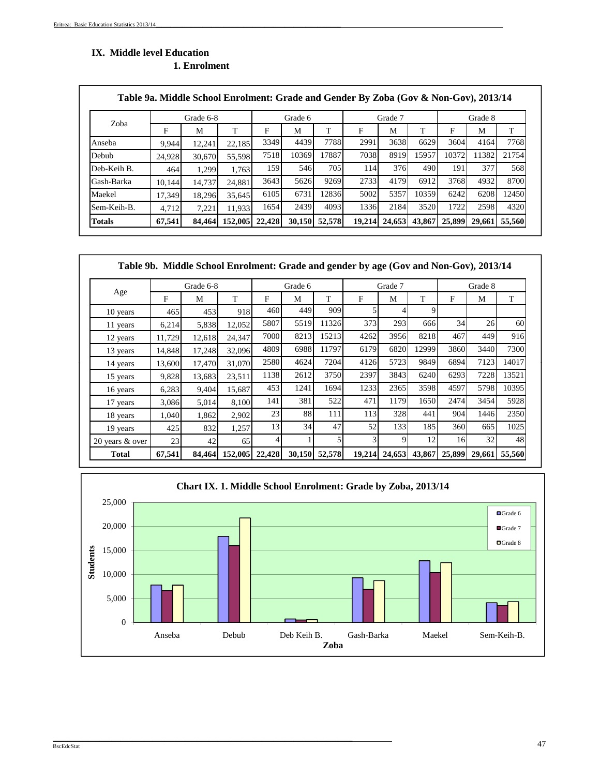# **IX. Middle level Education**

| 1. Enrolment |  |
|--------------|--|
|              |  |

| Zoba          |        | Grade 6-8 |         |        | Grade 6 |        |                  | Grade 7 |        |        | Grade 8 |        |
|---------------|--------|-----------|---------|--------|---------|--------|------------------|---------|--------|--------|---------|--------|
|               | F      | M         | т       | F      | М       | т      | F                | M       | т      | F      | M       | T      |
| Anseba        | 9.944  | 12.241    | 22.185  | 3349   | 4439    | 7788   | 2991             | 3638    | 6629   | 3604   | 4164    | 7768   |
| Debub         | 24.928 | 30.670    | 55.598  | 7518   | 10369   | 17887  | 7038             | 8919    | 15957  | 10372  | 11382   | 21754  |
| Deb-Keih B.   | 464    | 1.299     | 1.763   | 159    | 546     | 705    | 114 <sup>I</sup> | 376     | 490    | 191    | 377     | 568    |
| Gash-Barka    | 10.144 | 14.737    | 24.881  | 3643   | 5626    | 9269   | 2733             | 4179    | 6912   | 3768   | 4932    | 8700   |
| Maekel        | 17.349 | 18.296    | 35.645  | 6105   | 6731    | 12836  | 5002             | 5357    | 10359  | 6242   | 6208    | 12450  |
| Sem-Keih-B.   | 4,712  | 7.221     | 11.933  | 1654   | 2439    | 4093   | 1336             | 2184    | 3520   | 1722   | 2598    | 4320   |
| <b>Totals</b> | 67,541 | 84,464    | 152,005 | 22,428 | 30,150  | 52,578 | 19,214           | 24,653  | 43,867 | 25,899 | 29,661  | 55,560 |

|                 |        | Table 9b. Middle School Enrolment: Grade and gender by age (Gov and Non-Gov), 2013/14 |         |        |         |        |        |         |        |        |         |        |
|-----------------|--------|---------------------------------------------------------------------------------------|---------|--------|---------|--------|--------|---------|--------|--------|---------|--------|
|                 |        | Grade 6-8                                                                             |         |        | Grade 6 |        |        | Grade 7 |        |        | Grade 8 |        |
| Age             | F      | M                                                                                     | T.      | F      | M       | T      | F      | М       | T      | F      | М       | T      |
| 10 years        | 465    | 453                                                                                   | 918     | 460    | 449     | 909    |        |         | 9      |        |         |        |
| 11 years        | 6,214  | 5,838                                                                                 | 12,052  | 5807   | 5519    | 11326  | 373    | 293     | 666    | 34     | 26      | 60     |
| 12 years        | 11,729 | 12,618                                                                                | 24,347  | 7000   | 8213    | 15213  | 4262   | 3956    | 8218   | 467    | 449     | 916    |
| 13 years        | 14,848 | 17,248                                                                                | 32,096  | 4809   | 6988    | 11797  | 6179   | 6820    | 12999  | 3860   | 3440    | 7300   |
| 14 years        | 13,600 | 17.470                                                                                | 31.070  | 2580   | 4624    | 7204   | 4126   | 5723    | 9849   | 6894   | 7123    | 14017  |
| 15 years        | 9,828  | 13,683                                                                                | 23,511  | 1138   | 2612    | 3750   | 2397   | 3843    | 6240   | 6293   | 7228    | 13521  |
| 16 years        | 6,283  | 9,404                                                                                 | 15,687  | 453    | 1241    | 1694   | 1233   | 2365    | 3598   | 4597   | 5798    | 10395  |
| 17 years        | 3,086  | 5,014                                                                                 | 8,100   | 141    | 381     | 522    | 471    | 1179    | 1650   | 2474   | 3454    | 5928   |
| 18 years        | 1,040  | 1,862                                                                                 | 2,902   | 23     | 88      | 111    | 113    | 328     | 441    | 904    | 1446    | 2350   |
| 19 years        | 425    | 832                                                                                   | 1,257   | 13     | 34      | 47     | 52     | 133     | 185    | 360    | 665     | 1025   |
| 20 years & over | 23     | 42                                                                                    | 65      | 41     |         | 5      | 3      | 9       | 12     | 16     | 32      | 48     |
| Total           | 67,541 | 84,464                                                                                | 152,005 | 22,428 | 30,150  | 52,578 | 19,214 | 24,653  | 43,867 | 25,899 | 29,661  | 55,560 |



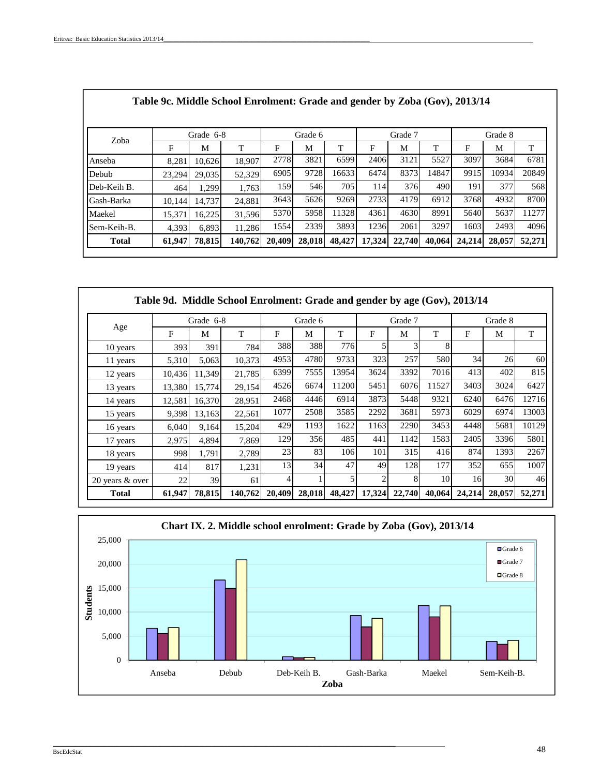|        |        |         |           | Grade 6 |                                             |        |        |         |      | Grade 8 |                                                                                      |
|--------|--------|---------|-----------|---------|---------------------------------------------|--------|--------|---------|------|---------|--------------------------------------------------------------------------------------|
| F      | M      | T       | F         | М       | Т                                           | F      | М      | т       | F    | М       | T                                                                                    |
| 8,281  | 10.626 | 18,907  |           | 3821    | 6599                                        | 2406   | 3121   | 5527    | 3097 | 3684    | 6781                                                                                 |
| 23.294 | 29,035 | 52,329  |           | 9728    | 16633                                       | 6474   | 8373   | 14847   | 9915 | 10934   | 20849                                                                                |
| 464    | 1.299  | 1.763   |           | 546     | 705                                         | 114    |        | 490     | 191  | 377     | 568                                                                                  |
| 10.144 | 14.737 | 24.881  |           | 5626    | 9269                                        | 2733   | 4179   | 6912    | 3768 | 4932    | 8700                                                                                 |
| 15.371 | 16.225 | 31,596  |           | 5958    | 11328                                       | 4361   | 4630   | 8991    | 5640 | 5637    | 11277                                                                                |
| 4.393  | 6,893  | 11,286  |           | 2339    | 3893                                        | 1236   | 2061   | 3297    | 1603 | 2493    | 4096                                                                                 |
| 61,947 | 78,815 | 140,762 | 20,409    | 28,018  | 48,427                                      | 17,324 | 22,740 |         |      | 28,057  | 52,271                                                                               |
|        |        |         | Grade 6-8 |         | 2778<br>6905<br>159<br>3643<br>5370<br>1554 |        |        | Grade 7 | 376  | 40,064  | Table 9c. Middle School Enrolment: Grade and gender by Zoba (Gov), 2013/14<br>24,214 |

|                 |        |           | Table 9d. Middle School Enrolment: Grade and gender by age (Gov), 2013/14 |        |         |        |                |         |        |        |         |        |
|-----------------|--------|-----------|---------------------------------------------------------------------------|--------|---------|--------|----------------|---------|--------|--------|---------|--------|
|                 |        | Grade 6-8 |                                                                           |        | Grade 6 |        |                | Grade 7 |        |        | Grade 8 |        |
| Age             | F      | М         | T                                                                         | F      | М       | T      | F              | M       | T      | F      | М       | T      |
| 10 years        | 393    | 391       | 784                                                                       | 388    | 388     | 776    | 5              | 3       | 8      |        |         |        |
| 11 years        | 5,310  | 5,063     | 10,373                                                                    | 4953   | 4780    | 9733   | 323            | 257     | 580    | 34     | 26      | 60     |
| 12 years        | 10,436 | 11,349    | 21,785                                                                    | 6399   | 7555    | 13954  | 3624           | 3392    | 7016   | 413    | 402     | 815    |
| 13 years        | 13,380 | 15,774    | 29,154                                                                    | 4526   | 6674    | 11200  | 5451           | 6076    | 11527  | 3403   | 3024    | 6427   |
| 14 years        | 12,581 | 16,370    | 28,951                                                                    | 2468   | 4446    | 6914   | 3873           | 5448    | 9321   | 6240   | 6476    | 12716  |
| 15 years        | 9,398  | 13,163    | 22,561                                                                    | 1077   | 2508    | 3585   | 2292           | 3681    | 5973   | 6029   | 6974    | 13003  |
| 16 years        | 6,040  | 9,164     | 15,204                                                                    | 429    | 1193    | 1622   | 1163           | 2290    | 3453   | 4448   | 5681    | 10129  |
| 17 years        | 2,975  | 4,894     | 7,869                                                                     | 129    | 356     | 485    | 441            | 1142    | 1583   | 2405   | 3396    | 5801   |
| 18 years        | 998    | 1,791     | 2,789                                                                     | 23     | 83      | 106    | 101            | 315     | 416    | 874    | 1393    | 2267   |
| 19 years        | 414    | 817       | 1,231                                                                     | 13     | 34      | 47     | 49             | 128     | 177    | 352    | 655     | 1007   |
| 20 years & over | 22     | 39        | 61                                                                        |        |         |        | $\overline{2}$ | 8       | 10     | 16     | 30      | 46     |
| <b>Total</b>    | 61,947 | 78,815    | 140,762                                                                   | 20,409 | 28,018  | 48,427 | 17,324         | 22,740  | 40,064 | 24,214 | 28,057  | 52,271 |

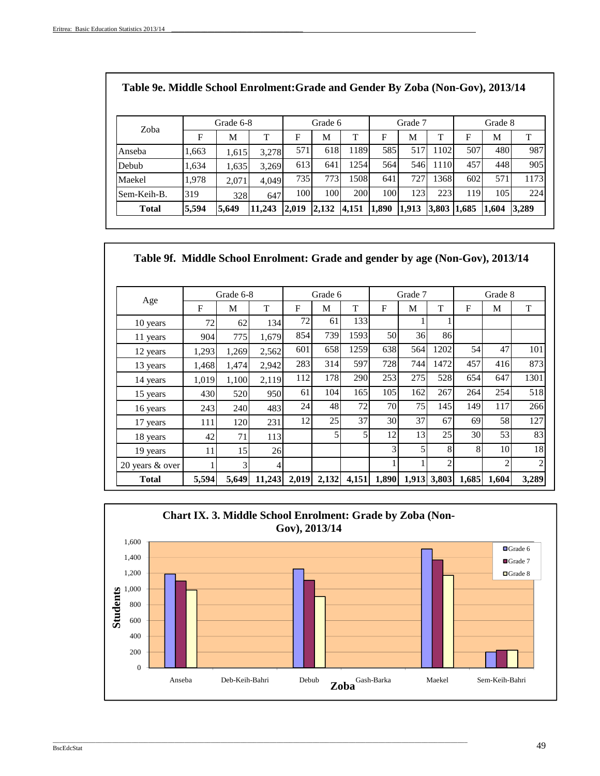| Table 9e. Middle School Enrolment: Grade and Gender By Zoba (Non-Gov), 2013/14 |       |           |        |       |         |       |       |         |       |       |         |       |
|--------------------------------------------------------------------------------|-------|-----------|--------|-------|---------|-------|-------|---------|-------|-------|---------|-------|
|                                                                                |       | Grade 6-8 |        |       | Grade 6 |       |       | Grade 7 |       |       | Grade 8 |       |
| Zoba                                                                           | F     | M         | T      | F     | М       | T     | F     | М       | T     | F     | M       | T     |
| Anseba                                                                         | 1,663 | 1,615     | 3.278  | 571   | 618     | 1189  | 585   | 517     | 1102  | 507   | 480     | 987   |
| Debub                                                                          | 1,634 | 1,635     | 3,269  | 613   | 641     | 1254  | 564   | 546     | 1110  | 457   | 448     | 905   |
| Maekel                                                                         | 1.978 | 2.071     | 4.049  | 735   | 773     | 1508  | 641   | 727     | 1368  | 602   | 571     | 1173  |
| Sem-Keih-B.                                                                    | 319   | 328       | 647    | 100   | 100     | 200   | 100   | 123     | 223   | 119   | 105     | 224   |
| <b>Total</b>                                                                   | 5,594 | 5.649     | 11,243 | 2,019 | 2,132   | 4,151 | 1,890 | 1,913   | 3,803 | 1,685 | 1,604   | 3,289 |

| Table 9f. Middle School Enrolment: Grade and gender by age (Non-Gov), 2013/14 |       |           |        |       |         |       |              |         |             |              |                |                |
|-------------------------------------------------------------------------------|-------|-----------|--------|-------|---------|-------|--------------|---------|-------------|--------------|----------------|----------------|
|                                                                               |       | Grade 6-8 |        |       | Grade 6 |       |              | Grade 7 |             |              | Grade 8        |                |
| Age                                                                           | F     | M         | T      | F     | M       | T     | $\mathbf{F}$ | М       | T           | $\mathbf{F}$ | M              | T              |
| 10 years                                                                      | 72    | 62        | 134    | 72    | 61      | 133   |              |         |             |              |                |                |
| 11 years                                                                      | 904   | 775       | 1,679  | 854   | 739     | 1593  | 50           | 36      | 86          |              |                |                |
| 12 years                                                                      | 1,293 | 1,269     | 2,562  | 601   | 658     | 1259  | 638          | 564     | 1202        | 54           | 47             | 101            |
| 13 years                                                                      | 1,468 | 1,474     | 2,942  | 283   | 314     | 597   | 728          | 744     | 1472        | 457          | 416            | 873            |
| 14 years                                                                      | 1,019 | 1,100     | 2,119  | 112   | 178     | 290   | 253          | 275     | 528         | 654          | 647            | 1301           |
| 15 years                                                                      | 430   | 520       | 950    | 61    | 104     | 165   | 105          | 162     | 267         | 264          | 254            | 518            |
| 16 years                                                                      | 243   | 240       | 483    | 24    | 48      | 72    | 70           | 75      | 145         | 149          | 117            | 266            |
| 17 years                                                                      | 111   | 120       | 231    | 12    | 25      | 37    | 30           | 37      | 67          | 69           | 58             | 127            |
| 18 years                                                                      | 42    | 71        | 113    |       | 5       | 5     | 12           | 13      | 25          | 30           | 53             | 83             |
| 19 years                                                                      | 11    | 15        | 26     |       |         |       | 3            | 5       | 8           | 8            | 10             | 18             |
| 20 years & over                                                               |       | 3         | 4      |       |         |       | 1            |         | 2           |              | $\overline{2}$ | $\overline{c}$ |
| <b>Total</b>                                                                  | 5,594 | 5,649     | 11,243 | 2,019 | 2,132   | 4,151 | 1,890        |         | 1,913 3,803 | 1,685        | 1,604          | 3,289          |



\_\_\_\_\_\_\_\_\_\_\_\_\_\_\_\_\_\_\_\_\_\_\_\_\_\_\_\_\_\_\_\_\_\_\_\_\_\_\_\_\_\_\_\_\_\_\_\_\_\_\_\_\_\_\_\_\_\_\_\_\_\_\_\_\_\_\_\_\_\_\_\_\_\_\_\_\_\_\_\_\_\_\_\_\_\_\_\_\_\_\_\_\_\_\_\_\_\_\_\_\_\_\_\_\_\_\_\_\_\_\_\_\_\_\_\_\_\_\_\_\_\_\_\_\_\_

## explored to the second second terms of the second second second second second second and the second second second second second second second second second second second second second second second second second second sec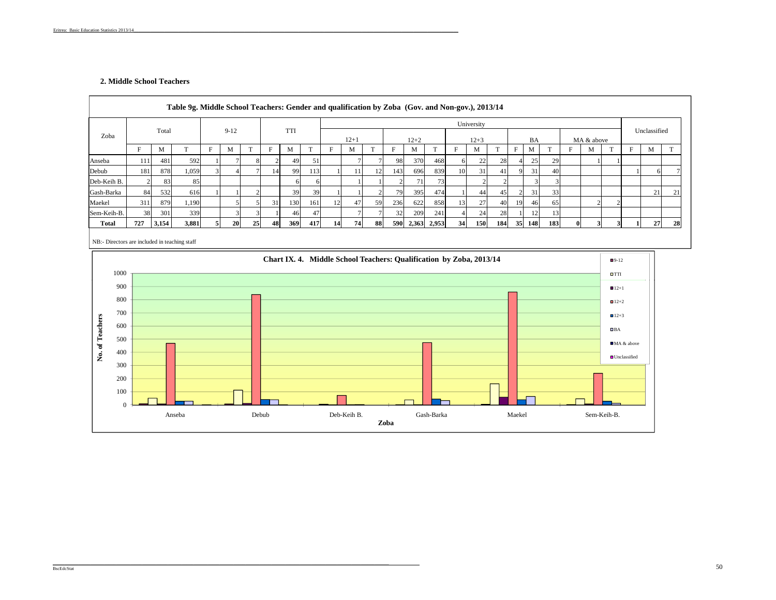## **2. Middle School Teachers**

|             |     |       |              |   |                |    |    |            |     |    |       | Table 9g. Middle School Teachers: Gender and qualification by Zoba (Gov. and Non-gov.), 2013/14 |     |             |              |    | University |              |    |     |     |              |            |   |              |    |
|-------------|-----|-------|--------------|---|----------------|----|----|------------|-----|----|-------|-------------------------------------------------------------------------------------------------|-----|-------------|--------------|----|------------|--------------|----|-----|-----|--------------|------------|---|--------------|----|
| Zoba        |     | Total |              |   | $9-12$         |    |    | <b>TTI</b> |     |    | $12+$ |                                                                                                 |     | $12 + 2$    |              |    | $12 + 3$   |              |    | BA  |     |              | MA & above |   | Unclassified |    |
|             | F   | M     | $\mathbf{r}$ | F | M              |    |    | M          | m   | F  | M     |                                                                                                 |     | M           | $\mathbf{r}$ |    | M          | $\mathbf{r}$ | F  | M   |     | F            | M          | m | M            |    |
| Anseba      | 111 | 481   | 592          |   |                |    |    | 49         | 51  |    |       |                                                                                                 | 981 | 370         | 468          |    | 22         | 28           |    | 25  | 29  |              |            |   |              |    |
| Debub       | 181 | 878   | 1,059        |   |                |    | 14 | 99         | 113 |    | 11    |                                                                                                 | 143 | 696         | 839          | 10 | 31         | 41           |    | 31  | 40  |              |            |   |              |    |
| Deb-Keih B. |     | 83    | 85           |   |                |    |    | 6          | 6   |    |       |                                                                                                 |     | 71          | 73           |    |            |              |    |     |     |              |            |   |              |    |
| Gash-Barka  | 84  | 532   | 616          |   |                |    |    | 39         | 39  |    |       |                                                                                                 | 791 | 395         | 474          |    | 44         | 45           |    | 31  | 33  |              |            |   | 21           | 21 |
| Maekel      | 311 | 879   | 1,190        |   |                |    | 31 | 130        | 161 | 12 | 47    | 59                                                                                              | 236 | 622         | 858          |    | 27         | 40           | 19 | 46  | 65  |              |            |   |              |    |
| Sem-Keih-B. | 38  | 301   | 339          |   | $\overline{3}$ |    |    | 46         | 47  |    |       |                                                                                                 | 32  | 209         | 241          |    | 24         | 28           |    |     | 13  |              |            |   |              |    |
| Total       | 727 | 3,154 | 3,881        |   | 20             | 25 | 48 | 369        | 417 | 14 | 74    | 88                                                                                              | 590 | 2,363 2,953 |              | 34 | 150        | 184          | 35 | 148 | 183 | $\mathbf{0}$ |            |   | 27           | 28 |

NB:- Directors are included in teaching staff

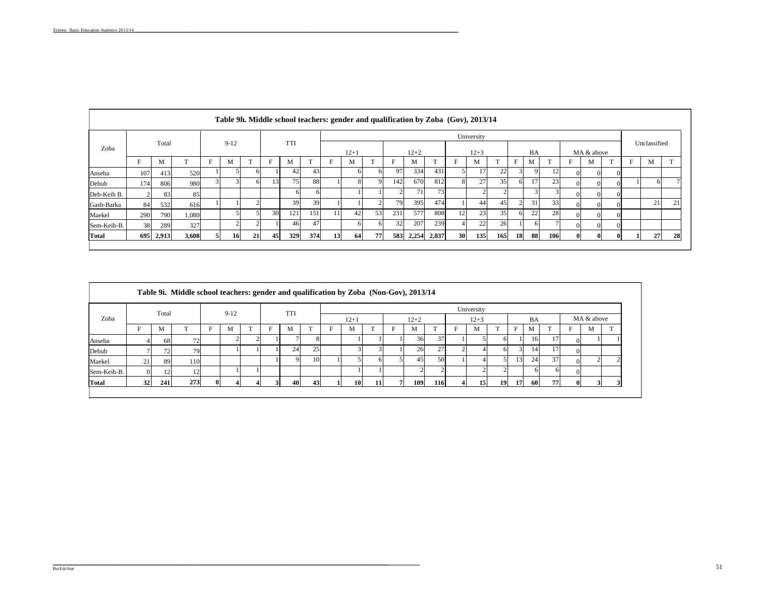|              |     |       |              |    |                         |    |     |            |     |    |          |              |     |          |              |    | Table 9h. Middle school teachers: gender and qualification by Zoba (Gov), 2013/14 |     |    |    |     |   |              |   |              |    |
|--------------|-----|-------|--------------|----|-------------------------|----|-----|------------|-----|----|----------|--------------|-----|----------|--------------|----|-----------------------------------------------------------------------------------|-----|----|----|-----|---|--------------|---|--------------|----|
|              |     |       |              |    |                         |    |     |            |     |    |          |              |     |          |              |    | University                                                                        |     |    |    |     |   |              |   |              |    |
| Zoba         |     | Total |              |    | $9-12$                  |    |     | <b>TTI</b> |     |    | $12 + 1$ |              |     | $12 + 2$ |              |    | $12 + 3$                                                                          |     |    | BA |     |   | MA & above   |   | Unclassified |    |
|              | F   | М     | $\mathbf{r}$ | F  | М                       |    |     | M          | m   | F  | M        | $\mathbf{r}$ |     | M        | $\mathbf{T}$ | F  | М                                                                                 |     | F  | M  |     | F | М            | m | M            |    |
| Anseba       | 107 | 413   | 520          |    |                         |    |     | 42         | 43  |    |          |              | 97  | 334      | 431          |    | 17                                                                                | 22  | 31 |    | 12  |   | $\Omega$     |   |              |    |
| Debub        | 174 | 806   | 980          |    | $\overline{\mathbf{3}}$ | 61 | 131 | 751        | 88  |    |          |              | 142 | 670      | 812          | 8  | 27                                                                                | 35  | n  |    | 23  |   | $\Omega$     |   |              |    |
| Deb-Keih B.  |     | 83    | 85           |    |                         |    |     | ωı         |     |    |          |              |     | 711      | 73           |    |                                                                                   |     |    |    |     |   | $^{\circ}$   |   |              |    |
| Gash-Barka   | 84  | 532   | 616          |    |                         |    |     | 39         | 39  |    |          |              | 79  | 395      | 474          |    | 44                                                                                | 45  |    | 31 | 33  |   | $\Omega$     |   | 21           | 21 |
| Maekel       | 290 | 790   | 1,080        |    |                         |    | 30  | 121        | 151 | 11 | 42       | 53           | 231 | 577      | 808          | 12 | 23                                                                                | 35  |    | 22 | 28  |   | $^{\circ}$   |   |              |    |
| Sem-Keih-B.  | 38  | 289   | 327          |    | $\overline{2}$          |    |     | 461        | 47  |    |          |              | 32  | 207      | 239          |    | 22                                                                                | 26  |    | ωL |     |   | $\Omega$     |   |              |    |
| <b>Total</b> | 695 | 2,913 | 3,608        | 51 | 16                      | 21 | 45  | 329        | 374 | 13 | 64       | 77           | 583 | 2,254    | 2,837        | 30 | 135                                                                               | 165 | 18 | 88 | 106 |   | $\mathbf{0}$ |   | 27           | 28 |

|             |    |       | Table 9i. Middle school teachers: gender and qualification by Zoba (Non-Gov), 2013/14 |          |          |              |            |    |   |                 |    |          |            |   |            |              |               |    |    |            |              |
|-------------|----|-------|---------------------------------------------------------------------------------------|----------|----------|--------------|------------|----|---|-----------------|----|----------|------------|---|------------|--------------|---------------|----|----|------------|--------------|
|             |    | Total |                                                                                       |          | $9 - 12$ |              | <b>TTI</b> |    |   |                 |    |          |            |   | University |              |               |    |    |            |              |
| Zoba        |    |       |                                                                                       |          |          |              |            |    |   | $12 + 1$        |    | $12 + 2$ |            |   | $12 + 3$   |              |               | BA |    | MA & above |              |
|             | Е  | М     |                                                                                       |          | M        | $\mathbf{T}$ | M          |    | F | M               |    | M        | $\sim$     | F | M          | $\mathbf{r}$ | F             | M  |    | М          | $\mathbf{r}$ |
| Anseba      |    | 68    | 72                                                                                    |          |          |              |            |    |   |                 |    | 36       | 37         |   |            |              |               | 16 |    |            |              |
| Debub       |    | 72    | 79                                                                                    |          |          |              | 24         | 25 |   |                 |    | 26       | 27         |   |            |              | $\mathcal{R}$ | 14 | 17 |            |              |
| Maekel      | 21 | 89    | 110                                                                                   |          |          |              |            | 10 |   |                 |    | 45       | 50         |   |            |              | 131           | 24 | 37 |            |              |
| Sem-Keih-B. |    | 12    | 1つ                                                                                    |          |          |              |            |    |   |                 |    |          |            |   |            |              |               |    | h  |            |              |
| Total       | 32 | 241   | 273                                                                                   | $\Omega$ |          |              | 40         | 43 |   | 10 <sup>1</sup> | 11 | 109      | <b>116</b> |   | 15         | 19           | 17            | 60 | 77 |            |              |
|             |    |       |                                                                                       |          |          |              |            |    |   |                 |    |          |            |   |            |              |               |    |    |            |              |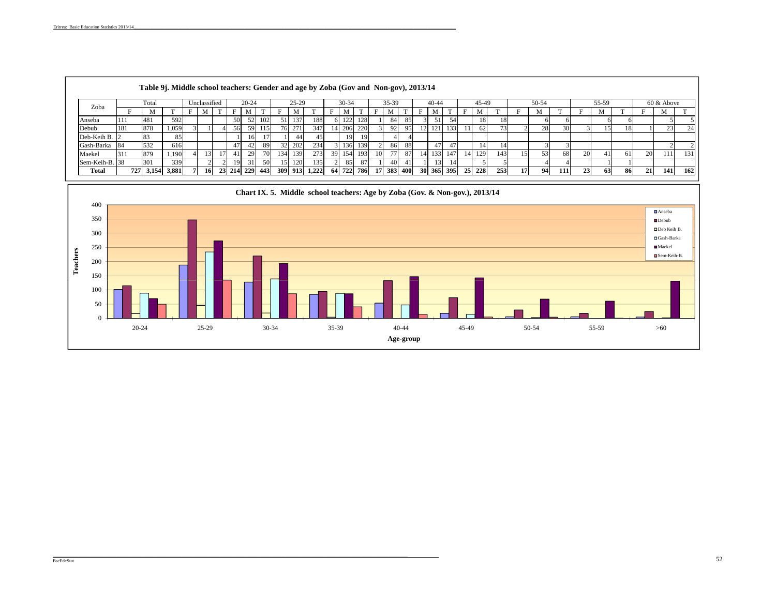|                |     | Table 9j. Middle school teachers: Gender and age by Zoba (Gov and Non-gov), 2013/14 |       |              |     |            |      |     |         |       |     |            |     |                 |         |      |           |           |     |                 |        |     |    |       |      |    |       |      |    |            |     |
|----------------|-----|-------------------------------------------------------------------------------------|-------|--------------|-----|------------|------|-----|---------|-------|-----|------------|-----|-----------------|---------|------|-----------|-----------|-----|-----------------|--------|-----|----|-------|------|----|-------|------|----|------------|-----|
| Zoba           |     | Total                                                                               |       | Unclassified |     | $20 - 24$  |      |     | $25-29$ |       |     | $30 - 34$  |     |                 | $35-39$ |      |           | $40 - 44$ |     |                 | 45-49  |     |    | 50-54 |      |    | 55-59 |      |    | 60 & Above |     |
|                |     |                                                                                     |       |              |     | М          |      |     | М       |       |     |            |     |                 | М       |      |           | М         |     |                 | М      |     |    | м     |      |    | М     |      |    | M          |     |
| Anseba         | 111 | 481                                                                                 | 592   |              | 50  |            | 102  | 51  | 137     | 188   |     | 122<br>1/2 | 128 |                 | 84      | 85   |           |           | 54  |                 | 18     | 18  |    |       |      |    |       |      |    |            |     |
| Debub          | 181 | 878                                                                                 | 1,059 |              | 56. | 59         | 115  | 761 | 271     | 347   |     | 206        | 220 |                 | 92      | -951 | 12        | 121       | 133 |                 | 62     |     |    | 28    |      |    | 15 I  | 181  |    | 23         | 24  |
| Deb-Keih B.    |     | 183                                                                                 | 85    |              |     | 16         |      |     | 44      | 45    |     | 19         | 19  |                 |         |      |           |           |     |                 |        |     |    |       |      |    |       |      |    |            |     |
| Gash-Barka     | 84  | 532                                                                                 | 616   |              |     | 42         | -891 | 32  | 202     | 234   |     | 136        | 139 |                 | 86      | 88   |           | 47        | 47  |                 |        |     |    |       |      |    |       |      |    |            |     |
| Maekel         | 311 | 879                                                                                 | 1,190 |              |     | 29         | 701  | 134 | 139     | 273   |     | 154        | 193 | 10 <sup>1</sup> |         | 87   |           | 133       | 147 | 14 <sup>1</sup> | 129    | 143 | 15 | 53    | 68   | 20 |       | -61  | 20 | 1111       | 131 |
| Sem-Keih-B. 38 |     | 301                                                                                 | 339   |              | 19  | -31        | 50   | 15  | 120     | 135   |     | 85         | 87  |                 | 40      | 41   |           | 13        | 14  |                 |        |     |    |       |      |    |       |      |    |            |     |
| Total          |     | 727 3,154                                                                           | 3,881 | 16           |     | 23 214 229 | 443  |     | 309 913 | 1,222 | -64 | 722        | 786 | 17              | 383     | 400  | <b>30</b> | 365       | 395 |                 | 25 228 | 253 | 17 | 94    | 111l | 23 | 63    | -861 | 21 | <b>141</b> | 162 |

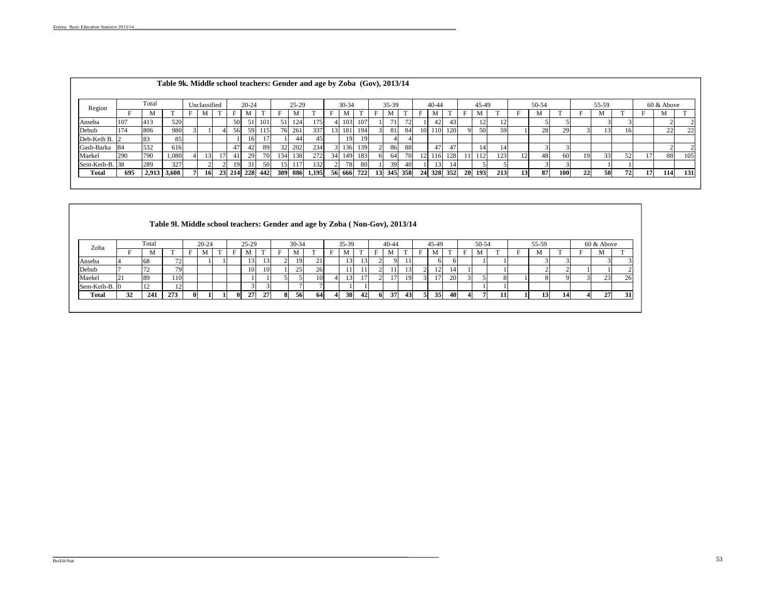|                |     |       | Table 9k. Middle school teachers: Gender and age by Zoba (Gov), 2013/14 |              |            |           |                  |      |         |       |    |           |            |         |     |    |           |     |           |       |     |                 |       |            |    |       |    |    |            |     |
|----------------|-----|-------|-------------------------------------------------------------------------|--------------|------------|-----------|------------------|------|---------|-------|----|-----------|------------|---------|-----|----|-----------|-----|-----------|-------|-----|-----------------|-------|------------|----|-------|----|----|------------|-----|
| Region         |     | Total |                                                                         | Unclassified |            | $20 - 24$ |                  |      | $25-29$ |       |    | $30 - 34$ |            | $35-39$ |     |    | $40 - 44$ |     |           | 45-49 |     |                 | 50-54 |            |    | 55-59 |    |    | 60 & Above |     |
|                |     | м     |                                                                         | М            |            | М         |                  | Е    | М       |       |    | M         |            | M       |     |    | М         |     |           |       |     |                 | M     |            |    |       |    |    | М          |     |
| Anseba         | 107 | 413   | 520                                                                     |              | 50         | 51        | 101              | 51   | 1241    | 75    |    | 103       | 107        |         |     |    | 42        | 43  |           |       |     |                 |       |            |    |       |    |    |            |     |
| Debub          | 174 | 806   | 980                                                                     |              | 56         | 59        | 115 <sup>1</sup> |      | 76 261  | 337   |    | 13 181    | 194        | 81      | 84  |    | 110       | 120 |           | 50    | 59  |                 | 28    | 29         |    |       | 16 |    | 22         | 22  |
| Deb-Keih B.    |     | 83    | 85                                                                      |              |            | 16        |                  |      | 44      |       |    | 19        | 19         |         |     |    |           |     |           |       |     |                 |       |            |    |       |    |    |            |     |
| Gash-Barka     | -84 | 532   | 616                                                                     |              | 47         | 42        | 89               |      | 32 202  | 234   |    | 136       | 139        | 86      | 88  |    | 47        | 47  |           |       |     |                 |       |            |    |       |    |    |            |     |
| Maekel         | 290 | 790   | 1,080                                                                   |              | 41         | 29        |                  | 134  | 138     | 272   | 34 | 149       | 183        | 64 I    |     |    | .16       | 128 |           | 112   | 123 |                 | 48    | 60         | 19 | 33    | 52 |    | 88         | 105 |
| Sem-Keih-B. 38 |     | 289   | 327                                                                     |              | 19         | 31        | 50               | 15 I | 117'    | 132   |    | 781       | 80         | 39      |     |    | 131       |     |           |       |     |                 |       |            |    |       |    |    |            |     |
| <b>Total</b>   | 695 | 2,913 | 3.608                                                                   | 16           | 23 214 228 |           | 442              |      | 309 886 | 1,195 |    |           | 56 666 722 | 13 345  | 358 | 24 | 328       | 352 | <b>20</b> | 193   | 213 | 13 <sup>1</sup> | 87    | <b>100</b> | 22 | 50    | 72 | 17 | 114        | 131 |
|                |     |       |                                                                         |              |            |           |                  |      |         |       |    |           |            |         |     |    |           |     |           |       |     |                 |       |            |    |       |    |    |            |     |

|               |    |               | Table 91. Middle school teachers: Gender and age by Zoba (Non-Gov), 2013/14 |          |           |   |              |           |           |                |           |    |   |       |    |   |                 |                 |    |       |    |       |  |                 |  |               |    |
|---------------|----|---------------|-----------------------------------------------------------------------------|----------|-----------|---|--------------|-----------|-----------|----------------|-----------|----|---|-------|----|---|-----------------|-----------------|----|-------|----|-------|--|-----------------|--|---------------|----|
| Zoba          |    | Total         |                                                                             |          | $20 - 24$ |   |              | $25-29$   |           |                | $30 - 34$ |    |   | 35-39 |    |   | $40 - 44$       |                 |    | 45-49 |    | 50-54 |  | 55-59           |  | $60 \&$ Above |    |
|               |    | М             |                                                                             |          | М         | T | F            | М         | m         |                | M         |    | F | M     |    | Е | М               | $\mathbf{r}$    | F  | M     |    |       |  |                 |  | М             |    |
| Anseba        |    | 68            | 72                                                                          |          |           |   |              | 13        | 13        | $\overline{2}$ | 19        | 21 |   | 13    | 13 |   | Q               |                 |    | 61    |    |       |  |                 |  |               |    |
| Debub         |    | 72            | 79                                                                          |          |           |   |              | <b>10</b> | <b>10</b> |                | 25        | 26 |   | 11    | 11 |   |                 | 13.             |    | 12    | 14 |       |  |                 |  |               |    |
| Maekel        | 21 | 89            | 110                                                                         |          |           |   |              |           |           |                |           | 10 |   | 13    | 17 |   | 17 <sup>1</sup> | 19              |    | 17    | 20 |       |  |                 |  | 23            | 26 |
| Sem-Keih-B. 0 |    | <sup>12</sup> | $\sqrt{2}$<br>L 4                                                           |          |           |   |              |           |           |                |           |    |   |       |    |   |                 |                 |    |       |    |       |  |                 |  |               |    |
| <b>Total</b>  | 32 | 241           | 273                                                                         | $\bf{0}$ |           |   | $\mathbf{0}$ | 27        | 27        | 8              | 56        | 64 |   | 38    | 42 |   | 37              | 43 <sup>l</sup> | 51 | 35    | 40 |       |  | 13 <sub>1</sub> |  | 27            | 31 |
|               |    |               |                                                                             |          |           |   |              |           |           |                |           |    |   |       |    |   |                 |                 |    |       |    |       |  |                 |  |               |    |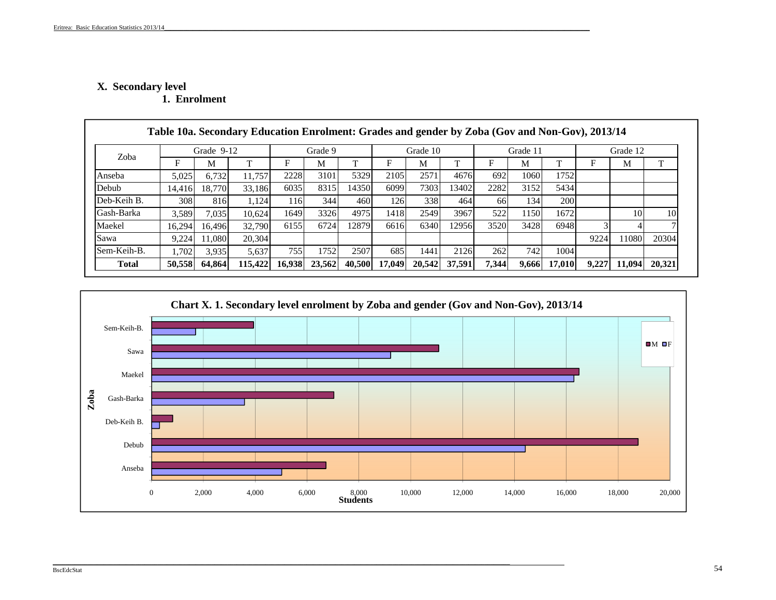# **X. Secondar y level**

**1. Enrolment** 

| Sem-Keih-B.<br><b>Total</b> | .702<br>50,558 | 3.935<br>64,864 | 5.637<br>115,422 | 755<br>16.938    | 1752<br>23,562 | 2507<br>40.500 | 685<br>17,049 | 1441<br>20.542 | 2126<br>37,591 | 262<br>7,344 | 742<br>9,666 | 1004<br>17.010 | 9.227 | 11.094   | 20,321 |
|-----------------------------|----------------|-----------------|------------------|------------------|----------------|----------------|---------------|----------------|----------------|--------------|--------------|----------------|-------|----------|--------|
| Sawa                        | 9,224          | 1.080           | 20,304           |                  |                |                |               |                |                |              |              |                | 9224  | 11080    | 20304  |
| Maekel                      | 16.294         | 16.496          | 32.790           | 6155             | 6724           | 12879          | 6616          | 6340           | 12956          | 3520         | 3428         | 6948           |       |          |        |
| Gash-Barka                  | 3.589          | 7.035           | 10.624           | 1649             | 3326           | 4975           | 1418          | 2549           | 3967           | 522          | 1150         | 1672           |       | 10       | 10     |
| Deb-Keih B.                 | 308            | 816             | 1.124            | 116 <sub>l</sub> | 344            | 460            | 126           | 338            | 464            | 66           | 134          | <b>200</b>     |       |          |        |
| Debub                       | 14.416         | 18.770          | 33.186           | 6035             | 8315           | 14350          | 6099          | 7303           | 13402          | 2282         | 3152         | 5434           |       |          |        |
| Anseba                      | 5,025          | 6,732           | 11.757           | 2228             | 3101           | 5329           | 2105          | 2571           | 4676           | 692          | 1060         | 1752           |       |          |        |
|                             | F              | М               |                  | F                | M              |                | F             | M              |                | F            | M            |                |       | M        |        |
| Zoba                        |                | Grade 9-12      |                  |                  | Grade 9        |                |               | Grade 10       |                |              | Grade 11     |                |       | Grade 12 |        |



\_\_\_\_\_\_\_\_\_\_\_\_\_\_\_\_\_\_\_\_\_\_\_\_\_\_\_\_\_\_\_\_\_\_\_\_\_\_\_\_\_\_\_\_\_\_\_\_\_\_\_\_\_\_\_\_\_\_\_\_\_\_\_\_\_\_\_\_\_\_\_\_\_\_\_\_\_\_\_\_\_\_\_\_\_\_\_\_\_\_\_\_\_\_\_\_\_\_\_\_\_\_\_\_\_\_\_\_\_\_\_\_\_\_\_\_\_\_\_\_\_\_\_\_\_\_\_\_\_\_\_\_\_\_\_\_\_\_\_\_\_\_\_\_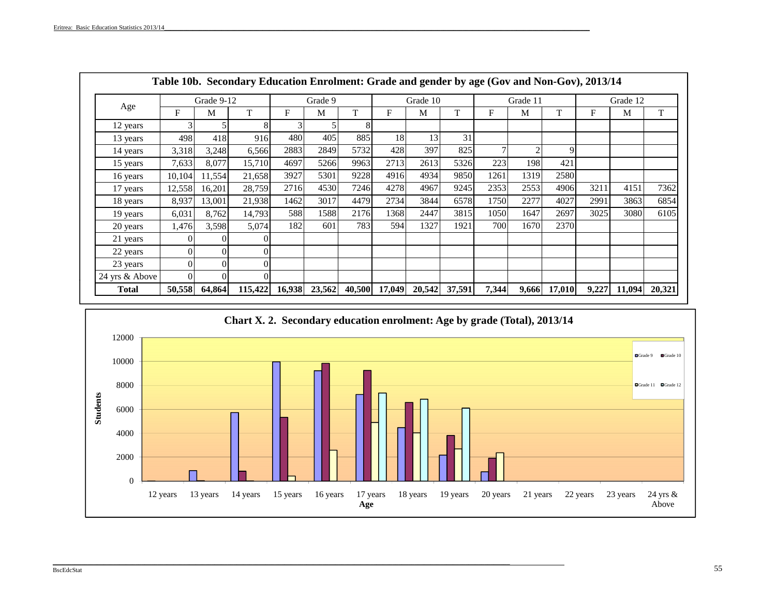|                |        |            | Table 10b. Secondary Education Enrolment: Grade and gender by age (Gov and Non-Gov), 2013/14 |        |         |        |        |          |        |       |                |        |       |          |        |
|----------------|--------|------------|----------------------------------------------------------------------------------------------|--------|---------|--------|--------|----------|--------|-------|----------------|--------|-------|----------|--------|
|                |        | Grade 9-12 |                                                                                              |        | Grade 9 |        |        | Grade 10 |        |       | Grade 11       |        |       | Grade 12 |        |
| Age            | F      | M          | T                                                                                            | F      | M       | T      | F      | M        | T      | F     | M              | T      | F     | M        | T      |
| 12 years       |        |            | 8                                                                                            | 3      |         | 8      |        |          |        |       |                |        |       |          |        |
| 13 years       | 498    | 418        | 916                                                                                          | 480    | 405     | 885    | 18     | 13       | 31     |       |                |        |       |          |        |
| 14 years       | 3,318  | 3,248      | 6,566                                                                                        | 2883   | 2849    | 5732   | 428    | 397      | 825    |       | $\mathfrak{D}$ | 9      |       |          |        |
| 15 years       | 7,633  | 8,077      | 15,710                                                                                       | 4697   | 5266    | 9963   | 2713   | 2613     | 5326   | 223   | 198            | 421    |       |          |        |
| 16 years       | 10,104 | 11,554     | 21,658                                                                                       | 3927   | 5301    | 9228   | 4916   | 4934     | 9850   | 1261  | 1319           | 2580   |       |          |        |
| 17 years       | 12,558 | 16,201     | 28,759                                                                                       | 2716   | 4530    | 7246   | 4278   | 4967     | 9245   | 2353  | 2553           | 4906   | 3211  | 4151     | 7362   |
| 18 years       | 8,937  | 13,001     | 21,938                                                                                       | 1462   | 3017    | 4479   | 2734   | 3844     | 6578   | 1750  | 2277           | 4027   | 2991  | 3863     | 6854   |
| 19 years       | 6,031  | 8,762      | 14,793                                                                                       | 588    | 1588    | 2176   | 1368   | 2447     | 3815   | 1050  | 1647           | 2697   | 3025  | 3080     | 6105   |
| 20 years       | 1,476  | 3,598      | 5,074                                                                                        | 182    | 601     | 783    | 594    | 1327     | 1921   | 700   | 1670           | 2370   |       |          |        |
| 21 years       |        |            |                                                                                              |        |         |        |        |          |        |       |                |        |       |          |        |
| 22 years       |        | 0          | $\Omega$                                                                                     |        |         |        |        |          |        |       |                |        |       |          |        |
| 23 years       |        | 0          | $\Omega$                                                                                     |        |         |        |        |          |        |       |                |        |       |          |        |
| 24 yrs & Above |        |            | $\Omega$                                                                                     |        |         |        |        |          |        |       |                |        |       |          |        |
| <b>Total</b>   | 50,558 | 64,864     | 115,422                                                                                      | 16,938 | 23,562  | 40,500 | 17,049 | 20,542   | 37,591 | 7,344 | 9,666          | 17,010 | 9,227 | 11,094   | 20,321 |



\_\_\_\_\_\_\_\_\_\_\_\_\_\_\_\_\_\_\_\_\_\_\_\_\_\_\_\_\_\_\_\_\_\_\_\_\_\_\_\_\_\_\_\_\_\_\_\_\_\_\_\_\_\_\_\_\_\_\_\_\_\_\_\_\_\_\_\_\_\_\_\_\_\_\_\_\_\_\_\_\_\_\_\_\_\_\_\_\_\_\_\_\_\_\_\_\_\_\_\_\_\_\_\_\_\_\_\_\_\_\_\_\_\_\_\_\_\_\_\_\_\_\_\_\_\_\_\_\_\_\_\_\_\_\_\_\_\_\_\_\_\_\_\_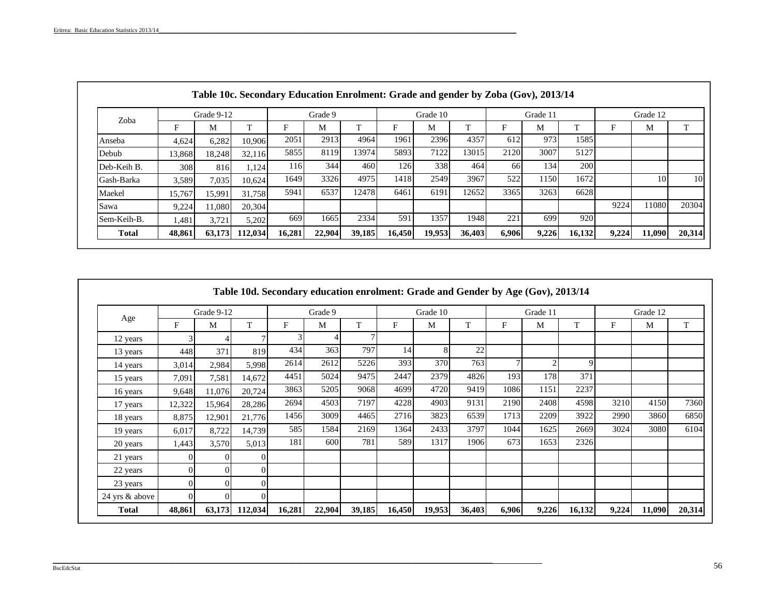| Zoba         |        | Grade 9-12 |         |        | Grade 9 |              |        | Grade 10 |        |           | Grade 11 |              |       | Grade 12 |        |
|--------------|--------|------------|---------|--------|---------|--------------|--------|----------|--------|-----------|----------|--------------|-------|----------|--------|
|              | F      | М          |         | F      | M       | $\mathbf{r}$ | F      | M        | T      | F         | М        | $\mathbf{T}$ | F     | M        | T.     |
| Anseba       | 4.624  | 6.282      | 10.906  | 2051   | 2913    | 4964         | 1961   | 2396     | 4357   | 612       | 973      | 1585         |       |          |        |
| Debub        | 13,868 | 18,248     | 32,116  | 5855   | 8119    | 13974        | 5893   | 7122     | 13015  | 2120      | 3007     | 5127         |       |          |        |
| Deb-Keih B.  | 308    | 816        | 1,124   | 116    | 344     | 460          | 126    | 338      | 464    | <b>66</b> | 134      | 200          |       |          |        |
| Gash-Barka   | 3.589  | 7,035      | 10,624  | 1649   | 3326    | 4975         | 1418   | 2549     | 3967   | 522       | 1150     | 1672         |       | 10       | 10     |
| Maekel       | 15,767 | 15,991     | 31,758  | 5941   | 6537    | 12478        | 6461   | 6191     | 12652  | 3365      | 3263     | 6628         |       |          |        |
| Sawa         | 9,224  | 11.080     | 20,304  |        |         |              |        |          |        |           |          |              | 9224  | 11080    | 20304  |
| Sem-Keih-B.  | 1,481  | 3,721      | 5,202   | 669    | 1665    | 2334         | 591    | 1357     | 1948   | 221       | 699      | 920          |       |          |        |
| <b>Total</b> | 48,861 | 63,173     | 112,034 | 16,281 | 22,904  | 39,185       | 16,450 | 19,953   | 36,403 | 6,906     | 9,226    | 16,132       | 9,224 | 11,090   | 20,314 |

|                |          | Grade 9-12 |         |        | Grade 9 |        |        | Grade 10 |        |       | Grade 11 |              |       | Grade 12 |        |
|----------------|----------|------------|---------|--------|---------|--------|--------|----------|--------|-------|----------|--------------|-------|----------|--------|
| Age            | F        | М          | T       | F      | M       | T      | F      | M        | T      | F     | M        | T            | F     | M        | T      |
| 12 years       |          |            |         |        |         |        |        |          |        |       |          |              |       |          |        |
| 13 years       | 448      | 371        | 819     | 434    | 363     | 797    | 14     | 8        | 22     |       |          |              |       |          |        |
| 14 years       | 3,014    | 2,984      | 5,998   | 2614   | 2612    | 5226   | 393    | 370      | 763    |       |          | $\mathbf{Q}$ |       |          |        |
| 15 years       | 7,091    | 7,581      | 14,672  | 4451   | 5024    | 9475   | 2447   | 2379     | 4826   | 193   | 178      | 371          |       |          |        |
| 16 years       | 9,648    | 11,076     | 20,724  | 3863   | 5205    | 9068   | 4699   | 4720     | 9419   | 1086  | 1151     | 2237         |       |          |        |
| 17 years       | 12,322   | 15,964     | 28,286  | 2694   | 4503    | 7197   | 4228   | 4903     | 9131   | 2190  | 2408     | 4598         | 3210  | 4150     | 7360   |
| 18 years       | 8,875    | 12,901     | 21,776  | 1456   | 3009    | 4465   | 2716   | 3823     | 6539   | 1713  | 2209     | 3922         | 2990  | 3860     | 6850   |
| 19 years       | 6,017    | 8,722      | 14,739  | 585    | 1584    | 2169   | 1364   | 2433     | 3797   | 1044  | 1625     | 2669         | 3024  | 3080     | 6104   |
| 20 years       | 1,443    | 3,570      | 5,013   | 181    | 600     | 781    | 589    | 1317     | 1906   | 673   | 1653     | 2326         |       |          |        |
| 21 years       | $\Omega$ | $\Omega$   | 01      |        |         |        |        |          |        |       |          |              |       |          |        |
| 22 years       |          | $\Omega$   | 0       |        |         |        |        |          |        |       |          |              |       |          |        |
| 23 years       |          | $\Omega$   |         |        |         |        |        |          |        |       |          |              |       |          |        |
| 24 yrs & above | $\Omega$ | $\Omega$   | 01      |        |         |        |        |          |        |       |          |              |       |          |        |
| Total          | 48,861   | 63,173     | 112,034 | 16,281 | 22,904  | 39,185 | 16,450 | 19,953   | 36,403 | 6,906 | 9,226    | 16,132       | 9,224 | 11,090   | 20,314 |

\_\_\_\_\_\_\_\_\_\_\_\_\_\_\_\_\_\_\_\_\_\_\_\_\_\_\_\_\_\_\_\_\_\_\_\_\_\_\_\_\_\_\_\_\_\_\_\_\_\_\_\_\_\_\_\_\_\_\_\_\_\_\_\_\_\_\_\_\_\_\_\_\_\_\_\_\_\_\_\_\_\_\_\_\_\_\_\_\_\_\_\_\_\_\_\_\_\_\_\_\_\_\_\_\_\_\_\_\_\_\_\_\_\_\_\_\_\_\_\_\_\_\_\_\_\_\_\_\_\_\_\_\_\_\_\_\_\_\_\_\_\_\_\_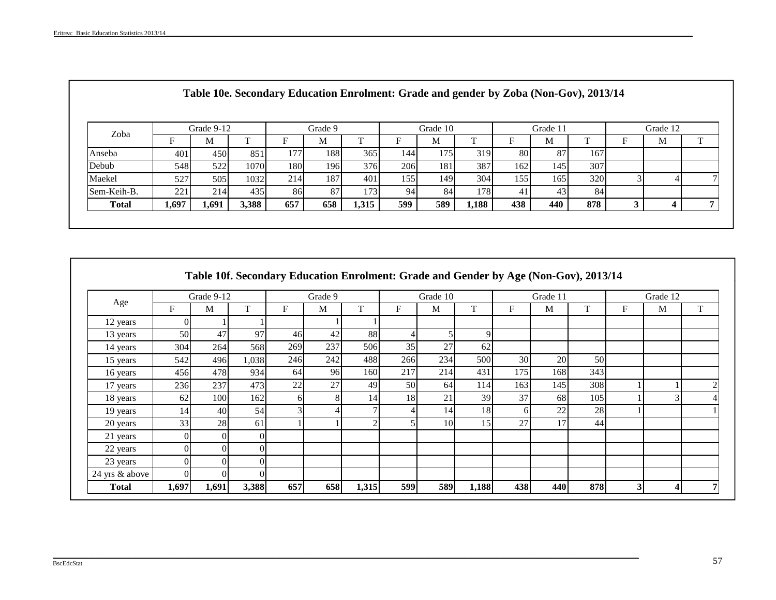| Zoba         |       | Grade 9-12 |       |     | Grade 9          |       |     | Grade 10 |       |     | Grade 11 |     | Grade 12 |    |
|--------------|-------|------------|-------|-----|------------------|-------|-----|----------|-------|-----|----------|-----|----------|----|
|              |       | м          |       |     | М                | ᠇᠇    |     | М        |       |     | м        |     | М        | ᠇᠇ |
| Anseba       | 401   | 450        | 851   | 177 | 188              | 365   | 144 | 175      | 319   | 80  | 87       | 167 |          |    |
| Debub        | 548   | 522        | 1070  | 180 | 196 <sub>l</sub> | 376   | 206 | 181      | 387   | 162 | 145      | 307 |          |    |
| Maekel       | 527   | 505        | 1032  | 214 | 187              | 401   | 155 | 149      | 304   | 155 | 165      | 320 |          |    |
| Sem-Keih-B.  | 221   | 214        | 435   | 86  | 87               | 173   | 94  | 84       | 178   | 41  | 43       | 84  |          |    |
| <b>Total</b> | 1,697 | 1,691      | 3,388 | 657 | 658              | 1,315 | 599 | 589      | 1,188 | 438 | 440      | 878 |          |    |

|                |          | Grade 9-12 |          |     | Grade 9 |                  |                | Grade 10 |       |                 | Grade 11 |     |                         | Grade 12 |   |
|----------------|----------|------------|----------|-----|---------|------------------|----------------|----------|-------|-----------------|----------|-----|-------------------------|----------|---|
| Age            | F        | M          | T        | F   | M       | T                | F              | M        | T     | F               | M        | T   | F                       | M        | T |
| 12 years       | $\Omega$ |            |          |     |         |                  |                |          |       |                 |          |     |                         |          |   |
| 13 years       | 50       | 47         | 97       | 46  | 42      | 88               | $\overline{4}$ |          | 9     |                 |          |     |                         |          |   |
| 14 years       | 304      | 264        | 568      | 269 | 237     | 50 <sub>6</sub>  | 35             | 27       | 62    |                 |          |     |                         |          |   |
| 15 years       | 542      | 496        | 1,038    | 246 | 242     | 488              | 266            | 234      | 500   | 30 <sup>l</sup> | 20       | 50  |                         |          |   |
| 16 years       | 456      | 478        | 934      | 64  | 96      | 160 <sub>l</sub> | 217            | 214      | 431   | 175             | 168      | 343 |                         |          |   |
| 17 years       | 236      | 237        | 473      | 22  | 27      | 49               | 50             | 64       | 114   | 163             | 145      | 308 |                         |          |   |
| 18 years       | 62       | 100        | 162      | 6   |         | 14               | 18             | 21       | 39    | 37              | 68       | 105 |                         |          |   |
| 19 years       | 14       | 40         | 54       | 3   |         | 7                | 4              | 14       | 18    | 6               | 22       | 28  |                         |          |   |
| 20 years       | 33       | 28         | 61       |     |         | $\overline{2}$   | 5              | 10       | 15    | 27              | 17       | 44  |                         |          |   |
| 21 years       | $\Omega$ |            | $\Omega$ |     |         |                  |                |          |       |                 |          |     |                         |          |   |
| 22 years       | $\Omega$ |            | ΩI       |     |         |                  |                |          |       |                 |          |     |                         |          |   |
| 23 years       | $\Omega$ |            | ΩI       |     |         |                  |                |          |       |                 |          |     |                         |          |   |
| 24 yrs & above | $\Omega$ |            | $\Omega$ |     |         |                  |                |          |       |                 |          |     |                         |          |   |
| <b>Total</b>   | 1,697    | 1,691      | 3,388    | 657 | 658     | 1,315            | 599            | 589      | 1,188 | 438             | 440      | 878 | $\overline{\mathbf{3}}$ | $\Delta$ |   |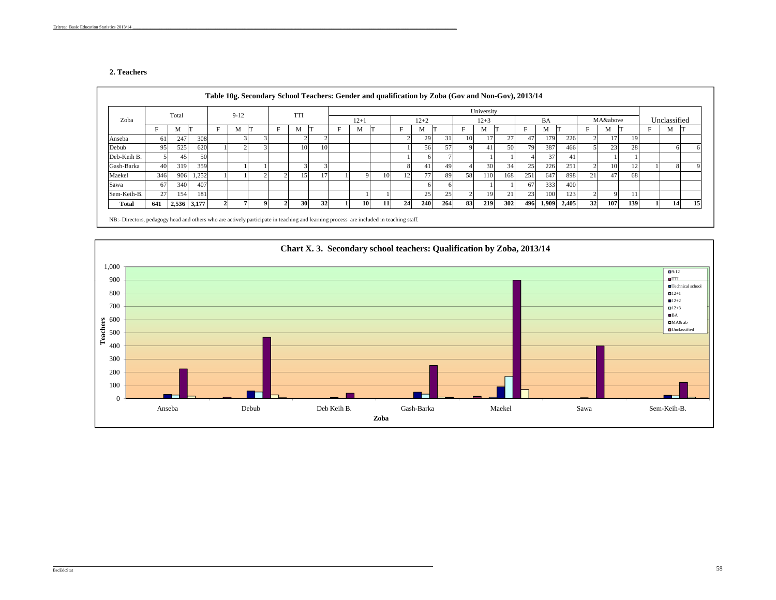### **2. Teachers**

|             |                 | Total       |       |   | $9 - 12$ |  | <b>TTI</b> |    |        |    |    |          |     |    | University |     |     |                 |       |    |                 |     |   |              |    |
|-------------|-----------------|-------------|-------|---|----------|--|------------|----|--------|----|----|----------|-----|----|------------|-----|-----|-----------------|-------|----|-----------------|-----|---|--------------|----|
| Zoba        |                 |             |       |   |          |  |            |    | $12+1$ |    |    | $12 + 2$ |     |    | $12 + 3$   |     |     | BA              |       |    | MA&above        |     |   | Unclassified |    |
|             |                 | M           |       | F | М        |  | M          |    | М      |    |    | M        |     |    | M          |     | Е   | M               |       |    | M               | IТ  | F | M            |    |
| Anseba      | 61 <sup>1</sup> | 247         | 308   |   |          |  |            |    |        |    |    | 29       | 31  | 10 |            | 27  | 47  | 179             | 226   |    | 17 <sub>l</sub> | 19  |   |              |    |
| Debub       | 95              | 525         | 620   |   |          |  | 10         | 10 |        |    |    | 56       | 57  |    | 41         | 50  | 79  | 387             | 466   |    | 23              | 28  |   |              |    |
| Deb-Keih B. |                 | 45          | 50    |   |          |  |            |    |        |    |    |          |     |    |            |     |     | 37 <sub>1</sub> | 41    |    |                 |     |   |              |    |
| Gash-Barka  | 40              | 319         | 359   |   |          |  |            |    |        |    |    | 41       | 49  |    | 30         | 34  | 25  | 226             | 251   |    | 10              | 12  |   |              |    |
| Maekel      | 346             | 906         | 1,252 |   |          |  | 15         |    |        | 10 |    | 77       | 89  | 58 | 110        | 168 | 251 | 647             | 898   | 21 | 47              | 68  |   |              |    |
| Sawa        | 67              | 340         | 407   |   |          |  |            |    |        |    |    |          |     |    |            |     | 67  | 333             | 400   |    |                 |     |   |              |    |
| Sem-Keih-B. | 27              | 154         | 181   |   |          |  |            |    |        |    |    | 25       | 2:  |    |            | 21  | 23  | 100             | 123   |    |                 |     |   |              |    |
| Total       | 641             | 2,536 3,177 |       |   |          |  | <b>30</b>  | 32 | 10     | 11 | 24 | 240      | 264 | 83 | 219        | 302 | 496 | 1,909           | 2,405 | 32 | 107             | 139 |   | 14           | 15 |

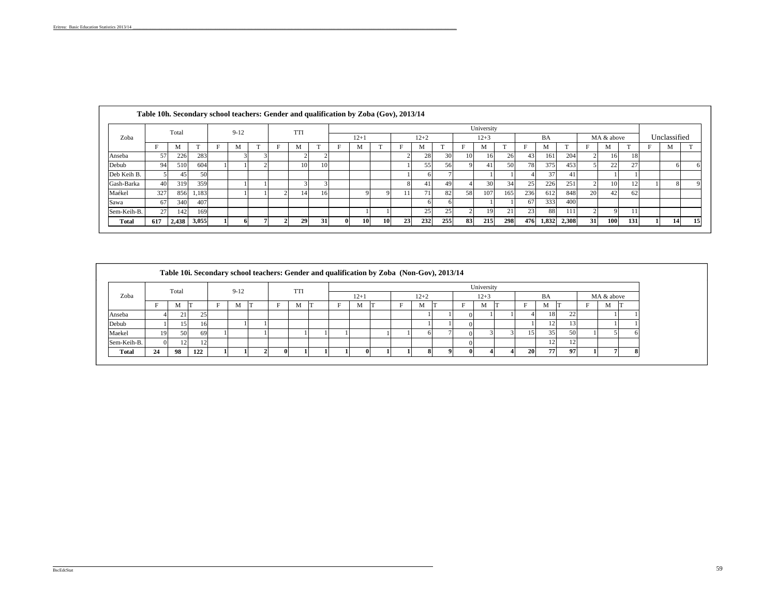|              | Table 10h. Secondary school teachers: Gender and qualification by Zoba (Gov), 2013/14 |       |       |          |                   |   |            |    |              |          |           |    |                 |     |    |            |     |     |       |       |    |            |     |              |    |
|--------------|---------------------------------------------------------------------------------------|-------|-------|----------|-------------------|---|------------|----|--------------|----------|-----------|----|-----------------|-----|----|------------|-----|-----|-------|-------|----|------------|-----|--------------|----|
|              |                                                                                       | Total |       | $9 - 12$ |                   |   | <b>TTI</b> |    |              |          |           |    |                 |     |    | University |     |     |       |       |    |            |     |              |    |
| Zoba         |                                                                                       |       |       |          |                   |   |            |    |              | $12 + 1$ |           |    | $12 + 2$        |     |    | $12 + 3$   |     |     | BA    |       |    | MA & above |     | Unclassified |    |
|              |                                                                                       | M     |       | М        | <b>CONTRACTOR</b> | Е | M          |    | Е            | M        |           |    | M               |     |    | M          |     | E   | M     |       |    | М          |     | M            |    |
| Anseba       | 57                                                                                    | 226   | 283   |          |                   |   |            |    |              |          |           |    | 28              | 30  | 10 | 16         | 26  | 43  | 161   | 204   |    | 16         | 18  |              |    |
| Debub        | 94                                                                                    | 510   | 604   |          |                   |   | 10         |    |              |          |           |    | 55              | 56  |    | 41         | 50  | 78  | 375   | 453   |    | 22         | 27  |              |    |
| Deb Keih B.  |                                                                                       | 45.   | 50    |          |                   |   |            |    |              |          |           |    |                 |     |    |            |     |     | 37    |       |    |            |     |              |    |
| Gash-Barka   | 40                                                                                    | 319   | 359   |          |                   |   |            |    |              |          |           |    | 41              | 49  |    | 30         | 34  | 25  | 226   | 251   |    | 10         |     |              |    |
| Maékel       | 327                                                                                   | 856   | 1,183 |          |                   |   | 14         |    |              |          |           | 11 | 71 <sub>1</sub> | 82  | 58 | 107        | 165 | 236 | 612   | 848   | 20 | 42         | 62  |              |    |
| Sawa         | 67                                                                                    | 340   | 407   |          |                   |   |            |    |              |          |           |    |                 |     |    |            |     | 67  | 333   | 400   |    |            |     |              |    |
| Sem-Keih-B.  | 27                                                                                    | 142   | 169   |          |                   |   |            |    |              |          |           |    | 25              | 25  |    | 19         | 21  | 23  | 88    | 111   |    |            |     |              |    |
| <b>Total</b> | 617                                                                                   | 2,438 | 3,055 |          |                   |   | 29         | 31 | $\mathbf{0}$ | 10       | <b>10</b> | 23 | 232             | 255 | 83 | 215        | 298 | 476 | 1,832 | 2,308 | 31 | <b>100</b> | 131 | 14           | 15 |

|              |    |       |     |          |  |            | Table 10i. Secondary school teachers: Gender and qualification by Zoba (Non-Gov), 2013/14 |          |  |          |  |              |    |    |          |            |  |
|--------------|----|-------|-----|----------|--|------------|-------------------------------------------------------------------------------------------|----------|--|----------|--|--------------|----|----|----------|------------|--|
|              |    | Total |     | $9 - 12$ |  | <b>TTI</b> |                                                                                           |          |  |          |  | University   |    |    |          |            |  |
| Zoba         |    |       |     |          |  |            |                                                                                           | $12 + 1$ |  | $12 + 2$ |  | $12 + 3$     |    | BA |          | MA & above |  |
|              |    | М     |     | M        |  | M          |                                                                                           | М        |  | M        |  | M            |    | M  |          | <b>IVI</b> |  |
| Anseba       |    | 21    | 25  |          |  |            |                                                                                           |          |  |          |  |              |    | 18 | 22<br>∠∠ |            |  |
| Debub        |    | 151   | 16  |          |  |            |                                                                                           |          |  |          |  |              |    |    |          |            |  |
| Maekel       | 19 | 50    | 69  |          |  |            |                                                                                           |          |  |          |  |              |    | 35 | 50       |            |  |
| Sem-Keih-B.  |    | 12    | 12  |          |  |            |                                                                                           |          |  |          |  |              |    |    | -14      |            |  |
| <b>Total</b> | 24 | 98    | 122 |          |  |            |                                                                                           |          |  |          |  | $\mathbf{u}$ | 20 | 77 | 97       |            |  |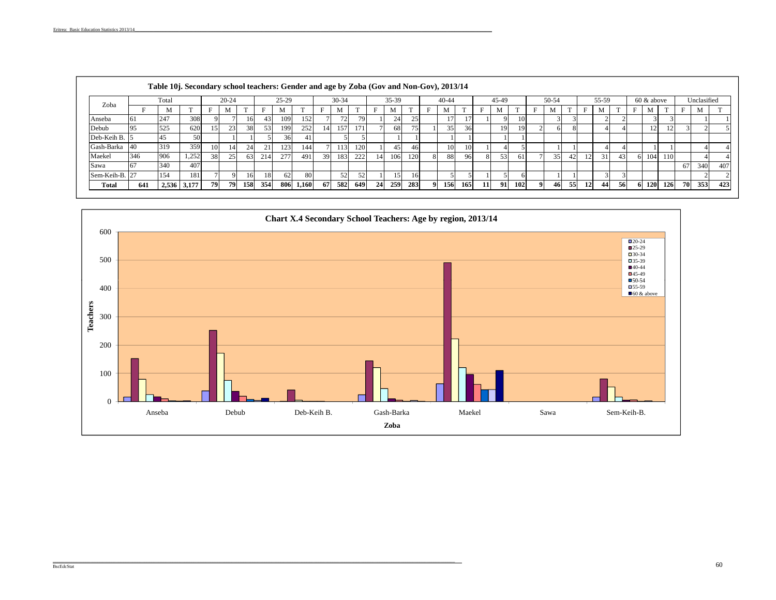|                |     | Table 10j. Secondary school teachers: Gender and age by Zoba (Gov and Non-Gov), 2013/14 |       |     |           |     |     |         |           |                 |           |      |                 |       |     |    |                 |     |    |       |               |       |    |    |       |    |    |            |     |     |             |     |
|----------------|-----|-----------------------------------------------------------------------------------------|-------|-----|-----------|-----|-----|---------|-----------|-----------------|-----------|------|-----------------|-------|-----|----|-----------------|-----|----|-------|---------------|-------|----|----|-------|----|----|------------|-----|-----|-------------|-----|
|                |     | Total                                                                                   |       |     | $20 - 24$ |     |     | $25-29$ |           |                 | $30 - 34$ |      |                 | 35-39 |     |    | $40 - 44$       |     |    | 45-49 |               | 50-54 |    |    | 55-59 |    |    | 60 & above |     |     | Unclasified |     |
| Zoba           |     | M                                                                                       |       |     |           |     |     |         |           |                 | M         |      |                 |       |     |    | M               |     |    |       |               | M     |    |    | M     | m  | E  | М          |     |     | M           |     |
| Anseba         | 61  | 247                                                                                     | 308   |     |           | 16  | 43  | 109     | 152       |                 | 72        | 79   |                 | 24    | 25  |    | 17              |     |    |       | <sup>10</sup> |       |    |    |       |    |    |            |     |     |             |     |
| Debub          | 95  | 525                                                                                     | 620   | 15  | 23        | 38  | 53  | 199     | 252       | 14 <sup>l</sup> | 157       | 171' |                 | 68    | 75  |    | 35 <sup>1</sup> | 36  |    | 19    | 19            |       |    |    |       |    |    | 12         | 14  |     |             |     |
| Deb-Keih B.    |     | 45                                                                                      | 50    |     |           |     |     | 36      |           |                 |           |      |                 |       |     |    |                 |     |    |       |               |       |    |    |       |    |    |            |     |     |             |     |
| Gash-Barka     | 40  | 319                                                                                     | 359   | 10  | 14        | 24  | 21  | 123     | 144       |                 | 1131      | 120  |                 | 45    | 461 |    | 10              | 10  |    |       |               |       |    |    |       |    |    |            |     |     |             |     |
| Maekel         | 346 | 906                                                                                     | 1,252 | 38  | 25        | 63  | 214 | 277     | 491       | 39              | 183       | 222  | 14              | 106   | 120 |    | 88              | 96. |    | 53    | 61            | 35    | 42 |    | 31    | 43 |    | 104        | 110 |     |             |     |
| Sawa           |     | 340                                                                                     | 407   |     |           |     |     |         |           |                 |           |      |                 |       |     |    |                 |     |    |       |               |       |    |    |       |    |    |            |     | -67 | 340         | 407 |
| Sem-Keih-B. 27 |     | 154                                                                                     | 181   |     |           | 16  | 18  | 62      | 80        |                 | 52        | 52   |                 |       | 16  |    |                 |     |    |       |               |       |    |    |       |    |    |            |     |     |             |     |
| Total          | 641 | 2,536                                                                                   | 3,177 | 791 | 79        | 158 | 354 |         | 806 1,160 | 67              | 582       | 649  | 24 <sup>1</sup> | 259   | 283 | 91 | 156             | 165 | 11 | 91    | 102           | 46    | 55 | 12 | 44    | 56 | 61 | <b>120</b> | 126 | 70  | 353         | 423 |

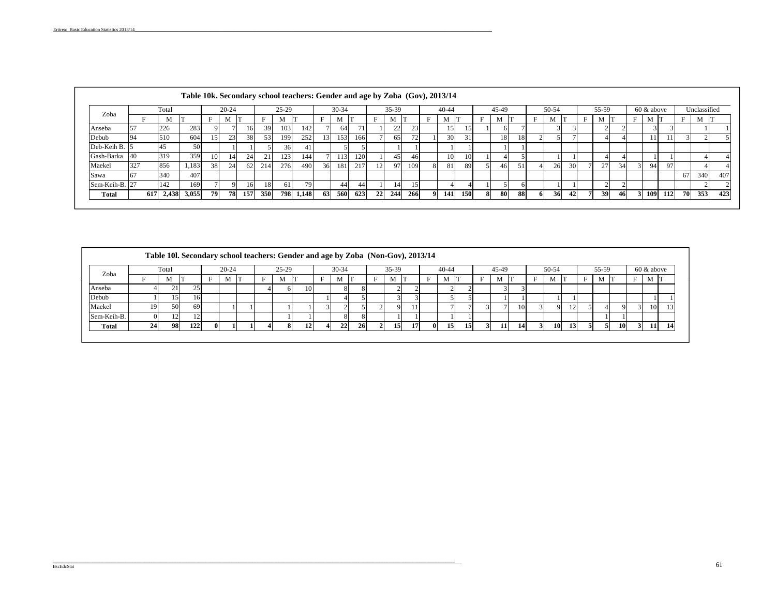|                |     |              |       |               |           |     |     |         | Table 10k. Secondary school teachers: Gender and age by Zoba (Gov), 2013/14 |    |           |     |                 |       |                 |                 |      |    |       |    |       |    |       |      |     |               |     |     |              |     |
|----------------|-----|--------------|-------|---------------|-----------|-----|-----|---------|-----------------------------------------------------------------------------|----|-----------|-----|-----------------|-------|-----------------|-----------------|------|----|-------|----|-------|----|-------|------|-----|---------------|-----|-----|--------------|-----|
| Zoba           |     | Total        |       |               | $20 - 24$ |     |     | $25-29$ |                                                                             |    | $30 - 34$ |     |                 | 35-39 |                 | $40 - 44$       |      |    | 45-49 |    | 50-54 |    | 55-59 |      |     | $60 \& above$ |     |     | Unclassified |     |
|                |     | M            |       |               | М         |     |     |         |                                                                             | Е  | M         |     |                 | M     |                 | M               |      |    | М     |    | M     |    | M     |      | Е   | M             |     |     | M            |     |
| Anseba         | 57  | 226          | 283   | 9             |           | 16  | 39  | 103     | 142                                                                         |    | 64        |     |                 | 22    | 23 <sub>1</sub> | 15 <sup>1</sup> | 75 L |    |       |    |       |    |       |      |     |               |     |     |              |     |
| Debub          | 94  | 510          | 604   | 15            | 23        | 38  | 53  | 199     | 252                                                                         |    | 153       | 166 |                 | 65    | 72              | 30              | 31   |    | 18    | 18 |       |    |       |      |     |               | 11  |     |              |     |
| Deb-Keih B     |     | 45           | 50    |               |           |     |     | 36      |                                                                             |    |           |     |                 |       |                 |                 |      |    |       |    |       |    |       |      |     |               |     |     |              |     |
| Gash-Barka     | 40  | 319          | 359   | 10            | 14        | 24  | 21  | 123     | 144                                                                         |    | 113       | 120 |                 | 45    | -461            | 10 <sup>1</sup> | 10   |    |       |    |       |    |       |      |     |               |     |     |              |     |
| Maekel         | 327 | 856          | 1,183 | 38            | 24        | 62  | 214 | 276     | 490                                                                         | 36 | 181       | 217 | 12 <sup>1</sup> | 97    | 109             | 81              | 89   |    | 46    |    | 26    | 30 | 27    | 34   |     | 94            | 97  |     |              |     |
| Sawa           | 67  | 340          | 407   |               |           |     |     |         |                                                                             |    |           |     |                 |       |                 |                 |      |    |       |    |       |    |       |      |     |               |     | 67  | 340          | 407 |
| Sem-Keih-B. 27 |     | 142          | 169   | $\mathcal{L}$ |           | 16  | 18  | 61      | 79                                                                          |    | 441       | 44  |                 | 14    | 15              | 4               |      |    |       |    |       |    |       |      |     |               |     |     |              |     |
| <b>Total</b>   |     | 617<br>2,438 | 3,055 | 79            | 78        | 157 | 350 | 798     | 1,148                                                                       | 63 | 560       | 623 | 22              | 244   | 266             | <b>141</b>      | 150  | 81 | 80    | 88 | 36    | 42 | 39    | -461 | 31. | 109           | 112 | 70I | 353          | 423 |

|        |                      |           |            |         |  |           |  |               | Table 10l. Secondary school teachers: Gender and age by Zoba (Non-Gov), 2013/14 |   |                 |  |       |               |       |       |           |           |  |               |           |
|--------|----------------------|-----------|------------|---------|--|-----------|--|---------------|---------------------------------------------------------------------------------|---|-----------------|--|-------|---------------|-------|-------|-----------|-----------|--|---------------|-----------|
| Total  |                      | $20 - 24$ |            | $25-29$ |  | $30 - 34$ |  | $35-39$       |                                                                                 |   | $40 - 44$       |  | 45-49 |               | 50-54 |       |           | 55-59     |  | $60 \& above$ |           |
| M      |                      | N.        |            | М       |  | M         |  |               |                                                                                 | Е |                 |  | M     |               | M     |       |           | M         |  | M             |           |
| $\sim$ |                      |           |            |         |  |           |  |               |                                                                                 |   |                 |  |       |               |       |       |           |           |  |               |           |
|        | 16.                  |           |            |         |  |           |  |               |                                                                                 |   |                 |  |       |               |       |       |           |           |  |               |           |
| 50     | -69                  |           |            |         |  |           |  |               |                                                                                 |   |                 |  |       | <sup>10</sup> |       | $\pm$ |           |           |  |               | 13'       |
|        |                      |           |            |         |  |           |  |               |                                                                                 |   |                 |  |       |               |       |       |           |           |  |               |           |
| 98     | 122                  |           |            |         |  | 22        |  | 15            |                                                                                 |   | 15 <sup>1</sup> |  | 11'   |               |       |       |           |           |  |               | <b>14</b> |
|        | 19<br>$\Omega$<br>24 | $25 -$    | $^{\circ}$ |         |  | 101       |  | 81<br>8<br>26 |                                                                                 |   |                 |  |       |               |       |       | <b>10</b> | <b>13</b> |  | 10            | 10        |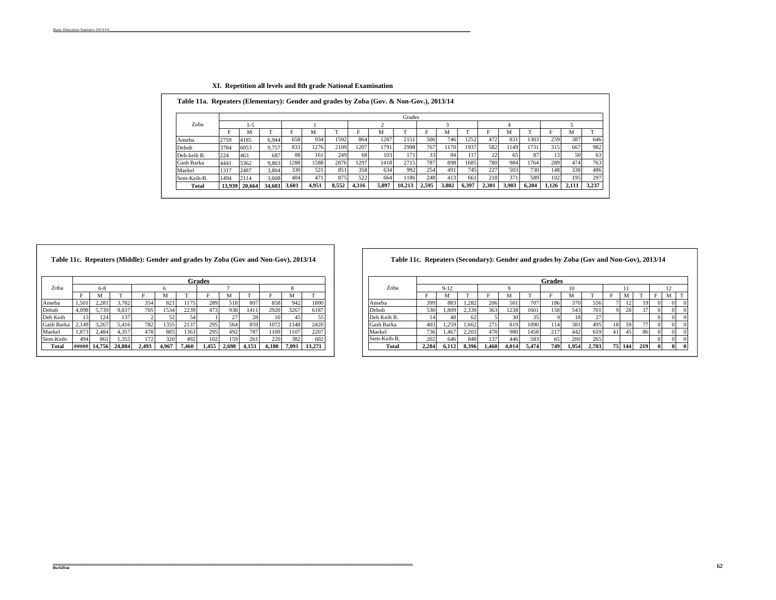|             |      |               |              |      |       |       |       |       | Grades |       |       |       |       |       |       |       |       |       |
|-------------|------|---------------|--------------|------|-------|-------|-------|-------|--------|-------|-------|-------|-------|-------|-------|-------|-------|-------|
| Zoba        |      | د- ا          |              |      |       |       |       |       |        |       |       |       |       |       |       |       |       |       |
|             | Е    | М             |              |      | М     |       |       | м     |        | Е     | м     |       | E     | M     |       | Е     | М     |       |
| Anseba      | 2759 | 4185          | 6.944        | 658  | 934   | 1592  | 864   | 1287  | 2151   | 506   | 746   | 1252  | 472   | 831   | 1303  | 259   | 387   | 646   |
| Debub       | 3704 | 6053          | 9.757        | 833  | 1276  | 2109  | 1207  | 1791  | 2998   | 767   | 1170  | 1937  | 582   | 1149  | 1731  | 315   | 667   | 982   |
| Deb-keih B. | 224  | 463           | 687          | 88   | 161   | 249   | 68    | 103   | 171    | 33    | 84    | 117   | 22    | 65    | 87    | 13    | 50    | 63    |
| Gash Barka  | 4441 | 5362          | 9.803        | 1288 | 1588  | 2876  | 1297  | 1418  | 2715   | 787   | 898   | 1685  | 780   | 984   | 1764  | 289   | 474   | 7631  |
| Maekel      | 1317 | 2487          | 3.804        | 330  | 521   | 851   | 358   | 634   | 992    | 254   | 491   | 745   | 227   | 503   | 730   | 148   | 338   | 486   |
| Sem-Keih-B. | 1494 | 2114          | 3.608        | 404  | 471   | 875   | 522   | 664   | 1186   | 248   | 413   | 661   | 218   | 371   | 589   | 102   | 195   | 297   |
| Total       |      | 13.939 20.664 | 34,603 3,601 |      | 4.951 | 8.552 | 4.316 | 5.897 | 10.213 | 2.595 | 3.802 | 6.397 | 2.301 | 3.903 | 6.204 | 1.126 | 2.111 | 3.237 |

## **XI. Repetition all levels and 8th grade National Examination**

|            |       |         |        | Table 11c. Repeaters (Middle): Gender and grades by Zoba (Gov and Non-Gov), 2013/14 |       |       |               |       |       |       |       |        |             |
|------------|-------|---------|--------|-------------------------------------------------------------------------------------|-------|-------|---------------|-------|-------|-------|-------|--------|-------------|
|            |       |         |        |                                                                                     |       |       | <b>Grades</b> |       |       |       |       |        |             |
| Zoba       |       | $6 - 8$ |        |                                                                                     | 6     |       |               |       |       |       |       |        | Zoba        |
|            | F     | м       |        |                                                                                     | м     |       |               | М     |       |       | м     |        |             |
| Anseba     | .501  | 2.281   | 3.782  | 354                                                                                 | 821   | 1175  | 289           | 518   | 807   | 858   | 942   | 1800   | Anseba      |
| Debub      | 4.098 | 5.739   | 9.837  | 705                                                                                 | 1534  | 2239  | 473           | 938   | 1411  | 2920  | 3267  | 6187   | Debub       |
| Deb Keih   | 13    | 124     | 137    |                                                                                     | 52    | 54    |               | 27    | 28    |       | 45    | 55     | Deb Keih B. |
| Gash Barka | 2,149 | 3.267   | 5.416  | 782                                                                                 | 1355  | 2137  | 295           | 564   | 859   | 1072  | 1348  | 2420   | Gash Barka  |
| Maekel     | 1.873 | 2.484   | 4.357  | 478                                                                                 | 885   | 1363  | 295           | 492   | 787   | 1100  | 1107  | 2207   | Maekel      |
| Sem-Keih-  | 494   | 861     | 1.355  | 172                                                                                 | 320   | 492   | 102           | 159   | 261   | 220   | 382   | 602    | Sem-Keih-B  |
| Total      | ##### | 14.756  | 24.884 | 2.493                                                                               | 4.967 | 7.460 | 1.455         | 2.698 | 4.153 | 6.180 | 7.091 | 13.271 | Total       |

**Table 11c. Repeaters (Middle): Gender and grades by Zoba (Gov and Non-Gov), 2013/14 Table 11c. Repeaters (Secondary): Gender and grades by Zoba (Gov and Non-Gov), 2013/14**

|              |       |        |        |       |       |       | Grades |       |       |           |       |        |             |       |          |       |       |       |       | Grades |       |                  |     |     |        |
|--------------|-------|--------|--------|-------|-------|-------|--------|-------|-------|-----------|-------|--------|-------------|-------|----------|-------|-------|-------|-------|--------|-------|------------------|-----|-----|--------|
| Zoba         |       |        |        |       |       |       |        |       |       |           |       |        | Zoba        |       | $9 - 12$ |       |       |       |       |        |       |                  |     |     | $\sim$ |
|              |       |        |        |       |       |       |        |       |       |           |       |        |             |       |          |       |       |       |       |        |       |                  |     |     |        |
| Anseba       | 1,501 | 2,281  | 3,782  | 354   | 821   | 1175  | 289    | 518   | 807   | 858       | 942   | 1800   | Anseba      | 399   | 883      | 1,282 |       | 501   | 707   | 186    | 370   | 556              |     |     |        |
| Debub        | 4,098 | 5,739  | 9,837  | 705   | 1534  | 2239  | 473    | 938   | 411   | 2920      | 3267  | 6187   | Debub       | 530   | . 809    | 2,339 | 3631  | 1238  | 1601  | 158    | 5431  | 701 <sub>1</sub> |     |     |        |
| Deb Keih     |       | 124    | 137    |       |       |       |        |       |       |           |       |        | Deb Keih B. |       |          | 62    |       |       |       |        | 18    |                  |     |     |        |
| Gash Barka   | 2,149 | 3,267  | 5,416  | 782   | 1355  | 2137  | 295    | 564   | 859   | 1072      | 1348  | 2420   | Gash Barka  | 403   | . 259    | 0.662 |       |       | 1090  | 114    | 381   | 495.             |     |     |        |
| Maekel       | 1.873 | 2,484  | 4.357  | 4781  | 885   | 1363  | 295    | 492   | ، 18  | 1100      | 1107  | 2207   | Maekel      | 736   | 467      | 2.203 | 478   | 980   | 1458  | 217    | 442   | 659              |     |     |        |
| Sem-Keih-    | 494   | 861    | 1.355  | 172   | 320   | 492   | 102    | 159   | 261   | nor<br>44 | 3821  | 602    | Sem-Keih-B. | 202   | 646      | 848   |       | 446   | 583   | 65     | 200   | 265              |     |     |        |
| <b>Total</b> | ##### | 14.756 | 24.884 | 2.493 | 4.967 | 7.460 | 1,455  | 2.698 | 1.153 | 6,180     | 7.091 | 13,271 | Tota        | 2.284 | 6.112    | 8.396 | 1.460 | 4.014 | 5.474 | 749    | 1.954 | 2.703            | 144 | 219 |        |
|              |       |        |        |       |       |       |        |       |       |           |       |        |             |       |          |       |       |       |       |        |       |                  |     |     |        |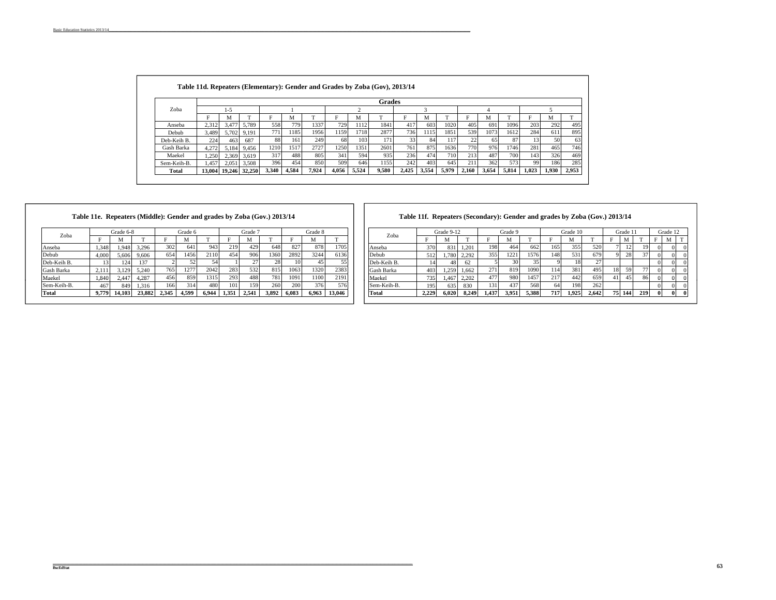|              |       |         |                      |       |       |       |       |       | <b>Grades</b> |       |       |            |       |       |       |       |       |       |
|--------------|-------|---------|----------------------|-------|-------|-------|-------|-------|---------------|-------|-------|------------|-------|-------|-------|-------|-------|-------|
| Zoba         |       | $1 - 5$ |                      |       |       |       |       |       |               |       |       |            |       |       |       |       |       |       |
|              |       | М       |                      | Е     | M     |       |       | м     |               | Е     | м     |            |       | М     |       |       | М     | n.    |
| Anseba       | 2,312 | 3.477   | 5.789                | 558   | 779   | 1337  | 729   | 1112  | 1841          | 417   | 603   | 1020       | 405   | 691   | 1096  | 203   | 292   |       |
| Debub        | 3.489 | 5.702   | 9.191                | 771   | 1185  | 1956  | 1159  | 1718  | 2877          | 7361  | 1115  | 1851       | 539   | 1073  | 1612  | 284   | 611   |       |
| Deb-Keih B.  | 224   | 463     | 687                  | 88    | 161   | 249   | 68    | 103   | 171           | 33    | 84    | 117        | 22    | 65    | 87    | 13    | 50    |       |
| Gash Barka   | 4.272 | 5.184   | 9.456                | 1210  | 1517  | 2727  | 1250  | 1351  | 2601          | 761   | 875   | 1636       | 770   | 976   | 1746  | 281   | 465   |       |
| Maekel       | 1.250 | 2.369   | 3,619                | 317   | 488   | 805   | 341   | 594   | 935           | 236   | 474   | <b>710</b> | 213   | 487   | 700   | 143   | 326   |       |
| Sem-Keih-B.  | 1.457 | 2.051   | 3,508                | 396   | 454   | 850   | 509   | 646   | 1155          | 242   | 403   | 645        | 211   | 362   | 573   | 99    | 186   |       |
| <b>Total</b> |       |         | 13,004 19,246 32,250 | 3,340 | 4,584 | 7.924 | 4.056 | 5,524 | 9,580         | 2,425 | 3,554 | 5.979      | 2,160 | 3,654 | 5,814 | 1.023 | 1,930 | 2,953 |

## **Table 11e. Repeaters (Middle): Gender and grades by Zoba (Gov.) 2013/14**

| Zoba        |       | Grade 6-8 |        |       | Grade 6 |       |       | Grade 7 |       |       | Grade 8 |              | Zoba         |
|-------------|-------|-----------|--------|-------|---------|-------|-------|---------|-------|-------|---------|--------------|--------------|
|             | Е     | М         | m      | Е     | M       |       |       | М       | m     | Е     | м       | $\mathbf{r}$ |              |
| Anseba      | .348  | .948      | 3.296  | 302   | 641     | 943   | 219   | 429     | 648   | 827   | 878     | 1705         | Anseba       |
| Debub       | 4,000 | 5.606     | 9.606  | 654   | 1456    | 2110  | 454   | 906     | 1360  | 2892  | 3244    | 6136         | Debub        |
| Deb-Keih B. | 3     | 124       | 137    |       | 52      | 54    |       | $\sim$  | 28    | 10    | 45      | 55           | Deb-Keih B.  |
| Gash Barka  | 2.11  | 3.129     | 5.240  | 765   | 1277    | 2042  | 283   | 532     | 815   | 1063  | 1320    | 2383         | Gash Barka   |
| Maekel      | 1,840 | 2.447     | 4.287  | 456   | 859     | 1315  | 293   | 488     | 781   | 1091  | 1100    | 2191         | Maekel       |
| Sem-Keih-B. | 467   | 849       | 1.316  | 166   | 314     | 480   | 101   | 159     | 260   | 200   | 376     | 576          | Sem-Keih-B.  |
| Total       | 9.779 | 14.103    | 23.882 | 2.345 | 4.599   | 6.944 | 1.351 | 2.541   | 3.892 | 6.083 | 6.963   | 13,046       | <b>Total</b> |

## **Table 11f. Repeaters (Secondary): Gender and grades by Zoba (Gov.) 2013/14**

|       | Grade 6-8 |        |       | Grade 6 |       |       | Grade 7 |       |       | Grade 8 |        | Zoba        |                  | Grade 9-12 |       |       | Grade 9 |       |     | Grade 10 |       |     | Grade 1 |     | Grade 12 |  |
|-------|-----------|--------|-------|---------|-------|-------|---------|-------|-------|---------|--------|-------------|------------------|------------|-------|-------|---------|-------|-----|----------|-------|-----|---------|-----|----------|--|
|       |           |        |       |         |       |       |         |       |       |         |        |             |                  |            |       |       |         |       |     |          |       |     | M       |     |          |  |
| 1,348 | 1,948     | 3,296  | 302   | 641     | 943   | 219   | 429     | 648   | 827   | 878     | 1705   | Anseba      | 370              | 831        | 1,201 | 198   | 464     | 662   | 165 | 355      | 520   |     |         |     |          |  |
| 4,000 | 5,606     | 9,606  | 654   | 1456    | 2110  | 454   | 906     | 1360  | 2892  | 3244    | 6136   | Debub       | 512              | 1,780      | 2,292 | 355   | 1221    | 1576  | 148 | 531      | 679   |     | 28      |     |          |  |
|       | 124       | 137    |       |         |       |       |         | 28.   |       |         |        | Deb-Keih B. |                  | 48         | 62    |       |         |       |     | 18       |       |     |         |     |          |  |
| 2,11  | 3,129     | 5,240  | 765   | 1277    | 2042  | 283   | 532     | 815   | 1063  | 1320    | 2383   | Gash Barka  | 403              | .259       | 1,662 | 271   | 819     | 1090  | 114 | 381      | 4951  | 18  | 50      |     |          |  |
| 1,840 | 2,447     | 4.287  | 456   | 859     | 1315  | 293   | 488     | 781   | 1091  | 1100    | 2191   | Maekel      | 735 <sub>1</sub> | 1,467      | 2,202 |       | 980     | 1457  | 217 | 442      | 659   |     |         |     |          |  |
| 467   | 849       | 1.316  | 66    | 314     | 480   | 101   | 159     | 260   | 200   | 376     | 576    | Sem-Keih-B. | 1951             | 635        | 830   | 131   | 437     | 568   | 64  | 198      | 2621  |     |         |     |          |  |
| 9,779 | 14,103    | 23.882 | 2.345 | 4.599   | 6.944 | 1.351 | 2,541   | 3,892 | 6.083 | 6.963   | 13,046 | Total       | 2.229            | 6.020      | 8.249 | 1.437 | 3,951   | 5.388 | 717 | 1.925    | 2.642 | 75. | 144     | 219 |          |  |
|       |           |        |       |         |       |       |         |       |       |         |        |             |                  |            |       |       |         |       |     |          |       |     |         |     |          |  |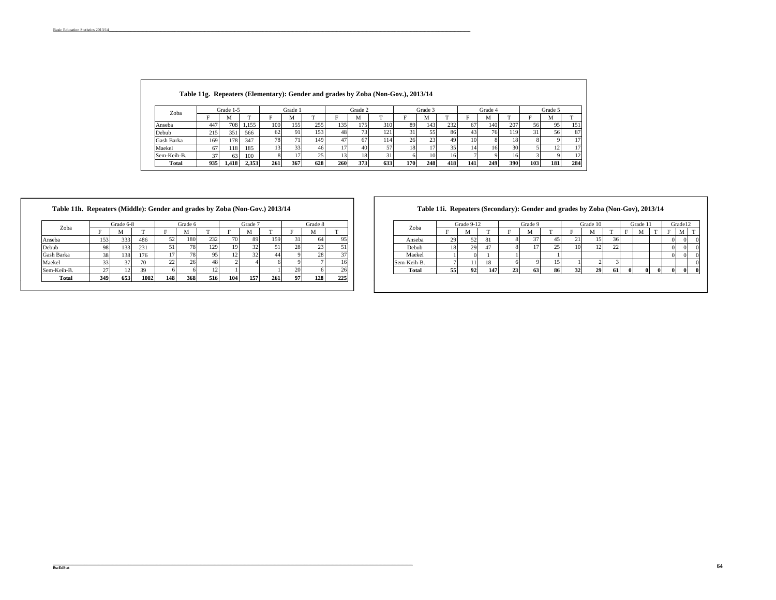|  |  |  | Table 11g. Repeaters (Elementary): Gender and grades by Zoba (Non-Gov.), 2013/14 |
|--|--|--|----------------------------------------------------------------------------------|
|--|--|--|----------------------------------------------------------------------------------|

| Zoba        |     | Grade 1-5       |       |     | Grade: |     |     | Grade 2 |     |     | Grade 3                 |     |     | Grade 4 |     |     | Grade 5 |     |
|-------------|-----|-----------------|-------|-----|--------|-----|-----|---------|-----|-----|-------------------------|-----|-----|---------|-----|-----|---------|-----|
|             |     | <b>N</b>        |       |     | IVI.   | m   |     | М       | m   |     | <b>N</b>                |     |     | M       |     |     | M       |     |
| Anseba      | 447 | 708.            | 1,155 | 100 | 155    | 255 | 135 | 175.    | 310 | 89  | 143                     | 232 | 67  | 140     | 207 | 56  | 95      | 151 |
| Debub       | 215 | 35 <sub>1</sub> | 566   | 62  | 91     | 153 | 48  | 731     | 121 |     | ر ر                     | 86  | 43  | 76      | 119 | 31  | 56      | 87  |
| Gash Barka  | 169 | 178.            | 347   | 78  |        | 149 | ı   | 67      | 114 | 26  | $2^{\circ}$<br><u>.</u> | 49  |     |         |     |     |         |     |
| Maekel      |     | 18              | 185   | 15  | 55.    | 46. |     | 40      |     | 18  |                         |     |     | 161     | 30  |     |         |     |
| Sem-Keih-B. |     | 63              | 100   |     |        | ٦٢. |     | 18.     |     |     | 10                      | 161 |     |         | 16. |     |         |     |
| Total       | 935 | 1.418           | 2.353 | 261 | 367    | 628 | 260 | 373     | 633 | 170 | 248                     | 418 | 141 | 249     | 390 | 103 | 181     | 284 |

| Zoba        |      | Grade 6-8 |      |     | Grade 6 |     |     | Grade 7 |     |    | Grade 8        |     |
|-------------|------|-----------|------|-----|---------|-----|-----|---------|-----|----|----------------|-----|
|             | F    | М         | m    | F   | м       | т   | F   | М       |     | F  | М              |     |
| Anseba      | 1531 | 333       | 486  | 52  | 180     | 232 | 70  | 89      | 159 | 31 | 64             | 95  |
| Debub       | 98   | 133       | 231  | 51  | 78      | 129 | 19  | 32      | 51  | 28 | 2 <sup>3</sup> | 51  |
| Gash Barka  | 38   | 138       | 176  |     | 78      | 95  | 12  | 32      | 44  |    | 28             | 37  |
| Maekel      | 33   | 37        | 70   | 22  | 26      | 48  |     |         |     |    |                | 16  |
| Sem-Keih-B. | 27   |           | 39   |     |         |     |     |         |     | 20 |                | 26  |
| Total       | 349  | 653       | 1002 | 148 | 368     | 516 | 104 | 157     | 261 | 97 | 128            | 225 |

**Table 11i. Repeaters (Secondary): Gender and grades by Zoba (Non-Gov), 2013/14** 

|               | Grade 6-8 |          |          | Grade 6 |         |                          | Grade       |     |      | Grade 8              |         | Zoba        |          | Grade 9-12 |     |    | Grade 9 |    |                 | Grade 10                          |         |          | Grade 1  |  | Grade12  |  |
|---------------|-----------|----------|----------|---------|---------|--------------------------|-------------|-----|------|----------------------|---------|-------------|----------|------------|-----|----|---------|----|-----------------|-----------------------------------|---------|----------|----------|--|----------|--|
|               |           |          |          |         |         |                          | M           |     |      |                      |         |             |          |            |     |    |         |    |                 |                                   |         |          |          |  | M<br>IVI |  |
| 153           | 333       | 486      | ∍<br>، د | 180     | 232     | $\overline{\phantom{a}}$ | 89          | 159 |      | 641                  | 951     | Anseba      | .        |            | 01  |    |         |    | ٠.              | 151                               |         |          |          |  |          |  |
| 98            | 331       | 231      |          |         | 12C<br> |                          |             |     | 28.  |                      |         | Debub       |          |            |     |    |         | າ< | 10 <sup>1</sup> | 12 <sub>1</sub><br>$\overline{1}$ | --<br>- |          |          |  |          |  |
| 38            | 1381      | 176      |          |         |         |                          |             |     |      |                      | 37      | Maekel      |          |            |     |    |         |    |                 |                                   |         |          |          |  |          |  |
| 33            |           | 70       | ∸        |         |         |                          |             |     |      |                      | 16.     | Sem-Keih-B. |          |            |     |    |         |    |                 |                                   |         |          |          |  |          |  |
| $\sim$<br>ر ے |           | 39<br>J, |          |         |         |                          |             |     | 20   |                      | 26      | Tota.       | 55<br>v. | 92         | 147 | 23 | 63      | 86 | 32              | <b>291</b>                        | -61     | $\Omega$ | $\Omega$ |  |          |  |
| $ -$          | $- - -$   | .        | .        | $ -$    | - - -   | .                        | $\sim$ $ -$ | .   | $ -$ | $\sim$ $\sim$ $\sim$ | $- - -$ |             |          |            |     |    |         |    |                 |                                   |         |          |          |  |          |  |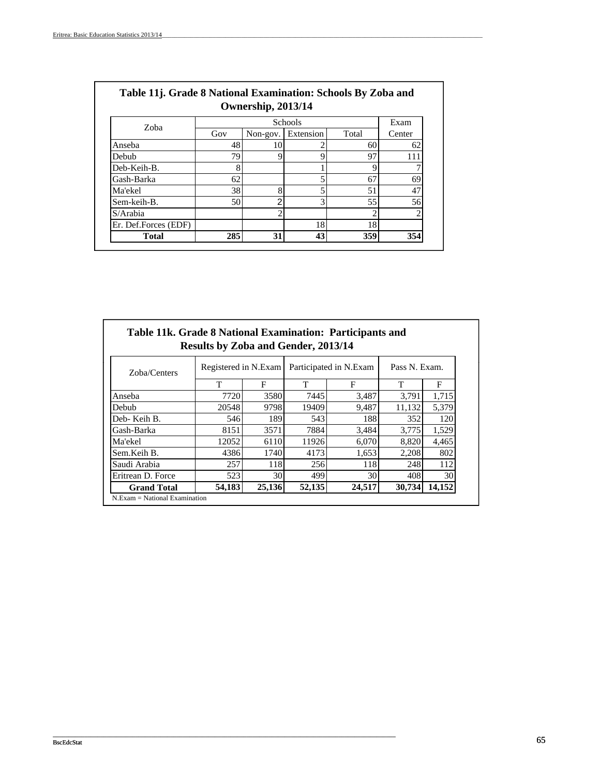| Zoba                 |     |          | Schools   |       | Exam   |
|----------------------|-----|----------|-----------|-------|--------|
|                      | Gov | Non-gov. | Extension | Total | Center |
| Anseba               | 48  | 10       |           | 60    | 62     |
| Debub                | 79  |          |           | 97    | 111    |
| Deb-Keih-B.          | 8   |          |           |       |        |
| Gash-Barka           | 62  |          |           | 67    | 69     |
| Ma'ekel              | 38  | 8        |           | 51    | 47     |
| Sem-keih-B.          | 50  | ◠        | 3         | 55    | 56     |
| $S/A$ rabia          |     |          |           |       | ◠      |
| Er. Def.Forces (EDF) |     |          | 18        | 18    |        |
| <b>Total</b>         | 285 | 31       | 43        | 359   | 354    |

| Table 11j. Grade 8 National Examination: Schools By Zoba and |         |      |  |  |  |  |  |
|--------------------------------------------------------------|---------|------|--|--|--|--|--|
| Ownership, 2013/14                                           |         |      |  |  |  |  |  |
| $70$ ho                                                      | Schools | Exam |  |  |  |  |  |

| Table 11k. Grade 8 National Examination: Participants and | <b>Results by Zoba and Gender, 2013/14</b> |        |                        |        |               |        |
|-----------------------------------------------------------|--------------------------------------------|--------|------------------------|--------|---------------|--------|
| Zoba/Centers                                              | Registered in N.Exam                       |        | Participated in N.Exam |        | Pass N. Exam. |        |
|                                                           | T                                          | F      | T                      | F      | т             | F      |
| Anseba                                                    | 7720                                       | 3580   | 7445                   | 3,487  | 3,791         | 1,715  |
| Debub                                                     | 20548                                      | 9798   | 19409                  | 9,487  | 11,132        | 5,379  |
| Deb-Keih B.                                               | 546                                        | 189    | 543                    | 188    | 352           | 120    |
| Gash-Barka                                                | 8151                                       | 3571   | 7884                   | 3.484  | 3,775         | 1,529  |
| Ma'ekel                                                   | 12052                                      | 6110   | 11926                  | 6,070  | 8,820         | 4,465  |
| Sem.Keih B.                                               | 4386                                       | 1740   | 4173                   | 1,653  | 2,208         | 802    |
| Saudi Arabia                                              | 257                                        | 118    | 256                    | 118    | 248           | 112    |
| Eritrean D. Force                                         | 523                                        | 30     | 499                    | 30     | 408           | 30     |
| <b>Grand Total</b>                                        | 54.183                                     | 25,136 | 52,135                 | 24,517 | 30,734        | 14,152 |

\_\_\_\_\_\_\_\_\_\_\_\_\_\_\_\_\_\_\_\_\_\_\_\_\_\_\_\_\_\_\_\_\_\_\_\_\_\_\_\_\_\_\_\_\_\_\_\_\_\_\_\_\_\_\_\_\_\_\_\_\_\_\_\_\_\_\_\_\_\_\_\_\_\_\_\_\_\_\_\_\_\_\_\_\_\_\_\_\_\_\_\_\_\_\_\_\_\_\_\_\_\_\_\_\_\_\_\_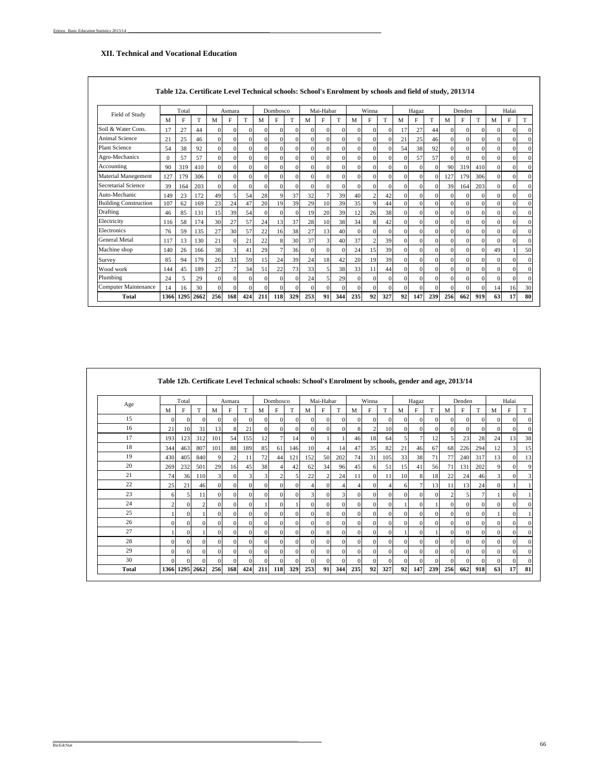#### **XII. Technical and Vocational Education**

| Field of Study               |          | Total |      |          | Asmara   |          |          | Dombosco    |          |          | Mai-Habar      |              |          | Winna          |          |              | Hagaz        |          |          | Denden   |          |              | Halai    |    |
|------------------------------|----------|-------|------|----------|----------|----------|----------|-------------|----------|----------|----------------|--------------|----------|----------------|----------|--------------|--------------|----------|----------|----------|----------|--------------|----------|----|
|                              | M        | F     | T    | M        | F        | T        | M        | F           | T        | M        | F              | T            | M        | F              | T        | M            | F            | T        | M        | F        | T        | M            | F        | T  |
| Soil & Water Cons.           | 17       | 27    | 44   | $\Omega$ | $\Omega$ | $\Omega$ | $\Omega$ | $\Omega$    | $\Omega$ | $\Omega$ | $\Omega$       | $\Omega$     |          | $\Omega$       | $\Omega$ | 17           | 27           | 44       | $\Omega$ | $\Omega$ | $\Omega$ | $\Omega$     | 0        |    |
| Animal Science               | 21       | 25    | 46   | $\Omega$ | $\Omega$ | $\Omega$ | $\Omega$ | $\Omega$    | $\Omega$ | $\Omega$ | $\Omega$       | $\Omega$     | $\Omega$ | $\Omega$       | $\Omega$ | 21           | 25           | 46       | $\Omega$ | $\Omega$ | $\Omega$ | $\Omega$     | 0        |    |
| <b>Plant Science</b>         | 54       | 38    | 92   | $\Omega$ | $\theta$ | $\Omega$ | $\Omega$ | $\Omega$    | $\Omega$ | $\Omega$ | $\Omega$       | $\Omega$     | $\Omega$ | $\Omega$       | $\Omega$ | 54           | 38           | 92       | $\Omega$ | $\Omega$ | $\Omega$ | $\Omega$     | 0        |    |
| Agro-Mechanics               | $\Omega$ | 57    | 57   | $\Omega$ | $\Omega$ | $\Omega$ | $\Omega$ | $\Omega$    | $\Omega$ | $\Omega$ | $\Omega$       | $\Omega$     | $\Omega$ | $\Omega$       | $\Omega$ | $\Omega$     | 57           | 57       | $\Omega$ | $\Omega$ | $\Omega$ | $\Omega$     | 0        |    |
| Accounting                   | 90       | 319   | 410  | $\Omega$ | $\Omega$ | $\Omega$ | $\Omega$ | $\Omega$    | $\Omega$ | 0        | $\Omega$       | $\theta$     | $\Omega$ | $\Omega$       | $\Omega$ | $\Omega$     | $\Omega$     |          | 90       | 319      | 410      | $\Omega$     |          |    |
| Material Manegement          | 127      | 179   | 306  | $\Omega$ | $\Omega$ | $\Omega$ | $\Omega$ | $\Omega$    | $\Omega$ | $\Omega$ | $\Omega$       | $\mathbf{0}$ | $\Omega$ | $\Omega$       | $\Omega$ | $\mathbf{0}$ | $\Omega$     | $\Omega$ | 127      | 179      | 306      | $\mathbf{0}$ | 0        |    |
| Secretarial Science          | 39       | 164   | 203  | $\Omega$ | $\Omega$ | $\Omega$ | $\Omega$ | 0           | $\Omega$ | $\Omega$ | $\Omega$       | $\Omega$     | $\Omega$ | $\Omega$       | $\Omega$ | $\Omega$     | $\Omega$     | $\Omega$ | 39       | 164      | 203      | $\Omega$     |          |    |
| Auto-Mechanic                | 149      | 23    | 172  | 49       | 5        | 54       | 28       | 9           | 37       | 32       | $\overline{7}$ | 39           | 40       | $\overline{c}$ | 42       | $\mathbf{0}$ | $\Omega$     | $\Omega$ | $\Omega$ | $\Omega$ | $\Omega$ | $\mathbf{0}$ | $\Omega$ |    |
| <b>Building Construction</b> | 107      | 62    | 169  | 23       | 24       | 47       | 20       | 19          | 39       | 29       | 10             | 39           | 35       | $\mathbf Q$    | 44       | $\Omega$     | $\theta$     |          | $\Omega$ | $\Omega$ | $\Omega$ | $\theta$     |          |    |
| Drafting                     | 46       | 85    | 131  | 15       | 39       | 54       | $\Omega$ | $\Omega$    | $\Omega$ | 19       | 20             | 39           | 12       | 26             | 38       | $\Omega$     | $\Omega$     | $\Omega$ | $\Omega$ | $\Omega$ | $\Omega$ | $\Omega$     | $\Omega$ |    |
| Electricity                  | 116      | 58    | 174  | 30       | 27       | 57       | 24       | 13          | 37       | 28       | 10             | 38           | 34       | 8              | 42       | $\Omega$     | $\Omega$     | $\Omega$ | $\Omega$ | $\Omega$ | $\Omega$ | $\Omega$     | 0        |    |
| Electronics                  | 76       | 59    | 135  | 27       | 30       | 57       | 22       | 16          | 38       | 27       | 13             | 40           | $\Omega$ | $\Omega$       | $\Omega$ | $\Omega$     | $\mathbf{0}$ | $\Omega$ | $\Omega$ | $\Omega$ | $\Omega$ | $\mathbf{0}$ | 0        |    |
| <b>General Metal</b>         | 117      | 13    | 130  | 21       | $\Omega$ | 21       | 22       | $\mathbf 8$ | 30       | 37       | 3              | 40           | 37       | 2              | 39       | $\Omega$     | $\Omega$     | $\Omega$ | $\Omega$ | $\Omega$ | $\Omega$ | $\theta$     | 0        |    |
| Machine shop                 | 140      | 26    | 166  | 38       | 3        | 41       | 29       |             | 36       | $\Omega$ | $\Omega$       | $\Omega$     | 24       | 15             | 39       | $\Omega$     | $\Omega$     | $\Omega$ | $\Omega$ | $\Omega$ | $\Omega$ | 49           |          | 50 |
| Survey                       | 85       | 94    | 179  | 26       | 33       | 59       | 15       | 24          | 39       | 24       | 18             | 42           | 20       | 19             | 39       | $\Omega$     | $\Omega$     | $\Omega$ | $\Omega$ | $\Omega$ | $\Omega$ | $\Omega$     | $\Omega$ |    |
| Wood work                    | 144      | 45    | 189  | 27       | 7        | 34       | 51       | 22          | 73       | 33       | 5              | 38           | 33       | 11             | 44       | $\Omega$     | $\Omega$     |          | $\Omega$ | $\Omega$ | $\Omega$ | $\Omega$     | 0        |    |
| Plumbing                     | 24       | 5     | 29   | $\Omega$ | $\Omega$ | $\Omega$ | $\Omega$ | $\Omega$    | $\Omega$ | 24       | 5              | 29           | $\Omega$ | $\Omega$       | $\Omega$ | $\Omega$     | $\Omega$     | $\Omega$ | $\Omega$ | $\Omega$ | $\Omega$ | $\Omega$     |          |    |
| Computer Maintenance         | 14       | 16    | 30   | $\Omega$ | $\Omega$ | $\Omega$ | $\Omega$ | $\Omega$    | $\Omega$ | $\Omega$ | $\Omega$       | $\theta$     | $\Omega$ | $\Omega$       | $\Omega$ | $\mathbf{0}$ | $\Omega$     |          | $\Omega$ | $\Omega$ | $\Omega$ | 14           | 16       | 30 |
| Total                        | 1366     | 1295  | 2662 | 256      | 168      | 424      | 211      | 118         | 329      | 253      | 91             | 344          | 235      | 92             | 327      | 92           | 147          | 239      | 256      | 662      | 919      | 63           | 17       | 80 |

| Table 12a. Certificate Level Technical schools: School's Enrolment by schools and field of study, 2013/14 |  |  |  |
|-----------------------------------------------------------------------------------------------------------|--|--|--|
|-----------------------------------------------------------------------------------------------------------|--|--|--|

|       |                |           |                |              |          |          |          |          |              |          |                |                |          |          |          | Table 12b. Certificate Level Technical schools: School's Enrolment by schools, gender and age, 2013/14 |                |          |          |          |          |          |          |          |
|-------|----------------|-----------|----------------|--------------|----------|----------|----------|----------|--------------|----------|----------------|----------------|----------|----------|----------|--------------------------------------------------------------------------------------------------------|----------------|----------|----------|----------|----------|----------|----------|----------|
| Age   |                | Total     |                |              | Asmara   |          |          | Dombosco |              |          | Mai-Habar      |                |          | Winna    |          |                                                                                                        | Hagaz          |          |          | Denden   |          |          | Halai    |          |
|       | M              | F         | T              | M            | F        | T        | M        | F        | T            | M        | F              | T              | M        | F        | T        | M                                                                                                      | F              | T        | M        | F        | T        | M        | F        | T        |
| 15    | 0              | $\Omega$  | $\Omega$       | $\Omega$     | $\Omega$ |          | $\Omega$ | 0        | $\Omega$     | $\Omega$ | $\Omega$       | $\Omega$       | $\Omega$ | $\Omega$ |          | $\Omega$                                                                                               | $\Omega$       | $\Omega$ | $\Omega$ | $\Omega$ | $\Omega$ | $\Omega$ | $\Omega$ |          |
| 16    | 21             | 10        | 31             | 13           | 8        | 21       | $\Omega$ | $\Omega$ | $\mathbf{0}$ | $\Omega$ | $\Omega$       | $\Omega$       | 8        | 2        | 10       | $\mathbf{0}$                                                                                           | $\Omega$       | $\Omega$ | $\Omega$ | $\Omega$ | $\Omega$ | $\Omega$ | $\Omega$ | $\Omega$ |
| 17    | 193            | 123       | 312            | 101          | 54       | 155      | 12       |          | 14           | $\Omega$ |                |                | 46       | 18       | 64       | 5                                                                                                      | 7              | 12       | 5        | 23       | 28       | 24       | 13       | 38       |
| 18    | 344            | 463       | 807            | 101          | 88       | 189      | 85       | 61       | 146          | 10       | $\overline{4}$ | 14             | 47       | 35       | 82       | 21                                                                                                     | 46             | 67       | 68       | 226      | 294      | 12       |          | 15       |
| 19    | 430            | 405       | 840            | 9            | 2        | 11       | 72       | 44       | 121          | 152      | 50             | 202            | 74       | 31       | 105      | 33                                                                                                     | 38             | 71       | 77       | 240      | 317      | 13       | $\Omega$ | 13       |
| 20    | 269            | 232       | 501            | 29           | 16       | 45       | 38       |          | 42           | 62       | 34             | 96             | 45       | 6        | 51       | 15                                                                                                     | 41             | 56       | 71       | 131      | 202      | 9        | $\Omega$ | 9        |
| 21    | 74             | 36        | 110            | 3            | $\Omega$ |          | 3        | 2        | 5            | 22       | $\overline{2}$ | 24             | 11       | $\Omega$ | 11       | 10                                                                                                     | 8              | 18       | 22       | 24       | 46       | 3        | $\Omega$ |          |
| 22    | 25             | 21        | 46             | $\Omega$     | $\Omega$ | $\Omega$ | $\Omega$ | $\Omega$ | $\Omega$     | Δ        | $\Omega$       | $\overline{4}$ | Δ        | $\Omega$ |          | 6                                                                                                      | $7\phantom{.}$ | 13       | 11       | 13       | 24       | $\Omega$ |          |          |
| 23    | 6              | 5         | 11             | $\mathbf{0}$ | $\Omega$ | $\Omega$ | $\Omega$ | $\Omega$ | $\mathbf{0}$ | 3        | $\Omega$       | 3              | $\Omega$ | $\Omega$ | $\Omega$ | $\Omega$                                                                                               | $\Omega$       | $\Omega$ | 2        | 5        | $\tau$   |          | $\Omega$ |          |
| 24    | $\overline{c}$ | $\Omega$  | $\overline{2}$ | $\Omega$     | $\Omega$ | $\Omega$ |          | $\Omega$ |              | $\Omega$ | $\Omega$       | $\Omega$       | $\Omega$ | $\Omega$ | $\Omega$ |                                                                                                        | $\Omega$       |          | $\Omega$ | $\Omega$ | $\Omega$ | $\Omega$ | $\Omega$ |          |
| 25    |                | $\Omega$  |                | $\Omega$     | $\Omega$ | $\Omega$ | $\Omega$ | $\Omega$ | $\Omega$     | $\Omega$ | $\Omega$       | $\Omega$       | $\Omega$ | $\Omega$ | $\Omega$ | $\Omega$                                                                                               | $\Omega$       | $\Omega$ | $\Omega$ | $\Omega$ | $\Omega$ |          | $\Omega$ |          |
| 26    | $\Omega$       | $\Omega$  | $\Omega$       | $\Omega$     | $\Omega$ | $\Omega$ | $\Omega$ | $\Omega$ | $\Omega$     | $\Omega$ | $\Omega$       | $\Omega$       | $\Omega$ | $\Omega$ |          | $\Omega$                                                                                               | $\Omega$       | $\Omega$ | $\Omega$ | $\Omega$ | $\Omega$ | $\Omega$ | $\Omega$ |          |
| 27    |                | $\Omega$  |                | $\Omega$     | $\Omega$ | $\Omega$ | $\Omega$ | $\Omega$ | $\Omega$     | $\Omega$ | $\Omega$       | $\Omega$       | $\Omega$ | $\Omega$ | $\Omega$ |                                                                                                        | $\Omega$       |          | $\Omega$ | $\Omega$ | $\Omega$ | $\Omega$ | $\Omega$ | $\Omega$ |
| 28    | $\Omega$       | $\Omega$  | $\Omega$       | $\Omega$     | $\Omega$ | $\Omega$ | $\Omega$ | $\Omega$ | $\Omega$     | $\Omega$ | $\Omega$       | $\Omega$       | $\Omega$ | $\Omega$ | $\Omega$ | $\Omega$                                                                                               | $\Omega$       | $\Omega$ | $\Omega$ | $\Omega$ | $\Omega$ | $\Omega$ | $\Omega$ |          |
| 29    | $\Omega$       | $\Omega$  | $\Omega$       | $\Omega$     | $\Omega$ | $\Omega$ | $\Omega$ | $\Omega$ | $\Omega$     | $\Omega$ | $\Omega$       | $\Omega$       | $\Omega$ | $\Omega$ | $\Omega$ | $\Omega$                                                                                               | $\Omega$       | $\Omega$ | $\Omega$ | $\Omega$ | $\Omega$ | $\Omega$ | $\Omega$ |          |
| 30    | $\Omega$       | $\Omega$  | $\Omega$       | $\Omega$     | $\Omega$ | $\Omega$ | $\Omega$ | $\Omega$ | $\mathbf{0}$ | $\Omega$ | $\mathbf{0}$   | $\Omega$       | $\Omega$ | $\Omega$ |          | $\Omega$                                                                                               | $\Omega$       | $\Omega$ | $\Omega$ | $\Omega$ | $\Omega$ | $\Omega$ | $\Omega$ |          |
| Total | 1366           | 1295 2662 |                | 256          | 168      | 424      | 211      | 118      | 329          | 253      | 91             | 344            | 235      | 92       | 327      | 92                                                                                                     | 147            | 239      | 256      | 662      | 918      | 63       | 17       | 81       |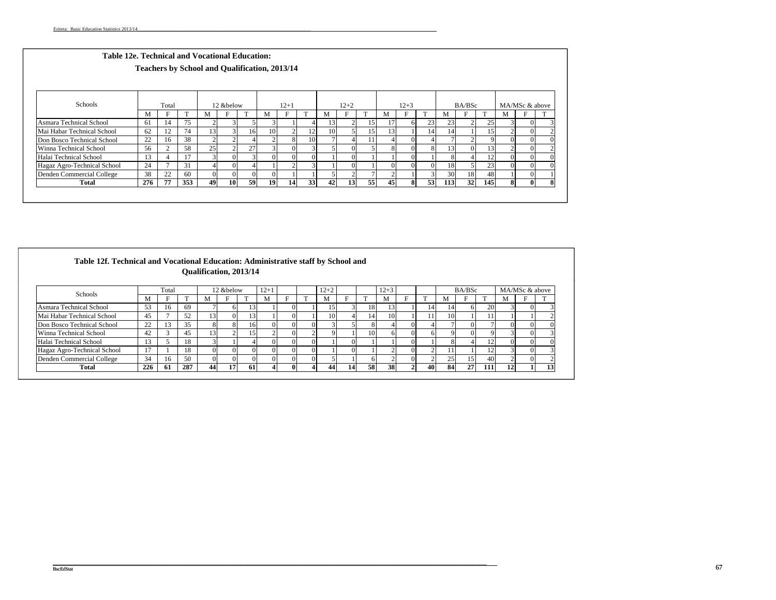| Table 12e. Technical and Vocational Education: | <b>Teachers by School and Qualification, 2013/14</b> |       |              |    |           |                |    |                |          |    |                 |    |          |          |          |     |        |              |                |          |     |
|------------------------------------------------|------------------------------------------------------|-------|--------------|----|-----------|----------------|----|----------------|----------|----|-----------------|----|----------|----------|----------|-----|--------|--------------|----------------|----------|-----|
| Schools                                        |                                                      | Total |              |    | 12 &below |                |    | $12 + 1$       |          |    | $12+2$          |    |          | $12 + 3$ |          |     | BA/BSc |              | MA/MSc & above |          |     |
|                                                | M                                                    | F     | $\mathbf{T}$ | М  |           | <b>TT</b>      | M  |                | т        | M  | F               |    | М        | F        | m.       | M   | F      | $\mathbf{T}$ | М              | F        | ПP. |
| Asmara Technical School                        | 61                                                   | 14    | 75           |    |           |                |    |                |          | 13 |                 | 15 | 17       | 6        | 23       | 23  |        | 25           |                |          |     |
| Mai Habar Technical School                     | 62                                                   | 12    | 74           | 13 |           | 16             | 10 |                | 12       | 10 | 51              | 15 | 13       |          | 14       | 14  |        | 15           |                |          |     |
| Don Bosco Technical School                     | 22                                                   | 16    | 38           |    |           |                |    | 8              | 10       |    |                 | 11 | 4        |          |          |     |        |              |                |          |     |
| Winna Technical School                         | 56                                                   |       | 58           | 25 | $\sim$    | 27             |    | $\Omega$       |          |    | 0               |    | 8        |          |          | 13  |        | 13           |                | $\Omega$ |     |
| Halai Technical School                         | 13                                                   |       | 17           |    | $\Omega$  | $\overline{3}$ |    | $\Omega$       | $\Omega$ |    | $\Omega$        |    |          |          |          |     |        | 12           |                | $\Omega$ |     |
| Hagaz Agro-Technical School                    | 24                                                   |       | 31           |    | $\Omega$  |                |    | $\overline{2}$ |          |    | $\Omega$        |    | $\Omega$ |          | $\Omega$ | 18  |        | 23           |                | $\Omega$ |     |
| Denden Commercial College                      | 38                                                   | 22    | 60           |    | $\Omega$  | $\overline{0}$ |    |                |          |    |                 |    |          |          |          | 30  | 18     | 48           |                | $\Omega$ |     |
| Total                                          | 276                                                  | 77    | 353          | 49 | 10        | 59             | 19 | 14             | 33       | 42 | 13 <sup>1</sup> | 55 | 45       | 8        | 53       | 113 | 32     | 145          | 8              | $\bf{0}$ | 8   |

| Table 12f. Technical and Vocational Education: Administrative staff by School and |     |       |     | <b>Oualification, 2013/14</b> |            |                  |           |              |            |          |    |    |                 |                |    |               |              |            |    |                |                 |
|-----------------------------------------------------------------------------------|-----|-------|-----|-------------------------------|------------|------------------|-----------|--------------|------------|----------|----|----|-----------------|----------------|----|---------------|--------------|------------|----|----------------|-----------------|
| Schools                                                                           |     | Total |     |                               | 12 & below |                  | $12 + 1$  |              |            | $12 + 2$ |    |    | $12 + 3$        |                |    |               | BA/BSc       |            |    | MA/MSc & above |                 |
|                                                                                   | M   |       |     | . IVI                         | H          |                  | M         |              |            | <b>N</b> |    |    | M               |                |    | M             |              |            |    |                | T.              |
| Asmara Technical School                                                           | 53  | 16    | 69  |                               | ωı         | $\left 3\right $ |           |              |            | 5.       |    | 18 | 13 <sub>1</sub> |                | 14 | <sup>14</sup> | <sub>6</sub> | 20         |    |                |                 |
| Mai Habar Technical School                                                        | 45  |       | 52  | 13.                           | $\Omega$   | $\overline{3}$   |           |              |            | 10       |    | 14 | 10              |                | 11 | 10            |              |            |    |                |                 |
| Don Bosco Technical School                                                        | 22  | 13    | 35  | 8                             |            | 16               | $\Omega$  | $\Omega$     | $^{\circ}$ | 31       |    |    |                 | $\Omega$       |    |               |              |            |    |                |                 |
| Winna Technical School                                                            | 42  |       | 45  | 3                             |            | ا51              |           | 0            |            | Q        |    | 10 | 61              | $\Omega$       | 61 | Q.            |              |            |    |                |                 |
| Halai Technical School                                                            | 13  |       | 18  | $\mathbf{R}$                  |            |                  | $\Omega$  | $\Omega$     |            |          | 0. |    |                 | $\Omega$       |    | 8             |              | 12         |    |                |                 |
| Hagaz Agro-Technical School                                                       | 17  |       | 18  | $\Omega$                      | $\Omega$   | $\Omega$         | $\Omega$  | $\Omega$     |            |          |    |    |                 | $\Omega$       |    | 11            |              | 12         |    |                |                 |
| Denden Commercial College                                                         | 34  | 16    | 50  |                               | $\Omega$   | 0                | $\Omega$  |              |            |          |    | 6  |                 | $\Omega$       |    | 25            | 15           | 40         |    |                |                 |
| Total                                                                             | 226 | -61   | 287 | 44                            | 17         | <b>61</b>        | $\Lambda$ | $\mathbf{0}$ |            | 44       | 14 | 58 | 38              | $\overline{2}$ | 40 | 84            | 27           | <b>111</b> | 12 |                | 13 <sub>1</sub> |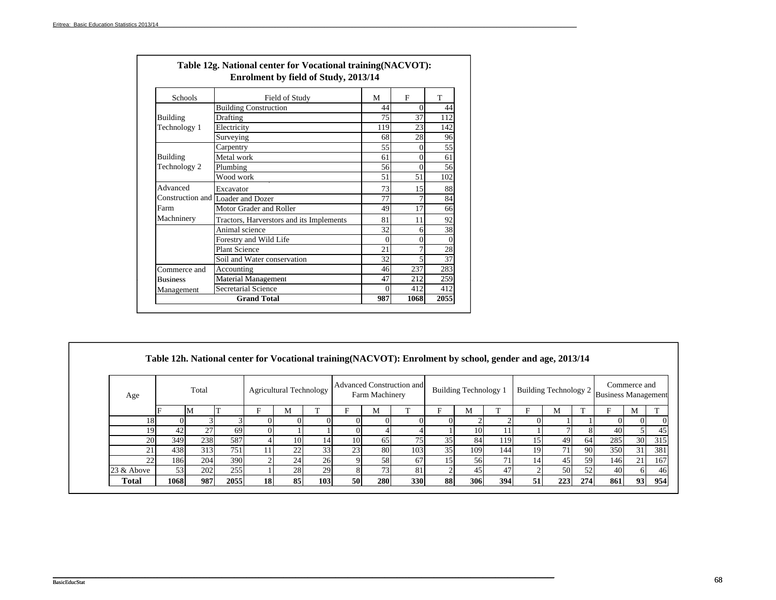| Schools         | Field of Study                           | M        | F        | T        |
|-----------------|------------------------------------------|----------|----------|----------|
|                 | <b>Building Construction</b>             | 44       | $\Omega$ | 44       |
| Building        | Drafting                                 | 75       | 37       | 112      |
| Technology 1    | Electricity                              | 119      | 23       | 142      |
|                 | Surveying                                | 68       | 28       | 96       |
|                 | Carpentry                                | 55       | $\theta$ | 55       |
| Building        | Metal work                               | 61       | $\theta$ | 61       |
| Technology 2    | Plumbing                                 | 56       | $\theta$ | 56       |
|                 | Wood work                                | 51       | 51       | 102      |
| Advanced        | Excavator                                | 73       | 15       | 88       |
|                 | Construction and Loader and Dozer        | 77       |          | 84       |
| Farm            | Motor Grader and Roller                  | 49       | 17       | 66       |
| Machninery      | Tractors, Harverstors and its Implements | 81       | 11       | 92       |
|                 | Animal science                           | 32       | 6        | 38       |
|                 | Forestry and Wild Life                   | $\Omega$ | 0        | $\theta$ |
|                 | <b>Plant Science</b>                     | 21       |          | 28       |
|                 | Soil and Water conservation              | 32       | 5        | 37       |
| Commerce and    | Accounting                               | 46       | 237      | 283      |
| <b>Business</b> | <b>Material Management</b>               | 47       | 212      | 259      |
| Management      | Secretarial Science                      | $\Omega$ | 412      | 412      |
|                 | <b>Grand Total</b>                       | 987      | 1068     | 2055     |

| Age          |      | Total |      |     | <b>Agricultural Technology</b> |     |     | Farm Machinery | Advanced Construction and |    | <b>Building Technology</b> 1 |                 |                 |     |     | $\vert$ Building Technology 2 $\vert$ Business Management |    |  |
|--------------|------|-------|------|-----|--------------------------------|-----|-----|----------------|---------------------------|----|------------------------------|-----------------|-----------------|-----|-----|-----------------------------------------------------------|----|--|
|              | M    |       |      |     | M                              |     | F   | М              |                           |    | М                            |                 | F               | М   |     |                                                           | M  |  |
| 18           |      |       |      |     |                                |     |     |                |                           |    |                              |                 |                 |     |     |                                                           |    |  |
| 19           | 42   | 27    | 69   | OI  |                                |     |     |                |                           |    | 10                           | 11              |                 |     |     | 40                                                        |    |  |
| 20           | 349  | 238   | 587  |     | 10                             | 14  | 10  | 65             |                           | 35 | 84                           | 119             | ا 5             | 49  | 64  | 285                                                       | 30 |  |
| 21           | 438  | 313   | 751  | 11+ | 22                             | 33  | 231 | 80             | 103                       | 35 | 109                          | 144             | 19              | 71. | 90  | 350                                                       | 31 |  |
| 22           | 186  | 204   | 390  |     | 24                             | 26  |     | 58             | 67                        | 15 | 56                           | 71 <sub>1</sub> | 14 <sup>1</sup> | 45  | 59  | 146                                                       | 21 |  |
| 23 & Above   | 53   | 202   | 255  |     | 28                             | 29  |     | 73             | 81                        |    | 45                           | 47              |                 | 50  | 52  | 40                                                        | 61 |  |
| <b>Total</b> | 1068 | 987   | 2055 | 18  | 85                             | 103 | 50  | 280            | <b>330</b>                | 88 | 306                          | 394             | 51              | 223 | 274 | 861                                                       | 93 |  |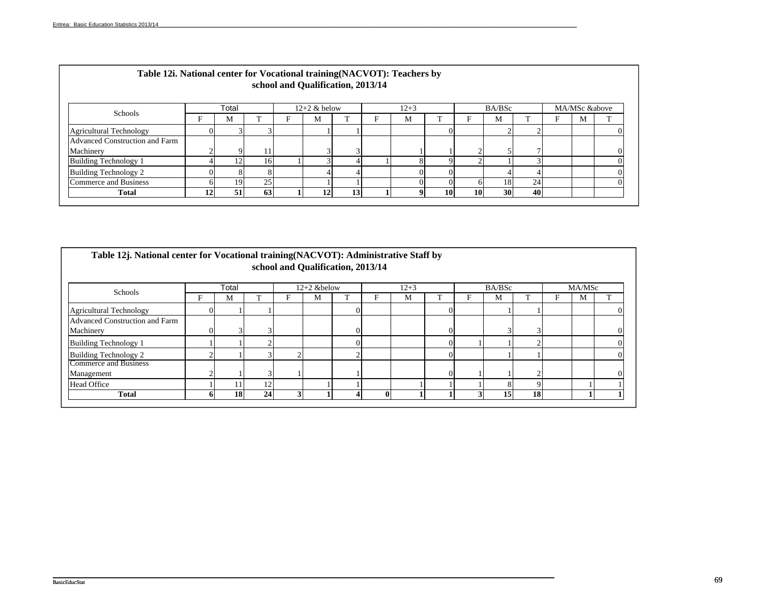| Table 12i. National center for Vocational training (NACVOT): Teachers by |    |       |                 | school and Qualification, 2013/14 |    |          |          |           |        |                 |   |               |  |
|--------------------------------------------------------------------------|----|-------|-----------------|-----------------------------------|----|----------|----------|-----------|--------|-----------------|---|---------------|--|
|                                                                          |    | Total |                 | $12+2$ & below                    |    | $12 + 3$ |          |           | BA/BSc |                 |   | MA/MSc &above |  |
| Schools                                                                  |    | М     |                 | M                                 |    | М        |          |           | М      |                 | Е | M             |  |
| <b>Agricultural Technology</b>                                           |    |       |                 |                                   |    |          |          |           |        |                 |   |               |  |
| <b>Advanced Construction and Farm</b>                                    |    |       |                 |                                   |    |          |          |           |        |                 |   |               |  |
| Machinery                                                                |    |       |                 |                                   | ₹  |          |          |           |        |                 |   |               |  |
| Building Technology 1                                                    |    | 12    | 161             |                                   |    |          |          |           |        | G               |   |               |  |
| Building Technology 2                                                    |    |       |                 |                                   |    |          | $\Omega$ |           |        |                 |   |               |  |
| Commerce and Business                                                    |    | 19    | 25 <sub>1</sub> |                                   |    |          |          |           | 18     | 24 <sub>1</sub> |   |               |  |
| <b>Total</b>                                                             | 12 | 51    | 63              | 12                                | 13 |          | 10       | <b>10</b> | 30     | 40              |   |               |  |

| Table 12j. National center for Vocational training (NACVOT): Administrative Staff by |    |       |    |   |                | school and Qualification, 2013/14 |              |          |   |        |    |        |  |
|--------------------------------------------------------------------------------------|----|-------|----|---|----------------|-----------------------------------|--------------|----------|---|--------|----|--------|--|
| Schools                                                                              |    | Total |    |   | $12+2$ & below |                                   |              | $12 + 3$ |   | BA/BSc |    | MA/MSc |  |
|                                                                                      | F  | М     | m  | F | M              |                                   | F            | M        | F | М      |    | М      |  |
| Agricultural Technology                                                              | 0  |       |    |   |                |                                   |              |          |   |        |    |        |  |
| Advanced Construction and Farm<br>Machinery                                          |    |       |    |   |                |                                   |              |          |   |        |    |        |  |
| Building Technology 1                                                                |    |       |    |   |                |                                   |              |          |   |        |    |        |  |
| <b>Building Technology 2</b>                                                         |    |       |    | ◠ |                |                                   |              |          |   |        |    |        |  |
| Commerce and Business<br>Management                                                  |    |       |    |   |                |                                   |              |          |   |        |    |        |  |
| <b>Head Office</b>                                                                   |    |       | 12 |   |                |                                   |              |          |   | 8      | ∩  |        |  |
| <b>Total</b>                                                                         | n. | 18    | 24 |   |                |                                   | $\mathbf{0}$ |          |   | 15     | 18 |        |  |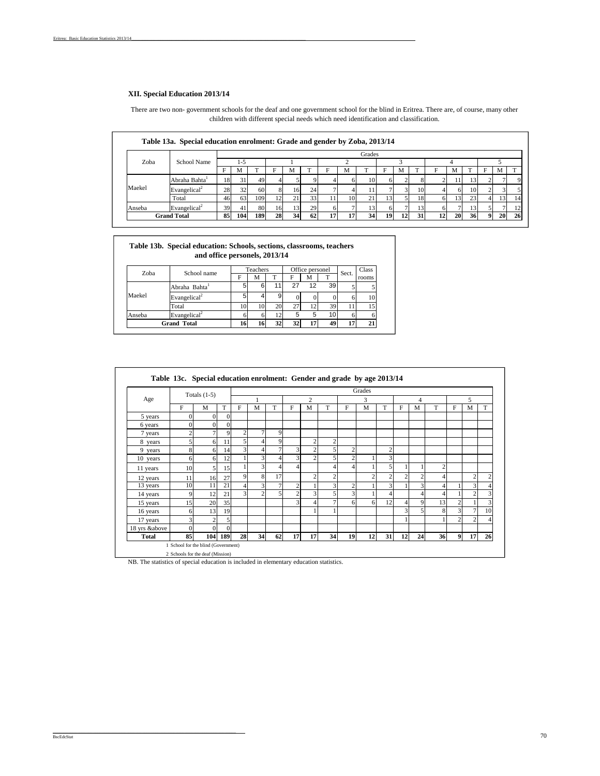#### **XII. Special Education 2013/14**

There are two non- government schools for the deaf and one government school for the blind in Eritrea. There are, of course, many other children with different special needs which need identification and classification.

|        |                           |    |     |     |    |    |    |   |    | Grades |    |    |                 |    |    |     |              |                |     |
|--------|---------------------------|----|-----|-----|----|----|----|---|----|--------|----|----|-----------------|----|----|-----|--------------|----------------|-----|
| Zoba   | School Name               |    | 1-5 |     |    |    |    |   |    |        |    |    |                 |    |    |     |              |                |     |
|        |                           |    | M   |     |    | M  |    | ы | м  |        |    | M  |                 |    | M  |     |              | ΙVΙ            |     |
|        | Abraha Bahta <sup>1</sup> | 18 | 31  | 49  |    |    |    |   |    | 10     |    |    |                 |    |    | 13  |              |                |     |
| Maekel | Evangelical <sup>2</sup>  | 28 | 32  | 60  |    | 16 | 24 |   |    | 11     |    |    | 10              |    |    | 10  |              |                |     |
|        | Total                     | 46 | 63  | 109 | 12 | 21 | 33 |   | 10 | 21     | 13 |    | 18              |    |    | 23  |              | $\overline{3}$ |     |
| Anseba | Evangelical <sup>2</sup>  | 39 | 41  | 80  | 16 | 13 | 29 |   |    | 13     |    |    | 13 <sub>1</sub> |    |    | 13  |              |                |     |
|        | <b>Grand Total</b>        | 85 | 104 | 189 | 28 | 34 | 62 |   | 17 | 34     | 19 | 12 | 31              | 12 | 20 | 361 | $\mathbf{Q}$ | 20             | -26 |

| Table 13b. Special education: Schools, sections, classrooms, teachers |
|-----------------------------------------------------------------------|
| and office personels, 2013/14                                         |

| Zoba   | School name                                  |    | Teachers |    |    | Office personel |                 | Sect. | Class |
|--------|----------------------------------------------|----|----------|----|----|-----------------|-----------------|-------|-------|
|        |                                              | F  | М        | т  | F  | м               |                 |       | rooms |
|        | Abraha Bahta <sup>1</sup>                    |    | 6        | 11 | 27 | 12              | 39              |       |       |
| Maekel | Evangelical <sup>2</sup>                     |    |          | 9  |    |                 |                 |       | 10    |
|        | Total                                        | 10 | 10       | 20 | 27 | 12              | 39              |       |       |
| Anseba | Evangelical <sup><math>\epsilon</math></sup> |    | n        | 12 | 5  |                 | 10 <sub>1</sub> |       |       |
|        | <b>Grand Total</b>                           | 16 | 16       | 32 | 32 | 17              | 49              |       | 21    |

|               |          |                |          |                |    |    |                |                |               |                | Grades         |                |    |             |                |                |                |    |
|---------------|----------|----------------|----------|----------------|----|----|----------------|----------------|---------------|----------------|----------------|----------------|----|-------------|----------------|----------------|----------------|----|
| Age           |          | Totals $(1-5)$ |          |                |    |    |                | $\overline{c}$ |               |                | 3              |                |    | 4           |                |                | 5              |    |
|               | F        | M              | T        | F              | M  | T  | F              | M              | T             | F              | M              | т              | F  | M           | T              | F              | M              | T  |
| 5 years       | 0        | $\Omega$       | $\Omega$ |                |    |    |                |                |               |                |                |                |    |             |                |                |                |    |
| 6 years       | $\theta$ | $\overline{0}$ | $\Omega$ |                |    |    |                |                |               |                |                |                |    |             |                |                |                |    |
| 7 years       |          | 7 <sup>1</sup> | 9        | $\overline{2}$ |    | 9  |                |                |               |                |                |                |    |             |                |                |                |    |
| 8 years       | 5        | 6              | 11       | 5              |    | 9  |                | $\overline{c}$ | $\mathcal{P}$ |                |                |                |    |             |                |                |                |    |
| 9 years       | 8        | 6              | 14       | 3              |    |    | 3              | $\overline{c}$ |               | 2              |                | $\overline{2}$ |    |             |                |                |                |    |
| 10 years      | 6        | 6              | 12       |                | 3  | 4  | $\overline{3}$ | $\overline{c}$ |               | $\overline{c}$ |                | 3              |    |             |                |                |                |    |
| 11 years      | 10       | 5 <sub>l</sub> | 15       |                | 3  | 4  | $\overline{4}$ |                |               | 4              |                | 5              |    |             | $\overline{c}$ |                |                |    |
| 12 years      | 11       | 16             | 27       | $\overline{9}$ | 8  | 17 |                | $\overline{c}$ | C             |                | $\overline{c}$ | $\overline{c}$ | c  | 2           | 4              |                | $\overline{2}$ | 2  |
| 13 years      | 10       | 11             | 21       | $\overline{4}$ | 3  | 7  | $\overline{2}$ |                | 3             | $\overline{c}$ |                | 3              |    | 3           | 4              |                | 3              |    |
| 14 years      | 9        | 12             | 21       | 3              |    | 5  | $\overline{2}$ | 3              |               | $\overline{3}$ |                | 4              |    |             | 4              |                | $\overline{2}$ | 3  |
| 15 years      | 15       | 20             | 35       |                |    |    | 3              | 4              |               | 6              | 6              | 12             | 4  | $\mathbf Q$ | 13             | $\overline{c}$ |                | 3  |
| 16 years      | 6        | 13             | 19       |                |    |    |                |                |               |                |                |                | 3  | 5           | 8              | 3              | $\overline{7}$ | 10 |
| 17 years      | 3        | $\overline{c}$ | 5        |                |    |    |                |                |               |                |                |                |    |             |                | $\overline{c}$ | $\overline{c}$ | 4  |
| 18 yrs &above | $\Omega$ | $\Omega$       | $\Omega$ |                |    |    |                |                |               |                |                |                |    |             |                |                |                |    |
| <b>Total</b>  | 85       | 104            | 189      | 28             | 34 | 62 | 17             | 17             | 34            | 19             | 12             | 31             | 12 | 24          | 36             | 9              | 17             | 26 |

2 Schools for the deaf (Mission) NB. The statistics of special education is included in elementary education statistics.

\_\_\_\_\_\_\_\_\_\_\_\_\_\_\_\_\_\_\_\_\_\_\_\_\_\_\_\_\_\_\_\_\_\_\_\_\_\_\_\_\_\_\_\_\_\_\_\_\_\_\_\_\_\_\_\_\_\_\_\_\_\_\_\_\_\_\_\_\_\_\_\_\_\_\_\_\_\_\_\_\_\_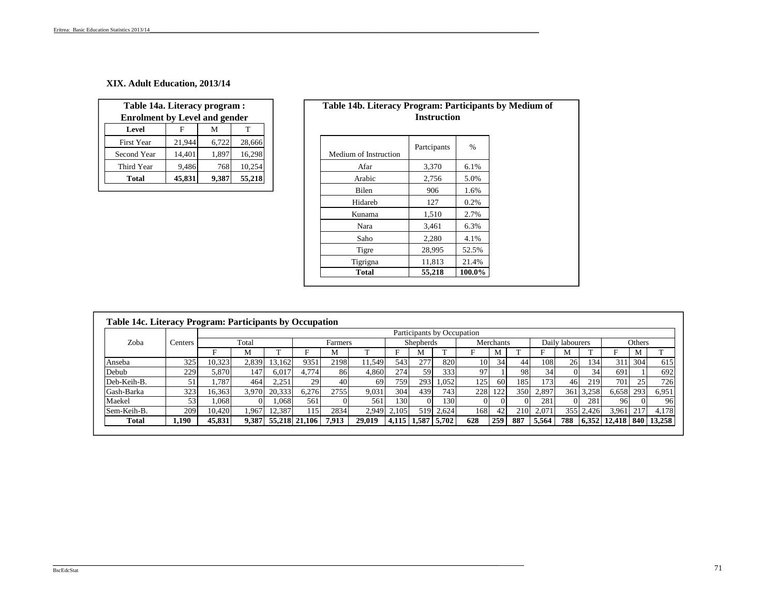### **XIX. Adult Education, 2013/14**

| Table 14a. Literacy program :        |        |       |        |
|--------------------------------------|--------|-------|--------|
| <b>Enrolment by Level and gender</b> |        |       |        |
| Level                                | F      | м     | т      |
| <b>First Year</b>                    | 21,944 | 6,722 | 28,666 |
| Second Year                          | 14,401 | 1,897 | 16,298 |
| Third Year                           | 9,486  | 768   | 10,254 |
| <b>Total</b>                         | 45,831 | 9,387 | 55,218 |

|      | e 14a. Literacy program : |       |        | Table 14b. Literacy Program: Participants by Medium of |                    |  |
|------|---------------------------|-------|--------|--------------------------------------------------------|--------------------|--|
|      | ment by Level and gender  |       |        |                                                        | <b>Instruction</b> |  |
|      | F                         | M     | T      |                                                        |                    |  |
| ear  | 21,944                    | 6,722 | 28,666 | Partcipants                                            | $\%$               |  |
| Year | 14,401                    | 1.897 | 16,298 | Medium of Instruction                                  |                    |  |
| ear  | 9,486                     | 768   | 10,254 | 3,370<br>Afar                                          | 6.1%               |  |
|      | 45,831                    | 9,387 | 55,218 | Arabic<br>2,756                                        | 5.0%               |  |
|      |                           |       |        | Bilen<br>906                                           | 1.6%               |  |
|      |                           |       |        | Hidareb<br>127                                         | 0.2%               |  |
|      |                           |       |        | 1,510<br>Kunama                                        | 2.7%               |  |
|      |                           |       |        | Nara<br>3,461                                          | 6.3%               |  |
|      |                           |       |        | Saho<br>2,280                                          | 4.1%               |  |
|      |                           |       |        | Tigre<br>28,995                                        | 52.5%              |  |
|      |                           |       |        | Tigrigna<br>11,813                                     | 21.4%              |  |
|      |                           |       |        | 55,218<br><b>Total</b>                                 | 100.0%             |  |

|              |         |        |       |        |               |         |        |                             |                  |           | Participants by Occupation |           |            |       |                 |       |                |        |        |
|--------------|---------|--------|-------|--------|---------------|---------|--------|-----------------------------|------------------|-----------|----------------------------|-----------|------------|-------|-----------------|-------|----------------|--------|--------|
| Zoba         | Centers |        | Total |        |               | Farmers |        |                             | <b>Shepherds</b> |           |                            | Merchants |            |       | Daily labourers |       |                | Others |        |
|              |         |        | М     |        |               | М       |        | Е                           | M                |           |                            | M         |            |       | M               |       |                | М      | m.     |
| Anseba       | 325     | 10,323 | 2,839 | 13.162 | 9351          | 2198    | 1.549  | 543                         | 277              | 820       | 10                         | 34        | 44         | 108   | 26              | 134   | 3111           | 304    | 615    |
| Debub        | 229     | 5.870  | 147   | 6,017  | 4.774         | 86      | 4.860  | 274                         | 59               | 333       | 97                         |           | 98         | 34    |                 | 34    | 691            |        | 692    |
| Deb-Keih-B.  | 51      | .787   | 464   | 2,251  | 29            | 40      | 69     | 759                         | 293              | 1,052     | 125                        | 60        | 185        | 173   | 46              | 219   | 701            | 25     | 726    |
| Gash-Barka   | 323     | 16.363 | 3.970 | 20.333 | 6.276         | 2755    | 9.031  | 304                         | 439              | 743       | 228                        | 122       | 350        | 2,897 | 361             | 3.258 | 6.658          | 293    | 6,951  |
| Maekel       | 53      | .068   | 01    | 1.068  | 561           | ΩI      | 561    | 1301                        |                  | 130       | $\Omega$                   |           |            | 281   |                 | 281   | 961            |        | 96     |
| Sem-Keih-B.  | 209     | 10.420 | L.967 | 12.387 | 115           | 2834    | 2.949  | 2,105                       |                  | 519 2.624 | 168                        | 42        | <b>210</b> | 2.071 | 3551            | 2.426 | 3.961          |        | 4.178  |
| <b>Total</b> | .190    | 45,831 | 9,387 |        | 55,218 21,106 | 7.913   | 29,019 | $4,115$   $1,587$   $5,702$ |                  |           | 628                        | 259       | 887        | 5.564 | 788             | 6.352 | $12,418$   840 |        | 13,258 |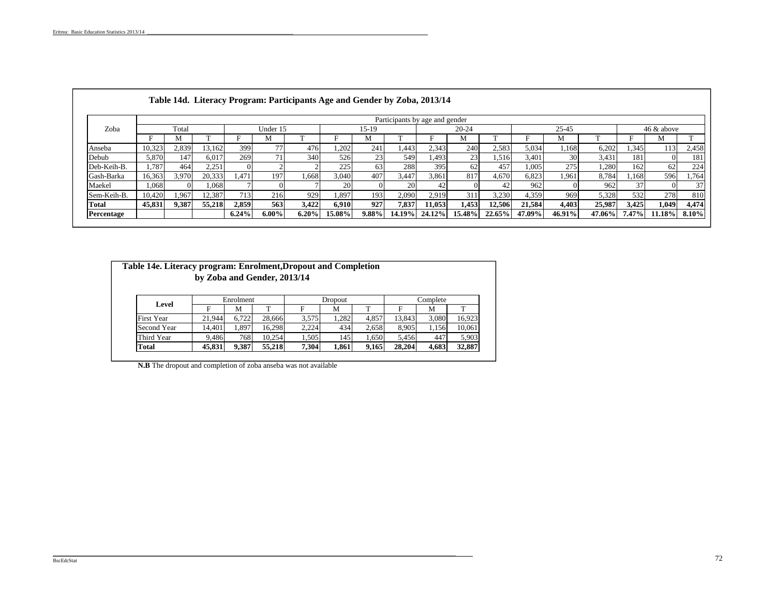|             |        |       |        |       |          |          |                 |          | Participants by age and gender |        |           |        |        |        |        |       |            |          |
|-------------|--------|-------|--------|-------|----------|----------|-----------------|----------|--------------------------------|--------|-----------|--------|--------|--------|--------|-------|------------|----------|
| Zoba        |        | Total |        |       | Under 15 |          |                 | 15-19    |                                |        | $20 - 24$ |        |        | 25-45  |        |       | 46 & above |          |
|             |        | М     |        |       | М        |          |                 | М        |                                |        | М         |        |        | М      |        | Е     | М          |          |
| Anseba      | 10,323 | 2,839 | 13,162 | 399   |          | 476      | 1,202           | 241      | .443                           | 2,343  | 240       | 2,583  | 5,034  | 1,168  | 6,202  | 1,345 | 113        | 2,458    |
| Debub       | 5,870  | 147   | 6.017  | 269   |          | 340      | 526             | 23       | 549                            | 1.493  | 23        | .,516  | 3,401  | 30     | 3,431  | 181   |            | 181      |
| Deb-Keih-B. | .787   | 464   | 2,251  |       |          |          | 225             | 63       | 288                            | 395    | 62        | 457    | 1,005  | 275    | .280   | 162   | 62         | 224      |
| Gash-Barka  | 16,363 | 3,970 | 20,333 | 1.471 | 197      | .668     | 3,040           | 407      | 3.447                          | 3,861  | 817       | 4,670  | 6,823  | 1,961  | 8.784  | .168  | 596        | 1,764    |
| Maekel      | 1.068  |       | 1.068  |       |          |          | 20 <sub>1</sub> |          | <b>20</b>                      | 42     |           | 42     | 962    |        | 962    | 37    |            | 37       |
| Sem-Keih-B. | 10,420 | .967  | 12,387 | 713   | 216      | 929      | 1,897           | 193      | 2.090                          | 2.919  | 311       | 3,230  | 4,359  | 969    | 5,328  | 532   | 278        | 810      |
| Total       | 45,831 | 9,387 | 55,218 | 2,859 | 563      | 3.422    | 6.910           | 927      | 7,837                          | 11.053 | 1,453     | 12,506 | 21,584 | 4.403  | 25,987 | 3.425 | 1.049      | 4,474    |
| Percentage  |        |       |        | 6.24% | $6.00\%$ | $6.20\%$ | 15.08%          | $9.88\%$ | 14.19%                         | 24.12% | 15.48%    | 22.65% | 47.09% | 46.91% | 47.06% | 7.47% | 11.18%     | $8.10\%$ |

| Table 14e. Literacy program: Enrolment, Dropout and Completion | by Zoba and Gender, 2013/14 |           |        |       |         |       |        |          |        |
|----------------------------------------------------------------|-----------------------------|-----------|--------|-------|---------|-------|--------|----------|--------|
| Level                                                          |                             | Enrolment |        |       | Dropout |       |        | Complete |        |
|                                                                | F                           | М         |        |       | М       |       |        | M        |        |
| <b>First Year</b>                                              | 21.944                      | 6.722     | 28,666 | 3.575 | 1.282   | 4.857 | 13.843 | 3.080    | 16.923 |
| Second Year                                                    | 14.401                      | 1.897     | 16.298 | 2,224 | 434     | 2,658 | 8.905  | 1,156    | 10.061 |
| Third Year                                                     | 9.486                       | 768       | 10.254 | 1,505 | 145     | 1,650 | 5.456  | 447      | 5,903  |
| Total                                                          | 45,831                      | 9,387     | 55,218 | 7,304 | 1,861   | 9,165 | 28,204 | 4,683    | 32,887 |

**N.B** The dropout and completion of zoba anseba was not available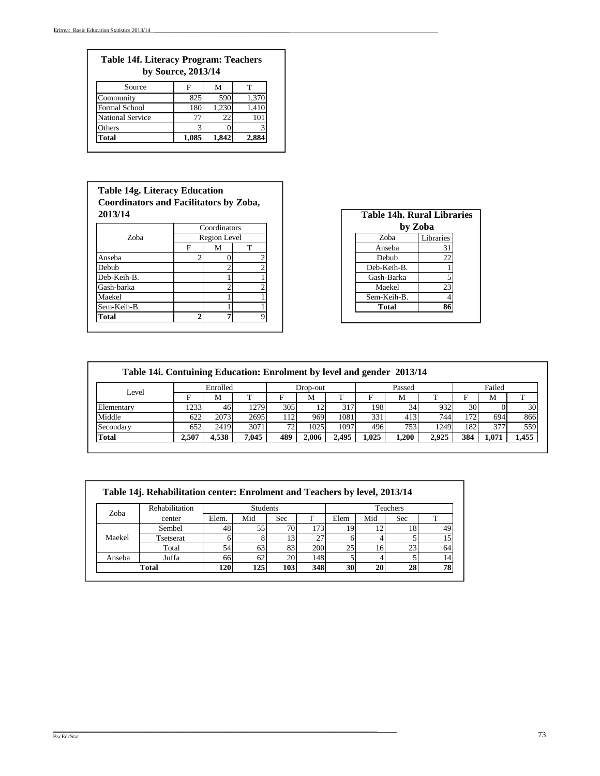## **Table 14f. Literacy Program: Teachers by Source, 2013/14**

| Source                  |       | М     |       |
|-------------------------|-------|-------|-------|
| Community               | 82.   | 590   | 1,370 |
| <b>Formal School</b>    |       |       |       |
| <b>National Service</b> |       | 22    |       |
| Others                  |       |       |       |
| Fotal                   | 1,085 | 1.842 | 2,884 |

## **Table 14g. Literacy Education Coordinators and Facilitators by Zoba, 2013/14**

|             |   | Coordinators |   |
|-------------|---|--------------|---|
| Zoba        |   | Region Level |   |
|             | F | M            | т |
| Anseba      |   |              |   |
| Debub       |   |              |   |
| Deb-Keih-B. |   |              |   |
| Gash-barka  |   |              |   |
| Maekel      |   |              |   |
| Sem-Keih-B. |   |              |   |
| Total       |   |              |   |

|   | Antutolo dy Llodu, |   |  |  |                                   |           |  |
|---|--------------------|---|--|--|-----------------------------------|-----------|--|
|   |                    |   |  |  | <b>Table 14h. Rural Libraries</b> |           |  |
|   | Coordinators       |   |  |  |                                   | by Zoba   |  |
|   | Region Level       |   |  |  | Zoba                              | Libraries |  |
| F | М                  | т |  |  | Anseba                            | 31        |  |
|   |                    |   |  |  | Debub                             | 22        |  |
|   |                    |   |  |  | Deb-Keih-B.                       |           |  |
|   |                    |   |  |  | Gash-Barka                        |           |  |
|   |                    |   |  |  | Maekel                            | 23        |  |
|   |                    |   |  |  | Sem-Keih-B.                       |           |  |
|   |                    |   |  |  | <b>Total</b>                      | 86        |  |
|   |                    |   |  |  |                                   |           |  |

| Table 14 <i>i</i> . Contuining Education: Enrolment by level and gender 2013/14 |       |          |       |      |          |       |       |        |       |           |        |       |
|---------------------------------------------------------------------------------|-------|----------|-------|------|----------|-------|-------|--------|-------|-----------|--------|-------|
|                                                                                 |       | Enrolled |       |      | Drop-out |       |       | Passed |       |           | Failed |       |
| Level                                                                           |       | М        |       | Е    | М        | m     |       | M      |       |           | M      |       |
| Elementary                                                                      | 1233  | 46       | 1279  | 305  |          | 317   | 198   | 34     | 932   | <b>30</b> |        | 30    |
| Middle                                                                          | 622   | 2073     | 2695  | 112' | 969      | 1081  | 331   | 413    | 744   | 172       | 694    | 866   |
| Secondary                                                                       | 652   | 2419     | 3071  | 72   | 1025     | 1097  | 496   | 753    | 1249  | 182       | 377    | 559   |
| <b>Total</b>                                                                    | 2.507 | 4.538    | 7.045 | 489  | 2.006    | 2.495 | 1.025 | 200    | 2.925 | 384       | 1.071  | 1,455 |

| Zoba   | Rehabilitation                                             |       | <b>Students</b> |            |     |      |     | <b>Teachers</b> |              |
|--------|------------------------------------------------------------|-------|-----------------|------------|-----|------|-----|-----------------|--------------|
|        | center                                                     | Elem. | Mid             | <b>Sec</b> |     | Elem | Mid | Sec             | $\mathbf{r}$ |
|        | Sembel                                                     | 48    | 55              | 70.        | 173 |      |     | 18              | 49           |
| Maekel | Tsetserat                                                  | 6     |                 |            | 27  |      |     |                 |              |
|        | Total                                                      | 54    | 63              | 83         | 200 | 25   | 16  | 23              | 64           |
| Anseba | Juffa                                                      | 66    | 62              | 20         | 148 |      |     |                 | 14           |
|        | 125<br>120<br>103<br>348<br>30<br>28<br>20<br><b>Total</b> |       |                 |            |     |      |     | 78              |              |